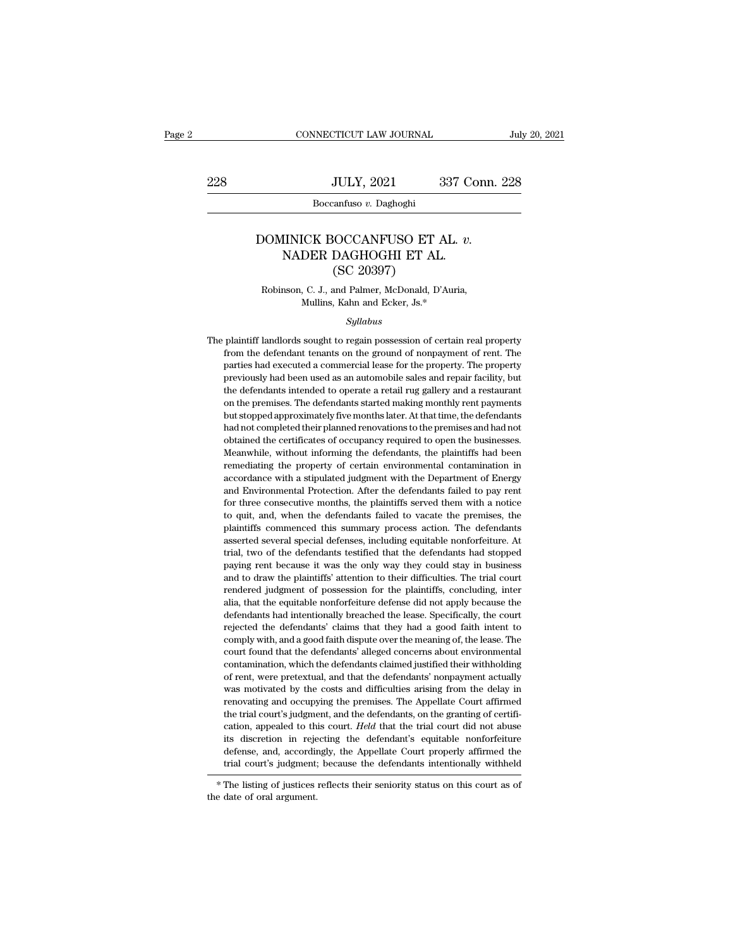$\begin{tabular}{c} \multicolumn{2}{c|}{\text{CONNECTICUT LAW JOURNAL}} & July 20, 2021 \\ \cline{2-2} \multicolumn{2}{c|}{\text{July 20, 2021}} & \multicolumn{2}{c|}{\text{July 20, 2021}} \\ \cline{2-2} \multicolumn{2}{c|}{\text{MULTY, 2021}} & 337 \text{ Conn. 228} \\ \cline{2-2} \multicolumn{2}{c|}{\text{Boccantuso $v$}} & \text{Daghoghi} \end{tabular}$ 

Boccanfuso *v.* Daghoghi

## JULY, 2021 337 Conn. 2<br>
Boccanfuso *v.* Daghoghi<br>
DOMINICK BOCCANFUSO ET AL. *v.*<br>
NADER DAGHOGHI ET AL. (SC 20397)  $\begin{tabular}{c} \multicolumn{1}{l}{{\text{JULY, 2021}}} \hspace*{2.0cm} \multicolumn{1}{c}{\text{337 Cc}}\\ \hline\hline\hline\text{Boccantuso $v$. Daghoghi} \end{tabular}$  IINICK BOCCANFUSO ET AL.  $v.$  NADER DAGHOGHI ET AL. (SC 20397) JULY, 2021<br>
Eanfuso v. Daghoghi<br>
SOCCANFUSO ET AL<br>
DAGHOGHI ET AL<br>
(SC 20397)<br>
and Palmer, McDonald, D' NOMINICK BOCCANFUSO ET AL. *v*.<br>NADER DAGHOGHI ET AL.<br>(SC 20397)<br>Robinson, C. J., and Palmer, McDonald, D'Auria,<br>Mullins, Kahn and Ecker, Js.\* ICK BOCCANFUSO ET AL.<br>DER DAGHOGHI ET AL.<br>(SC 20397)<br>, C. J., and Palmer, McDonald, D'Auria<br>Mullins, Kahn and Ecker, Js.\*<br>Syllabus

## *Syllabus*

 $(SC 20397)$ <br>Robinson, C. J., and Palmer, McDonald, D'Auria,<br>Mullins, Kahn and Ecker, Js.\*<br>Syllabus<br>The plaintiff landlords sought to regain possession of certain real property<br>from the defendant tenants on the ground of n From K. J., and Palmer, McDonald, D'Auria,<br>Mullins, Kahn and Ecker, Js.\*<br>Syllabus<br>plaintiff landlords sought to regain possession of certain real property<br>from the defendant tenants on the ground of nonpayment of rent. The marked a commercial lease for the property.<br>
Mullins, Kahn and Ecker, Js.\*<br>
Syllabus<br>
plaintiff landlords sought to regain possession of certain real property<br>
from the defendant tenants on the ground of nonpayment of rent Syllabus<br>Syllabus<br>previously had been used as an automobile sales and repair facility, but<br>previously had been used as an automobile sales and repair facility, but<br>the defendants intended to operate a retail rug gallery an Syllabus<br>
Syllabus<br>
plaintiff landlords sought to regain possession of certain real property<br>
from the defendant tenants on the ground of nonpayment of rent. The<br>
previously had been used as an automobile sales and repair plaintiff landlords sought to regain possession of certain real property<br>from the defendant tenants on the ground of nonpayment of rent. The<br>parties had executed a commercial lease for the property. The property<br>previously from the defendant tenants on the ground of nonpayment of rent. The parties had executed a commercial lease for the property. The property previously had been used as an automobile sales and repair facility, but the defend parties had executed a commercial lease for the property. The property previously had been used as an automobile sales and repair facility, but the defendants intended to operate a retail rug gallery and a restaurant on th previously had been used as an automobile sales and repair facility, but<br>the defendants intended to operate a retail rug gallery and a restaurant<br>on the premises. The defendants started making monthly rent payments<br>but sto previously and simulated to operate a retail rug gallery and a restaurant on the premises. The defendants started making monthly rent payments but stopped approximately five months later. At that time, the defendants had n on the premises. The defendants started making monthly rent payments but stopped approximately five months later. At that time, the defendants had not completed their planned renovations to the premises and had not obtaine accordance with a stipulated judgment with the defendants that not completed their planned renovations to the premises and had not obtained the certificates of occupancy required to open the businesses. Meanwhile, without and and completed their planned renovations to the premises and had not obtained the certificates of occupancy required to open the businesses. Meanwhile, without informing the defendants, the plaintiffs had been remediati for the consecutive months, the plaintiffs had been memediating the certificates of occupancy required to open the businesses. Meanwhile, without informing the defendants, the plaintiffs had been remediating the property o Meanwhile, without informing the defendants, the plaintiffs had been<br>remediating the property of certain environmental contamination in<br>accordance with a stipulated judgment with the Department of Energy<br>and Environmental remediating the property of certain environmental contamination in accordance with a stipulated judgment with the Department of Energy and Environmental Protection. After the defendants failed to pay rent for three consecu accordance with a stipulated judgment with the Department of Energy<br>and Environmental Protection. After the defendants failed to pay rent<br>for three consecutive months, the plaintiffs served them with a notice<br>to quit, and, and Environmental Protection. After the defendants failed to pay rent for three consecutive months, the plaintiffs served them with a notice to quit, and, when the defendants failed to vacate the premises, the plaintiffs c for three consecutive months, the plaintiffs served them with a notice to quit, and, when the defendants failed to vacate the premises, the plaintiffs commenced this summary process action. The defendants asserted several and to quit, and, when the defendants failed to vacate the premises, the plaintiffs commenced this summary process action. The defendants asserted several special defenses, including equitable nonforfeiture. At trial, two relative for the deterministic and to victor of plaintiffs commenced this summary process action. The defendants asserted several special defenses, including equitable nonforfeiture. At trial, two of the defendants testifi plantance and standary process action. The detendants asserted several special defenses, including equitable nonforfeiture. At trial, two of the defendants testified that the defendants had stopped paying rent because it w defendants had intentionally breached the lease. Specifically, the court and stopped paying rent because it was the only way they could stay in business and to draw the plaintiffs' attention to their difficulties. The tria region of the defendants' coalities that the defendants' had beepped paying rent because it was the only way they could stay in business and to draw the plaintiffs' attention to their difficulties. The trial court rendered playing Feat seedale it was also they wity anay codia say in standard and to draw the plaintiffs' attention to their difficulties. The trial court rendiered judgment of possession for the plaintiffs, concluding, inter alia and to unaw are paintiffered in anticourted that the defendants alleged in the plaintiffs, concluding, interalia, that the equitable nonforfeiture defense did not apply because the defendants had intentionally breached the contacted justified to a possession for the plantinity, concluding, including that the equitable nonforfeiture defense did not apply because the defendants had intentionally breached the lease. Specifically, the court reje and, and are equided intentionally breached the lease. Specifically, the court rejected the defendants' claims that they had a good faith intent to comply with, and a good faith dispute over the meaning of, the lease. The determinis and interaconally orcidined are rease. Specifically, are court-<br>rejected the defendants' claims that they had a good faith intent to<br>comply with, and a good faith dispute over the meaning of, the lease. The<br>cour registed and careformation of calling and occupying the meaning of, the lease. The court found that the defendants' alleged concerns about environmental contamination, which the defendants claimed justified their withholdi comply with, and a good faith dispute over the meaning of, the lease. The court found that the defendants' alleged concerns about environmental contamination, which the defendants claimed justified their withholding of re court found and and the defendants disegned obtained introduction, contamination, which the defendants insigned justified their withholding of rent, were pretextual, and that the defendants' nonpayment actually was motivat is discretion, which are defendant of anticappear and mathematic of rent, were pretextual, and that the defendants' nonpayment actually was motivated by the costs and difficulties arising from the delay in renovating and o of rent, were pretextual, and that the defendants' horpolyment actually<br>was motivated by the costs and difficulties arising from the delay in<br>renovating and occupying the premises. The Appellate Court affirmed<br>the trial co The isting of using reflects their seniority status on this court affirmed<br>the trial court's judgment, and the defendants, on the granting of certifi-<br>cation, appealed to this court. *Held* that the trial court did not abu cation, appealed to the its discretion in rejearch<br>its discretion in rejearch defense, and, according<br>trial court's judgment;<br>\* The listing of justices<br>the date of oral argument.

defense, and, accordingly, the Appellate Court properly affirmed the trial court's judgment; because the defendants intentionally withheld  $*$  The listing of justices reflects their seniority status on this court as of the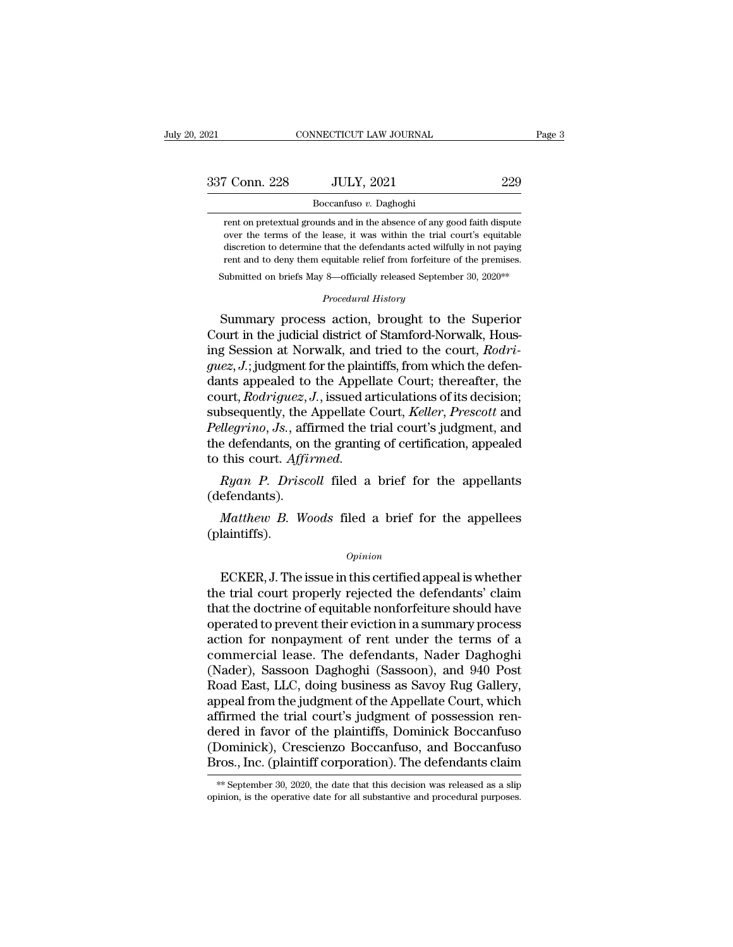| 2021          | CONNECTICUT LAW JOURNAL |     | Page 3 |
|---------------|-------------------------|-----|--------|
| 337 Conn. 228 | <b>JULY, 2021</b>       | 229 |        |
|               | Boccanfuso v. Daghoghi  |     |        |

France 228 JULY, 2021 229<br>
Boccanfuso v. Daghoghi<br>
France of any good faith dispute<br>
over the terms of the lease, it was within the trial court's equitable<br>
over the terms of the lease, it was within the trial court's equi over the terms of the lease, it was within the trial court's equitable discretion to determine that the defendants acted wilfully in not paying discretion to determine that the defendants acted wilfully in not paying<br>ment on pretextual grounds and in the absence of any good faith dispute<br>over the terms of the lease, it was within the trial court's equitable<br>discre Boccanfuso  $v$ . Daghoghi<br>rent on pretextual grounds and in the absence of any good faith dispute<br>over the terms of the lease, it was within the trial court's equitable<br>discretion to determine that the defendants acted wil  $\frac{1}{2}$  poccalius *b*. Daging and the absence of any good faith dispute over the terms of the lease, it was within the trial court's equitable discretion to determine that the defendants acted wilfully in not paying ren **Processuary** *Procedural that the defendants acted wilfuding*<br> *Procedural History*<br> *Procedural History*<br> **Procedural History**<br> **Procedural History** rent on pretextual grounds and in the absence of any good faith dispute<br>over the terms of the lease, it was within the trial court's equitable<br>discretion to determine that the defendants acted wilfully in not paying<br>rent a

over the terms of the lease, it was whilm the that courts equitable<br>discretion to determine that the defendants acted wilfully in not paying<br>rent and to deny them equitable relief from forfeiture of the premises.<br>Submitted rent and to deny them equitable relief from forfeiture of the premises.<br>
Submitted on briefs May 8—officially released September 30, 2020<sup>\*\*</sup><br> *Procedural History*<br>
Summary process action, brought to the Superior<br>
Court in Submitted on briefs May 8—officially released September 30, 2020<sup>\*\*</sup><br>*Procedural History*<br>**Summary process action, brought to the Superior**<br>Court in the judicial district of Stamford-Norwalk, Hous-<br>ing Session at Norwalk, *Procedural History*<br>
Summary process action, brought to the Superior<br>
Court in the judicial district of Stamford-Norwalk, Hous-<br>
ing Session at Norwalk, and tried to the court, *Rodri-*<br> *guez, J.*; judgment for the plain Frocedural History<br>Court in the judicial district of Stamford-Norwalk, Hous-<br>ing Session at Norwalk, and tried to the court, *Rodri-*<br>*guez*, *J*.; judgment for the plaintiffs, from which the defen-<br>dants appealed to the A Summary process action, brought to the Superior<br>Court in the judicial district of Stamford-Norwalk, Hous-<br>ing Session at Norwalk, and tried to the court, *Rodri-*<br>*guez*, *J*.; judgment for the plaintiffs, from which the d Court in the judicial district of Stamford-Norwalk, Hous-<br>ing Session at Norwalk, and tried to the court, *Rodri-*<br>*guez, J.*; judgment for the plaintiffs, from which the defen-<br>dants appealed to the Appellate Court; there ing Session at Norwalk, and tried to the court, *Rodriguez*, *J*.; judgment for the plaintiffs, from which the defendants appealed to the Appellate Court; thereafter, the court, *Rodriguez*, *J*., issued articulations of i *guez, J.*; judgment for the plaint<br>dants appealed to the Appell.<br>court, *Rodriguez, J.*, issued ar<br>subsequently, the Appellate C<br>*Pellegrino, Js.*, affirmed the tr<br>the defendants, on the granting<br>to this court. Affirmed.<br> *Ryan P. Driscoll* filed a brief for the appellants of its decision;<br>*Ryan P. Driguez, J.*, issued articulations of its decision;<br>*Ryan D. Js.*, affirmed the trial court's judgment, and<br>*Ryan P. Driscoll* filed a brief for *Matherino, Js.*, affirmed the trial court's judgment, and e defendants, on the granting of certification, appealed this court. Affirmed.<br> *Ryan P. Driscoll* filed a brief for the appellants efendants).<br> *Matthew B. Woods* 

(defendants).

(plaintiffs).

## *Opinion*

*Ryan P. Driscoll* filed a brief for the appellants<br>efendants).<br>*Matthew B. Woods* filed a brief for the appellees<br>laintiffs).<br>*Opinion*<br>ECKER, J. The issue in this certified appeal is whether<br>e trial court properly reject (defendants).<br> *Matthew B. Woods* filed a brief for the appellees<br>
(plaintiffs).<br>  $\begin{array}{c} Opinion \\ Opinion \end{array}$ <br>
ECKER, J. The issue in this certified appeal is whether<br>
the trial court properly rejected the defendants' claim<br>
th Matthew B. Woods filed a brief for the appellees<br>
(plaintiffs).<br>  $Opinion$ <br>
ECKER, J. The issue in this certified appeal is whether<br>
the trial court properly rejected the defendants' claim<br>
that the doctrine of equitable nonfo (plaintiffs).<br>  $\begin{array}{c}\n\text{Option} \\
\text{ECKER, J. The issue in this certified appeal is whether} \\
\text{the trial court properly rejected the defendants' claim} \\
\text{that the doctrine of equitable nonforfeiture should have} \noperated to prevent their eviction in a summary process}\n\end{array}$  $o$ <sub>pinion</sub><br>ECKER, J. The issue in this certified appeal is whether<br>the trial court properly rejected the defendants' claim<br>that the doctrine of equitable nonforfeiture should have<br>operated to prevent their eviction in a *Common*<br>ECKER, J. The issue in this certified appeal is whether<br>the trial court properly rejected the defendants' claim<br>that the doctrine of equitable nonforfeiture should have<br>operated to prevent their eviction in a summ ECKER, J. The issue in this certified appeal is whether<br>the trial court properly rejected the defendants' claim<br>that the doctrine of equitable nonforfeiture should have<br>operated to prevent their eviction in a summary proce the trial court properly rejected the defendants' claim<br>that the doctrine of equitable nonforfeiture should have<br>operated to prevent their eviction in a summary process<br>action for nonpayment of rent under the terms of a<br>co that the doctrine of equitable nonforfeiture should have<br>operated to prevent their eviction in a summary process<br>action for nonpayment of rent under the terms of a<br>commercial lease. The defendants, Nader Daghoghi<br>(Nader), operated to prevent their eviction in a summary process<br>action for nonpayment of rent under the terms of a<br>commercial lease. The defendants, Nader Daghoghi<br>(Nader), Sassoon Daghoghi (Sassoon), and 940 Post<br>Road East, LLC, action for nonpayment of rent under the terms of a<br>commercial lease. The defendants, Nader Daghoghi<br>(Nader), Sassoon Daghoghi (Sassoon), and 940 Post<br>Road East, LLC, doing business as Savoy Rug Gallery,<br>appeal from the jud commercial lease. The defendants, Nader Daghoghi<br>(Nader), Sassoon Daghoghi (Sassoon), and 940 Post<br>Road East, LLC, doing business as Savoy Rug Gallery,<br>appeal from the judgment of the Appellate Court, which<br>affirmed the tr (Nader), Sassoon Daghoghi (Sassoon), and 940 Post<br>Road East, LLC, doing business as Savoy Rug Gallery,<br>appeal from the judgment of the Appellate Court, which<br>affirmed the trial court's judgment of possession ren-<br>dered in Tirmed the trial court's judgment of possession ren-<br>ered in favor of the plaintiffs, Dominick Boccanfuso<br>Dominick), Crescienzo Boccanfuso, and Boccanfuso<br>ros., Inc. (plaintiff corporation). The defendants claim<br>\*\* Septemb dered in favor of the plaintiffs, Dominick Boccanfuso<br>(Dominick), Crescienzo Boccanfuso, and Boccanfuso<br>Bros., Inc. (plaintiff corporation). The defendants claim<br>\*\* September 30, 2020, the date that this decision was relea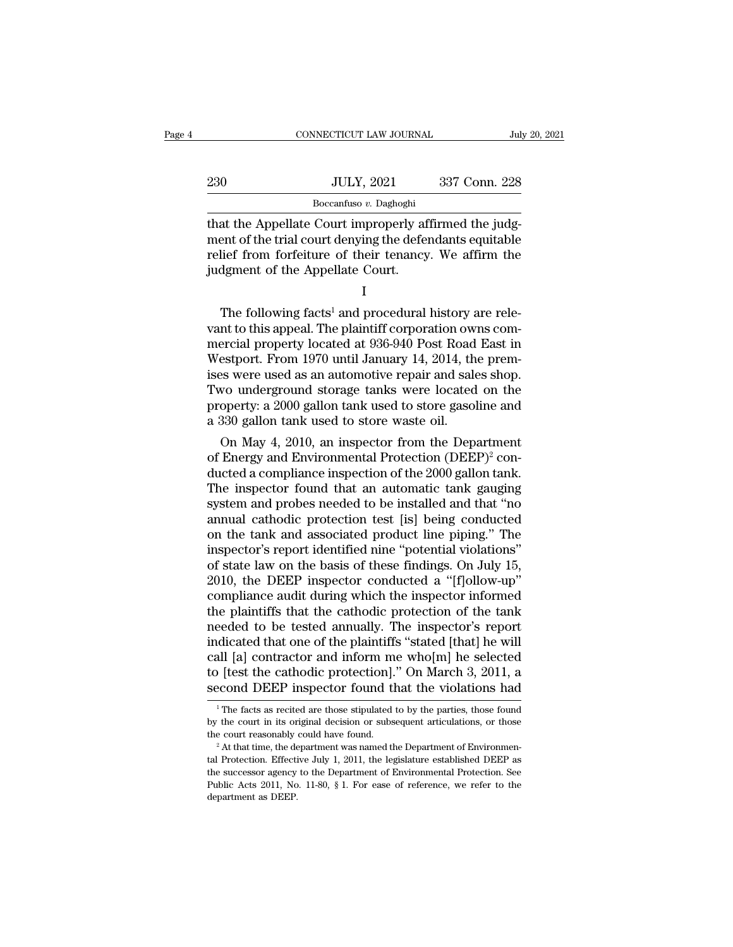|     | CONNECTICUT LAW JOURNAL | July 20, 2021 |  |
|-----|-------------------------|---------------|--|
|     |                         |               |  |
| 230 | <b>JULY, 2021</b>       | 337 Conn. 228 |  |
|     | Boccanfuso v. Daghoghi  |               |  |

CONNECTICUT LAW JOURNAL<br>
230 JULY, 2021 337 Conn. 228<br>
Boccanfuso v. Daghoghi<br>
that the Appellate Court improperly affirmed the judg-<br>
ment of the trial court denying the defendants equitable<br>
roliof from forfoiture of the 230 JULY, 2021 337 Conn. 228<br>Boccanfuso v. Daghoghi<br>that the Appellate Court improperly affirmed the judg-<br>ment of the trial court denying the defendants equitable<br>relief from forfeiture of their tenancy. We affirm the<br>ind 230 JULY, 2021 337 Conn. 228<br>Boccanfuso v. Daghoghi<br>that the Appellate Court improperly affirmed the judgment of the trial court denying the defendants equitable<br>relief from forfeiture of their tenancy. We affirm the<br>judg  $\begin{tabular}{l} 230 & \text{JULY, 2021} \\ \hline \text{Boccanfuso $v$. Daghoghi} \\ \text{that the Appellate Court improving the defect} \\ \text{relief from forfeiture of their tenancy} \\ \text{judgment of the Appellate Court.} \\ \text{I} \end{tabular}$ at the Appellate Court improperly affirmed the judgent of the trial court denying the defendants equitable<br>1<br>ief from forfeiture of their tenancy. We affirm the<br>1<br>dgment of the Appellate Court.<br>1<br>The following facts<sup>1</sup> and

I and the set of  $\mathbf{I}$ 

ment of the trial court denying the defendants equitable<br>relief from forfeiture of their tenancy. We affirm the<br>judgment of the Appellate Court.<br> $I$ <br>The following facts<sup>1</sup> and procedural history are rele-<br>vant to this app merget from forfeiture of their tenancy. We affirm the<br>judgment of the Appellate Court.<br> $I$ <br>The following facts<sup>1</sup> and procedural history are rele-<br>vant to this appeal. The plaintiff corporation owns com-<br>mercial property judgment of the Appellate Court.<br>
I<br>
The following facts<sup>1</sup> and procedural history are rele-<br>
vant to this appeal. The plaintiff corporation owns com-<br>
mercial property located at 936-940 Post Road East in<br>
Westport. From I<br>
I<br>
The following facts<sup>1</sup> and procedural history are rele-<br>
vant to this appeal. The plaintiff corporation owns com-<br>
mercial property located at 936-940 Post Road East in<br>
Westport. From 1970 until January 14, 2014, th The following facts<sup>1</sup> and procedural history are relevant to this appeal. The plaintiff corporation owns commercial property located at  $936-940$  Post Road East in Westport. From 1970 until January 14, 2014, the premises The following facts<sup>1</sup> and procedural history are relevant to this appeal. The plaintiff corporation owns commercial property located at 936-940 Post Road East in Westport. From 1970 until January 14, 2014, the premises we vant to this appeal. The plaintiff corporation ow<br>mercial property located at 936-940 Post Road<br>Westport. From 1970 until January 14, 2014, th<br>ises were used as an automotive repair and sale<br>Two underground storage tanks w ercial property located at 936-940 Post Koad East in<br>estport. From 1970 until January 14, 2014, the prem-<br>es were used as an automotive repair and sales shop.<br>vo underground storage tanks were located on the<br>operty: a 2000 westport. From 1970 until January 14, 2014, the premises were used as an automotive repair and sales shop.<br>Two underground storage tanks were located on the property: a 2000 gallon tank used to store gasoline and a 330 ga

ises were used as an automotive repair and saies shop.<br>Two underground storage tanks were located on the<br>property: a 2000 gallon tank used to store gasoline and<br>a 330 gallon tank used to store waste oil.<br>On May 4, 2010, an Two underground storage tanks were located on the<br>property: a 2000 gallon tank used to store gasoline and<br>a 330 gallon tank used to store waste oil.<br>On May 4, 2010, an inspector from the Department<br>of Energy and Environme property: a 2000 gallon tank used to store gasoline and<br>a 330 gallon tank used to store waste oil.<br>On May 4, 2010, an inspector from the Department<br>of Energy and Environmental Protection (DEEP)<sup>2</sup> con-<br>ducted a compliance a 330 gallon tank used to store waste oil.<br>
On May 4, 2010, an inspector from the Department<br>
of Energy and Environmental Protection (DEEP)<sup>2</sup> con-<br>
ducted a compliance inspection of the 2000 gallon tank.<br>
The inspector fo On May 4, 2010, an inspector from the Department<br>of Energy and Environmental Protection (DEEP)<sup>2</sup> con-<br>ducted a compliance inspection of the 2000 gallon tank.<br>The inspector found that an automatic tank gauging<br>system and p of Energy and Environmental Protection (DEEP)<sup>2</sup> con-<br>ducted a compliance inspection of the 2000 gallon tank.<br>The inspector found that an automatic tank gauging<br>system and probes needed to be installed and that "no<br>annual ducted a compliance inspection of the 2000 gallon tank.<br>The inspector found that an automatic tank gauging<br>system and probes needed to be installed and that "no<br>annual cathodic protection test [is] being conducted<br>on the t The inspector found that an automatic tank gauging<br>system and probes needed to be installed and that "no<br>annual cathodic protection test [is] being conducted<br>on the tank and associated product line piping." The<br>inspector's system and probes needed to be installed and that "no<br>annual cathodic protection test [is] being conducted<br>on the tank and associated product line piping." The<br>inspector's report identified nine "potential violations"<br>of s annual cathodic protection test [is] being conducted<br>on the tank and associated product line piping." The<br>inspector's report identified nine "potential violations"<br>of state law on the basis of these findings. On July 15,<br>2 on the tank and associated product line piping." The<br>inspector's report identified nine "potential violations"<br>of state law on the basis of these findings. On July 15,<br>2010, the DEEP inspector conducted a "[f]ollow-up"<br>com inspector's report identified nine "potential violations"<br>of state law on the basis of these findings. On July 15,<br>2010, the DEEP inspector conducted a "[f]ollow-up"<br>compliance audit during which the inspector informed<br>th of state law on the basis of these findings. On July 15,<br>2010, the DEEP inspector conducted a "[f]ollow-up"<br>compliance audit during which the inspector informed<br>the plaintiffs that the cathodic protection of the tank<br>neede 2010, the DEEP inspector conducted a "[f]ollow-up" compliance audit during which the inspector informed the plaintiffs that the cathodic protection of the tank needed to be tested annually. The inspector's report indicate compliance audit during which the inspector informed<br>the plaintiffs that the cathodic protection of the tank<br>needed to be tested annually. The inspector's report<br>indicated that one of the plaintiffs "stated [that] he will dicated that one of the plaintiffs "stated [that] he will<br>all [a] contractor and inform me who[m] he selected<br>b [test the cathodic protection]." On March 3, 2011, a<br>econd DEEP inspector found that the violations had<br> $\frac{1$ call [a] contractor and inform me who[m] he selected<br>to [test the cathodic protection]." On March 3, 2011, a<br>second DEEP inspector found that the violations had<br> $\frac{1}{1}$  The facts as recited are those stipulated to by th

to [test the cathodic protection]." On March 3, 2011, a<br>second DEEP inspector found that the violations had<br> $\frac{1}{1}$  The facts as recited are those stipulated to by the parties, those found<br>by the court in its original d by the court in its original decision or subsequent articulations, or those the court reasonably could have found.<br><sup>2</sup> At that time, the department was named the Department of Environmental Protection. Effective July 1, 2 <sup>1</sup> The facts as recited are those stipulated to by the parties, those found by the court in its original decision or subsequent articulations, or those the court reasonably could have found.<br><sup>2</sup> At that time, the departm Full the court in its original decision or subsequent articulations, or those the court reasonably could have found.<br>
<sup>2</sup> At that time, the department was named the Department of Environmental Protection. Effective July 1 the court reasonably could have found.<br>
<sup>2</sup> At that time, the department was nan tal Protection. Effective July 1, 2011, the successor agency to the Departmen Public Acts 2011, No. 11-80,  $\S$  1. For  $\epsilon$  department as DEE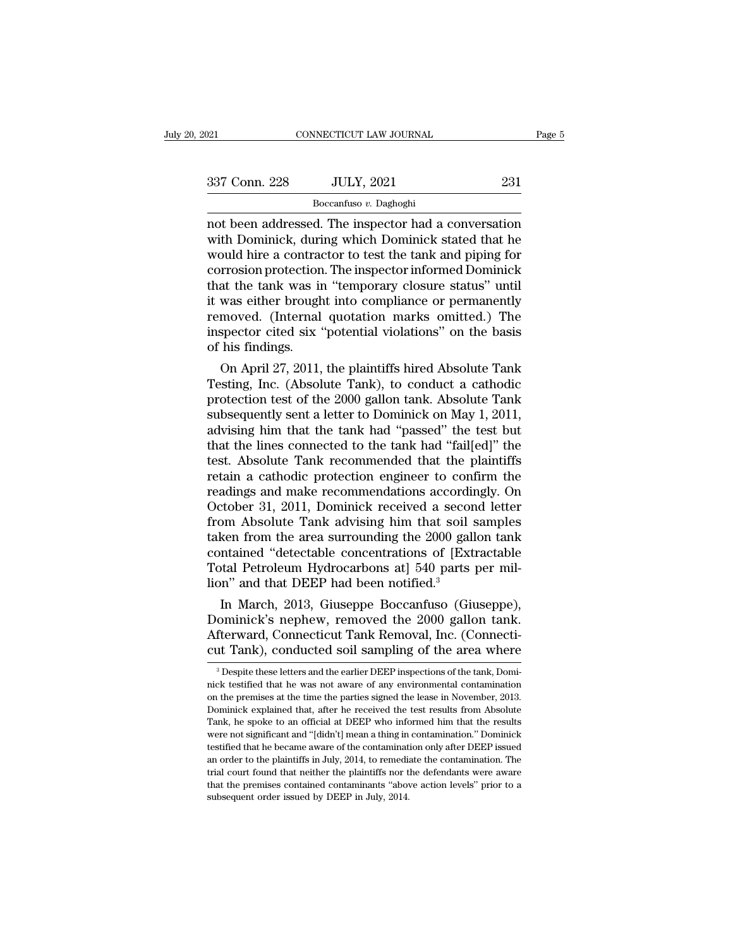| 2021          | CONNECTICUT LAW JOURNAL                                                                                                                                                |     | Page 5 |
|---------------|------------------------------------------------------------------------------------------------------------------------------------------------------------------------|-----|--------|
|               |                                                                                                                                                                        |     |        |
| 337 Conn. 228 | <b>JULY, 2021</b>                                                                                                                                                      | 231 |        |
|               | Boccanfuso v. Daghoghi                                                                                                                                                 |     |        |
|               | not been addressed. The inspector had a conversation<br>with Dominick, during which Dominick stated that he<br>would hire a contractor to tost the tank and pining for |     |        |

337 Conn. 228 JULY, 2021 231<br>
Boccanfuso v. Daghoghi<br>
not been addressed. The inspector had a conversation<br>
with Dominick, during which Dominick stated that he<br>
would hire a contractor to test the tank and piping for<br>
corr  $\frac{337 \text{ Conn. } 228}{\text{Boccanfuso } v. \text{ Daghogh}}$ <br>
not been addressed. The inspector had a conversation<br>
with Dominick, during which Dominick stated that he<br>
would hire a contractor to test the tank and piping for<br>
corrosion protecti  $\frac{337 \text{ Conn. } 228}{\text{Boccanfuso } v. \text{ Daghoghi}}$ <br>
not been addressed. The inspector had a conversation<br>
with Dominick, during which Dominick stated that he<br>
would hire a contractor to test the tank and piping for<br>
corrosion protecti Boccanfuso v. Daghoghi<br>
not been addressed. The inspector had a conversation<br>
with Dominick, during which Dominick stated that he<br>
would hire a contractor to test the tank and piping for<br>
corrosion protection. The inspecto  $\frac{\text{Bocantuso } v. \text{ Daghoghi}}{\text{Bocantuso } v. \text{ Daghoghi}}$ <br>
not been addressed. The inspector had a conversation<br>
with Dominick, during which Dominick stated that he<br>
would hire a contractor to test the tank and piping for<br>
corrosion prote not been addressed. The inspector had a conversation<br>with Dominick, during which Dominick stated that he<br>would hire a contractor to test the tank and piping for<br>corrosion protection. The inspector informed Dominick<br>that th with Dominick, during which Dominick stated that he<br>would hire a contractor to test the tank and piping for<br>corrosion protection. The inspector informed Dominick<br>that the tank was in "temporary closure status" until<br>it was would hire a contractor to test the tank and piping for<br>corrosion protection. The inspector informed Dominick<br>that the tank was in "temporary closure status" until<br>it was either brought into compliance or permanently<br>remov rrosion protection. The inspector informed Dominick<br>at the tank was in "temporary closure status" until<br>was either brought into compliance or permanently<br>moved. (Internal quotation marks omitted.) The<br>spector cited six "po that the tank was in temporary closure status until<br>it was either brought into compliance or permanently<br>removed. (Internal quotation marks omitted.) The<br>inspector cited six "potential violations" on the basis<br>of his findi

It was either brought into compliance or permanently<br>removed. (Internal quotation marks omitted.) The<br>inspector cited six "potential violations" on the basis<br>of his findings.<br>On April 27, 2011, the plaintiffs hired Absolut removed. (Internal quotation marks omitted.) The<br>inspector cited six "potential violations" on the basis<br>of his findings.<br>On April 27, 2011, the plaintiffs hired Absolute Tank<br>Testing, Inc. (Absolute Tank), to conduct a ca im that in the basis<br>advised the tank had the tank Testing, Inc. (Absolute Tank), to conduct a cathodic<br>protection test of the 2000 gallon tank. Absolute Tank<br>subsequently sent a letter to Dominick on May 1, 2011,<br>advising on April 27, 2011, the plaintiffs hired Absolute Tank<br>Testing, Inc. (Absolute Tank), to conduct a cathodic<br>protection test of the 2000 gallon tank. Absolute Tank<br>subsequently sent a letter to Dominick on May 1, 2011,<br>advis On April 27, 2011, the plaintiffs hired Absolute Tank<br>Testing, Inc. (Absolute Tank), to conduct a cathodic<br>protection test of the 2000 gallon tank. Absolute Tank<br>subsequently sent a letter to Dominick on May 1, 2011,<br>advis Testing, Inc. (Absolute Tank), to conduct a cathodic<br>protection test of the 2000 gallon tank. Absolute Tank<br>subsequently sent a letter to Dominick on May 1, 2011,<br>advising him that the tank had "passed" the test but<br>that t protection test of the 2000 gallon tank. Absolute Tank<br>subsequently sent a letter to Dominick on May 1, 2011,<br>advising him that the tank had "passed" the test but<br>that the lines connected to the tank had "fail[ed]" the<br>tes subsequently sent a letter to Dominick on May 1, 2011,<br>advising him that the tank had "passed" the test but<br>that the lines connected to the tank had "fail[ed]" the<br>test. Absolute Tank recommended that the plaintiffs<br>retain advising him that the tank had "passed" the test but<br>that the lines connected to the tank had "fail[ed]" the<br>test. Absolute Tank recommended that the plaintiffs<br>retain a cathodic protection engineer to confirm the<br>readings that the lines connected to the tank had "fail[ed]" the<br>test. Absolute Tank recommended that the plaintiffs<br>retain a cathodic protection engineer to confirm the<br>readings and make recommendations accordingly. On<br>October 31, test. Absolute Tank recommended that the plaintiffs<br>retain a cathodic protection engineer to confirm the<br>readings and make recommendations accordingly. On<br>October 31, 2011, Dominick received a second letter<br>from Absolute T retain a cathodic protection engineer to confirm the<br>readings and make recommendations accordingly. On<br>October 31, 2011, Dominick received a second letter<br>from Absolute Tank advising him that soil samples<br>taken from the ar readings and make recommendations accordin<br>October 31, 2011, Dominick received a secor<br>from Absolute Tank advising him that soil staken from the area surrounding the 2000 gall<br>contained "detectable concentrations of [Ext<br>T reform Absolute Tank advising him that soil samples<br>
ken from the area surrounding the 2000 gallon tank<br>
tank march, detectable concentrations of [Extractable<br>
tal Petroleum Hydrocarbons at] 540 parts per mil-<br>
n" and that From Absolute Tank advising him that soil samples<br>taken from the area surrounding the 2000 gallon tank<br>contained "detectable concentrations of [Extractable<br>Total Petroleum Hydrocarbons at] 540 parts per mil-<br>lion" and that

taken from the area surrounding the 2000 gallon tank<br>contained "detectable concentrations of [Extractable<br>Total Petroleum Hydrocarbons at] 540 parts per mil-<br>lion" and that DEEP had been notified.<sup>3</sup><br>In March, 2013, Giusep contained "detectable concentrations of [Extractable<br>Total Petroleum Hydrocarbons at] 540 parts per mil-<br>lion" and that DEEP had been notified.<sup>3</sup><br>In March, 2013, Giuseppe Boccanfuso (Giuseppe),<br>Dominick's nephew, removed In March, 2013, Giuseppe Boccanfuso (Giuseppe), ominick's nephew, removed the 2000 gallon tank.<br>fterward, Connecticut Tank Removal, Inc. (Connecti-<br>it Tank), conducted soil sampling of the area where<br><sup>3</sup> Despite these lett Dominick's nephew, removed the 2000 gallon tank.<br>Afterward, Connecticut Tank Removal, Inc. (Connecticut Tank), conducted soil sampling of the area where<br><sup>3</sup> Despite these letters and the earlier DEEP inspections of the tan

Afterward, Connecticut Tank Removal, Inc. (Connecticut Tank), conducted soil sampling of the area where <sup>3</sup> Despite these letters and the earlier DEEP inspections of the tank, Dominick testified that he was not aware of an Tank, connected that the received, the Connected cut Tank, conducted soil sampling of the area where a present that a positive test results from Absolute on the premises at the time the parties signed the lease in November <sup>3</sup> Despite these letters and the earlier DEEP inspections of the tank, Dominick testified that he was not aware of any environmental contamination on the premises at the time the parties signed the lease in November, 201 <sup>3</sup> Despite these letters and the earlier DEEP inspections of the tank, Dominick testified that he was not aware of any environmental contamination on the premises at the time the parties signed the lease in November, 201 rick testified that he was not aware of any environmental contamination<br>on the premises at the time the parties signed the lease in November, 2013.<br>Dominick explained that, after he received the test results from Absolute<br> and the premises at the time the parties signed the lease in November, 2013.<br>Dominick explained that, after he received the test results from Absolute<br>Tank, he spoke to an official at DEEP who informed him that the results Dominick explained that, after he received the test results from Absolute Tank, he spoke to an official at DEEP who informed him that the results were not significant and "[didn't] mean a thing in contamination." Dominick Fank, he spoke to an official at DEEP who informed him that the results<br>were not significant and "[didn't] mean a thing in contamination." Dominick<br>testified that he became aware of the contamination only after DEEP issued were not significant and "[didn't] mean a thing in contamination." Dominick testified that he became aware of the contamination only after DEEP issued an order to the plaintiffs in July, 2014, to remediate the contaminati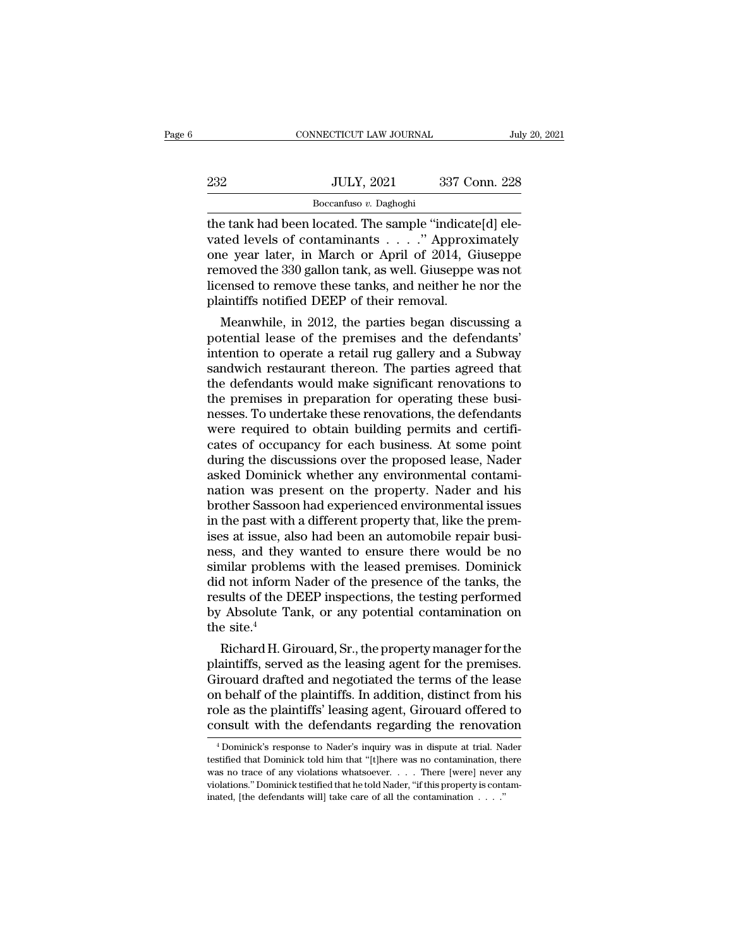|     | CONNECTICUT LAW JOURNAL | July 20, 2021 |
|-----|-------------------------|---------------|
|     |                         |               |
| 232 | <b>JULY, 2021</b>       | 337 Conn. 228 |
|     | Boccanfuso v. Daghoghi  |               |

THE TREAT CONNECTICUT LAW JOURNAL<br>
THE SERVICE THE SERVICE THE SAMPLE THE SAMPLE THE SAMPLE VALUE OF SAMPLE VALUE OF SAMPLE VALUE OF SAMPLE OF SAMPLE OF SAMPLE OF SAMPLE OF SAMPLE OF SAMPLE OF SAMPLE OF SAMPLE OF SAMPLE OF Value of the tank had been located. The sample "indicate[d] elevels of contaminants . . . . . " Approximately<br>one year later, in March or April of 2014, Giuseppe removed the 330 gallon tank as well Giuseppe variately  $\begin{array}{c} \text{JULY, 2021} \text{337 Conn. 228} \ \hline \text{Boccanfuso } v. \text{ Daghoghi} \ \hline \text{the tank had been located. The sample "indicate[d] elevated levels of contaminants . . . . " Approximately one year later, in March or April of 2014, Giuseppe removed the 330 gallon tank, as well. Giuseppe was not licensed to remove those tanks, and neither be per the object.} \end{array}$ 232 JULY, 2021 337 Conn. 228<br>  $\frac{1}{2}$ <br>  $\frac{1}{2}$ <br>  $\frac{1}{2}$ <br>  $\frac{1}{2}$ <br>  $\frac{1}{2}$ <br>  $\frac{1}{2}$ <br>  $\frac{1}{2}$ <br>  $\frac{1}{2}$ <br>  $\frac{1}{2}$ <br>  $\frac{1}{2}$ <br>  $\frac{1}{2}$ <br>  $\frac{1}{2}$ <br>  $\frac{1}{2}$ <br>  $\frac{1}{2}$ <br>  $\frac{1}{2}$ <br>  $\frac{1}{2}$ <br>  $\frac{1}{2}$ <br>  $\frac{$ Boccanfuso v. Daghoghi<br>
the tank had been located. The sample "indicate[d] ele-<br>
vated levels of contaminants . . . . " Approximately<br>
one year later, in March or April of 2014, Giuseppe<br>
removed the 330 gallon tank, as we Boccanfuso v. Daghoghi<br>the tank had been located. The sample "indicate<br>vated levels of contaminants  $\dots$ ." Approxi<br>one year later, in March or April of 2014, G<br>removed the 330 gallon tank, as well. Giuseppe<br>licensed to re e tank nad been located. The sample "indicate[d] ele-<br>ted levels of contaminants . . . . ." Approximately<br>le year later, in March or April of 2014, Giuseppe<br>moved the 330 gallon tank, as well. Giuseppe was not<br>ensed to rem vated levels of contaminants  $\ldots$  Approximately<br>one year later, in March or April of 2014, Giuseppe<br>removed the 330 gallon tank, as well. Giuseppe was not<br>licensed to remove these tanks, and neither he nor the<br>plaintiffs

one year later, in march or April of 2014, Gluseppe<br>removed the 330 gallon tank, as well. Giuseppe was not<br>licensed to remove these tanks, and neither he nor the<br>plaintiffs notified DEEP of their removal.<br>Meanwhile, in 201 removed the 350 gallon tank, as well. Gluseppe was not<br>licensed to remove these tanks, and neither he nor the<br>plaintiffs notified DEEP of their removal.<br>Meanwhile, in 2012, the parties began discussing a<br>potential lease of the plaintiffs notified DEEP of their removal.<br>
Meanwhile, in 2012, the parties began discussing a<br>
potential lease of the premises and the defendants'<br>
intention to operate a retail rug gallery and a Subway<br>
sandwich rest plaintiffs notified DEEP of their removal.<br>Meanwhile, in 2012, the parties began discussing a<br>potential lease of the premises and the defendants'<br>intention to operate a retail rug gallery and a Subway<br>sandwich restaurant t Meanwhile, in 2012, the parties began discussing a<br>potential lease of the premises and the defendants'<br>intention to operate a retail rug gallery and a Subway<br>sandwich restaurant thereon. The parties agreed that<br>the defenda potential lease of the premises and the defendants'<br>intention to operate a retail rug gallery and a Subway<br>sandwich restaurant thereon. The parties agreed that<br>the defendants would make significant renovations to<br>the premi intention to operate a retail rug gallery and a Subway<br>sandwich restaurant thereon. The parties agreed that<br>the defendants would make significant renovations to<br>the premises in preparation for operating these busi-<br>nesses. sandwich restaurant thereon. The parties agreed that<br>the defendants would make significant renovations to<br>the premises in preparation for operating these busi-<br>nesses. To undertake these renovations, the defendants<br>were re the defendants would make significant renovations to<br>the premises in preparation for operating these busi-<br>nesses. To undertake these renovations, the defendants<br>were required to obtain building permits and certifi-<br>cates the premises in preparation for operating these businesses. To undertake these renovations, the defendants<br>were required to obtain building permits and certificates of occupancy for each business. At some point<br>during the nesses. To undertake these renovations, the defendants<br>were required to obtain building permits and certifi-<br>cates of occupancy for each business. At some point<br>during the discussions over the proposed lease, Nader<br>asked D were required to obtain building permits and certificates of occupancy for each business. At some point during the discussions over the proposed lease, Nader asked Dominick whether any environmental contamination was prese cates of occupancy for each business. At some point<br>during the discussions over the proposed lease, Nader<br>asked Dominick whether any environmental contami-<br>nation was present on the property. Nader and his<br>brother Sassoon during the discussions over the proposed lease, Nader<br>asked Dominick whether any environmental contami-<br>nation was present on the property. Nader and his<br>brother Sassoon had experienced environmental issues<br>in the past wit asked Dominick whether any environmental contamination was present on the property. Nader and his brother Sassoon had experienced environmental issues<br>in the past with a different property that, like the premises at issue, nation was present on the property. Nader and his<br>brother Sassoon had experienced environmental issues<br>in the past with a different property that, like the prem-<br>ises at issue, also had been an automobile repair busi-<br>ness brother Sassoon had experienced environmental issues<br>in the past with a different property that, like the prem-<br>ises at issue, also had been an automobile repair busi-<br>ness, and they wanted to ensure there would be no<br>simi in the past with a different property that, like the premises at issue, also had been an automobile repair business, and they wanted to ensure there would be no similar problems with the leased premises. Dominick did not i ises at issue, al<br>ness, and they<br>similar probler<br>did not inform<br>results of the L<br>by Absolute Ta<br>the site.<sup>4</sup><br>Richard H. G ress, and they wanted to ensure there would be no<br>milar problems with the leased premises. Dominick<br>d not inform Nader of the presence of the tanks, the<br>sults of the DEEP inspections, the testing performed<br>Absolute Tank, o simuar problems with the leased premises. Dominick<br>did not inform Nader of the presence of the tanks, the<br>results of the DEEP inspections, the testing performed<br>by Absolute Tank, or any potential contamination on<br>the site.

did not inform Nader of the presence of the tanks, the<br>results of the DEEP inspections, the testing performed<br>by Absolute Tank, or any potential contamination on<br>the site.<sup>4</sup><br>Richard H. Girouard, Sr., the property manager results of the DEEP inspections, the testing performed<br>by Absolute Tank, or any potential contamination on<br>the site.<sup>4</sup><br>Richard H. Girouard, Sr., the property manager for the<br>plaintiffs, served as the leasing agent for the by Absolute Tank, or any potential contamination on<br>the site.<sup>4</sup><br>Richard H. Girouard, Sr., the property manager for the<br>plaintiffs, served as the leasing agent for the premises.<br>Girouard drafted and negotiated the terms of the site."<br>
Richard H. Girouard, Sr., the property manager for the<br>
plaintiffs, served as the leasing agent for the premises.<br>
Girouard drafted and negotiated the terms of the lease<br>
on behalf of the plaintiffs. In additio irouard drafted and negotiated the terms of the lease<br>n behalf of the plaintiffs. In addition, distinct from his<br>ble as the plaintiffs' leasing agent, Girouard offered to<br>onsult with the defendants regarding the renovation on behalf of the plaintiffs. In addition, distinct from his<br>role as the plaintiffs' leasing agent, Girouard offered to<br>consult with the defendants regarding the renovation<br> $\frac{4 \text{ Dominick's response to Nader's inquiry was in dispute at trial. Nader}}{1 \text{ bestified that Dominist told him that "[t]here was no contamination, there$ 

role as the plaintiffs' leasing agent, Girouard offered to<br>consult with the defendants regarding the renovation<br><sup>4</sup>Dominick's response to Nader's inquiry was in dispute at trial. Nader<br>testified that Dominick told him that consult with the defendants regarding the renovation<br> $\overline{ }$   $\overline{ }$   $\overline{ }$   $\overline{ }$  Dominick's response to Nader's inquiry was in dispute at trial. Nader testified that Dominick told him that "[t]here was no contaminatio <sup>4</sup> Dominick's response to Nader's inquiry was in dispute at trial. Nader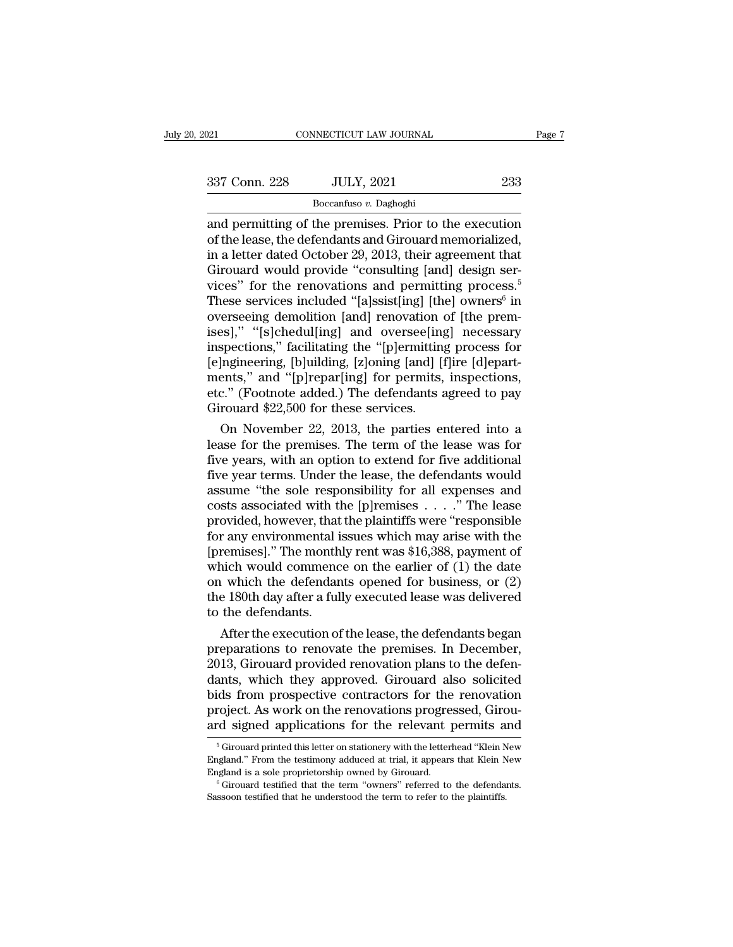| 2021          | CONNECTICUT LAW JOURNAL |     | Page 7 |
|---------------|-------------------------|-----|--------|
| 337 Conn. 228 | <b>JULY, 2021</b>       | 233 |        |
|               | Boccanfuso v. Daghoghi  |     |        |

Page 7<br>
and permitting of the premises. Prior to the execution<br>
of the lease, the defendants and Girouard memorialized,<br>
and permitting of the premises. Prior to the execution<br>
of the lease, the defendants and Girouard mem 337 Conn. 228 JULY, 2021 233<br>
Boccanfuso v. Daghoghi<br>
and permitting of the premises. Prior to the execution<br>
of the lease, the defendants and Girouard memorialized,<br>
in a letter dated October 29, 2013, their agreement tha 337 Conn. 228 JULY, 2021 233<br>
Boccanfuso v. Daghoghi<br>
and permitting of the premises. Prior to the execution<br>
of the lease, the defendants and Girouard memorialized,<br>
in a letter dated October 29, 2013, their agreement th  $337$  Conn. 228 JULY, 2021 233<br>
Boccanfuso v. Daghoghi<br>
and permitting of the premises. Prior to the execution<br>
of the lease, the defendants and Girouard memorialized,<br>
in a letter dated October 29, 2013, their agreement Boccanfuso v. Daghoghi<br>
Boccanfuso v. Daghoghi<br>
and permitting of the premises. Prior to the execution<br>
of the lease, the defendants and Girouard memorialized,<br>
in a letter dated October 29, 2013, their agreement that<br>
Gi  $\frac{\text{Boccanfuso } v. \text{ Daghoghi}}{\text{and permitting of the premises. Prior to the execution of the lease, the defendants and Girouard memorialized, in a letter dated October 29, 2013, their agreement that Girouard would provide "consulting [and] design services" for the renovations and permitting process.<sup>5</sup> These services included "[a]ssist[ing] [the] owners<sup>6</sup> in overseeing demolition [and] renovation of [the premises] " "fglehodullind] and oversoolind] necessary.$ These services included "[a]ssist[ing] [the] owners<sup>6</sup> in and permitting of the premises. Prior to the execution<br>of the lease, the defendants and Girouard memorialized,<br>in a letter dated October 29, 2013, their agreement that<br>Girouard would provide "consulting [and] design ser-<br>v of the lease, the defendants and Girouard memorialized,<br>
in a letter dated October 29, 2013, their agreement that<br>
Girouard would provide "consulting [and] design ser-<br>
vices" for the renovations and permitting process.<sup>5</sup> in a letter dated October 29, 2013, their agreement that<br>Girouard would provide "consulting [and] design ser-<br>vices" for the renovations and permitting process.<sup>5</sup><br>These services included "[a]ssist[ing] [the] owners<sup>6</sup> in<br> Girouard would provide "consulting [and] design services" for the renovations and permitting process.<sup>5</sup><br>These services included "[a]ssist[ing] [the] owners<sup>6</sup> in<br>overseeing demolition [and] renovation of [the prem-<br>ises] vices" for the renovations and permitting process.<sup>5</sup><br>These services included "[a]ssist[ing] [the] owners<sup>6</sup> in<br>overseeing demolition [and] renovation of [the prem-<br>ises]," "[s]chedul[ing] and oversee[ing] necessary<br>inspec These services included "[a]ssist[ing] [the] owners<sup>6</sup> in<br>overseeing demolition [and] renovation of [the prem-<br>ises]," "[s]chedul[ing] and oversee[ing] necessary<br>inspections," facilitating the "[p]ermitting process for<br>[e] Example 22, 2013, the particle and for five additional<br>Spections," facilitating the "[p]ermitting process for<br>Ingineering, [b]uilding, [z]oning [and] [f]ire [d]epart-<br>ents," and "[p]repar[ing] for permits, inspections,<br>c." imspections," facilitating the "[p]ermitting process for<br>[e]ngineering, [b]uilding, [z]oning [and] [f]ire [d]epart-<br>ments," and "[p]repar[ing] for permits, inspections,<br>etc." (Footnote added.) The defendants agreed to pay<br>

Girouard \$22,500 for these services.<br>On November 22, 2013, the parties entered into a<br>lease for the premises. The term of the lease was for five years, with an option to extend for five additional ments," and "[p]repar[ing] for permits, inspections,<br>etc." (Footnote added.) The defendants agreed to pay<br>Girouard \$22,500 for these services.<br>On November 22, 2013, the parties entered into a<br>lease for the premises. The te etc." (Footnote added.) The defendants agreed to pay<br>Girouard \$22,500 for these services.<br>On November 22, 2013, the parties entered into a<br>lease for the premises. The term of the lease was for<br>five years, with an option t Girouard \$22,500 for these services.<br>
On November 22, 2013, the parties entered into a<br>
lease for the premises. The term of the lease was for<br>
five years, with an option to extend for five additional<br>
five year terms. Und On November 22, 2013, the parties entered into a<br>lease for the premises. The term of the lease was for<br>five years, with an option to extend for five additional<br>five year terms. Under the lease, the defendants would<br>assume lease for the premises. The term of the lease was for<br>five years, with an option to extend for five additional<br>five year terms. Under the lease, the defendants would<br>assume "the sole responsibility for all expenses and<br>co five years, with an option to extend for five additional<br>five year terms. Under the lease, the defendants would<br>assume "the sole responsibility for all expenses and<br>costs associated with the [p]remises  $\ldots$ ." The lease<br>p five year terms. Under the lease, the defendants would<br>assume "the sole responsibility for all expenses and<br>costs associated with the [p]remises . . . ." The lease<br>provided, however, that the plaintiffs were "responsible<br> assume "the sole responsibility for all expenses and<br>costs associated with the [p]remises  $\ldots$ ." The lease<br>provided, however, that the plaintiffs were "responsible<br>for any environmental issues which may arise with the<br>[p costs associated with the [p]remises . . . ." The lease<br>provided, however, that the plaintiffs were "responsible<br>for any environmental issues which may arise with the<br>[premises]." The monthly rent was \$16,388, payment of<br> provided, however, that<br>for any environmental i<br>[premises]." The month<br>which would commenc<br>on which the defendan<br>the 180th day after a ful<br>to the defendants.<br>After the execution of r any environmental issues which may arise with the<br>remises]." The monthly rent was \$16,388, payment of<br>nich would commence on the earlier of (1) the date<br>is which the defendants opened for business, or (2)<br>e 180th day aft premises]." The monthly rent was \$16,388, payment of<br>which would commence on the earlier of (1) the date<br>on which the defendants opened for business, or (2)<br>the 180th day after a fully executed lease was delivered<br>to the d

which would commence on the earlier of (1) the date<br>on which the defendants opened for business, or (2)<br>the 180th day after a fully executed lease was delivered<br>to the defendants.<br>After the execution of the lease, the defe on which the defendants opened for business, or (2)<br>the 180th day after a fully executed lease was delivered<br>to the defendants.<br>After the execution of the lease, the defendants began<br>preparations to renovate the premises. the 180th day after a fully executed lease was delivered<br>to the defendants.<br>After the execution of the lease, the defendants began<br>preparations to renovate the premises. In December,<br>2013, Girouard provided renovation plan to the defendants.<br>
After the execution of the lease, the defendants began<br>
preparations to renovate the premises. In December,<br>
2013, Girouard provided renovation plans to the defen-<br>
dants, which they approved. Girouard After the execution of the lease, the defendants began<br>preparations to renovate the premises. In December,<br>2013, Girouard provided renovation plans to the defen-<br>dants, which they approved. Girouard also solicited<br>bids fro ants, which they approved. Girouard also solicited<br>ids from prospective contractors for the renovation<br>roject. As work on the renovations progressed, Girou-<br>rd signed applications for the relevant permits and<br> $\frac{5}{6}$  Gir bids from prospective contractors for the renovation<br>project. As work on the renovations progressed, Girou-<br>ard signed applications for the relevant permits and<br><sup>5</sup> Girouard printed this letter on stationery with the lette

project. As work on the renovations progressed, Girouard signed applications for the relevant permits and  $\frac{1}{6}$  Girouard printed this letter on stationery with the letterhead "Klein New England." From the testimony add ard signed applications for the relevant permits and<br>  $\frac{1}{100}$ <br>  $\frac{1}{100}$ <br>  $\frac{1}{100}$ <br>  $\frac{1}{100}$ <br>  $\frac{1}{100}$ <br>  $\frac{1}{100}$ <br>  $\frac{1}{100}$ <br>  $\frac{1}{100}$ <br>  $\frac{1}{100}$ <br>  $\frac{1}{100}$ <br>  $\frac{1}{100}$ <br>  $\frac{1}{100}$ <br>  $\frac{1}{100}$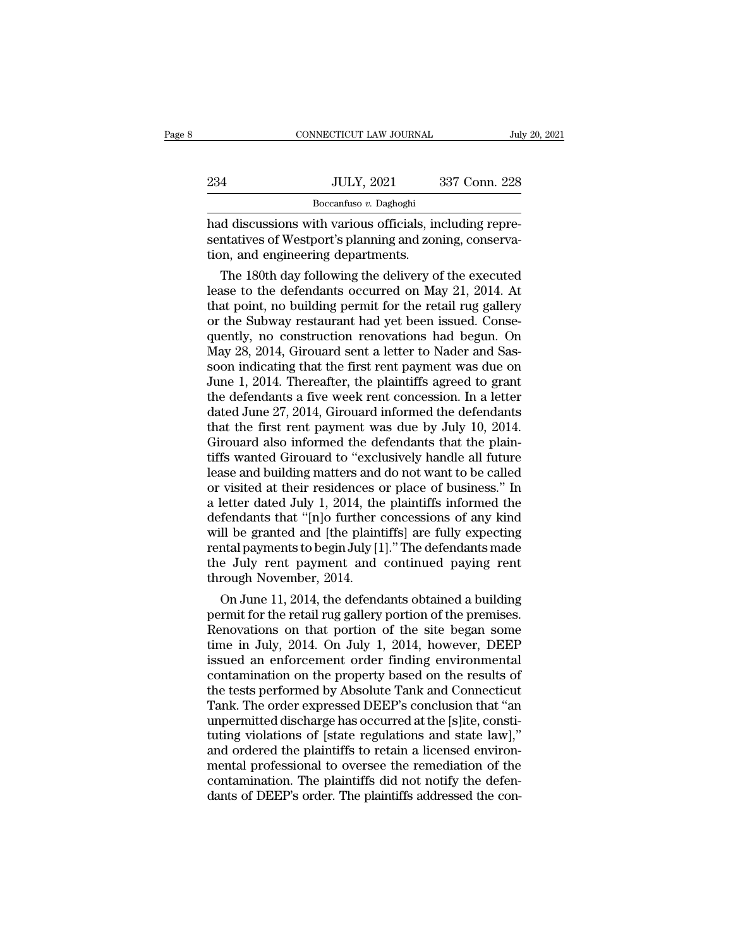|     | CONNECTICUT LAW JOURNAL | July 20, 2021 |
|-----|-------------------------|---------------|
|     |                         |               |
| 234 | <b>JULY, 2021</b>       | 337 Conn. 228 |
|     | Boccanfuso v. Daghoghi  |               |

EXERCTIF CONNECTICUT LAW JOURNAL<br>
234 JULY, 2021 337 Conn. 228<br>
234 Boccanfuso v. Daghoghi<br>
237 Conn. 228<br>
235 Boccanfuso v. Daghoghi<br>
237 Conn. 228<br>
237 Conn. 228<br>
238 Boccanfuso v. Daghoghi<br>
237 Conn. 228<br>
238 Boccanfuso Sentatives of Westport's planning and zoning, conserva-<br>
Sentatives of Westport's planning and zoning, conserva-<br>
The Mestport's planning and zoning, conserva-<br>
The Mestport of Westport and the Mester of Westport and the M Xample 1991<br>
234 UULY, 2021<br>
2021<br>
20221<br>
20221<br>
20221<br>
2023<br>
2023<br>
2023<br>
2023<br>
2033<br>
303 Electron, and engineering departments.<br>
2023<br>
2024<br>
2025<br>
2025<br>
2025<br>
2025<br>
2025<br>
2025<br>
2025<br>
2025<br>
2025<br>
2025<br>
2026<br>
2025<br>
2026<br>
20 JULY, 2021 337 Conn. 228<br>Boccanfuso v. Daghoghi<br>d discussions with various officials, including repre-<br>ntatives of Westport's planning and zoning, conserva-<br>on, and engineering departments.<br>The 180th day following the deli

 $\frac{1}{2}$  Boccanfuso v. Daghoghi<br>
had discussions with various officials, including representatives of Westport's planning and zoning, conserva-<br>
tion, and engineering departments.<br>
The 180th day following the delivery of **Executades of Edgagan**<br>
had discussions with various officials, including repre-<br>
sentatives of Westport's planning and zoning, conserva-<br>
tion, and engineering departments.<br>
The 180th day following the delivery of the ex had discussions with various officials, including representatives of Westport's planning and zoning, conservation, and engineering departments.<br>The 180th day following the delivery of the executed<br>lease to the defendants o sentatives of Westport's planning and zoning, conserva-<br>tion, and engineering departments.<br>The 180th day following the delivery of the executed<br>lease to the defendants occurred on May 21, 2014. At<br>that point, no building p tion, and engineering departments.<br>The 180th day following the delivery of the executed<br>lease to the defendants occurred on May 21, 2014. At<br>that point, no building permit for the retail rug gallery<br>or the Subway restauran The 180th day following the delivery of the executed<br>lease to the defendants occurred on May 21, 2014. At<br>that point, no building permit for the retail rug gallery<br>or the Subway restaurant had yet been issued. Conse-<br>quent lease to the defendants occurred on May 21, 2014. At<br>that point, no building permit for the retail rug gallery<br>or the Subway restaurant had yet been issued. Conse-<br>quently, no construction renovations had begun. On<br>May 28, that point, no building permit for the retail rug gallery<br>or the Subway restaurant had yet been issued. Conse-<br>quently, no construction renovations had begun. On<br>May 28, 2014, Girouard sent a letter to Nader and Sas-<br>soon or the Subway restaurant had yet been issued. Consequently, no construction renovations had begun. On May 28, 2014, Girouard sent a letter to Nader and Sassoon indicating that the first rent payment was due on June 1, 2014 quently, no construction renovations had begun. On<br>May 28, 2014, Girouard sent a letter to Nader and Sassoon indicating that the first rent payment was due on<br>June 1, 2014. Thereafter, the plaintiffs agreed to grant<br>the de May 28, 2014, Girouard sent a letter to Nader and Sassoon indicating that the first rent payment was due on June 1, 2014. Thereafter, the plaintiffs agreed to grant the defendants a five week rent concession. In a letter d soon indicating that the first rent payment was due on<br>June 1, 2014. Thereafter, the plaintiffs agreed to grant<br>the defendants a five week rent concession. In a letter<br>dated June 27, 2014, Girouard informed the defendants<br> June 1, 2014. Thereafter, the plaintiffs agreed to grant<br>the defendants a five week rent concession. In a letter<br>dated June 27, 2014, Girouard informed the defendants<br>that the first rent payment was due by July 10, 2014.<br> the defendants a five week rent concession. In a letter<br>dated June 27, 2014, Girouard informed the defendants<br>that the first rent payment was due by July 10, 2014.<br>Girouard also informed the defendants that the plain-<br>tiff dated June 27, 2014, Girouard informed the defendants<br>that the first rent payment was due by July 10, 2014.<br>Girouard also informed the defendants that the plain-<br>tiffs wanted Girouard to "exclusively handle all future<br>leas that the first rent payment was due by July 10, 2014.<br>Girouard also informed the defendants that the plain-<br>tiffs wanted Girouard to "exclusively handle all future<br>lease and building matters and do not want to be called<br>or Girouard also informed the defendants that the plaintiffs wanted Girouard to "exclusively handle all future lease and building matters and do not want to be called or visited at their residences or place of business." In a tiffs wanted Girouard to "exclusively handle all future<br>lease and building matters and do not want to be called<br>or visited at their residences or place of business." In<br>a letter dated July 1, 2014, the plaintiffs informed lease and building matters and do not want to be called<br>or visited at their residences or place of business." In<br>a letter dated July 1, 2014, the plaintiffs informed the<br>defendants that "[n]o further concessions of any kin or visited at their residences c<br>a letter dated July 1, 2014, the<br>defendants that "[n]o further c<br>will be granted and [the plaint<br>rental payments to begin July [1<br>the July rent payment and<br>through November, 2014.<br>On June 1 letter dated July 1, 2014, the plaintiffs informed the<br>fendants that "[n]o further concessions of any kind<br>Il be granted and [the plaintiffs] are fully expecting<br>ntal payments to begin July [1]." The defendants made<br>e July defendants that "[n]o turther concessions of any kind<br>will be granted and [the plaintiffs] are fully expecting<br>rental payments to begin July [1]." The defendants made<br>the July rent payment and continued paying rent<br>through

will be granted and [the plaintiffs] are fully expecting<br>rental payments to begin July [1]." The defendants made<br>the July rent payment and continued paying rent<br>through November, 2014.<br>On June 11, 2014, the defendants obta rental payments to begin July [1]." The defendants made<br>the July rent payment and continued paying rent<br>through November, 2014.<br>On June 11, 2014, the defendants obtained a building<br>permit for the retail rug gallery portion the July rent payment and continued paying rent<br>through November, 2014.<br>On June 11, 2014, the defendants obtained a building<br>permit for the retail rug gallery portion of the premises.<br>Renovations on that portion of the sit through November, 2014.<br>
On June 11, 2014, the defendants obtained a building<br>
permit for the retail rug gallery portion of the premises.<br>
Renovations on that portion of the site began some<br>
time in July, 2014. On July 1, On June 11, 2014, the defendants obtained a building<br>permit for the retail rug gallery portion of the premises.<br>Renovations on that portion of the site began some<br>time in July, 2014. On July 1, 2014, however, DEEP<br>issued a permit for the retail rug gallery portion of the premises.<br>Renovations on that portion of the site began some<br>time in July, 2014. On July 1, 2014, however, DEEP<br>issued an enforcement order finding environmental<br>contaminati Renovations on that portion of the site began some<br>time in July, 2014. On July 1, 2014, however, DEEP<br>issued an enforcement order finding environmental<br>contamination on the property based on the results of<br>the tests perfor time in July, 2014. On July 1, 2014, however, DEEP<br>issued an enforcement order finding environmental<br>contamination on the property based on the results of<br>the tests performed by Absolute Tank and Connecticut<br>Tank. The orde issued an enforcement order finding environmental<br>contamination on the property based on the results of<br>the tests performed by Absolute Tank and Connecticut<br>Tank. The order expressed DEEP's conclusion that "an<br>unpermitted contamination on the property based on the results of<br>the tests performed by Absolute Tank and Connecticut<br>Tank. The order expressed DEEP's conclusion that "an<br>unpermitted discharge has occurred at the [s]ite, consti-<br>tuti the tests performed by Absolute Tank and Connecticut<br>Tank. The order expressed DEEP's conclusion that "an<br>unpermitted discharge has occurred at the [s]ite, consti-<br>tuting violations of [state regulations and state law],"<br>a Tank. The order expressed DEEP's conclusion that "an unpermitted discharge has occurred at the [s]ite, constituting violations of [state regulations and state law]," and ordered the plaintiffs to retain a licensed environm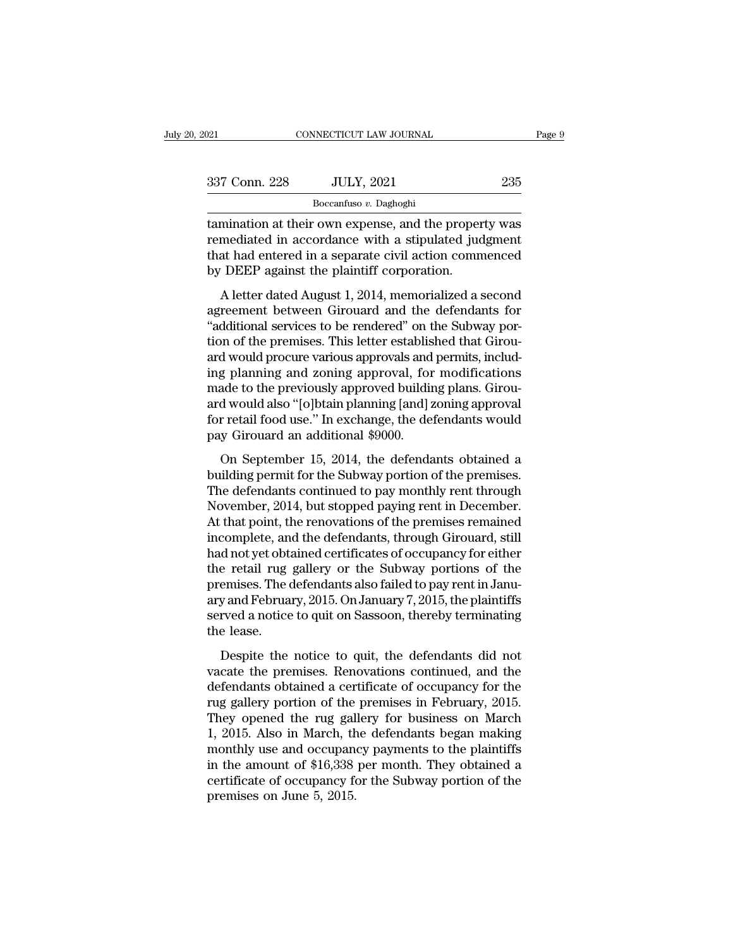| 2021          | CONNECTICUT LAW JOURNAL                                                                                                                                               | Page 9 |
|---------------|-----------------------------------------------------------------------------------------------------------------------------------------------------------------------|--------|
|               |                                                                                                                                                                       |        |
| 337 Conn. 228 | <b>JULY, 2021</b>                                                                                                                                                     | 235    |
|               | Boccanfuso v. Daghoghi                                                                                                                                                |        |
|               | tamination at their own expense, and the property was<br>remediated in accordance with a stipulated judgment<br>that had ontorod in a soperate given action commongod |        |

Fremence 228 JULY, 2021 235<br>
Boccanfuso v. Daghoghi<br>
tamination at their own expense, and the property was<br>
remediated in accordance with a stipulated judgment<br>
that had entered in a separate civil action commenced<br>
by DEE  $\frac{337 \text{ Conn. } 228 \qquad \text{JULY, } 2021 \qquad \qquad 235} {\text{Boccanfuso } v. \text{ Daghogh}}$ <br>tamination at their own expense, and the property was<br>remediated in accordance with a stipulated judgment<br>that had entered in a separate civil action commenc  $\frac{337 \text{ Conn. } 228}{\text{Boccanfuso } v. \text{ Daghoghi}}$ <br>tamination at their own expense, and the proper<br>remediated in accordance with a stipulated jude that had entered in a separate civil action comn<br>by DEEP against the plaintiff corpora  $\frac{1}{2}$ <br>
Boccanfuso v. Daghoghi<br>
mination at their own expense, and the property was<br>
mediated in accordance with a stipulated judgment<br>
at had entered in a separate civil action commenced<br>
DEEP against the plaintiff co tamination at their own expense, and the property was<br>remediated in accordance with a stipulated judgment<br>that had entered in a separate civil action commenced<br>by DEEP against the plaintiff corporation.<br>A letter dated Augu

Example and a services to be rendered by DEEP against the plaintiff corporation.<br>
A letter dated August 1, 2014, memorialized a second<br>
agreement between Girouard and the defendants for<br>
"additional services to be rendered remealated in a separate with a supplied judgment<br>that had entered in a separate civil action commenced<br>by DEEP against the plaintiff corporation.<br>A letter dated August 1, 2014, memorialized a second<br>agreement between Giro by DEEP against the plaintiff corporation.<br>A letter dated August 1, 2014, memorialized a second<br>agreement between Girouard and the defendants for<br>"additional services to be rendered" on the Subway por-<br>tion of the premises EV DELT against are planning exporation.<br>
A letter dated August 1, 2014, memorialized a second<br>
agreement between Girouard and the defendants for<br>
"additional services to be rendered" on the Subway por-<br>
tion of the premis A letter dated August 1, 2014, memorialized a second<br>agreement between Girouard and the defendants for<br>"additional services to be rendered" on the Subway por-<br>tion of the premises. This letter established that Girou-<br>ard w agreement between Girouard and the defendants for<br>"additional services to be rendered" on the Subway por-<br>tion of the premises. This letter established that Girou-<br>ard would procure various approvals and permits, includ-<br>i "additional services to be rendered" on the Subway portion of the premises. This letter established that Girou-<br>ard would procure various approvals and permits, includ-<br>ing planning and zoning approval, for modifications<br>m tion of the premises. This letter establis<br>ard would procure various approvals and<br>ing planning and zoning approval, for<br>made to the previously approved buildin<br>ard would also "[o]btain planning [and] z<br>for retail food use recall procate various approvals and permits, included and permits and permits, the defendants and to the previously approved building plans. Giroud would also "[o]btain planning [and] zoning approval r retail food use." I made to the previously approved building plans. Girou-<br>and would also "[o]btain planning [and] zoning approval<br>for retail food use." In exchange, the defendants would<br>pay Girouard an additional \$9000.<br>On September 15, 2014

Andre is are previously approved Bunding phales. Since and and would also "[o]btain planning [and] zoning approval<br>for retail food use." In exchange, the defendants would<br>pay Girouard an additional \$9000.<br>On September 15, The metallity of the defendants would pay Girouard an additional \$9000.<br>The defendants would pay Girouard an additional \$9000.<br>On September 15, 2014, the defendants obtained a<br>building permit for the Subway portion of the For Feath Food ase. The energy are determined by the premises representing permit for the Subway portion of the premises.<br>The defendants continued to pay monthly rent through November, 2014, but stopped paying rent in Dece on September 15, 2014, the defendants obtained a<br>building permit for the Subway portion of the premises.<br>The defendants continued to pay monthly rent through<br>November, 2014, but stopped paying rent in December.<br>At that poi On September 15, 2014, the defendants obtained a<br>building permit for the Subway portion of the premises.<br>The defendants continued to pay monthly rent through<br>November, 2014, but stopped paying rent in December.<br>At that poi building permit for the Subway portion of the premises.<br>The defendants continued to pay monthly rent through<br>November, 2014, but stopped paying rent in December.<br>At that point, the renovations of the premises remained<br>inco The defendants continued to pay monthly rent through<br>November, 2014, but stopped paying rent in December.<br>At that point, the renovations of the premises remained<br>incomplete, and the defendants, through Girouard, still<br>had November, 2014, but stopped paying rent in December.<br>At that point, the renovations of the premises remained<br>incomplete, and the defendants, through Girouard, still<br>had not yet obtained certificates of occupancy for either At that point, the renovations of the premises remained<br>incomplete, and the defendants, through Girouard, still<br>had not yet obtained certificates of occupancy for either<br>the retail rug gallery or the Subway portions of the incomplete, an<br>had not yet obt.<br>the retail rug<br>premises. The c<br>ary and Februa<br>served a notice<br>the lease.<br>Despite the re retail rug gallery or the Subway portions of the<br>emises. The defendants also failed to pay rent in Janu-<br>y and February, 2015. On January 7, 2015, the plaintiffs<br>rved a notice to quit on Sassoon, thereby terminating<br>e l Frame is the defendants also failed to pay rent in January and February, 2015. On January 7, 2015, the plaintiffs<br>served a notice to quit on Sassoon, thereby terminating<br>the lease.<br>Despite the notice to quit, the defendant

premises. The defendants diso falled to pay fem modial<br>ary and February, 2015. On January 7, 2015, the plaintiffs<br>served a notice to quit on Sassoon, thereby terminating<br>the lease.<br>Despite the notice to quit, the defendant rug gallery consumed, the premises.<br>
Despite the notice to quit, the defendants did not<br>
vacate the premises. Renovations continued, and the<br>
defendants obtained a certificate of occupancy for the<br>
rug gallery portion of t The lease.<br>
Despite the notice to quit, the defendants did not<br>
vacate the premises. Renovations continued, and the<br>
defendants obtained a certificate of occupancy for the<br>
rug gallery portion of the premises in February, Despite the notice to quit, the defendants did not<br>vacate the premises. Renovations continued, and the<br>defendants obtained a certificate of occupancy for the<br>rug gallery portion of the premises in February, 2015.<br>They ope Despite the notice to quit, the defendants did not<br>vacate the premises. Renovations continued, and the<br>defendants obtained a certificate of occupancy for the<br>rug gallery portion of the premises in February, 2015.<br>They open vacate the premises. Renovations continued, and the<br>defendants obtained a certificate of occupancy for the<br>rug gallery portion of the premises in February, 2015.<br>They opened the rug gallery for business on March<br>1, 2015. A defendants obtained a certificate of occupancy for the<br>rug gallery portion of the premises in February, 2015.<br>They opened the rug gallery for business on March<br>1, 2015. Also in March, the defendants began making<br>monthly us rug gallery portion of the<br>They opened the rug gal<br>1, 2015. Also in March, th<br>monthly use and occupan<br>in the amount of \$16,338<br>certificate of occupancy fo<br>premises on June 5, 2015.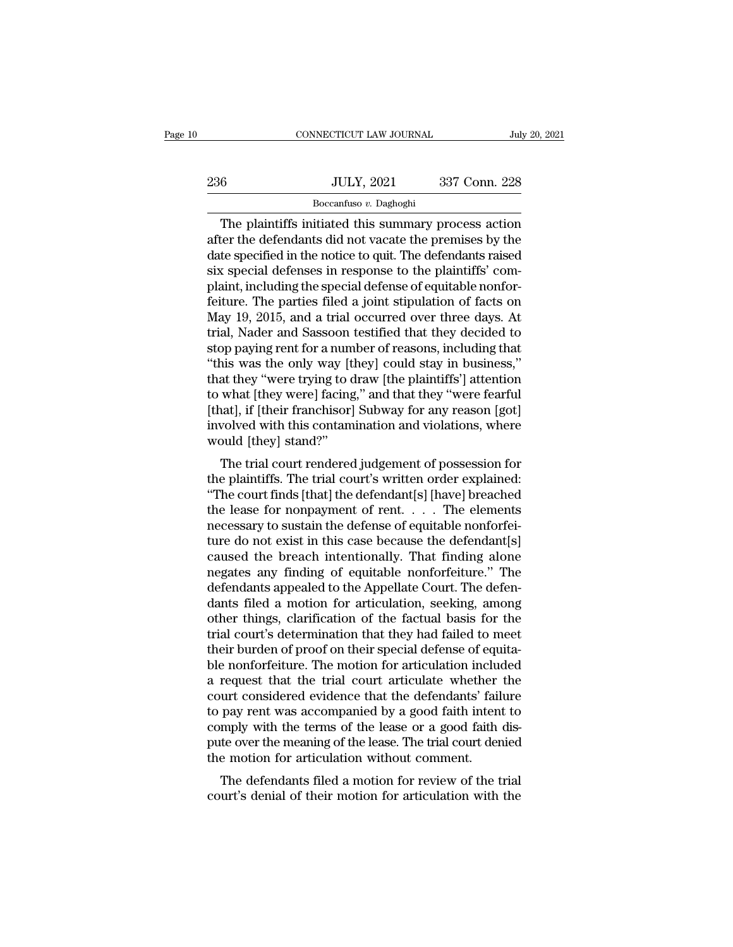|     | CONNECTICUT LAW JOURNAL                                                                                                                                                        | July 20, 2021 |
|-----|--------------------------------------------------------------------------------------------------------------------------------------------------------------------------------|---------------|
|     |                                                                                                                                                                                |               |
| 236 | <b>JULY, 2021</b>                                                                                                                                                              | 337 Conn. 228 |
|     | Boccanfuso v. Daghoghi                                                                                                                                                         |               |
|     | The plaintiffs initiated this summary process action<br>after the defendants did not vacate the premises by the<br>date specified in the notice to quit. The defendants raised |               |

 $\frac{1000 \text{ JULY}, 2021}{\text{Boccanfuso } v}$ .  $\frac{337 \text{ Conn. } 228}{\text{Boccanfuso } v}$ . The plaintiffs initiated this summary process action after the defendants did not vacate the premises by the date specified in the notice to quit. The def  $\begin{array}{ll}\n & \text{JULY, 2021} & \text{337 Conn. 228} \\
 \hline\n & \text{Boccanfuso } v. \text{ Daghoghi} \\
 \hline\n \end{array}$ The plaintiffs initiated this summary process action<br>
after the defendants did not vacate the premises by the<br>
date specified in the notice to quit  $\begin{array}{ll} \hline \text{337 Conn. 228} \\ \hline \text{Boccanfuso } v. \text{ Daghoghi} \\ \hline \end{array}$  The plaintiffs initiated this summary process action<br>after the defendants did not vacate the premises by the<br>date specified in the notice to quit. The defendants r **Example 1988**<br>Boccanfuso v. Daghoghi<br>The plaintiffs initiated this summary process action<br>after the defendants did not vacate the premises by the<br>date specified in the notice to quit. The defendants raised<br>six special de Boccantuso v. Daghoghi<br>The plaintiffs initiated this summary process action<br>after the defendants did not vacate the premises by the<br>date specified in the notice to quit. The defendants raised<br>six special defenses in respon The plaintiffs initiated this summary process action<br>after the defendants did not vacate the premises by the<br>date specified in the notice to quit. The defendants raised<br>six special defenses in response to the plaintiffs' c after the defendants did not vacate the premises by the<br>date specified in the notice to quit. The defendants raised<br>six special defenses in response to the plaintiffs' com-<br>plaint, including the special defense of equitabl date specified in the notice to quit. The defendants raised<br>six special defenses in response to the plaintiffs' com-<br>plaint, including the special defense of equitable nonfor-<br>feiture. The parties filed a joint stipulation six special defenses in response to the plaintiffs' complaint, including the special defense of equitable nonfor-<br>feiture. The parties filed a joint stipulation of facts on<br>May 19, 2015, and a trial occurred over three day plaint, including the special defense of equitable nonfor-<br>feiture. The parties filed a joint stipulation of facts on<br>May 19, 2015, and a trial occurred over three days. At<br>trial, Nader and Sassoon testified that they deci feiture. The parties filed a joint stipulation of facts on<br>May 19, 2015, and a trial occurred over three days. At<br>trial, Nader and Sassoon testified that they decided to<br>stop paying rent for a number of reasons, including May 19, 2015, and a trial occurred over three days. At<br>trial, Nader and Sassoon testified that they decided to<br>stop paying rent for a number of reasons, including that<br>"this was the only way [they] could stay in business," trial, Nader and Sassoon testified that they decided to<br>stop paying rent for a number of reasons, including that<br>"this was the only way [they] could stay in business,"<br>that they "were trying to draw [the plaintiffs'] atten stop paying rent for a num<br>"this was the only way [t<br>that they "were trying to d<br>to what [they were] facing<br>[that], if [their franchisor]<br>involved with this contam<br>would [they] stand?"<br>The trial court rendered Its was the only way [they] could stay in business,<br>at they "were trying to draw [the plaintiffs'] attention<br>what [they were] facing," and that they "were fearful<br>nat], if [their franchisor] Subway for any reason [got]<br>vol that they were trying to that the plaintins J attention<br>to what [they were] facing," and that they "were fearful<br>[that], if [their franchisor] Subway for any reason [got]<br>involved with this contamination and violations, wh

to what [they were] facing, and that they were reafful<br>[that], if [their franchisor] Subway for any reason [got]<br>involved with this contamination and violations, where<br>would [they] stand?"<br>The trial court rendered judgemen [ulat], if [their franchisor] Subway for any reason [got]<br>involved with this contamination and violations, where<br>would [they] stand?"<br>The trial court rendered judgement of possession for<br>the plaintiffs. The trial court's necessary to sustain the defense of equitable nonforthe plaintiffs. The trial court's written order explained:<br>"The trial court rendered judgement of possession for<br>the plaintiffs. The trial court's written order explained The trial court rendered judgement of possession for<br>the plaintiffs. The trial court's written order explained:<br>"The court finds [that] the defendant[s] [have] breached<br>the lease for nonpayment of rent.... The elements<br>ne The trial court rendered judgement of possession for<br>the plaintiffs. The trial court's written order explained:<br>"The court finds [that] the defendant[s] [have] breached<br>the lease for nonpayment of rent.... The elements<br>ne the plaintiffs. The trial court's written order explained:<br>
"The court finds [that] the defendant[s] [have] breached<br>
the lease for nonpayment of rent. . . . . The elements<br>
necessary to sustain the defense of equitable no "The court finds [that] the defendant[s] [have] breached<br>the lease for nonpayment of rent. . . . . The elements<br>necessary to sustain the defense of equitable nonforfei-<br>ture do not exist in this case because the defendant the lease for nonpayment of rent. . . . . The elements<br>necessary to sustain the defense of equitable nonforfei-<br>ture do not exist in this case because the defendant[s]<br>caused the breach intentionally. That finding alone<br>ne necessary to sustain the defense of equitable nonforfeiture do not exist in this case because the defendant[s]<br>caused the breach intentionally. That finding alone<br>negates any finding of equitable nonforfeiture." The<br>defend ture do not exist in this case because the defendant[s]<br>caused the breach intentionally. That finding alone<br>negates any finding of equitable nonforfeiture." The<br>defendants appealed to the Appellate Court. The defen-<br>dants caused the breach intentionally. That finding alone<br>negates any finding of equitable nonforfeiture." The<br>defendants appealed to the Appellate Court. The defen-<br>dants filed a motion for articulation, seeking, among<br>other th negates any finding of equitable nonforfeiture." The<br>defendants appealed to the Appellate Court. The defen-<br>dants filed a motion for articulation, seeking, among<br>other things, clarification of the factual basis for the<br>tri defendants appealed to the Appellate Court. The defendants filed a motion for articulation, seeking, among other things, clarification of the factual basis for the trial court's determination that they had failed to meet t dants filed a motion for articulation, seeking, among<br>other things, clarification of the factual basis for the<br>trial court's determination that they had failed to meet<br>their burden of proof on their special defense of equi other things, clarification of the factual basis for the<br>trial court's determination that they had failed to meet<br>their burden of proof on their special defense of equita-<br>ble nonforfeiture. The motion for articulation inc trial court's determination that they had failed to meet<br>their burden of proof on their special defense of equita-<br>ble nonforfeiture. The motion for articulation included<br>a request that the trial court articulate whether t their burden of proof on their special defense of equita-<br>ble nonforfeiture. The motion for articulation included<br>a request that the trial court articulate whether the<br>court considered evidence that the defendants' failure ble nonforfeiture. The motion for articulation include a request that the trial court articulate whether court considered evidence that the defendants' fail to pay rent was accompanied by a good faith inten comply with the request that the that court articulate whether the<br>urt considered evidence that the defendants' failure<br>pay rent was accompanied by a good faith intent to<br>mply with the terms of the lease or a good faith dis-<br>te over the m court'considered evidence that the defendants' rande<br>to pay rent was accompanied by a good faith intent to<br>comply with the terms of the lease or a good faith dis-<br>pute over the meaning of the lease. The trial court denied<br>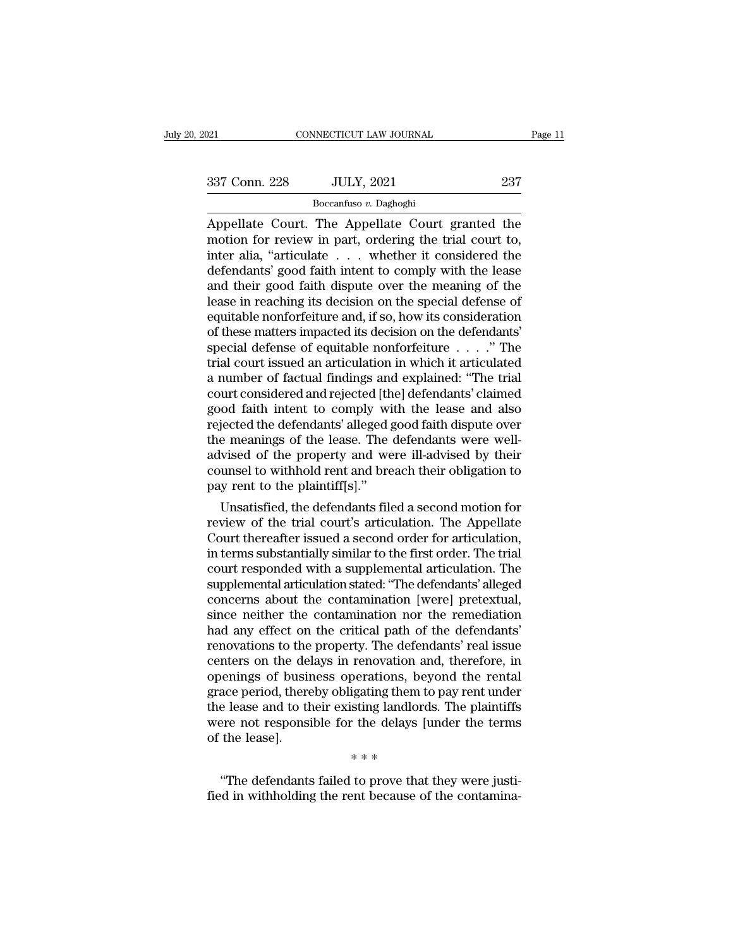| 2021          | CONNECTICUT LAW JOURNAL | Page 11 |  |
|---------------|-------------------------|---------|--|
| 337 Conn. 228 | <b>JULY, 2021</b>       | 237     |  |
|               | Boccanfuso v. Daghoghi  |         |  |

CONNECTICUT LAW JOURNAL Page 11<br>
237 Conn. 228 JULY, 2021 237<br>
237 Boccanfuso v. Daghoghi<br>
Appellate Court. The Appellate Court granted the<br>
motion for review in part, ordering the trial court to,<br>
inter alia. "extigulate 337 Conn. 228 JULY, 2021 237<br>Boccanfuso v. Daghoghi<br>Appellate Court. The Appellate Court granted the<br>motion for review in part, ordering the trial court to,<br>inter alia, "articulate ... whether it considered the<br>dofondants' 337 Conn. 228 JULY, 2021 237<br>
Boccanfuso v. Daghoghi<br>
Appellate Court. The Appellate Court granted the<br>
motion for review in part, ordering the trial court to,<br>
inter alia, "articulate . . . whether it considered the<br>
def  $\frac{337 \text{ Conn. } 228}{\text{Boccanfuso } v. \text{ Daghoghi}}$ <br>
Appellate Court. The Appellate Court granted the<br>
motion for review in part, ordering the trial court to,<br>
inter alia, "articulate . . . whether it considered the<br>
defendants' good f Boccanfuso v. Daghoghi<br>Boccanfuso v. Daghoghi<br>Appellate Court. The Appellate Court granted the<br>motion for review in part, ordering the trial court to,<br>inter alia, "articulate . . . whether it considered the<br>defendants' go Boccantiuso v. Daghoghi<br>Appellate Court. The Appellate Court granted the<br>motion for review in part, ordering the trial court to,<br>inter alia, "articulate  $\ldots$  whether it considered the<br>defendants' good faith intent to com Appellate Court. The Appellate Court granted the<br>motion for review in part, ordering the trial court to,<br>inter alia, "articulate  $\ldots$  whether it considered the<br>defendants' good faith intent to comply with the lease<br>and t motion for review in part, ordering the trial court to,<br>inter alia, "articulate  $\ldots$  whether it considered the<br>defendants' good faith intent to comply with the lease<br>and their good faith dispute over the meaning of the<br>l inter alia, "articulate . . . . whether it considered the<br>defendants' good faith intent to comply with the lease<br>and their good faith dispute over the meaning of the<br>lease in reaching its decision on the special defense of defendants' good faith intent to comply with the lease<br>and their good faith dispute over the meaning of the<br>lease in reaching its decision on the special defense of<br>equitable nonforfeiture and, if so, how its consideration and their good faith dispute over the meaning of the<br>lease in reaching its decision on the special defense of<br>equitable nonforfeiture and, if so, how its consideration<br>of these matters impacted its decision on the defenda lease in reaching its decision on the special defense of<br>equitable nonforfeiture and, if so, how its consideration<br>of these matters impacted its decision on the defendants'<br>special defense of equitable nonforfeiture  $\dots$ . equitable nonforfeiture and, if so, how its consideration<br>of these matters impacted its decision on the defendants'<br>special defense of equitable nonforfeiture  $\ldots$ ." The<br>trial court issued an articulation in which it art % of these matters impacted its decision on the defendants'<br>special defense of equitable nonforfeiture  $\ldots$ ." The<br>trial court issued an articulation in which it articulated<br>a number of factual findings and explained: "Th special defense of equitable nonforfeiture  $\ldots$  . " The<br>trial court issued an articulation in which it articulated<br>a number of factual findings and explained: "The trial<br>court considered and rejected [the] defendants' cl trial court issued an articulation in which it articulated<br>a number of factual findings and explained: "The trial<br>court considered and rejected [the] defendants' claimed<br>good faith intent to comply with the lease and also<br> a number of factual findings and explained: "The trial<br>court considered and rejected [the] defendants' claimed<br>good faith intent to comply with the lease and also<br>rejected the defendants' alleged good faith dispute over<br>th court considered and rejected [th]<br>good faith intent to comply wi<br>rejected the defendants' alleged g<br>the meanings of the lease. The<br>advised of the property and we<br>counsel to withhold rent and bre<br>pay rent to the plaintiff[ od flath intent to comply with the lease and also<br>jected the defendants' alleged good faith dispute over<br>e meanings of the lease. The defendants were well-<br>vised of the property and were ill-advised by their<br>unsel to withh rejected the derendants' alleged good rath dispute over<br>the meanings of the lease. The defendants were well-<br>advised of the property and were ill-advised by their<br>counsel to withhold rent and breach their obligation to<br>pay

the meanings of the lease. The defendants were well-<br>advised of the property and were ill-advised by their<br>counsel to withhold rent and breach their obligation to<br>pay rent to the plaintiff[s]."<br>Unsatisfied, the defendants advised or the property and were ill-advised by their<br>counsel to withhold rent and breach their obligation to<br>pay rent to the plaintiff[s]."<br>Unsatisfied, the defendants filed a second motion for<br>review of the trial court's counset to withhold rent and breach their obilgation to<br>pay rent to the plaintiff[s]."<br>Unsatisfied, the defendants filed a second motion for<br>review of the trial court's articulation. The Appellate<br>Court thereafter issued a pay rent to the plaintings].<br>
Unsatisfied, the defendants filed a second motion for<br>
review of the trial court's articulation. The Appellate<br>
Court thereafter issued a second order for articulation,<br>
in terms substantially Unsatisfied, the defendants filed a second motion for<br>review of the trial court's articulation. The Appellate<br>Court thereafter issued a second order for articulation,<br>in terms substantially similar to the first order. The review of the trial court's articulation. The Appellate<br>Court thereafter issued a second order for articulation,<br>in terms substantially similar to the first order. The trial<br>court responded with a supplemental articulation Court thereafter issued a second order for articulation,<br>in terms substantially similar to the first order. The trial<br>court responded with a supplemental articulation. The<br>supplemental articulation stated: "The defendants' in terms substantially similar to the first order. The trial<br>court responded with a supplemental articulation. The<br>supplemental articulation stated: "The defendants' alleged<br>concerns about the contamination [were] pretextu court responded with a supplemental articulation. The<br>supplemental articulation stated: "The defendants' alleged<br>concerns about the contamination [were] pretextual,<br>since neither the contamination nor the remediation<br>had a supplemental articulation stated: "The defendants' alleged<br>concerns about the contamination [were] pretextual,<br>since neither the contamination nor the remediation<br>had any effect on the critical path of the defendants'<br>reno concerns about the contamination [were] pretextual,<br>since neither the contamination nor the remediation<br>had any effect on the critical path of the defendants'<br>renovations to the property. The defendants' real issue<br>centers since neither the contamination nor the remediation<br>had any effect on the critical path of the defendants'<br>renovations to the property. The defendants' real issue<br>centers on the delays in renovation and, therefore, in<br>open had any effect on the critical path of the defendants'<br>renovations to the property. The defendants' real issue<br>centers on the delays in renovation and, therefore, in<br>openings of business operations, beyond the rental<br>grace renovations to the<br>centers on the del<br>openings of busir<br>grace period, there<br>the lease and to th<br>were not responsi<br>of the lease]. renovation and<br>perations, beyigating them to<br>sting landlord<br>the delays [unit]<br>\*\*\*\* ace period, thereby obligating them to pay rent under<br>
e lease and to their existing landlords. The plaintiffs<br>
ere not responsible for the delays [under the terms<br>
the lease].<br>
\*\*\*<br>
"The defendants failed to prove that th the lease and to their existing landlords. The plaintiffs<br>were not responsible for the delays [under the terms<br>of the lease].<br> $***$ <br>"The defendants failed to prove that they were justi-<br>fied in withholding the rent because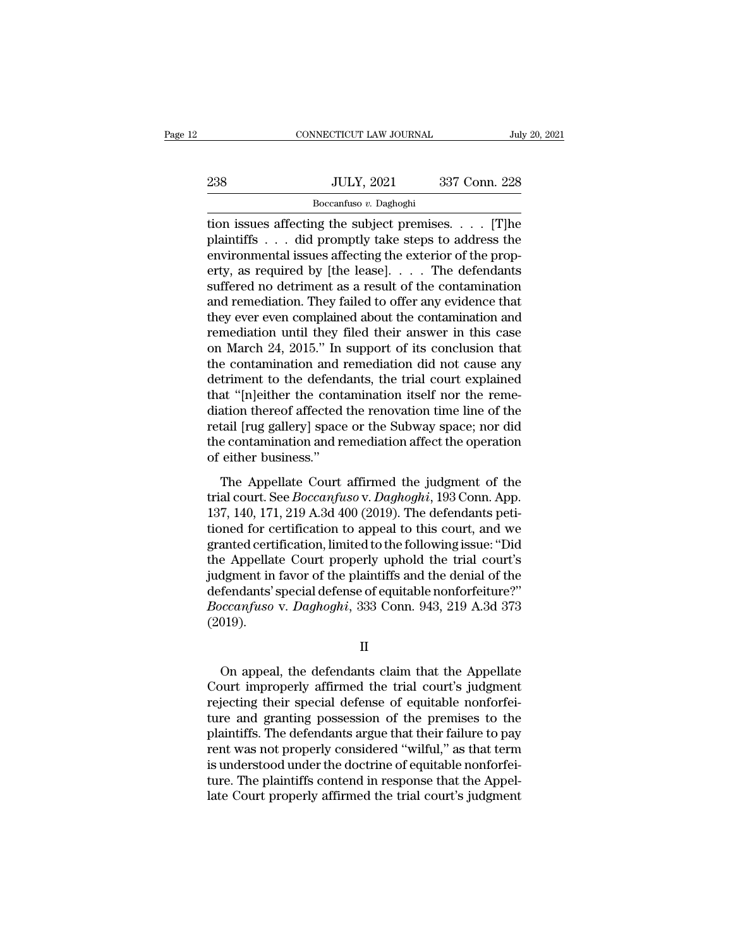|     | CONNECTICUT LAW JOURNAL | July 20, 2021 |  |
|-----|-------------------------|---------------|--|
|     |                         |               |  |
| 238 | <b>JULY, 2021</b>       | 337 Conn. 228 |  |
|     | Boccanfuso v. Daghoghi  |               |  |

THE CONNECTICUT LAW JOURNAL July 20, 2021<br>
238 JULY, 2021 337 Conn. 228<br>
Boccanfuso v. Daghoghi<br>
tion issues affecting the subject premises. . . . . [T]he<br>
plaintiffs . . . did promptly take steps to address the<br>
environme Plantiffs . . . did promptly take steps to address the<br>
plaintiffs . . . did promptly take steps to address the<br>
environmental issues affecting the exterior of the prop-<br>
erity as required by [the lease] The defendants 238 JULY, 2021 337 Conn. 228<br>
Boccanfuso v. Daghoghi<br>
tion issues affecting the subject premises. . . . . [T]he<br>
plaintiffs . . . did promptly take steps to address the<br>
environmental issues affecting the exterior of the 238 JULY, 2021 337 Conn. 228<br>  $\frac{1}{2}$  Boccanfuso v. Daghoghi<br>
tion issues affecting the subject premises. . . . . [T]<br>
plaintiffs . . . did promptly take steps to address the<br>
environmental issues affecting the exterior Boccanfuso v. Daghoghi<br>Boccanfuso v. Daghoghi<br>dion issues affecting the subject premises.... [T]he<br>plaintiffs ... did promptly take steps to address the<br>environmental issues affecting the exterior of the prop-<br>erty, as re Boccantuso *v*. Daghoghi<br>
ion issues affecting the subject premises. . . . . [T]he<br>
plaintiffs . . . did promptly take steps to address the<br>
environmental issues affecting the exterior of the prop-<br>
erty, as required by [ tion issues affecting the subject premises. . . . . [T]he<br>plaintiffs . . . did promptly take steps to address the<br>environmental issues affecting the exterior of the prop-<br>erty, as required by [the lease]. . . . The defend plaintiffs . . . did promptly take steps to address the<br>environmental issues affecting the exterior of the prop-<br>erty, as required by [the lease]. . . . The defendants<br>suffered no detriment as a result of the contamination environmental issues affecting the exterior of the property, as required by [the lease].  $\ldots$  The defendants suffered no detriment as a result of the contamination and remediation. They failed to offer any evidence that erty, as required by [the lease].  $\ldots$  The defendants<br>suffered no detriment as a result of the contamination<br>and remediation. They failed to offer any evidence that<br>they ever even complained about the contamination and<br>r suffered no detriment as a result of the contamination<br>and remediation. They failed to offer any evidence that<br>they ever even complained about the contamination and<br>remediation until they filed their answer in this case<br>on and remediation. They failed to offer any evidence that<br>
they ever even complained about the contamination and<br>
remediation until they filed their answer in this case<br>
on March 24, 2015." In support of its conclusion that<br> they ever even complained about the contamination and<br>remediation until they filed their answer in this case<br>on March 24, 2015." In support of its conclusion that<br>the contamination and remediation did not cause any<br>detrime remediation until they filed their answer in this case<br>on March 24, 2015." In support of its conclusion that<br>the contamination and remediation did not cause any<br>detriment to the defendants, the trial court explained<br>that " on March 24, 2015." In support of its conclusion that<br>the contamination and remediation did not cause any<br>detriment to the defendants, the trial court explained<br>that "[n]either the contamination itself nor the reme-<br>diatio the contamination and if<br>detriment to the defend<br>that "[n]either the conta<br>diation thereof affected<br>retail [rug gallery] space<br>the contamination and re<br>of either business."<br>The Appellate Court at "[n]either the contamination itself nor the reme-<br>ation thereof affected the renovation time line of the<br>tail [rug gallery] space or the Subway space; nor did<br>e contamination and remediation affect the operation<br>either trial contribution thereof affected the renovation time line of the<br>retail [rug gallery] space or the Subway space; nor did<br>the contamination and remediation affect the operation<br>of either business."<br>The Appellate Court af

mation affects and the column and the of and<br>retail [rug gallery] space or the Subway space; nor did<br>the contamination and remediation affect the operation<br>of either business."<br>The Appellate Court affirmed the judgment of team [rag gancry] space of are stabled, years, not are<br>the contamination and remediation affect the operation<br>of either business."<br>The Appellate Court affirmed the judgment of the<br>trial court. See *Boccanfuso* v. *Daghogh* of either business."<br>
The Appellate Court affirmed the judgment of the<br>
trial court. See *Boccanfuso* v. *Daghoghi*, 193 Conn. App.<br>
137, 140, 171, 219 A.3d 400 (2019). The defendants peti-<br>
tioned for certification to app The Appellate Court affirmed the judgment of the<br>trial court. See *Boccanfuso* v. *Daghoghi*, 193 Conn. App.<br>137, 140, 171, 219 A.3d 400 (2019). The defendants peti-<br>tioned for certification to appeal to this court, and w The Appellate Court affirmed the judgment of the<br>trial court. See *Boccanfuso* v. *Daghoghi*, 193 Conn. App.<br>137, 140, 171, 219 A.3d 400 (2019). The defendants peti-<br>tioned for certification to appeal to this court, and w trial court. See *Boccanfuso* v. *Daghoghi*, 193 Conn. App.<br>137, 140, 171, 219 A.3d 400 (2019). The defendants peti-<br>tioned for certification to appeal to this court, and we<br>granted certification, limited to the following 137, 140, 171, 219 A.3d 400 (2019). The defendants petitioned for certification to appeal to this court, and we granted certification, limited to the following issue: "Did the Appellate Court properly uphold the trial cour (2019). dgment in favor of the plaintiffs and the denial of the<br>fendants' special defense of equitable nonforfeiture?"<br>occanfuso v. Daghoghi, 333 Conn. 943, 219 A.3d 373<br>019).<br>On appeal, the defendants claim that the Appellate<br>our

II

defendants' special defense of equitable nonforfeiture?"<br> *Boccanfuso* v. *Daghoghi*, 333 Conn. 943, 219 A.3d 373<br>
(2019).<br>
II<br>
On appeal, the defendants claim that the Appellate<br>
Court improperly affirmed the trial court' Boccanfuso v. Daghoghi, 333 Conn. 943, 219 A.3d 373<br>(2019).<br>II<br>On appeal, the defendants claim that the Appellate<br>Court improperly affirmed the trial court's judgment<br>rejecting their special defense of equitable nonforfei-THE COLLET II<br>
On appeal, the defendants claim that the Appellate<br>
Court improperly affirmed the trial court's judgment<br>
rejecting their special defense of equitable nonforfei-<br>
ture and granting possession of the premises II<br>On appeal, the defendants claim that the Appellate<br>Court improperly affirmed the trial court's judgment<br>rejecting their special defense of equitable nonforfei-<br>ture and granting possession of the premises to the<br>plainti IT Court improperly affirmed the trial court's judgment<br>rejecting their special defense of equitable nonforfei-<br>ture and granting possession of the premises to the<br>plaintiffs. The defendants argue that their failure to pay On appeal, the defendants claim that the Appellate<br>Court improperly affirmed the trial court's judgment<br>rejecting their special defense of equitable nonforfei-<br>ture and granting possession of the premises to the<br>plaintiffs Court improperly affirmed the trial court's judgment<br>rejecting their special defense of equitable nonforfei-<br>ture and granting possession of the premises to the<br>plaintiffs. The defendants argue that their failure to pay<br>re rejecting their special defense of equitable nonforfeiture and granting possession of the premises to the plaintiffs. The defendants argue that their failure to pay rent was not properly considered "wilful," as that term i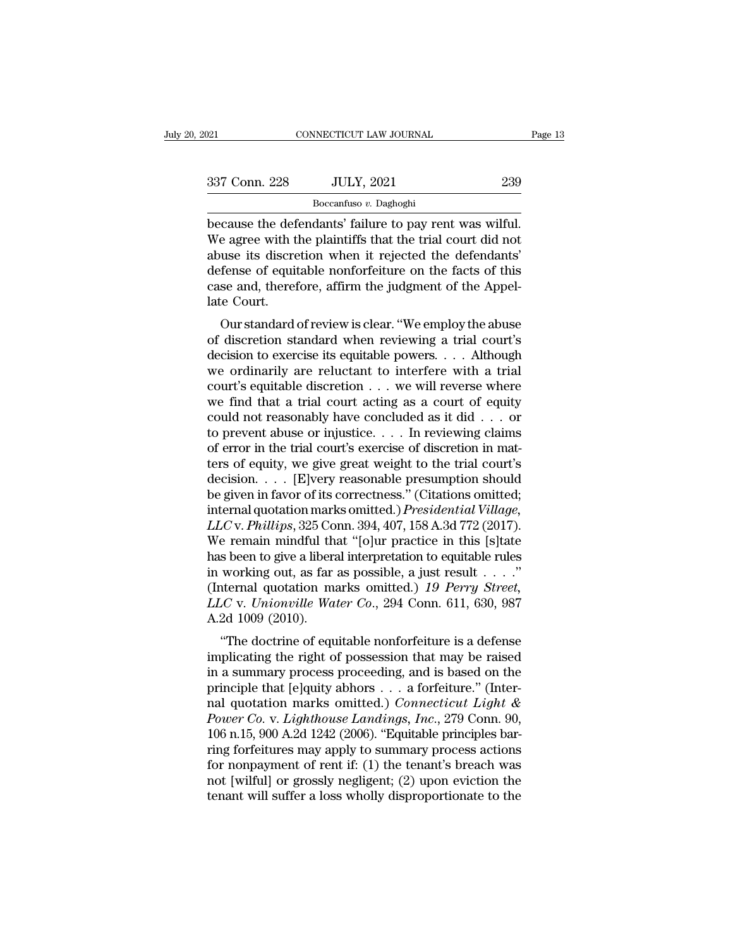| 2021          | CONNECTICUT LAW JOURNAL                                                                                                                                                       | Page 13 |
|---------------|-------------------------------------------------------------------------------------------------------------------------------------------------------------------------------|---------|
| 337 Conn. 228 | <b>JULY, 2021</b>                                                                                                                                                             | 239     |
|               | Boccanfuso v. Daghoghi                                                                                                                                                        |         |
|               | because the defendants' failure to pay rent was wilful.<br>We agree with the plaintiffs that the trial court did not<br>abuse its discretion when it rejected the defendants' |         |

337 Conn. 228 JULY, 2021 239<br>Boccanfuso v. Daghoghi<br>Decause the defendants' failure to pay rent was wilful.<br>We agree with the plaintiffs that the trial court did not<br>abuse its discretion when it rejected the defendants'<br>do  $\frac{337 \text{ Conn. } 228}{\text{Boccanfuso } v. \text{ Daghoghi}}$ <br>because the defendants' failure to pay rent was wilful.<br>We agree with the plaintiffs that the trial court did not<br>abuse its discretion when it rejected the defendants'<br>defense of equi  $\frac{337 \text{ Conn. } 228}{\text{Boccanfuso } v. \text{ Daghoghi}}$ <br>because the defendants' failure to pay rent was wilful.<br>We agree with the plaintiffs that the trial court did not<br>abuse its discretion when it rejected the defendants'<br>defense of equi Boccanfuso *v*. Daghoghi<br>Boccanfuso *v*. Daghoghi<br>Decause the defendants' failure to pay rent was wilful.<br>We agree with the plaintiffs that the trial court did not<br>abuse its discretion when it rejected the defendants'<br>defe because the def<br>We agree with t<br>abuse its discre<br>defense of equit<br>case and, theref<br>late Court.<br>Our standard Eause the defendants Tantue to pay fent was whith.<br>
e agree with the plaintiffs that the trial court did not<br>
use its discretion when it rejected the defendants'<br>
fense of equitable nonforfeiture on the facts of this<br>
se a we agree with the plaintins that the that court did not<br>abuse its discretion when it rejected the defendants'<br>defense of equitable nonforfeiture on the facts of this<br>case and, therefore, affirm the judgment of the Appel-<br>l

abuse its uscretion when it rejected the defendants<br>defense of equitable nonforfeiture on the facts of this<br>case and, therefore, affirm the judgment of the Appel-<br>late Court.<br>Our standard of review is clear. "We employ the deferise of equitable hold<br>offering of the facts of this<br>case and, therefore, affirm the judgment of the Appel-<br>late Court.<br>Our standard of review is clear. "We employ the abuse<br>of discretion standard when reviewing a tria case and, therefore, annihi the judgment of the Appendate Court.<br>
Our standard of review is clear. "We employ the abuse<br>
of discretion standard when reviewing a trial court's<br>
decision to exercise its equitable powers. . Our standard of review is clear. "We employ the abuse<br>of discretion standard when reviewing a trial court's<br>decision to exercise its equitable powers. . . . Although<br>we ordinarily are reluctant to interfere with a trial<br>c Our standard of review is clear. "We employ the abuse<br>of discretion standard when reviewing a trial court's<br>decision to exercise its equitable powers. . . . Although<br>we ordinarily are reluctant to interfere with a trial<br>c of discretion standard when reviewing a trial court's<br>decision to exercise its equitable powers. . . . Although<br>we ordinarily are reluctant to interfere with a trial<br>court's equitable discretion . . . we will reverse wher decision to exercise its equitable powers. . . . Although<br>we ordinarily are reluctant to interfere with a trial<br>court's equitable discretion  $\ldots$  we will reverse where<br>we find that a trial court acting as a court of equi we ordinarily are reluctant to interfere with a trial court's equitable discretion . . . we will reverse where we find that a trial court acting as a court of equity could not reasonably have concluded as it did . . . or court's equitable discretion . . . we will reverse where<br>we find that a trial court acting as a court of equity<br>could not reasonably have concluded as it did . . . or<br>to prevent abuse or injustice. . . . In reviewing clai we find that a trial court acting as a court of equity<br>could not reasonably have concluded as it did . . . or<br>to prevent abuse or injustice. . . . In reviewing claims<br>of error in the trial court's exercise of discretion i could not reasonably have concluded as it did . . . or<br>to prevent abuse or injustice. . . . In reviewing claims<br>of error in the trial court's exercise of discretion in mat-<br>ters of equity, we give great weight to the trial *LLCC* v. *Phillips*, 325 Conn. 394, 407, 158 A.3d 772 (2017).<br>
We show to show the show to show the trial court's decision. . . . . [E]very reasonable presumption should<br>
be given in favor of its correctness." (Citations of error in the trial court's exercise of discretion in matters of equity, we give great weight to the trial court's<br>decision. . . . [E]very reasonable presumption should<br>be given in favor of its correctness." (Citations ters of equity, we give great weight to the trial court's<br>decision. . . . [E]very reasonable presumption should<br>be given in favor of its correctness." (Citations omitted;<br>internal quotation marks omitted.) *Presidential V* decision. . . . . [E]very reasonable presumption should<br>be given in favor of its correctness." (Citations omitted;<br>internal quotation marks omitted.) *Presidential Village,*<br>LLC v. *Phillips*, 325 Conn. 394, 407, 158 A.3d be given in favor of its correctness." (Citations omitted;<br>internal quotation marks omitted.) *Presidential Village*,<br>*LLC* v. *Phillips*, 325 Conn. 394, 407, 158 A.3d 772 (2017).<br>We remain mindful that "[o]ur practice in internal quotation marks omitted.) *Presidential Village*, *LLC* v. *Phillips*, 325 Conn. 394, 407, 158 A.3d 772 (2017). We remain mindful that "[o]ur practice in this [s]tate has been to give a liberal interpretation to e LLC v. Phillips, 325 Co<br>We remain mindful th<br>has been to give a libera<br>in working out, as far<br>(Internal quotation ma<br>LLC v. Unionville Wa<br>A.2d 1009 (2010).<br>"The doctrine of equ E remain minimal that [0] the pactice in this [s] diverses shown to go the doctrine of equitable rules working out, as far as possible, a just result  $\ldots$ ."<br>thermal quotation marks omitted.) 19 Perry Street,  $C$  v. Union rias been to give a meriar interpretation to equitable rules<br>in working out, as far as possible, a just result  $\ldots$ ."<br>(Internal quotation marks omitted.) 19 Perry Street,<br>LLC v. Unionville Water Co., 294 Conn. 611, 630,

In working out, as far as possible, a just result  $\ldots$ .<br>
(Internal quotation marks omitted.) 19 Perry Street,<br>
LLC v. Unionville Water Co., 294 Conn. 611, 630, 987<br>
A.2d 1009 (2010).<br>
"The doctrine of equitable nonforfei LLC v. Unionville Water Co., 294 Conn. 611, 630, 987<br>A.2d 1009 (2010).<br>
"The doctrine of equitable nonforfeiture is a defense<br>
implicating the right of possession that may be raised<br>
in a summary process proceeding, and i ELC V. *Chionvide Water Co.*, 294 Collit. 011, 050, 967<br>A.2d 1009 (2010).<br>
"The doctrine of equitable nonforfeiture is a defense<br>
implicating the right of possession that may be raised<br>
in a summary process proceeding, and *Power Co.* v. *Lighthouse Landings, Inc*., 279 Conn. 90, "The doctrine of equitable nonforfeiture is a defense<br>implicating the right of possession that may be raised<br>in a summary process proceeding, and is based on the<br>principle that [e]quity abhors  $\dots$  a forfeiture." (Inter-<br> implicating the right of possession that may be raised<br>in a summary process proceeding, and is based on the<br>principle that [e]quity abhors . . . a forfeiture." (Inter-<br>nal quotation marks omitted.) *Connecticut Light &*<br>in a summary process proceeding, and is based on the<br>principle that [e]quity abhors . . . a forfeiture." (Inter-<br>nal quotation marks omitted.) *Connecticut Light &*<br> $Power\ Co$  v. *Lighthouse Landings*,  $Inc$ , 279 Conn. 90,<br>106 n principle that [e]quity abhors . . . a forfeiture." (Inter-<br>nal quotation marks omitted.) *Connecticut Light &*<br>Power Co. v. Lighthouse Landings, Inc., 279 Conn. 90,<br>106 n.15, 900 A.2d 1242 (2006). "Equitable principles b nal quotation marks omitted.) Connecticut Light &<br>Power Co. v. Lighthouse Landings, Inc., 279 Conn. 90,<br>106 n.15, 900 A.2d 1242 (2006). "Equitable principles bar-<br>ring forfeitures may apply to summary process actions<br>for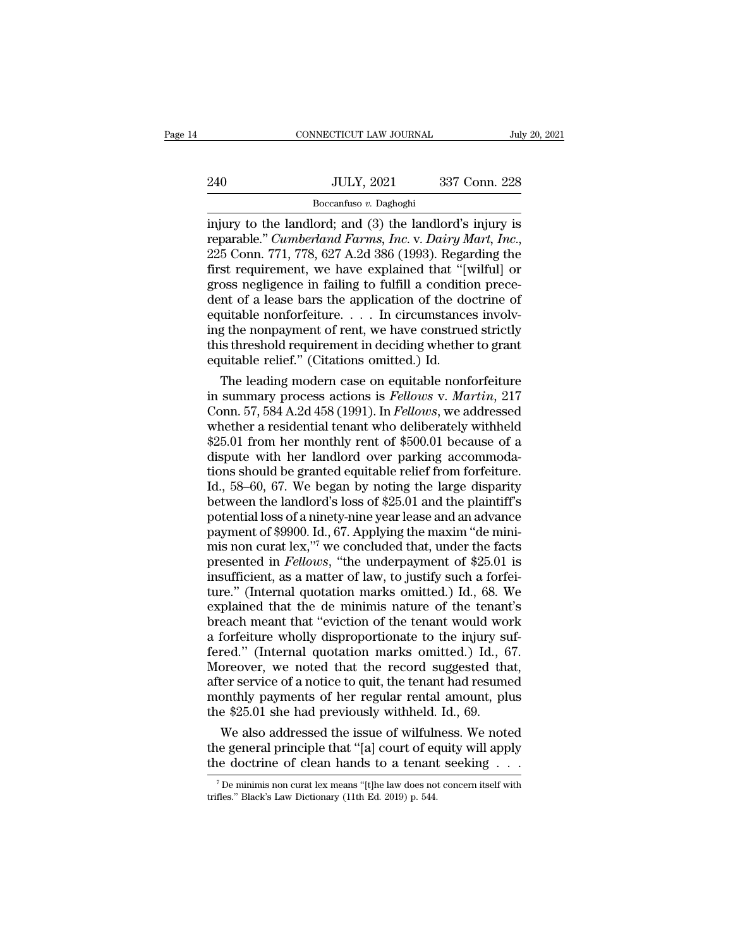|     | CONNECTICUT LAW JOURNAL | July 20, 2021 |  |
|-----|-------------------------|---------------|--|
|     |                         |               |  |
| 240 | <b>JULY, 2021</b>       | 337 Conn. 228 |  |
|     | Boccanfuso v. Daghoghi  |               |  |

CONNECTICUT LAW JOURNAL July 20, 2021<br>
240 JULY, 2021 337 Conn. 228<br>
Boccanfuso v. Daghoghi<br>
injury to the landlord; and (3) the landlord's injury is<br>
reparable." *Cumberland Farms, Inc.* v. *Dairy Mart, Inc.*,<br>
225 Conn. reparable.'' *Cumberland Farms, Inc.* v. *Daghoghi*<br>
Frameword Farms, Inc. v. *Dairy Mart, Inc.*, 225 Conn. 771, 778, 627 A.2d 386 (1993). Regarding the first requirement, we have explained that "[wilful] or gross negligan Fig. 337 Conn. 228<br>  $\frac{1}{2}$ <br>  $\frac{1}{2}$ <br>  $\frac{1}{2}$ <br>  $\frac{1}{2}$ <br>  $\frac{1}{2}$ <br>  $\frac{1}{2}$ <br>  $\frac{1}{2}$ <br>  $\frac{1}{2}$ <br>  $\frac{1}{2}$ <br>  $\frac{1}{2}$ <br>  $\frac{1}{2}$ <br>  $\frac{1}{2}$ <br>  $\frac{1}{2}$ <br>  $\frac{1}{2}$ <br>  $\frac{1}{2}$ <br>  $\frac{1}{2}$ <br>  $\frac{1}{2}$ <br>  $\frac{1}{2}$ <br>  $\frac$ Boccanfuso v. Daghoghi<br>
injury to the landlord; and (3) the landlord's injury is<br>
reparable." *Cumberland Farms, Inc.* v. *Dairy Mart, Inc.*,<br>
225 Conn. 771, 778, 627 A.2d 386 (1993). Regarding the<br>
first requirement, we Boccanfuso v. Daghoghi<br>
injury to the landlord; and (3) the landlord's injury is<br>
reparable." *Cumberland Farms, Inc.* v. *Dairy Mart, Inc.*,<br>
225 Conn. 771, 778, 627 A.2d 386 (1993). Regarding the<br>
first requirement, we injury to the landlord; and (3) the landlord's injury is<br>reparable." *Cumberland Farms, Inc.* v. *Dairy Mart, Inc.*,<br>225 Conn. 771, 778, 627 A.2d 386 (1993). Regarding the<br>first requirement, we have explained that "[wilful reparable." *Cumberland Farms, Inc.* v. *Dairy Mart, Inc.*, 225 Conn. 771, 778, 627 A.2d 386 (1993). Regarding the first requirement, we have explained that "[wilful] or gross negligence in failing to fulfill a condition p 225 Conn. 771, 778, 627 A.2d 386 (1993). Regarding the first requirement, we have explained that "[wilful] or gross negligence in failing to fulfill a condition precedent of a lease bars the application of the doctrine of first requirement, we have explained that "[vgross negligence in failing to fulfill a condition dent of a lease bars the application of the do equitable nonforfeiture.... In circumstance ing the nonpayment of rent, we hav oss negligence in failing to fulfill a condition prece-<br>nt of a lease bars the application of the doctrine of<br>uitable nonforfeiture. . . . In circumstances involv-<br>g the nonpayment of rent, we have construed strictly<br>is t dent of a lease bars the application of the doctrine of<br>equitable nonforfeiture. . . . In circumstances involv-<br>ing the nonpayment of rent, we have construed strictly<br>this threshold requirement in deciding whether to grant

equitable nonforfeiture..... In circumstances involving the nonpayment of rent, we have construed strictly<br>this threshold requirement in deciding whether to grant<br>equitable relief." (Citations omitted.) Id.<br>The leading mod ing the nonpayment of rent, we have construed strictly<br>this threshold requirement in deciding whether to grant<br>equitable relief." (Citations omitted.) Id.<br>The leading modern case on equitable nonforfeiture<br>in summary proce this threshold requirement in deciding whether to grant<br>equitable relief." (Citations omitted.) Id.<br>The leading modern case on equitable nonforfeiture<br>in summary process actions is *Fellows v. Martin*, 217<br>Conn. 57, 584 A. equitable relief." (Citations omitted.) Id.<br>The leading modern case on equitable nonforfeiture<br>in summary process actions is *Fellows v. Martin*, 217<br>Conn. 57, 584 A.2d 458 (1991). In *Fellows*, we addressed<br>whether a resi The leading modern case on equitable nonforfeiture<br>in summary process actions is *Fellows v. Martin*, 217<br>Conn. 57, 584 A.2d 458 (1991). In *Fellows*, we addressed<br>whether a residential tenant who deliberately withheld<br>\$25 in summary process actions is *Fellows v. Martin*, 217<br>Conn. 57, 584 A.2d 458 (1991). In *Fellows*, we addressed<br>whether a residential tenant who deliberately withheld<br>\$25.01 from her monthly rent of \$500.01 because of a<br>d Conn. 57, 584 A.2d 458 (1991). In *Fellows*, we addressed<br>whether a residential tenant who deliberately withheld<br>\$25.01 from her monthly rent of \$500.01 because of a<br>dispute with her landlord over parking accommoda-<br>tions whether a residential tenant who deliberately withheld<br>\$25.01 from her monthly rent of \$500.01 because of a<br>dispute with her landlord over parking accommoda-<br>tions should be granted equitable relief from forfeiture.<br>Id., \$25.01 from her monthly rent of \$500.01 because of a dispute with her landlord over parking accommodations should be granted equitable relief from forfeiture.<br>Id., 58–60, 67. We began by noting the large disparity between dispute with her landlord over parking accommodations should be granted equitable relief from forfeiture.<br>Id., 58–60, 67. We began by noting the large disparity between the landlord's loss of \$25.01 and the plaintiff's po tions should be granted equitable relief from forfeiture.<br>Id., 58–60, 67. We began by noting the large disparity<br>between the landlord's loss of \$25.01 and the plaintiff's<br>potential loss of a ninety-nine year lease and an Id., 58–60, 67. We began by noting the large disparity<br>between the landlord's loss of \$25.01 and the plaintiff's<br>potential loss of a ninety-nine year lease and an advance<br>payment of \$9900. Id., 67. Applying the maxim "de between the landlord's loss of \$25.01 and the plaintiff's<br>potential loss of a ninety-nine year lease and an advance<br>payment of \$9900. Id., 67. Applying the maxim "de mini-<br>mis non curat lex,"<sup>7</sup> we concluded that, under th potential loss of a ninety-nine year lease and an advance<br>payment of \$9900. Id., 67. Applying the maxim "de mini-<br>mis non curat lex,"<sup>7</sup> we concluded that, under the facts<br>presented in *Fellows*, "the underpayment of \$25.0 payment of \$9900. Id., 67. Applying the maxim "de mini-<br>mis non curat lex,"<sup>7</sup> we concluded that, under the facts<br>presented in *Fellows*, "the underpayment of \$25.01 is<br>insufficient, as a matter of law, to justify such a mis non curat lex,"<sup>7</sup> we concluded that, under the facts<br>presented in *Fellows*, "the underpayment of \$25.01 is<br>insufficient, as a matter of law, to justify such a forfei-<br>ture." (Internal quotation marks omitted.) Id., presented in *Fellows*, "the underpayment of \$25.01 is<br>insufficient, as a matter of law, to justify such a forfei-<br>ture." (Internal quotation marks omitted.) Id., 68. We<br>explained that the de minimis nature of the tenant's insufficient, as a matter of law, to justify such a forfei-<br>ture." (Internal quotation marks omitted.) Id., 68. We<br>explained that the de minimis nature of the tenant's<br>breach meant that "eviction of the tenant would work<br>a ture." (Internal quotation marks omitted.) Id., 68. We<br>explained that the de minimis nature of the tenant's<br>breach meant that "eviction of the tenant would work<br>a forfeiture wholly disproportionate to the injury suf-<br>fered explained that the de minimis nature of the tenant's<br>breach meant that "eviction of the tenant would work<br>a forfeiture wholly disproportionate to the injury suf-<br>fered." (Internal quotation marks omitted.) Id., 67.<br>Moreove breach meant that "eviction of the tenant would word a forfeiture wholly disproportionate to the injury suffered." (Internal quotation marks omitted.) Id., 6<br>Moreover, we noted that the record suggested that after service forfeiture wholly disproportionate to the injury suf-<br>red." (Internal quotation marks omitted.) Id., 67.<br>oreover, we noted that the record suggested that,<br>ter service of a notice to quit, the tenant had resumed<br>onthly paym fered." (Internal quotation marks omitted.) Id., 67.<br>Moreover, we noted that the record suggested that,<br>after service of a notice to quit, the tenant had resumed<br>monthly payments of her regular rental amount, plus<br>the \$25 Moreover, we noted that the record suggested that,<br>after service of a notice to quit, the tenant had resumed<br>monthly payments of her regular rental amount, plus<br>the \$25.01 she had previously withheld. Id., 69.<br>We also add

We also addressed the issue of wilfulness. We noted<br>the general principle that "[a] court of equity will apply<br>the doctrine of clean hands to a tenant seeking . . .<br><sup>7</sup>De minimis non curat lex means "[t]he law does not co We also addressed the issue of wilfulr<br>the general principle that "[a] court of ed<br>the doctrine of clean hands to a tenant<br> $\frac{1}{7}$  De minimis non curat lex means "[t]he law does not<br>trifles." Black's Law Dictionary (11t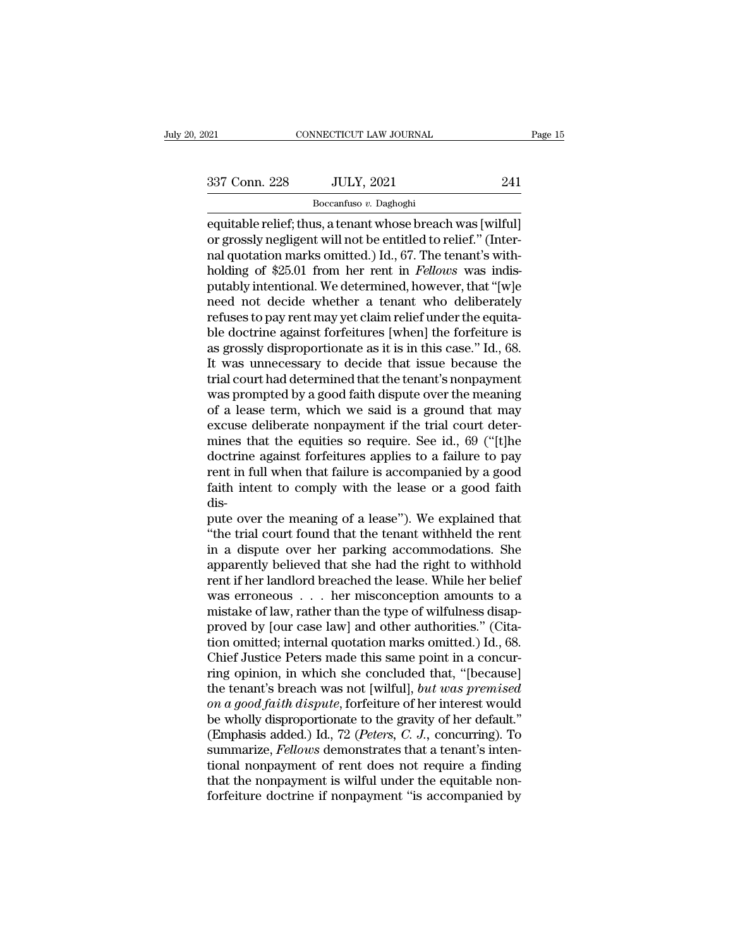| 021           | CONNECTICUT LAW JOURNAL |     | Page 15 |
|---------------|-------------------------|-----|---------|
| 337 Conn. 228 | <b>JULY, 2021</b>       | 241 |         |
|               | Boccanfuso v. Daghoghi  |     |         |

equitable relief; thus, a tenant whose breach was [wilful]<br>
equitable relief; thus, a tenant whose breach was [wilful]<br>
or grossly negligent will not be entitled to relief." (Inter-<br>
and quotation marks omitted ) Id. 67. T 337 Conn. 228 JULY, 2021 241<br>
Boccanfuso v. Daghoghi<br>
equitable relief; thus, a tenant whose breach was [wilful]<br>
or grossly negligent will not be entitled to relief.'' (Inter-<br>
nal quotation marks omitted.) Id., 67. The 337 Conn. 228 JULY, 2021 241<br>  $\frac{1}{241}$ <br>  $\frac{1}{241}$ <br>  $\frac{1}{241}$ <br>  $\frac{1}{241}$ <br>  $\frac{1}{241}$ <br>  $\frac{1}{241}$ <br>  $\frac{1}{241}$ <br>  $\frac{1}{241}$ <br>  $\frac{1}{241}$ <br>  $\frac{1}{241}$ <br>  $\frac{1}{241}$ <br>  $\frac{1}{241}$ <br>  $\frac{1}{241}$ <br>  $\frac{1}{241}$ <br>  $\frac{1}{241$ <sup>241</sup><br>
<sup>Boccanfuso v. Daghoghi<br>
equitable relief; thus, a tenant whose breach was [wilful]<br>
or grossly negligent will not be entitled to relief." (Inter-<br>
nal quotation marks omitted.) Id., 67. The tenant's with-<br>
holding </sup> Boccanfuso v. Daghoghi<br>
equitable relief; thus, a tenant whose breach was [wilful]<br>
or grossly negligent will not be entitled to relief." (Inter-<br>
nal quotation marks omitted.) Id., 67. The tenant's with-<br>
holding of \$25.  $\frac{1}{2}$ <br>
equitable relief; thus, a tenant whose breach was [wilful]<br>
or grossly negligent will not be entitled to relief." (Inter-<br>
nal quotation marks omitted.) Id., 67. The tenant's with-<br>
holding of \$25.01 from her r equitable relief; thus, a tenant whose breach was [wilful]<br>or grossly negligent will not be entitled to relief." (Inter-<br>nal quotation marks omitted.) Id., 67. The tenant's with-<br>holding of \$25.01 from her rent in *Fellows* or grossly negligent will not be entitled to relief." (Inter-<br>nal quotation marks omitted.) Id., 67. The tenant's with-<br>holding of \$25.01 from her rent in *Fellows* was indis-<br>putably intentional. We determined, however, t nal quotation marks omitted.) Id., 67. The tenant's with-<br>holding of \$25.01 from her rent in *Fellows* was indis-<br>putably intentional. We determined, however, that "[w]e<br>need not decide whether a tenant who deliberately<br>re holding of \$25.01 from her rent in *Fellows* was indis-<br>putably intentional. We determined, however, that "[w]e<br>need not decide whether a tenant who deliberately<br>refuses to pay rent may yet claim relief under the equita-<br>b putably intentional. We determined, however, that "[w]e<br>need not decide whether a tenant who deliberately<br>refuses to pay rent may yet claim relief under the equita-<br>ble doctrine against forfeitures [when] the forfeiture is need not decide whether a tenant who deliberately<br>refuses to pay rent may yet claim relief under the equita-<br>ble doctrine against forfeitures [when] the forfeiture is<br>as grossly disproportionate as it is in this case." Id. refuses to pay rent may yet claim relief under the equita-<br>ble doctrine against forfeitures [when] the forfeiture is<br>as grossly disproportionate as it is in this case." Id., 68.<br>It was unnecessary to decide that issue beca ble doctrine against forfeitures [when] the forfeiture is<br>as grossly disproportionate as it is in this case." Id., 68.<br>It was unnecessary to decide that issue because the<br>trial court had determined that the tenant's nonpay as grossly disproportionate as it is in this case." Id., 68.<br>It was unnecessary to decide that issue because the<br>trial court had determined that the tenant's nonpayment<br>was prompted by a good faith dispute over the meaning It was unnecessary to decide that issue because the<br>trial court had determined that the tenant's nonpayment<br>was prompted by a good faith dispute over the meaning<br>of a lease term, which we said is a ground that may<br>excuse d trial court had determined that the tenant's nonpayment<br>was prompted by a good faith dispute over the meaning<br>of a lease term, which we said is a ground that may<br>excuse deliberate nonpayment if the trial court deter-<br>mines was prompted by a good faith dispute over the meaning<br>of a lease term, which we said is a ground that may<br>excuse deliberate nonpayment if the trial court deter-<br>mines that the equities so require. See id., 69 ("[t]he<br>doctr disexcuse deliberate nonpayment if the trial court determines that the equities so require. See id., 69 ("[t]he doctrine against forfeitures applies to a failure to pay rent in full when that failure is accompanied by a good mines that the equities so require. See id., 69 ("[t]he doctrine against forfeitures applies to a failure to pay rent in full when that failure is accompanied by a good faith intent to comply with the lease or a good faith

doctrine against forfeitures applies to a failure to pay<br>rent in full when that failure is accompanied by a good<br>faith intent to comply with the lease or a good faith<br>dis-<br>pute over the meaning of a lease"). We explained t rent in full when that failure is accompanied by a good<br>faith intent to comply with the lease or a good faith<br>dis-<br>pute over the meaning of a lease"). We explained that<br>"the trial court found that the tenant withheld the r faith intent to comply with the lease or a good faith<br>dis-<br>pute over the meaning of a lease"). We explained that<br>"the trial court found that the tenant withheld the rent<br>in a dispute over her parking accommodations. She<br>ap dis-<br>pute over the meaning of a lease"). We explained that<br>"the trial court found that the tenant withheld the rent<br>in a dispute over her parking accommodations. She<br>apparently believed that she had the right to withhold<br>r pute over the meaning of a lease"). We explained that<br>"the trial court found that the tenant withheld the rent<br>in a dispute over her parking accommodations. She<br>apparently believed that she had the right to withhold<br>rent i "the trial court found that the tenant withheld the rent<br>in a dispute over her parking accommodations. She<br>apparently believed that she had the right to withhold<br>rent if her landlord breached the lease. While her belief<br>wa in a dispute over her parking accommodations. She<br>apparently believed that she had the right to withhold<br>rent if her landlord breached the lease. While her belief<br>was erroneous . . . her misconception amounts to a<br>mistake apparently believed that she had the right to withhold<br>rent if her landlord breached the lease. While her belief<br>was erroneous  $\ldots$  her misconception amounts to a<br>mistake of law, rather than the type of wilfulness disaprent if her landlord breached the lease. While her belief<br>was erroneous  $\ldots$  her misconception amounts to a<br>mistake of law, rather than the type of wilfulness disap-<br>proved by [our case law] and other authorities." (Cita was erroneous . . . her misconception amounts to a<br>mistake of law, rather than the type of wilfulness disap-<br>proved by [our case law] and other authorities." (Cita-<br>tion omitted; internal quotation marks omitted.) Id., 68. mistake of law, rather than the type of wilfulness disap-<br>proved by [our case law] and other authorities." (Cita-<br>tion omitted; internal quotation marks omitted.) Id., 68.<br>Chief Justice Peters made this same point in a con proved by [our case law] and other authorities." (Citation omitted; internal quotation marks omitted.) Id., 68.<br>Chief Justice Peters made this same point in a concurring opinion, in which she concluded that, "[because]<br>the tion omitted; internal quotation marks omitted.) Id., 68.<br>Chief Justice Peters made this same point in a concur-<br>ring opinion, in which she concluded that, "[because]<br>the tenant's breach was not [wilful], *but was premised* Chief Justice Peters made this same point in a concurring opinion, in which she concluded that, "[because] the tenant's breach was not [wilful], *but was premised* on a good faith dispute, forfeiture of her interest would ring opinion, in which she concluded that, "[because]<br>the tenant's breach was not [wilful], *but was premised*<br>on a good faith dispute, forfeiture of her interest would<br>be wholly disproportionate to the gravity of her defa the tenant's breach was not [wilful], *but was premised*<br>on a good faith dispute, forfeiture of her interest would<br>be wholly disproportionate to the gravity of her default."<br>(Emphasis added.) Id., 72 (*Peters*, *C. J.*, c on a good faith dispute, forfeiture of her interest would<br>be wholly disproportionate to the gravity of her default."<br>(Emphasis added.) Id., 72 (Peters, C. J., concurring). To<br>summarize, Fellows demonstrates that a tenant'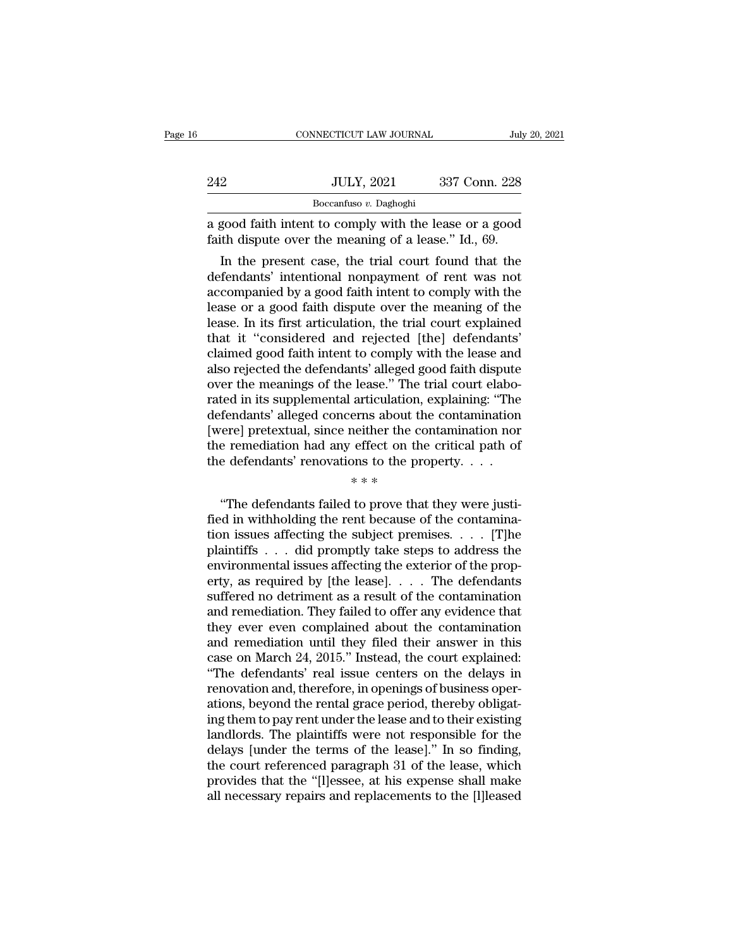|     | CONNECTICUT LAW JOURNAL                                                                                                                                            | July 20, 2021 |
|-----|--------------------------------------------------------------------------------------------------------------------------------------------------------------------|---------------|
|     |                                                                                                                                                                    |               |
| 242 | <b>JULY, 2021</b>                                                                                                                                                  | 337 Conn. 228 |
|     | Boccanfuso v. Daghoghi                                                                                                                                             |               |
|     | a good faith intent to comply with the lease or a good<br>faith dispute over the meaning of a lease." Id., 69.                                                     |               |
|     | In the present case, the trial court found that the<br>defendants' intentional nonpayment of rent was not<br>accompanied by a good faith intent to comply with the |               |

242 JULY, 2021 337 Conn. 228<br>Boccanfuso v. Daghoghi<br>a good faith intent to comply with the lease or a good<br>faith dispute over the meaning of a lease." Id., 69.<br>In the present case, the trial court found that the<br>defendant Boccanfuso  $v$ . Daghoghi<br>
a good faith intent to comply with the lease or a good<br>
faith dispute over the meaning of a lease." Id., 69.<br>
In the present case, the trial court found that the<br>
defendants' intentional nonpayme a good faith intent to comply with the lease or a good<br>faith dispute over the meaning of a lease." Id., 69.<br>In the present case, the trial court found that the<br>defendants' intentional nonpayment of rent was not<br>accompanied a good raith mient to comply with the lease or a good<br>faith dispute over the meaning of a lease." Id., 69.<br>In the present case, the trial court found that the<br>defendants' intentional nonpayment of rent was not<br>accompanied Traith dispute over the meaning of a lease. Id., 69.<br>
In the present case, the trial court found that the<br>
defendants' intentional nonpayment of rent was not<br>
accompanied by a good faith intent to comply with the<br>
lease or In the present case, the trial court found that the<br>defendants' intentional nonpayment of rent was not<br>accompanied by a good faith intent to comply with the<br>lease or a good faith dispute over the meaning of the<br>lease. In i defendants' intentional nonpayment of rent was not<br>accompanied by a good faith intent to comply with the<br>lease or a good faith dispute over the meaning of the<br>lease. In its first articulation, the trial court explained<br>tha accompanied by a good faith intent to comply with the lease or a good faith dispute over the meaning of the lease. In its first articulation, the trial court explained that it "considered and rejected [the] defendants' cla lease or a good faith dispute over the meaning of the<br>lease. In its first articulation, the trial court explained<br>that it "considered and rejected [the] defendants'<br>claimed good faith intent to comply with the lease and<br>al lease. In its first articulation, the trial court explained<br>that it "considered and rejected [the] defendants'<br>claimed good faith intent to comply with the lease and<br>also rejected the defendants' alleged good faith dispute that it "considered and rejected [the] defendants'<br>claimed good faith intent to comply with the lease and<br>also rejected the defendants' alleged good faith dispute<br>over the meanings of the lease." The trial court elabo-<br>rat claimed good faith intent to comply with the lease and<br>also rejected the defendants' alleged good faith dispute<br>over the meanings of the lease." The trial court elabo-<br>rated in its supplemental articulation, explaining: " % also rejected the defendants' alleged good faith dispute<br>over the meanings of the lease." The trial court elaborated in its supplemental articulation, explaining: "The<br>defendants' alleged concerns about the contaminatio rease. The unit<br>articulation,  $\epsilon$ <br>erns about the<br>neither the condense to the pro<br> $\ast \ast \ast$ <br>to prove that fendants' alleged concerns about the contamination<br>
erel pretextual, since neither the contamination nore<br>
e remediation had any effect on the critical path of<br>
e defendants' renovations to the property.<br>  $**$ <br>
"The defend

[were] pretextual, since neither the contamination nor<br>the remediation had any effect on the critical path of<br>the defendants' renovations to the property. . . .<br> $**$ <br>"The defendants failed to prove that they were justi-<br>fi the remediation had any effect on the critical path of<br>the defendants' renovations to the property. . . .<br> $**$ <br>"The defendants failed to prove that they were justi-<br>fied in withholding the rent because of the contamina-<br>ti the defendants' renovations to the property. . . .<br>  $***$ <br>
"The defendants failed to prove that they were justi-<br>
fied in withholding the rent because of the contamina-<br>
tion issues affecting the subject premises. . . . . [  $**$ <br>
"The defendants failed to prove that they were justi-<br>
fied in withholding the rent because of the contamina-<br>
tion issues affecting the subject premises. . . . . [T]<br>
plaintiffs . . . did promptly take steps to addr "The defendants failed to prove that they were justi-<br>fied in withholding the rent because of the contamina-<br>tion issues affecting the subject premises. . . . [T]<br>he plaintiffs . . . did promptly take steps to address the "The defendants failed to prove that they were justi-<br>fied in withholding the rent because of the contamina-<br>tion issues affecting the subject premises. . . . . [T]he<br>plaintiffs . . . did promptly take steps to address th fied in withholding the rent because of the contamination issues affecting the subject premises. . . . [T]he plaintiffs . . . did promptly take steps to address the environmental issues affecting the exterior of the prope tion issues affecting the subject premises. . . . . [T]he<br>plaintiffs . . . did promptly take steps to address the<br>environmental issues affecting the exterior of the prop-<br>erty, as required by [the lease]. . . . The defend plaintiffs . . . did promptly take steps to address the<br>environmental issues affecting the exterior of the prop-<br>erty, as required by [the lease]. . . . The defendants<br>suffered no detriment as a result of the contamination environmental issues affecting the exterior of the property, as required by [the lease].  $\ldots$  The defendants suffered no detriment as a result of the contamination and remediation. They failed to offer any evidence that erty, as required by [the lease]. . . . The defendants<br>suffered no detriment as a result of the contamination<br>and remediation. They failed to offer any evidence that<br>they ever even complained about the contamination<br>and re suffered no detriment as a result of the contamination<br>and remediation. They failed to offer any evidence that<br>they ever even complained about the contamination<br>and remediation until they filed their answer in this<br>case on and remediation. They failed to offer any evidence that<br>they ever even complained about the contamination<br>and remediation until they filed their answer in this<br>case on March 24, 2015." Instead, the court explained:<br>"The de they ever even complained about the contamination<br>and remediation until they filed their answer in this<br>case on March 24, 2015." Instead, the court explained:<br>"The defendants' real issue centers on the delays in<br>renovation and remediation until they filed their answer in this<br>case on March 24, 2015." Instead, the court explained:<br>"The defendants' real issue centers on the delays in<br>renovation and, therefore, in openings of business oper-<br>ati case on March 24, 2015." Instead, the court explained:<br>"The defendants' real issue centers on the delays in<br>renovation and, therefore, in openings of business oper-<br>ations, beyond the rental grace period, thereby obligat-<br> "The defendants' real issue centers on the delays in<br>renovation and, therefore, in openings of business oper-<br>ations, beyond the rental grace period, thereby obligat-<br>ing them to pay rent under the lease and to their exist renovation and, therefore, in openings of business operations, beyond the rental grace period, thereby obligating them to pay rent under the lease and to their existing landlords. The plaintiffs were not responsible for th ations, beyond the rental grace period, thereby obligating them to pay rent under the lease and to their existing landlords. The plaintiffs were not responsible for the delays [under the terms of the lease]." In so finding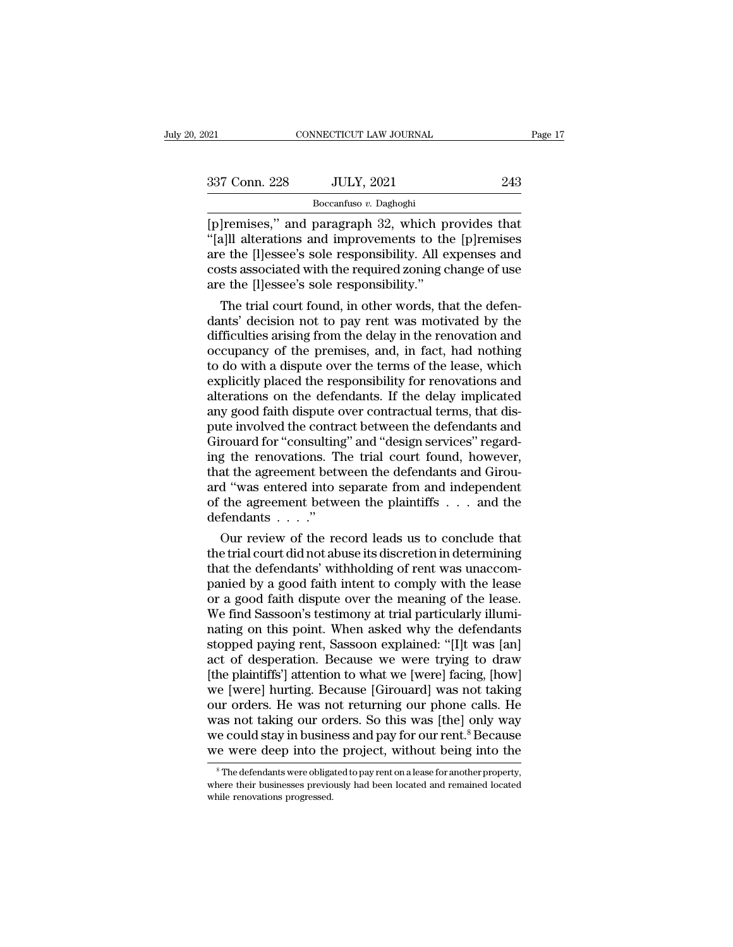| 2021          | CONNECTICUT LAW JOURNAL                                                                                                                                                 | Page 17 |
|---------------|-------------------------------------------------------------------------------------------------------------------------------------------------------------------------|---------|
| 337 Conn. 228 | <b>JULY, 2021</b>                                                                                                                                                       | 243     |
|               | Boccanfuso v. Daghoghi                                                                                                                                                  |         |
|               | [p] remises," and paragraph 32, which provides that<br>"[a] alterations and improvements to the [p] remises<br>are the Illessee's sole responsibility. All expenses and |         |

<sup>337</sup> Conn. 228 JULY, 2021 243<br>
<sup>Boccanfuso v. Daghoghi<br>
[p]remises," and paragraph 32, which provides that<br>
"[a]ll alterations and improvements to the [p]remises<br>
are the [l]essee's sole responsibility. All expenses and<br>
</sup> 337 Conn. 228 JULY, 2021 243<br>
Boccanfuso v. Daghoghi<br>
[p]remises," and paragraph 32, which provides that<br>
"[a]ll alterations and improvements to the [p]remises<br>
are the [l]essee's sole responsibility. All expenses and<br>
co 337 Conn. 228 JULY, 2021 243<br>
Boccanfuso v. Daghoghi<br>
[p]remises," and paragraph 32, which provides that<br>
"[a]ll alterations and improvements to the [p]remises<br>
are the [l]essee's sole responsibility. All expenses and<br>
cos  $\frac{1}{25}$  Boccanfuso v. Daghoghi<br>
[p]remises," and paragraph 32, which p:<br>
"[a]ll alterations and improvements to the are the [l]essee's sole responsibility. All e costs associated with the required zoning care the [l]es The trial court found is a supplied of the defendable transmitted and improvements to the [p] remises and the [l] essee's sole responsibility. All expenses and sts associated with the required zoning change of use the [l] [p]remises," and paragraph 32, which provides that<br>"[a]ll alterations and improvements to the [p]remises<br>are the [l]essee's sole responsibility. All expenses and<br>costs associated with the required zoning change of use<br>are

"[a][I] alterations and improvements to the [p]remises<br>are the [l]essee's sole responsibility. All expenses and<br>costs associated with the required zoning change of use<br>are the [l]essee's sole responsibility."<br>The trial cou are the [I]essee's sole responsibility. All expenses and<br>costs associated with the required zoning change of use<br>are the [I]essee's sole responsibility."<br>The trial court found, in other words, that the defen-<br>dants' decisi costs associated with the required zoning change of use<br>are the [l]essee's sole responsibility."<br>The trial court found, in other words, that the defen-<br>dants' decision not to pay rent was motivated by the<br>difficulties aris are the [I]essee's sole responsibility."<br>The trial court found, in other words, that the defen-<br>dants' decision not to pay rent was motivated by the<br>difficulties arising from the delay in the renovation and<br>occupancy of th The trial court found, in other words, that the defendants' decision not to pay rent was motivated by the difficulties arising from the delay in the renovation and occupancy of the premises, and, in fact, had nothing to do dants' decision not to pay rent was motivated by the difficulties arising from the delay in the renovation and occupancy of the premises, and, in fact, had nothing to do with a dispute over the terms of the lease, which ex difficulties arising from the delay in the renovation and<br>occupancy of the premises, and, in fact, had nothing<br>to do with a dispute over the terms of the lease, which<br>explicitly placed the responsibility for renovations an occupancy of the premises, and, in fact, had nothing<br>to do with a dispute over the terms of the lease, which<br>explicitly placed the responsibility for renovations and<br>alterations on the defendants. If the delay implicated<br>a to do with a dispute over the terms of the lease, which<br>explicitly placed the responsibility for renovations and<br>alterations on the defendants. If the delay implicated<br>any good faith dispute over contractual terms, that di explicitly placed the responsibility for renovations and<br>alterations on the defendants. If the delay implicated<br>any good faith dispute over contractual terms, that dis-<br>pute involved the contract between the defendants and alterations on the defendants. If the delay implicated<br>any good faith dispute over contractual terms, that dis-<br>pute involved the contract between the defendants and<br>Girouard for "consulting" and "design services" regard-<br> any good faith dispute over contractual terms, that dispute involved the contract between the defendants and Girouard for "consulting" and "design services" regarding the renovations. The trial court found, however, that pute involved the contr:<br>Girouard for "consulting<br>ing the renovations. That the agreement betward "was entered into s<br>of the agreement betward for the agreement betward for the referral into s rouard for "consulting" and "design services" regard-<br>g the renovations. The trial court found, however,<br>at the agreement between the defendants and Girou-<br>"was entered into separate from and independent<br>the agreement bet ing the renovations. The trial court found, however,<br>that the agreement between the defendants and Girou-<br>ard "was entered into separate from and independent<br>of the agreement between the plaintiffs . . . and the<br>defendants

that the agreement between the defendants and Girou-<br>ard "was entered into separate from and independent<br>of the agreement between the plaintiffs  $\dots$  and the<br>defendants  $\dots$ ."<br>Our review of the record leads us to conclude ard "was entered into separate from and independent<br>of the agreement between the plaintiffs  $\dots$  and the<br>defendants  $\dots$ ."<br>Our review of the record leads us to conclude that<br>the trial court did not abuse its discretion in or the agreement between the plaintiffs . . . and the<br>defendants . . . ."<br>Our review of the record leads us to conclude that<br>the trial court did not abuse its discretion in determining<br>that the defendants' withholding of r defendants . . . . ."<br>Our review of the record leads us to conclude that<br>the trial court did not abuse its discretion in determining<br>that the defendants' withholding of rent was unaccom-<br>panied by a good faith intent to co Our review of the record leads us to conclude that<br>the trial court did not abuse its discretion in determining<br>that the defendants' withholding of rent was unaccom-<br>panied by a good faith intent to comply with the lease<br>or the trial court did not abuse its discretion in determining<br>that the defendants' withholding of rent was unaccom-<br>panied by a good faith intent to comply with the lease<br>or a good faith dispute over the meaning of the lease that the defendants' withholding of rent was unaccom-<br>panied by a good faith intent to comply with the lease<br>or a good faith dispute over the meaning of the lease.<br>We find Sassoon's testimony at trial particularly illumi-<br> panied by a good faith intent to comply with the lease<br>or a good faith dispute over the meaning of the lease.<br>We find Sassoon's testimony at trial particularly illumi-<br>nating on this point. When asked why the defendants<br>st or a good faith dispute over the meaning of the lease.<br>We find Sassoon's testimony at trial particularly illuminating on this point. When asked why the defendants<br>stopped paying rent, Sassoon explained: "[I]t was [an]<br>act We find Sassoon's testimony at trial particularly illuminating on this point. When asked why the defendants<br>stopped paying rent, Sassoon explained: "[I]t was [an]<br>act of desperation. Because we were trying to draw<br>[the pla nating on this point. When asked why the defendants<br>stopped paying rent, Sassoon explained: "[I]t was [an]<br>act of desperation. Because we were trying to draw<br>[the plaintiffs'] attention to what we [were] facing, [how]<br>we [ stopped paying rent, Sassoon explained: "[I]t was [an]<br>act of desperation. Because we were trying to draw<br>[the plaintiffs'] attention to what we [were] facing, [how]<br>we [were] hurting. Because [Girouard] was not taking<br>our act of desperation. Because we were trying to draw<br>[the plaintiffs'] attention to what we [were] facing, [how]<br>we [were] hurting. Because [Girouard] was not taking<br>our orders. He was not returning our phone calls. He<br>was n ur orders. He was not returning our phone calls. He<br>as not taking our orders. So this was [the] only way<br>e could stay in business and pay for our rent.<sup>8</sup> Because<br>e were deep into the project, without being into the<br><sup>8</sup>The was not taking our orders. So this was [the] only way<br>we could stay in business and pay for our rent.<sup>8</sup> Because<br>we were deep into the project, without being into the<br><sup>8</sup>The defendants were obligated to pay rent on a lease we could stay in busine<br>we were deep into the<br><sup>8</sup>The defendants were obliga<br>where their businesses previo<br>while renovations progressed.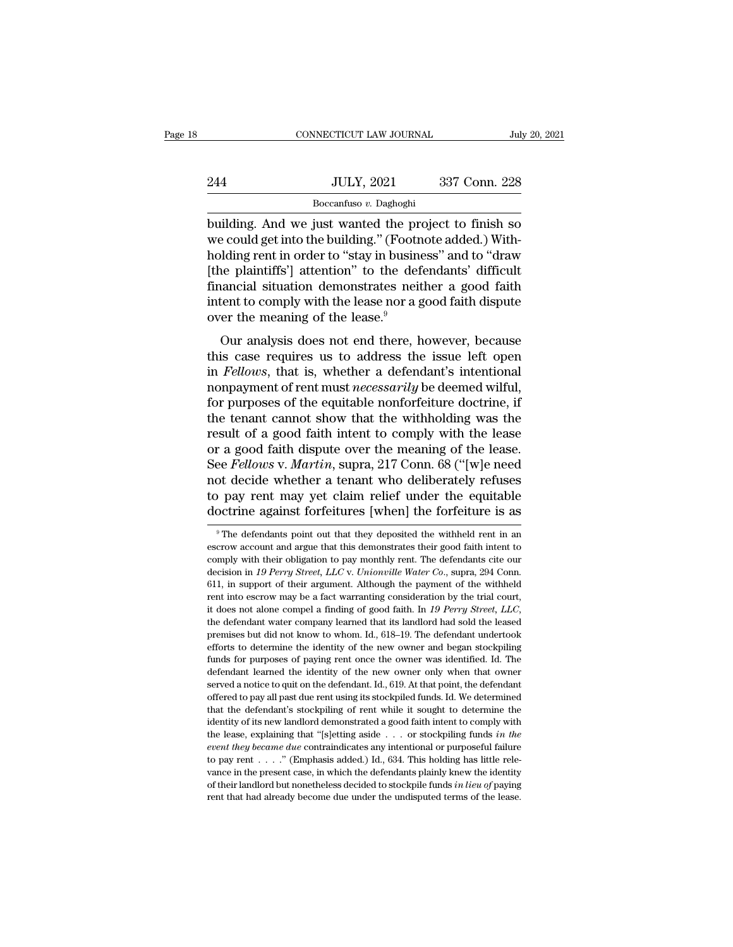|     | CONNECTICUT LAW JOURNAL | July 20, 2021 |
|-----|-------------------------|---------------|
|     |                         |               |
| 244 | <b>JULY, 2021</b>       | 337 Conn. 228 |
|     | Boccanfuso v. Daghoghi  |               |

CONNECTICUT LAW JOURNAL July 20, 2021<br>
244 JULY, 2021 337 Conn. 228<br>
Boccanfuso v. Daghoghi<br>
building. And we just wanted the project to finish so<br>
we could get into the building." (Footnote added.) With-244 JULY, 2021 337 Conn. 228<br>
Boccanfuso v. Daghoghi<br>
building. And we just wanted the project to finish so<br>
we could get into the building." (Footnote added.) With-<br>
holding rent in order to "stay in business" and to "dra  $\frac{\text{JULY, 2021}}{\text{Boccanfuso } v. \text{ Daghogh}}$ <br>
building. And we just wanted the project to finish so<br>
we could get into the building." (Footnote added.) With-<br>
holding rent in order to "stay in business" and to "draw<br>
[the plaintif  $\frac{1}{244}$  JULY, 2021 337 Conn. 228<br>  $\frac{1}{244}$  Boccanfuso v. Daghoghi<br>
building. And we just wanted the project to finish so<br>
we could get into the building." (Footnote added.) With-<br>
holding rent in order to "stay in Boccanfuso v. Daghoghi<br>Boccanfuso v. Daghoghi<br>we could get into the building." (Footnote added.) With-<br>holding rent in order to "stay in business" and to "draw<br>[the plaintiffs"] attention" to the defendants' difficult<br>fin  $\frac{\text{Bocantuso } v. \text{ Dagnoghu}}{\text{building. And we just wanted the project to finish so}}$ <br>we could get into the building." (Footnote added.) With-<br>holding rent in order to "stay in business" and to "draw<br>[the plaintiffs"] attention" to the defendants' difficult<br>financial s building. And we just wanted the pr<br>we could get into the building." (Footn<br>holding rent in order to "stay in busine<br>[the plaintiffs'] attention" to the def<br>financial situation demonstrates neit<br>intent to comply with the l I count get mo the bunding. (Poothote added.) while<br>Iding rent in order to "stay in business" and to "draw<br>the plaintiffs"] attention" to the defendants' difficult<br>ancial situation demonstrates neither a good faith<br>tent to this case requires in the interval of the defendants' difficult<br>financial situation demonstrates neither a good faith<br>intent to comply with the lease nor a good faith dispute<br>over the meaning of the lease.<sup>9</sup><br>Our analysis

financial situation demonstrates neither a good faith<br>intent to comply with the lease nor a good faith dispute<br>over the meaning of the lease.<sup>9</sup><br>Our analysis does not end there, however, because<br>this case requires us to ad mancial situation demonstrates nether a good faith dispute<br>intent to comply with the lease.<sup>9</sup><br>Our analysis does not end there, however, because<br>this case requires us to address the issue left open<br>in *Fellows*, that is, w friend to compty with the rease flor a good faith ulspute<br>over the meaning of the lease.<sup>9</sup><br>Our analysis does not end there, however, because<br>this case requires us to address the issue left open<br>in *Fellows*, that is, whet Our analysis does not end there, however, because<br>this case requires us to address the issue left open<br>in *Fellows*, that is, whether a defendant's intentional<br>nonpayment of rent must *necessarily* be deemed wilful,<br>for pu Our analysis does not end there, however, because<br>this case requires us to address the issue left open<br>in *Fellows*, that is, whether a defendant's intentional<br>nonpayment of rent must *necessarily* be deemed wilful,<br>for p this case requires us to address the issue left open<br>in *Fellows*, that is, whether a defendant's intentional<br>nonpayment of rent must *necessarily* be deemed wilful,<br>for purposes of the equitable nonforfeiture doctrine, if in *Fellows*, that is, whether a defendant's intentional<br>nonpayment of rent must *necessarily* be deemed wilful,<br>for purposes of the equitable nonforfeiture doctrine, if<br>the tenant cannot show that the withholding was the<br> nonpayment of rent must *necessarily* be deemed wilful,<br>for purposes of the equitable nonforfeiture doctrine, if<br>the tenant cannot show that the withholding was the<br>result of a good faith intent to comply with the lease<br>or for purposes of the equitable nonforfeiture doctrine, if<br>the tenant cannot show that the withholding was the<br>result of a good faith intent to comply with the lease<br>or a good faith dispute over the meaning of the lease.<br>Se the tenant cannot show that the withholding was the result of a good faith intent to comply with the lease or a good faith dispute over the meaning of the lease. See *Fellows v. Martin*, supra, 217 Conn. 68 ("[w]e need no See *Fellows* v. *Martin*, supra, 217 Conn. 68 ("[w]e need not decide whether a tenant who deliberately refuses to pay rent may yet claim relief under the equitable doctrine against forfeitures [when] the forfeiture is as not decide whether a tenant who deliberately refuses<br>to pay rent may yet claim relief under the equitable<br>doctrine against forfeitures [when] the forfeiture is as<br><sup>9</sup>The defendants point out that they deposited the withhel

to pay rent may yet claim relief under the equitable doctrine against forfeitures [when] the forfeiture is as  $\overline{\phantom{a}}$  The defendants point out that they deposited the withheld rent in an escrow account and argue that doctrine against forfeitures [when] the forfeiture is as<br><sup>9</sup> The defendants point out that they deposited the withheld rent in an<br>escrow account and argue that this demonstrates their good faith intent to<br>comply with their The defendants point out that they deposited the withheld rent in an escrow account and argue that this demonstrates their good faith intent to comply with their obligation to pay monthly rent. The defendants cite our dec <sup>9</sup> The defendants point out that they deposited the withheld rent in an escrow account and argue that this demonstrates their good faith intent to comply with their obligation to pay monthly rent. The defendants cite our it does not alone compel a finding of good faith intent to comply with their obligation to pay monthly rent. The defendants cite our decision in 19 Perry Street, LLC v. Unionville Water Co., supra, 294 Conn. 611, in suppor becision in 19 Perry Street, LLC v. Unionville Water Co., supra, 294 Conn.<br>decision in 19 Perry Street, LLC v. Unionville Water Co., supra, 294 Conn.<br>611, in support of their argument. Although the payment of the withheld<br> 611, in support of their argument. Although the payment of the withheld rent into escrow may be a fact warranting consideration by the trial court, it does not alone compel a finding of good faith. In 19 Perry Street, LLC Fund into escrew may be a fact warranting consideration by the trial court, it does not alone compel a finding of good faith. In 19 Perry Street, LLC, the defendant water company learned that its landlord had sold the lea it does not alone compel a finding of good faith. In 19 Perry Street, LLC, the defendant water company learned that its landlord had sold the leased premises but did not know to whom. Id., 618–19. The defendant undertook is the defendant water company learned that its landlord had sold the leased premises but did not know to whom. Id., 618–19. The defendant undertook efforts to determine the identity of the new owner and began stockpiling are misses but did not know to whom. Id., 618–19. The defendant undertook efforts to determine the identity of the new owner and began stockpiling funds for purposes of paying rent once the owner was identified. Id. The de efforts to determine the identity of the new owner and began stockpiling funds for purposes of paying rent once the owner was identified. Id. The defendant learned the identity of the new owner only when that owner served funds for purposes of paying rent once the owner was identified. Id. The defendant learned the identity of the new owner only when that owner served a notice to quit on the defendant. Id., 619. At that point, the defendan defendant learned the identity of the new owner only when that ovner<br>defendant learned the identity of the new owner only when that ovner<br>served a notice to quit on the defendant. Id., 619. At that point, the defendant<br>off **event they became due contraindicates any intentional or purpose of the contract offered to pay all past due rent using its stockpiled funds. Id. We determined that the defendant's stockpiling of rent while it sought to d** offered to pay all past due rent using its stockpiled funds. Id. We determined that the defendant's stockpiling of rent while it sought to determine the identity of its new landlord demonstrated a good faith intent to com that the defendant's stockpiling of rent while it sought to determine the identity of its new landlord demonstrated a good faith intent to comply with the lease, explaining that "[s]etting aside  $\ldots$  or stockpiling funds diated the determined but of their landlord demonstrated a good faith intent to comply with<br>the lease, explaining that "[s]etting aside . . . or stockpiling funds *in the*<br>event they became due contraindicates any intentio the lease, explaining that "[s]etting aside . . . or stockpiling funds in the event they became due contraindicates any intentional or purposeful failure to pay rent . . . . " (Emphasis added.) Id., 634. This holding has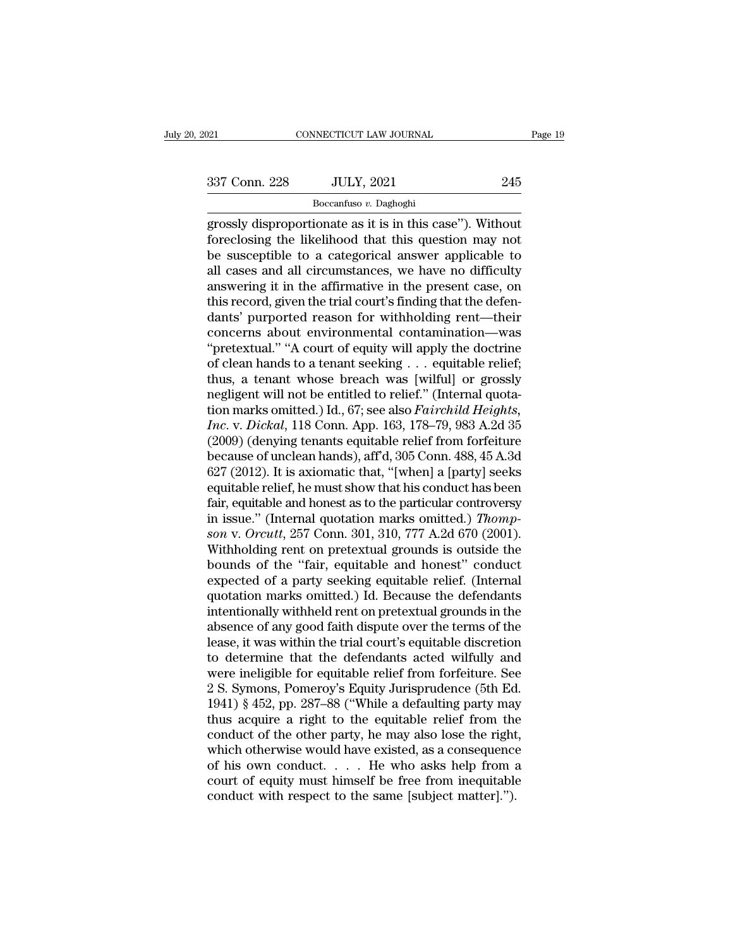Boccanfuso *v.* Daghoghi

expanding the displacement of the state of the state of the state of the state of the state of the state of the state of the state of the state of the state of the state of the state of the state of the state of the state  $\begin{array}{r} \text{337 Conn. 228} \\ \text{337 Conn. 228} \\ \text{Boccantuso } v. \text{Daghoghi} \\ \text{grossly disproportionate as it is in this case''). Without  
fore closing the likelihood that this question may not be susceptible to a categorical answer applicable to all cases and all circumstances, we have no difficulty.} \end{array}$  $\begin{array}{c|c} \text{337 Conn. 228} & \text{JULY, 2021} & \text{245} \\ \hline \text{Boccanfuso } v. \text{ Daghoghi} \\ \text{grossly disproportionate as it is in this case''). Without  
fore closing the likelihood that this question may not be susceptible to a categorical answer applicable to all cases and all circumstances, we have no difficulty  
answoring it in the affirmative in the present case on.$  $\frac{337 \text{ Conn. } 228}{\text{Boccanfuso } v. \text{ Daghoghi}}$ <br>
grossly disproportionate as it is in this case"). Without<br>
foreclosing the likelihood that this question may not<br>
be susceptible to a categorical answer applicable to<br>
all cases and Boccanfuso v. Daghoghi<br>
grossly disproportionate as it is in this case"). Without<br>
foreclosing the likelihood that this question may not<br>
be susceptible to a categorical answer applicable to<br>
all cases and all circumstanc  $\frac{1}{1}$  Boccantuso *v*. Daghoghi<br>grossly disproportionate as it is in this case"). Without<br>foreclosing the likelihood that this question may not<br>be susceptible to a categorical answer applicable to<br>all cases and all cir grossly disproportionate as it is in this case"). Without<br>foreclosing the likelihood that this question may not<br>be susceptible to a categorical answer applicable to<br>all cases and all circumstances, we have no difficulty<br>an foreclosing the likelihood that this question may not<br>be susceptible to a categorical answer applicable to<br>all cases and all circumstances, we have no difficulty<br>answering it in the affirmative in the present case, on<br>this be susceptible to a categorical answer applicable to<br>all cases and all circumstances, we have no difficulty<br>answering it in the affirmative in the present case, on<br>this record, given the trial court's finding that the defe all cases and all circumstances, we have no difficulty<br>answering it in the affirmative in the present case, on<br>this record, given the trial court's finding that the defen-<br>dants' purported reason for withholding rent—their answering it in the affirmative in the present case, on<br>this record, given the trial court's finding that the defen-<br>dants' purported reason for withholding rent—their<br>concerns about environmental contamination—was<br>"prete this record, given the trial court's finding that the defendants' purported reason for withholding rent—their concerns about environmental contamination—was "pretextual." "A court of equity will apply the doctrine of clea dants' purported reason for withholding rent—their<br>concerns about environmental contamination—was<br>"pretextual." "A court of equity will apply the doctrine<br>of clean hands to a tenant seeking . . . equitable relief;<br>thus, a concerns about environmental contamination—was<br>
"pretextual." "A court of equity will apply the doctrine<br>
of clean hands to a tenant seeking . . . equitable relief;<br>
thus, a tenant whose breach was [wilful] or grossly<br>
neg "pretextual." "A court of equity will apply the doctrine<br>of clean hands to a tenant seeking . . . equitable relief;<br>thus, a tenant whose breach was [wilful] or grossly<br>negligent will not be entitled to relief." (Internal of clean hands to a tenant seeking . . . equitable relief;<br>thus, a tenant whose breach was [wilful] or grossly<br>negligent will not be entitled to relief." (Internal quota-<br>tion marks omitted.) Id., 67; see also *Fairchild H* thus, a tenant whose breach was [wilful] or grossly<br>negligent will not be entitled to relief." (Internal quota-<br>tion marks omitted.) Id., 67; see also *Fairchild Heights,*<br>Inc. v. Dickal, 118 Conn. App. 163, 178–79, 983 A. negligent will not be entitled to relief." (Internal quotation marks omitted.) Id., 67; see also *Fairchild Heights,*<br> *Inc.* v. *Dickal*, 118 Conn. App. 163, 178–79, 983 A.2d 35<br>
(2009) (denying tenants equitable relief f tion marks omitted.) Id., 67; see also *Fairchild Heights,*<br> *Inc.* v. *Dickal*, 118 Conn. App. 163, 178–79, 983 A.2d 35<br>
(2009) (denying tenants equitable relief from forfeiture<br>
because of unclean hands), aff'd, 305 Con Inc. v. Dickal, 118 Conn. App. 163, 178–79, 983 A.2d 35 (2009) (denying tenants equitable relief from forfeiture because of unclean hands), aff'd, 305 Conn. 488, 45 A.3d 627 (2012). It is axiomatic that, "[when] a [party] (2009) (denying tenants equitable relief from forfeiture<br>because of unclean hands), aff'd, 305 Conn. 488, 45 A.3d<br>627 (2012). It is axiomatic that, "[when] a [party] seeks<br>equitable relief, he must show that his conduct ha because of unclean hands), aff<sup>2</sup>d, 305 Conn. 488, 45 A.3d 627 (2012). It is axiomatic that, "[when] a [party] seeks equitable relief, he must show that his conduct has been fair, equitable and honest as to the particular 627 (2012). It is axiomatic that, "[when] a [party] seeks<br>equitable relief, he must show that his conduct has been<br>fair, equitable and honest as to the particular controversy<br>in issue." (Internal quotation marks omitted.) equitable relief, he must show that his conduct has been<br>fair, equitable and honest as to the particular controversy<br>in issue." (Internal quotation marks omitted.) *Thomp-*<br>son v. Orcutt, 257 Conn. 301, 310, 777 A.2d 670 ( fair, equitable and honest as to the particular controversy<br>in issue." (Internal quotation marks omitted.) *Thompson v. Orcutt*, 257 Conn. 301, 310, 777 A.2d 670 (2001).<br>Withholding rent on pretextual grounds is outside t in issue." (Internal quotation marks omitted.) *Thompson v. Orcutt*, 257 Conn. 301, 310, 777 A.2d 670 (2001).<br>Withholding rent on pretextual grounds is outside the<br>bounds of the "fair, equitable and honest" conduct<br>expect son v. Orcutt, 257 Conn. 301, 310, 777 A.2d 670 (2001).<br>Withholding rent on pretextual grounds is outside the<br>bounds of the "fair, equitable and honest" conduct<br>expected of a party seeking equitable relief. (Internal<br>quota Withholding rent on pretextual grounds is outside the<br>bounds of the "fair, equitable and honest" conduct<br>expected of a party seeking equitable relief. (Internal<br>quotation marks omitted.) Id. Because the defendants<br>intentio bounds of the "fair, equitable and honest" conduct<br>expected of a party seeking equitable relief. (Internal<br>quotation marks omitted.) Id. Because the defendants<br>intentionally withheld rent on pretextual grounds in the<br>absen expected of a party seeking equitable relief. (Internal<br>quotation marks omitted.) Id. Because the defendants<br>intentionally withheld rent on pretextual grounds in the<br>absence of any good faith dispute over the terms of the<br> quotation marks omitted.) Id. Because the defendants<br>intentionally withheld rent on pretextual grounds in the<br>absence of any good faith dispute over the terms of the<br>lease, it was within the trial court's equitable discret intentionally withheld rent on pretextual grounds in the<br>absence of any good faith dispute over the terms of the<br>lease, it was within the trial court's equitable discretion<br>to determine that the defendants acted wilfully a absence of any good faith dispute over the terms of the lease, it was within the trial court's equitable discretion<br>to determine that the defendants acted wilfully and<br>were ineligible for equitable relief from forfeiture. lease, it was within the trial court's equitable discretion<br>to determine that the defendants acted wilfully and<br>were ineligible for equitable relief from forfeiture. See<br>2 S. Symons, Pomeroy's Equity Jurisprudence (5th Ed. to determine that the defendants acted wilfully and<br>were ineligible for equitable relief from forfeiture. See<br>2 S. Symons, Pomeroy's Equity Jurisprudence (5th Ed.<br>1941) § 452, pp. 287–88 ("While a defaulting party may<br>thu were ineligible for equitable relief from forfeiture. See<br>2 S. Symons, Pomeroy's Equity Jurisprudence (5th Ed.<br>1941) § 452, pp. 287–88 ("While a defaulting party may<br>thus acquire a right to the equitable relief from the<br>c 2 S. Symons, Pomeroy's Equity Jurisprudence (5th Ed. 1941) § 452, pp. 287–88 ("While a defaulting party may thus acquire a right to the equitable relief from the conduct of the other party, he may also lose the right, whi 1941) § 452, pp. 287–88 ("While a defaulting party may thus acquire a right to the equitable relief from the conduct of the other party, he may also lose the right which otherwise would have existed, as a consequence of h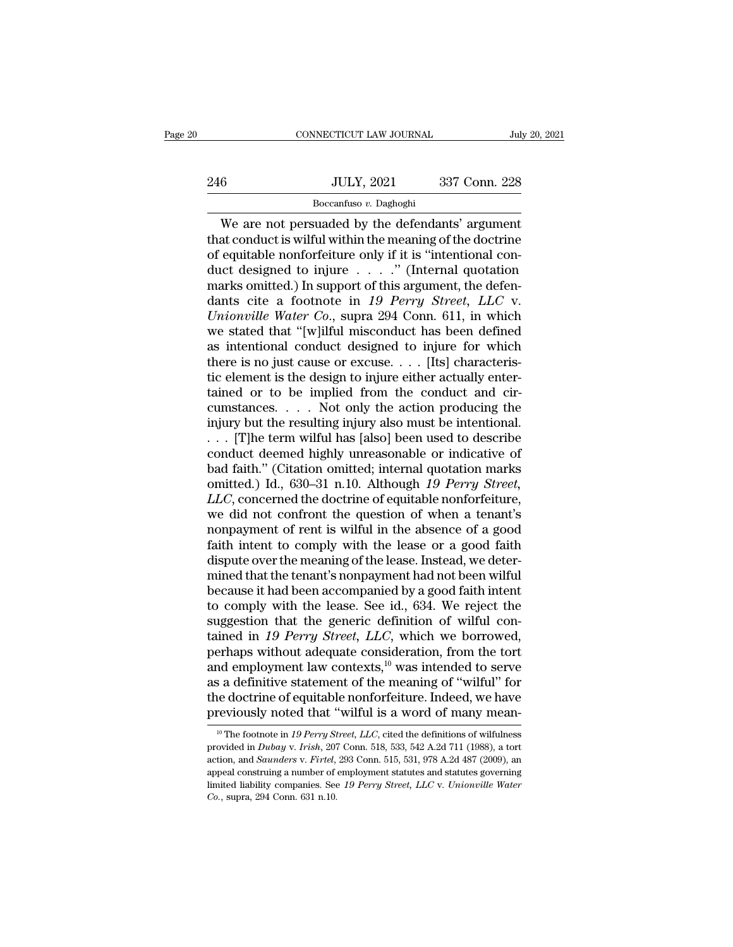# $\begin{tabular}{c} \multicolumn{2}{c|}{\text{CONNECTICUT LAW JOURNAL}} & July 20, 2021 \\ \cline{2-2} \multicolumn{2}{c|}{\text{July 20, 2021}} & \multicolumn{2}{c|}{\text{July 20, 2021}} \\ \cline{2-2} \multicolumn{2}{c|}{\text{MULTY, 2021}} & 337 \text{ Conn. 228} \\ \cline{2-2} \multicolumn{2}{c|}{\text{Boccantuso $v$}} & \text{Daghoghi} \end{tabular}$ Boccanfuso *v.* Daghoghi

CONNECTICUT LAW JOURNAL July 20, 202<br>
6<br>
We are not persuaded by the defendants' argument<br>
at conduct is wilful within the meaning of the doctrine<br>
argument<br>
contrible perforfoiture only if it is "intentional contribution 246 JULY, 2021 337 Conn. 228<br>Boccanfuso v. Daghoghi<br>We are not persuaded by the defendants' argument<br>that conduct is wilful within the meaning of the doctrine<br>of equitable nonforfeiture only if it is "intentional con-<br>duct 246 JULY, 2021 337 Conn. 228<br>
Boccanfuso v. Daghoghi<br>
We are not persuaded by the defendants' argument<br>
that conduct is wilful within the meaning of the doctrine<br>
of equitable nonforfeiture only if it is "intentional con-246 JULY, 2021 337 Conn. 228<br>
Boccanfuso v. Daghoghi<br>
We are not persuaded by the defendants' argument<br>
that conduct is wilful within the meaning of the doctrine<br>
of equitable nonforfeiture only if it is "intentional con-Boccanfuso v. Daghoghi<br>Boccanfuso v. Daghoghi<br>We are not persuaded by the defendants' argument<br>that conduct is wilful within the meaning of the doctrine<br>of equitable nonforfeiture only if it is "intentional con-<br>duct desi Boccanfuso *v.* Daghoghi<br>We are not persuaded by the defendants' argument<br>that conduct is wilful within the meaning of the doctrine<br>of equitable nonforfeiture only if it is "intentional con-<br>duct designed to injure . . . . We are not persuaded by the defendants' argument<br>that conduct is wilful within the meaning of the doctrine<br>of equitable nonforfeiture only if it is "intentional con-<br>duct designed to injure . . . . . " (Internal quotation<br> that conduct is wilful within the meaning of the doctrine<br>of equitable nonforfeiture only if it is "intentional con-<br>duct designed to injure  $\ldots$ ." (Internal quotation<br>marks omitted.) In support of this argument, the def of equitable nonforfeiture only if it is "intentional conduct designed to injure  $\dots$ ." (Internal quotation marks omitted.) In support of this argument, the defendants cite a footnote in 19 Perry Street, LLC v. Unionville duct designed to injure . . . . ." (Internal quotation marks omitted.) In support of this argument, the defendants cite a footnote in 19 Perry Street, LLC v. Unionville Water Co., supra 294 Conn. 611, in which we stated t marks omitted.) In support of this argument, the defendants cite a footnote in 19 Perry Street, LLC v.<br>Unionville Water Co., supra 294 Conn. 611, in which<br>we stated that "[w]ilful misconduct has been defined<br>as intentiona dants cite a footnote in 19 Perry Street, LLC v.<br>
Unionville Water Co., supra 294 Conn. 611, in which<br>
we stated that "[w]ilful misconduct has been defined<br>
as intentional conduct designed to injure for which<br>
there is no Unionville Water Co., supra 294 Conn. 611, in which<br>we stated that "[w]ilful misconduct has been defined<br>as intentional conduct designed to injure for which<br>there is no just cause or excuse. . . . [Its] characteris-<br>tic e we stated that "[w]ilful misconduct has been defined<br>as intentional conduct designed to injure for which<br>there is no just cause or excuse.... [Its] characteris-<br>tic element is the design to injure either actually enter-<br>t as intentional conduct designed to injure for which<br>there is no just cause or excuse. . . . [Its] characteris-<br>tic element is the design to injure either actually enter-<br>tained or to be implied from the conduct and cir-<br>c there is no just cause or excuse. . . . [Its] characteristic element is the design to injure either actually enter-<br>tained or to be implied from the conduct and cir-<br>cumstances. . . . Not only the action producing the<br>inj tic element is the design to injure either actually enter-<br>tained or to be implied from the conduct and cir-<br>cumstances. . . . Not only the action producing the<br>injury but the resulting injury also must be intentional.<br>. tained or to be implied from the conduct and circumstances. . . . Not only the action producing the injury but the resulting injury also must be intentional. . . . [T]he term wilful has [also] been used to describe conduc cumstances.  $\ldots$  Not only the action producing the<br>injury but the resulting injury also must be intentional.<br> $\ldots$  [T]he term wilful has [also] been used to describe<br>conduct deemed highly unreasonable or indicative of<br>ba injury but the resulting injury also must be intentional.<br>  $\ldots$  [T]he term wilful has [also] been used to describe<br>
conduct deemed highly unreasonable or indicative of<br>
bad faith." (Citation omitted; internal quotation m . . . [T]he term wilful has [also] been used to describe<br>conduct deemed highly unreasonable or indicative of<br>bad faith." (Citation omitted; internal quotation marks<br>omitted.) Id., 630–31 n.10. Although 19 Perry Street,<br> $LL$ conduct deemed highly unreasonable or indicative of<br>bad faith." (Citation omitted; internal quotation marks<br>omitted.) Id., 630–31 n.10. Although 19 Perry Street,<br>LLC, concerned the doctrine of equitable nonforfeiture,<br>we d bad faith." (Citation omitted; internal quotation marks<br>omitted.) Id., 630–31 n.10. Although 19 Perry Street,<br>LLC, concerned the doctrine of equitable nonforfeiture,<br>we did not confront the question of when a tenant's<br>nonp omitted.) Id., 630–31 n.10. Although 19 Perry Street, <br>*LLC*, concerned the doctrine of equitable nonforfeiture,<br>we did not confront the question of when a tenant's<br>nonpayment of rent is wilful in the absence of a good<br>fa *LLC*, concerned the doctrine of equitable nonforfeiture,<br>we did not confront the question of when a tenant's<br>nonpayment of rent is wilful in the absence of a good<br>faith intent to comply with the lease or a good faith<br>disp we did not confront the question of when a tenant's<br>nonpayment of rent is wilful in the absence of a good<br>faith intent to comply with the lease or a good faith<br>dispute over the meaning of the lease. Instead, we deter-<br>mine nonpayment of rent is wilful in the absence of a good<br>faith intent to comply with the lease or a good faith<br>dispute over the meaning of the lease. Instead, we deter-<br>mined that the tenant's nonpayment had not been wilful<br>b faith intent to comply with the lease or a good faith<br>dispute over the meaning of the lease. Instead, we deter-<br>mined that the tenant's nonpayment had not been wilful<br>because it had been accompanied by a good faith intent dispute over the meaning of the lease. Instead, we deter-<br>mined that the tenant's nonpayment had not been wilful<br>because it had been accompanied by a good faith intent<br>to comply with the lease. See id., 634. We reject the mined that the tenant's nonpayment had not been wilful<br>because it had been accompanied by a good faith intent<br>to comply with the lease. See id., 634. We reject the<br>suggestion that the generic definition of wilful con-<br>tai because it had been accompanied by a good faith intent<br>to comply with the lease. See id., 634. We reject the<br>suggestion that the generic definition of wilful con-<br>tained in 19 Perry Street, LLC, which we borrowed,<br>perhaps to comply with the lease. See id., 634. We reject the suggestion that the generic definition of wilful contained in 19 Perry Street, LLC, which we borrowed, perhaps without adequate consideration, from the tort and employ suggestion that the generic definition of wilful contained in 19 Perry Street, LLC, which we borrowed, perhaps without adequate consideration, from the tort and employment law contexts,<sup>10</sup> was intended to serve as a defi nd employment law contexts,<sup>10</sup> was intended to serve<br>
is a definitive statement of the meaning of "wilful" for<br>
ie doctrine of equitable nonforfeiture. Indeed, we have<br>
reviously noted that "wilful is a word of many meanas a definitive statement of the meaning of "wilful" for<br>the doctrine of equitable nonforfeiture. Indeed, we have<br>previously noted that "wilful is a word of many mean-<br><sup>10</sup> The footnote in 19 Perry Street, LLC, cited the d

the doctrine of equitable nonforfeiture. Indeed, we have<br>previously noted that "wilful is a word of many mean-<br><sup>10</sup> The footnote in 19 Perry Street, LLC, cited the definitions of wilfulness<br>provided in *Dubay v. Irish*, 20 previously noted that "wilful is a word of many mean-<br><sup>10</sup> The footnote in 19 Perry Street, LLC, cited the definitions of wilfulness<br>provided in *Dubay v. Irish*, 207 Conn. 518, 533, 542 A.2d 711 (1988), a tort<br>action, an previously floted that Willth IS a Word of filarly filearl-<br><sup>10</sup> The footnote in 19 Perry Street, LLC, cited the definitions of wilfulness<br>provided in *Dubay v. Irish*, 207 Conn. 518, 533, 542 A.2d 711 (1988), a tort<br>actio <sup>10</sup> The footnote in 19 Perry St<br>provided in Dubay v. Irish, 207<br>action, and Saunders v. Firtel,<br>appeal construing a number of<br>limited liability companies. See<br>Co., supra, 294 Conn. 631 n.10.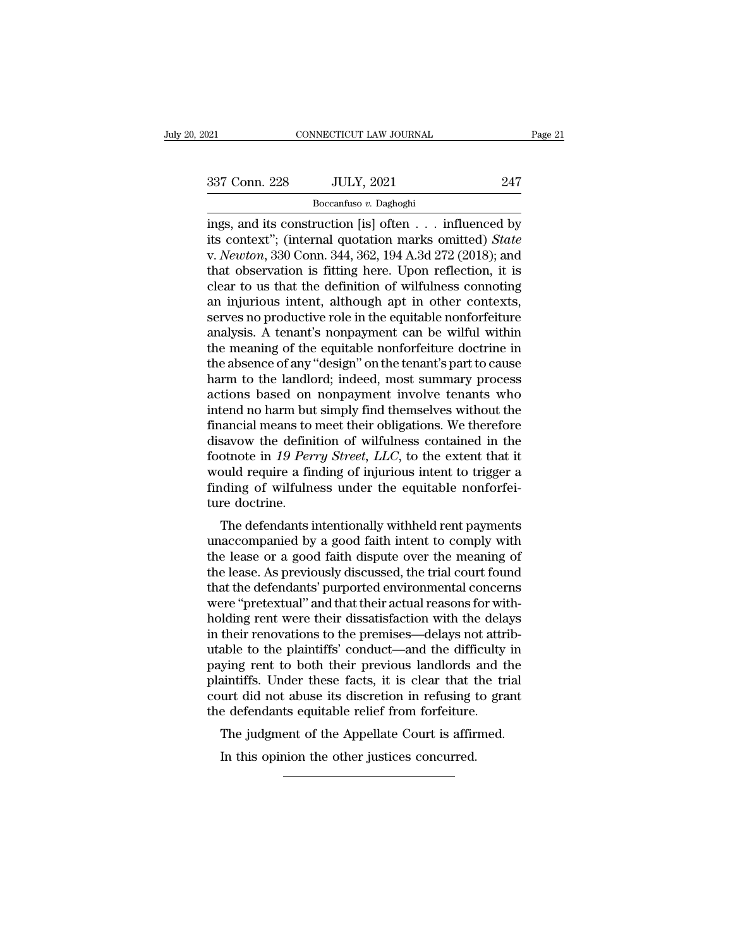Boccanfuso *v.* Daghoghi

Figure 21<br>
ings, and its construction [is] often . . . influenced by<br>
its context"; (internal quotation marks omitted) *State*<br>
Express 220 Conn 244, 262, 104, A 24, 272 (2018); and 337 Conn. 228 JULY, 2021 247<br>
Boccanfuso v. Daghoghi<br>
ings, and its construction [is] often . . . influenced by<br>
its context''; (internal quotation marks omitted) *State*<br>
v. *Newton*, 330 Conn. 344, 362, 194 A.3d 272 (201 337 Conn. 228 JULY, 2021 247<br>
Boccanfuso v. Daghoghi<br>
ings, and its construction [is] often . . . influenced by<br>
its context"; (internal quotation marks omitted) *State*<br>
v. *Newton*, 330 Conn. 344, 362, 194 A.3d 272 (2018 337 Conn. 228 JULY, 2021 247<br>
Boccanfuso v. Daghoghi<br>
ings, and its construction [is] often . . . influenced by<br>
its context"; (internal quotation marks omitted) *State*<br>
v. *Newton*, 330 Conn. 344, 362, 194 A.3d 272 (201 Boccanfuso v. Daghoghi<br>
ings, and its construction [is] often . . . influenced by<br>
its context"; (internal quotation marks omitted) *State*<br>
v. *Newton*, 330 Conn. 344, 362, 194 A.3d 272 (2018); and<br>
that observation is f ings, and its construction [is] often  $\ldots$  influenced by its context"; (internal quotation marks omitted) *State* v. *Newton*, 330 Conn. 344, 362, 194 A.3d 272 (2018); and that observation is fitting here. Upon reflectio ings, and its construction [is] often . . . influenced by<br>its context"; (internal quotation marks omitted) *State*<br>v. *Newton*, 330 Conn. 344, 362, 194 A.3d 272 (2018); and<br>that observation is fitting here. Upon reflection its context"; (internal quotation marks omitted) *State* v. *Newton*, 330 Conn. 344, 362, 194 A.3d 272 (2018); and that observation is fitting here. Upon reflection, it is clear to us that the definition of wilfulness con v. *Newton*, 330 Conn. 344, 362, 194 A.3d 272 (2018); and<br>that observation is fitting here. Upon reflection, it is<br>clear to us that the definition of wilfulness connoting<br>an injurious intent, although apt in other contexts that observation is fitting here. Upon reflection, it is<br>clear to us that the definition of wilfulness connoting<br>an injurious intent, although apt in other contexts,<br>serves no productive role in the equitable nonforfeiture clear to us that the definition of wilfulness connoting<br>an injurious intent, although apt in other contexts,<br>serves no productive role in the equitable nonforfeiture<br>analysis. A tenant's nonpayment can be wilful within<br>the an injurious intent, although apt in other contexts,<br>serves no productive role in the equitable nonforfeiture<br>analysis. A tenant's nonpayment can be wilful within<br>the meaning of the equitable nonforfeiture doctrine in<br>the serves no productive role in the equitable nonforfeiture<br>analysis. A tenant's nonpayment can be wilful within<br>the meaning of the equitable nonforfeiture doctrine in<br>the absence of any "design" on the tenant's part to cause analysis. A tenant's nonpayment can be wilful within<br>the meaning of the equitable nonforfeiture doctrine in<br>the absence of any "design" on the tenant's part to cause<br>harm to the landlord; indeed, most summary process<br>actio the meaning of the equitable nonforfeiture doctrine in<br>the absence of any "design" on the tenant's part to cause<br>harm to the landlord; indeed, most summary process<br>actions based on nonpayment involve tenants who<br>intend no the absence of any "design" on the tenant's part to cause<br>harm to the landlord; indeed, most summary process<br>actions based on nonpayment involve tenants who<br>intend no harm but simply find themselves without the<br>financial m harm to the landlord; indeed, most summary process<br>actions based on nonpayment involve tenants who<br>intend no harm but simply find themselves without the<br>financial means to meet their obligations. We therefore<br>disavow the d actions based on nonpayment involve tenants who<br>intend no harm but simply find themselves without the<br>financial means to meet their obligations. We therefore<br>disavow the definition of wilfulness contained in the<br>footnote intend no harm but<br>financial means to<br>disavow the defini<br>footnote in 19 Per<br>would require a fir<br>finding of wilfulne<br>ture doctrine.<br>The defendants i Example and the definition of wilfulness contained in the otnote in 19 Perry Street, LLC, to the extent that it build require a finding of injurious intent to trigger a ding of wilfulness under the equitable nonforfeire do disavow the definition of whitness contained in the<br>footnote in 19 Perry Street, LLC, to the extent that it<br>would require a finding of injurious intent to trigger a<br>finding of wilfulness under the equitable nonforfei-<br>tur

From the lease or a good faith dispute over the meaning of the lease or a good faith intent to trigger a finding of wilfulness under the equitable nonforfeiture doctrine.<br>The defendants intentionally withheld rent payments would require a finding of injurious linent to trigger a<br>finding of wilfulness under the equitable nonforfei-<br>ture doctrine.<br>The defendants intentionally withheld rent payments<br>unaccompanied by a good faith intent to compl Thin that the defendants intentionally withheld rent payments<br>
unaccompanied by a good faith intent to comply with<br>
the lease or a good faith dispute over the meaning of<br>
the lease. As previously discussed, the trial court The defendants intentionally withheld rent payments<br>unaccompanied by a good faith intent to comply with<br>the lease or a good faith dispute over the meaning of<br>the lease. As previously discussed, the trial court found<br>that t The defendants intentionally withheld rent payments<br>unaccompanied by a good faith intent to comply with<br>the lease or a good faith dispute over the meaning of<br>the lease. As previously discussed, the trial court found<br>that t unaccompanied by a good faith intent to comply with<br>the lease or a good faith dispute over the meaning of<br>the lease. As previously discussed, the trial court found<br>that the defendants' purported environmental concerns<br>were the lease or a good faith dispute over the meaning of<br>the lease. As previously discussed, the trial court found<br>that the defendants' purported environmental concerns<br>were "pretextual" and that their actual reasons for with the lease. As previously discussed, the trial court found<br>that the defendants' purported environmental concerns<br>were "pretextual" and that their actual reasons for with-<br>holding rent were their dissatisfaction with the del that the defendants' purported environmental concerns<br>were "pretextual" and that their actual reasons for with-<br>holding rent were their dissatisfaction with the delays<br>in their renovations to the premises—delays not attrib were "pretextual" and that their actual reasons for with-<br>holding rent were their dissatisfaction with the delays<br>in their renovations to the premises—delays not attrib-<br>utable to the plaintiffs' conduct—and the difficulty holding rent were their dissatisfaction with the delain their renovations to the premises—delays not attrutable to the plaintiffs' conduct—and the difficulty paying rent to both their previous landlords and t plaintiffs. U their renovations to the premises—delays not atmo-<br>able to the plaintiffs' conduct—and the difficulty in<br>ying rent to both their previous landlords and the<br>aintiffs. Under these facts, it is clear that the trial<br>urt did no In their previous landlords is a<br>intiffs. Under these facts, it is clear that the ourt did not abuse its discretion in refusing the defendants equitable relief from forfeiture.<br>The judgment of the Appellate Court is affire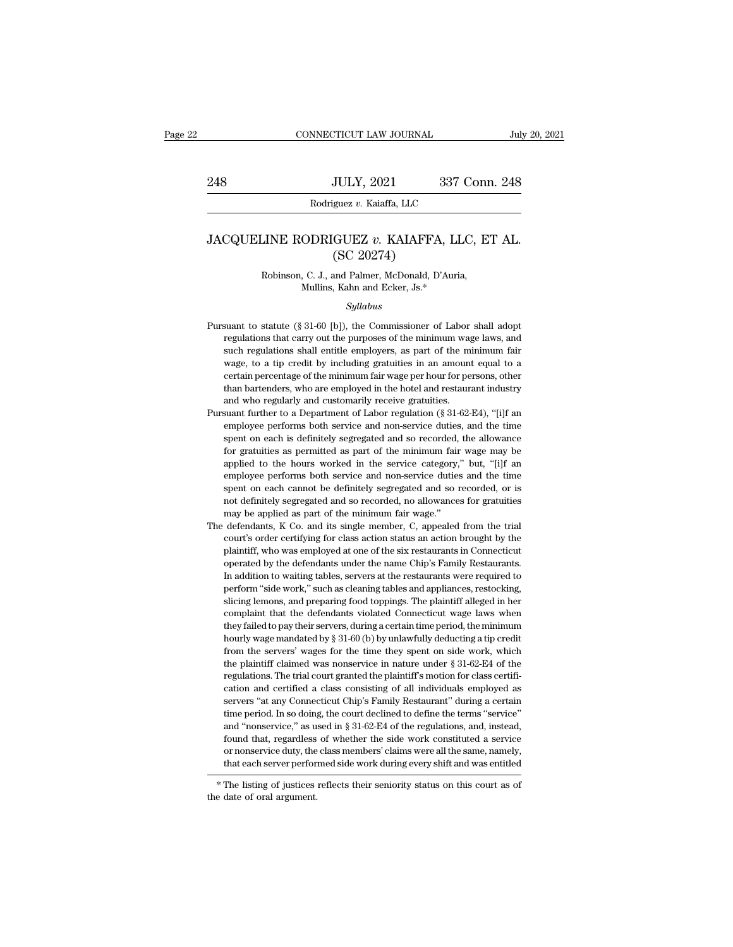## 1948 JULY, 2021 337 Conn. 248<br>Rodriguez *v.* Kaiaffa, LLC<br>JACQUELINE RODRIGUEZ *v.* KAIAFFA, LLC, ET AL.<br>(SC 20274) JULY, 2021<br>guez v. Kaiaffa, LLC<br>GUEZ v. KAIAFFA<br>(SC 20274)<br>and Palmer, McDonald, D' Rodriguez v. Kalaria, LLC<br>
LINE RODRIGUEZ v. KAIAFFA, LLC, E<br>
(SC 20274)<br>
Robinson, C. J., and Palmer, McDonald, D'Auria,<br>
Mullins, Kahn and Ecker, Js.\* **ODRIGUEZ v. KAIAFFA, LL**<br>
(SC 20274)<br>
, C. J., and Palmer, McDonald, D'Auria<br>
Mullins, Kahn and Ecker, Js.\*<br>
Syllabus

### *Syllabus*

- ( $SC 20274$ )<br>
Robinson, C. J., and Palmer, McDonald, D'Auria,<br>
Mullins, Kahn and Ecker, Js.\*<br>
Syllabus<br>
Pursuant to statute (§ 31-60 [b]), the Commissioner of Labor shall adopt<br>
regulations that carry out the purposes of t Robinson, C. J., and Palmer, McDonald, D'Auria,<br>Mullins, Kahn and Ecker, Js.\*<br> $Syllabus$ <br>suant to statute (§ 31-60 [b]), the Commissioner of Labor shall adopt<br>regulations that carry out the purposes of the minimum wage laws, Such regulations shall entitle employers, as part of the minimum fair<br>suant to statute (§ 31-60 [b]), the Commissioner of Labor shall adopt<br>regulations that carry out the purposes of the minimum wage laws, and<br>such regulat *Syllabus*<br>Suant to statute (§ 31-60 [b]), the Commissioner of Labor shall adopt<br>regulations that carry out the purposes of the minimum wage laws, and<br>such regulations shall entitle employers, as part of the minimum fair<br>w Syllabus<br>suant to statute (§ 31-60 [b]), the Commissioner of Labor shall adopt<br>regulations that carry out the purposes of the minimum wage laws, and<br>such regulations shall entitle employers, as part of the minimum fair<br>wag suant to statute (§ 31-60 [b]), the Commissioner of Labor shall adopt<br>regulations that carry out the purposes of the minimum wage laws, and<br>such regulations shall entitle employers, as part of the minimum fair<br>wage, to a Pursuant to statute  $(\S 31-60 \text{ [b]})$ , the Commissioner of Labor shall adopt<br>regulations that carry out the purposes of the minimum wage laws, and<br>such regulations shall entitle employers, as part of the minimum fair<br>wage such regulations shall entitle employers, as part of the minimum fair wage, to a tip credit by including gratuities in an amount equal to a certain percentage of the minimum fair wage per hour for persons, other than barte wage, to a tip credit by including gratuities in an amount equal to a certain percentage of the minimum fair wage per hour for persons, other than bartenders, who are employed in the hotel and restaurant industry and who
- certain percentage of the minimum fair wage per hour for persons, other than bartenders, who are employed in the hotel and restaurant industry and who regularly and customarily receive gratuities.<br>suant further to a Depar because than bartenders, who are employed in the hotel and restaurant industry and who regularly and customarily receive gratuities.<br>
suant further to a Department of Labor regulation (§ 31-62-E4), "[i]f an<br>
employee perfo and who regularly and customarily receive gratuities.<br>suant further to a Department of Labor regulation (§ 31-62-E4), "[i]f an<br>employee performs both service and non-service duties, and the time<br>spent on each is definitely suant further to a Department of Labor regulation (§ 31-62-E4), "[i]f an employee performs both service and non-service duties, and the time spent on each is definitely segregated and so recorded, the allowance for gratui sem of each cannot be definitely segregated and so recorded, the allowance for gratuities as permitted as part of the minimum fair wage may be applied to the hours worked in the service category," but, "[i]f an employee pe entry of peach is definitely segregated and so recorded, the allowance for gratuities as permitted as part of the minimum fair wage may be applied to the hours worked in the service category," but, "[i]f an employee perfor spent on each is definitely segregated and so recorded, the allowance<br>for gratuities as permitted as part of the minimum fair wage may be<br>applied to the hours worked in the service category," but, "[i]f an<br>employee perform applied to the hours worked in the service category," but, "[i]f an employee performs both service and non-service duties and the time spent on each cannot be definitely segregated and so recorded, or is not definitely seg employee performs both service and non-service duties and the time<br>spent on each cannot be definitely segregated and so recorded, or is<br>not definitely segregated and so recorded, no allowances for gratuities<br>may be applied
- spent on each cannot be definitely segregated and so recorded, or is<br>not definitely segregated and so recorded, no allowances for gratuities<br>may be applied as part of the minimum fair wage."<br>defendants, K Co. and its singl not definitely segregated and so recorded, no allowances for gratuities may be applied as part of the minimum fair wage."<br>defendants, K Co. and its single member, C, appealed from the trial court's order certifying for cla In any be applied as part of the minimum fair wage."<br>
defendants, K Co. and its single member, C, appealed from the trial<br>
court's order certifying for class action status an action brought by the<br>
plaintiff, who was emplo may be dependents, K Co. and its single member, C, appealed from the trial defendants, K Co. and its single member, C, appealed from the yelaintiff, who was employed at one of the six restaurants in Connecticut operated by slicing and preparing for class action status an action brought by the plaintiff, who was employed at one of the six restaurants in Connecticut operated by the defendants under the name Chip's Family Restaurants. In additi plaintiff, who was employed at one of the six restaurants in Connecticut<br>operated by the defendants under the name Chip's Family Restaurants.<br>In addition to waiting tables, servers at the restaurants were required to<br>perfo perated by the defendants under the name Chip's Family Restaurants.<br>In addition to waiting tables, servers at the restaurants were required to<br>perform "side work," such as cleaning tables and appliances, restocking,<br>slicin by a addition to waiting tables, servers at the restaurants were required to perform "side work," such as cleaning tables and appliances, restocking, slicing lemons, and preparing food toppings. The plaintiff alleged in he from "side work," such as cleaning tables and appliances, restocking,<br>perform "side work," such as cleaning tables and appliances, restocking,<br>slicing lemons, and preparing food toppings. The plaintiff alleged in her<br>compl slicing lemons, and preparing food toppings. The plaintiff alleged in her complaint that the defendants violated Connecticut wage laws when they failed to pay their servers, during a certain time period, the minimum hourl complaint that the defendants violated Connecticut wage laws when<br>they failed to pay their servers, during a certain time period, the minimum<br>hourly wage mandated by  $\S 31-60$  (b) by unlawfully deducting a tip credit<br>from they failed to pay their servers, during a certain time period, the minimum hourly wage mandated by  $\S 31-60$  (b) by unlawfully deducting a tip credit from the servers' wages for the time they spent on side work, which th show waxes was madated by § 31-60 (b) by unlawfully deducting a tip credit from the servers' wages for the time they spent on side work, which the plaintiff claimed was nonservice in nature under § 31-62-E4 of the regulat from the servers' wages for the time they spent on side work, which the plaintiff claimed was nonservice in nature under  $\S$  31-62-E4 of the regulations. The trial court granted the plaintiff's motion for class certificat the plaintiff claimed was nonservice in nature under  $\S$  31-62-E4 of the regulations. The trial court granted the plaintiff's motion for class certification and certified a class consisting of all individuals employed as regulations. The trial court granted the plaintiff's motion for class certification and certified a class consisting of all individuals employed as servers "at any Connecticut Chip's Family Restaurant" during a certain tim or nonservice duty, the class members' claims were all the same, namely, servers "at any Connecticut Chip's Family Restaurant" during a certain<br>time period. In so doing, the court declined to define the terms "service"<br>and "nonservice," as used in § 31-62-E4 of the regulations, and, instead,<br>fo and "nonservice," as us<br>found that, regardless<br>or nonservice duty, the<br>that each server performed.<br>\* The listing of justices<br>the date of oral argument.

that each server performed side work during every shift and was entitled  $*$  The listing of justices reflects their seniority status on this court as of the date of oral argument.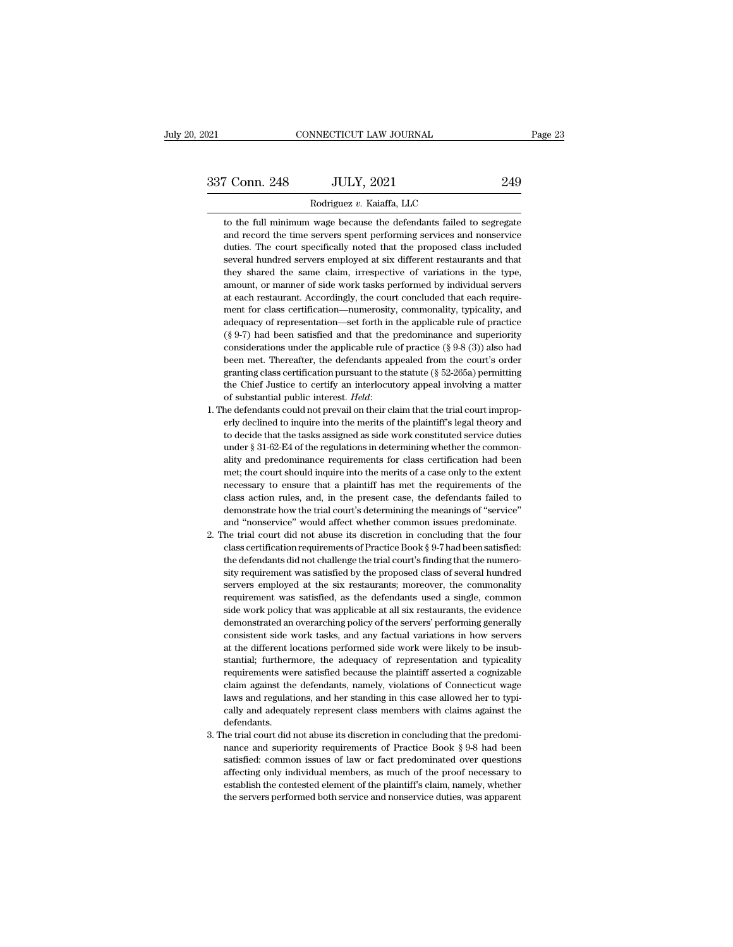CONNECTICUT LAW JOURNAL<br>
T Conn. 248 JULY, 2021 249<br>
Rodriguez *v.* Kaiaffa, LLC<br>
to the full minimum wage because the defendants failed to segregate The full minimum wage because the defendants failed to segregate<br>to the full minimum wage because the defendants failed to segregate<br>and record the time servers spent performing services and nonservice and record the time servers spent performing services and record the time servers spent performing services and nonservice duties. The court specifically noted that the proposed class included Fraction 248 JULY, 2021 249<br>
Rodriguez v. Kaiaffa, LLC<br>
to the full minimum wage because the defendants failed to segregate<br>
and record the time servers spent performing services and nonservice<br>
duties. The court specifica Rodriguez v. Kaiaffa, LLC<br>to the full minimum wage because the defendants failed to segregate<br>and record the time servers spent performing services and nonservice<br>duties. The court specifically noted that the proposed clas Rodriguez v. Kaiaffa, LLC<br>to the full minimum wage because the defendants failed to segregate<br>and record the time servers spent performing services and nonservice<br>duties. The court specifically noted that the proposed clas to the full minimum wage because the defendants failed to segregate and record the time servers spent performing services and nonservice duties. The court specifically noted that the proposed class included several hundred and record the time servers spent performing services and nonservice<br>duties. The court specifically noted that the proposed class included<br>several hundred servers employed at six different restaurants and that<br>they shared duties. The court specifically noted that the proposed class included<br>several hundred servers employed at six different restaurants and that<br>they shared the same claim, irrespective of variations in the type,<br>amount, or ma several hundred servers employed at six different restaurants and that<br>they shared the same claim, irrespective of variations in the type,<br>amount, or manner of side work tasks performed by individual servers<br>at each restau they shared the same claim, irrespective of variations in the type,<br>they shared the same claim, irrespective of variations in the type,<br>amount, or manner of side work tasks performed by individual servers<br>at each restauran amount, or manner of side work tasks performed by individual servers<br>at each restaurant. Accordingly, the court concluded that each require-<br>ment for class certification—numerosity, commonality, typicality, and<br>adequacy of amount, or manner of side work tasks performed by individual servers<br>at each restaurant. Accordingly, the court concluded that each require-<br>ment for class certification—numerosity, commonality, typicality, and<br>adequacy o ment for class certification—numerosity, commonality, typicality, and adequacy of representation—set forth in the applicable rule of practice (§ 9-7) had been satisfied and that the predominance and superiority considerat adequacy of representation—set forth in the applicable rule of practice (§ 9-7) had been satisfied and that the predominance and superiority considerations under the applicable rule of practice (§ 9-8 (3)) also had been m (§ 9-7) had been satisfied and that the predominance and superiority considerations under the applicable rule of practice (§ 9-8 (3)) also had been met. Thereafter, the defendants appealed from the court's order granting been met. Thereafter, the defendants appealed from the court's order granting class certification pursuant to the statute (§ 52-265a) permitting the Chief Justice to certify an interlocutory appeal involving a matter of s

- granting class certification pursuant to the statute  $(\S 52-265a)$  permitting the Chief Justice to certify an interlocutory appeal involving a matter of substantial public interest. *Held*:<br>one defendants could not prevai the Chief Justice to certify an interlocutory appeal involving a matter of substantial public interest. *Held*:<br>of substantial public interest. *Held*:<br>the defendants could not prevail on their claim that the trial court ally and public interest. *Held*:<br>aliteration of substantial public interest. *Held*:<br>he defendants could not prevail on their claim that the trial court improp-<br>erly declined to inquire into the merits of the plaintiff's he defendants could not prevail on their claim that the trial court improperly declined to inquire into the merits of the plaintiff's legal theory and to decide that the tasks assigned as side work constituted service dut erly declined to inquire into the merits of the plaintiff's legal theory and<br>to decide that the tasks assigned as side work constituted service duties<br>under § 31-62-E4 of the regulations in determining whether the common-<br> to decide that the tasks assigned as side work constituted service duties under  $\S$  31-62-E4 of the regulations in determining whether the commonality and predominance requirements for class certification had been met; th under § 31-62-E4 of the regulations in determining whether the commonality and predominance requirements for class certification had been met; the court should inquire into the merits of a case only to the extent necessary and 'the court should inquire meths for class certification had been<br>met; the court should inquire into the merits of a case only to the extent<br>necessary to ensure that a plaintiff has met the requirements of the<br>class act 2. The trial court did not abuse its discretion in concluding that the fourth the class action rules, and, in the present case, the defendants failed to demonstrate how the trial court's determining the meanings of "servi meessary to ensure that a plaintiff has met the requirements of the class action rules, and, in the present case, the defendants failed to demonstrate how the trial court's determining the meanings of "service" and "nonser
- reassary to relate a late the present case, the defendants failed to demonstrate how the trial court's determining the meanings of "service" and "nonservice" would affect whether common issues predominate. He trial court d demonstrate how the trial court's determining the meanings of "service" and "nonservice" would affect whether common issues predominate.<br>he trial court did not abuse its discretion in concluding that the four class certifi and "nonservice" would affect whether common issues predominate.<br>he trial court did not abuse its discretion in concluding that the four<br>class certification requirements of Practice Book § 9-7 had been satisfied:<br>the defen in the trial court did not abuse its discretion in concluding that the four class certification requirements of Practice Book § 9-7 had been satisfied: the defendants did not challenge the trial court's finding that the nu readed as certification requirements of Practice Book § 9-7 had been satisfied:<br>the defendants did not challenge the trial court's finding that the numero-<br>sity requirement was satisfied by the proposed class of several hu the defendants did not challenge the trial court's finding that the numerosity requirement was satisfied by the proposed class of several hundred servers employed at the six restaurants; moreover, the commonality requireme sity requirement was satisfied by the proposed class of several hundred servers employed at the six restaurants; moreover, the commonality requirement was satisfied, as the defendants used a single, common side work policy at the different was satisfied, as the defendants; moreover, the commonality requirement was satisfied, as the defendants used a single, common side work policy that was applicable at all six restaurants, the evidence demo stantial; furthermore, the adequacy of representation and typicality requirement was satisfied, as the defendants used a single, common side work policy that was applicable at all six restaurants, the evidence demonstrated requirements were satisfied because the plaintiff asserted an overaching policy of the servers' performing generally consistent side work tasks, and any factual variations in how servers at the different locations performe demonstrated an overarching policy of the servers' performing generally consistent side work tasks, and any factual variations in how servers at the different locations performed side work were likely to be insubstantial; demonstrated an overarching policy of the servers' performing generally consistent side work tasks, and any factual variations in how servers at the different locations performed side work were likely to be insubstantial; at the different locations performed side work were likely to be insubstantial; furthermore, the adequacy of representation and typicality requirements were satisfied because the plaintiff asserted a cognizable claim again defendants. 3. The trial court did not abuse its discretion in concluding that the predominance and superally and adequately represent class members with claims against the defendants.<br>3. The trial court did not abuse its discretion required and superiority requirements of Connecticut wage<br>claim against the defendants, namely, violations of Connecticut wage<br>laws and regulations, and her standing in this case allowed her to typi-<br>cally and adequately r
- sative and regulations, and her standing in this case allowed her to typically and adequately represent class members with claims against the defendants.<br>The trial court did not abuse its discretion in concluding that the cally and adequately represent class members with claims against the defendants.<br>he trial court did not abuse its discretion in concluding that the predominance and superiority requirements of Practice Book § 9-8 had been early and date<br>defendants.<br>defendants the trial court did not abuse its discretion in concluding that the predomi-<br>nance and superiority requirements of Practice Book § 9-8 had been<br>satisfied: common issues of law or fact decrimations.<br>The trial court did not abuse its discretion in concluding that the predominance and superiority requirements of Practice Book § 9-8 had been<br>satisfied: common issues of law or fact predominated over question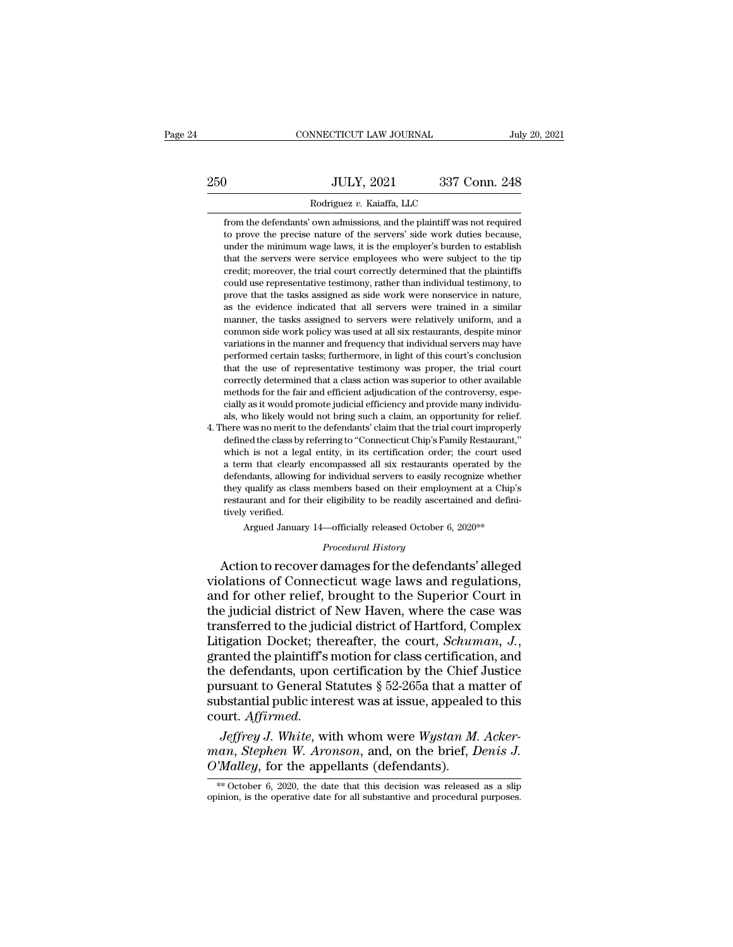|     | CONNECTICUT LAW JOURNAL                                                                                                                          | July 20, 2021 |
|-----|--------------------------------------------------------------------------------------------------------------------------------------------------|---------------|
|     |                                                                                                                                                  |               |
| 250 | <b>JULY, 2021</b>                                                                                                                                | 337 Conn. 248 |
|     | Rodriguez v. Kaiaffa, LLC                                                                                                                        |               |
|     | from the defendants' own admissions, and the plaintiff was not required<br>to prove the precise nature of the servers' side work duties because, |               |

JULY, 2021 337 Conn. 248<br>Rodriguez v. Kaiaffa, LLC<br>from the defendants' own admissions, and the plaintiff was not required<br>to prove the precise nature of the servers' side work duties because,<br>under the minimum wage laws, UULY, 2021 337 Conn. 248<br>Rodriguez v. Kaiaffa, LLC<br>from the defendants' own admissions, and the plaintiff was not required<br>to prove the precise nature of the servers' side work duties because,<br>under the minimum wage laws, Rodriguez v. Kaiaffa, LLC<br>from the defendants' own admissions, and the plaintiff was not required<br>to prove the precise nature of the servers' side work duties because,<br>under the minimum wage laws, it is the employer's burd Rodriguez v. Kaiaffa, LLC<br>from the defendants' own admissions, and the plaintiff was not required<br>to prove the precise nature of the servers' side work duties because,<br>under the minimum wage laws, it is the employer's burd from the defendants' own admissions, and the plaintiff was not required to prove the precise nature of the servers' side work duties because, under the minimum wage laws, it is the employer's burden to establish that the s From the detendants own admissions, and the plantific was not required to prove the precise nature of the servers' side work duties because, under the minimum wage laws, it is the employer's burden to establish that the se as the minimum wage laws, it is the employer's burden to establish that the servers were service employees who were subject to the tip credit; moreover, the trial court correctly determined that the plaintiffs could use re mater the minimum wage raws, it is the employer s burdent to establish that the servers were service employees who were subject to the tip credit; moreover, the trial court correctly determined that the plaintiffs could us rad the servers were service employees who were subject to the up-<br>credit; moreover, the trial court correctly determined that the plaintiffs<br>could use representative testimony, rather than individual testimony, to<br>prove t credit, indeover, the trial court correctly determined that the plaintins<br>could use representative testimony, rather than individual testimony, to<br>prove that the tasks assigned as side work were nonservice in nature,<br>as th beyond use representative testimony, rather than intuividual destintony, to prove that the tasks assigned as side work were nonservice in nature, as the evidence indicated that all servers were relatively uniform, and a co prove that the tasks assigned as side work were nonservice in haddle,<br>as the evidence indicated that all servers were relatively uniform, and a<br>common side work policy was used at all six restaurants, despite minor<br>variati as the evidence indicated that an servers were trained in a similar manner, the tasks assigned to servers were relatively uniform, and a common side work policy was used at all six restaurants, despite minor variations in manner, the tasks assigned to servers were relatively uniform, and a common side work policy was used at all six restaurants, despite minor variations in the manner and frequency that individual servers may have performed colution side work policy was used at all six restaurants, despite inflormations in the manner and frequency that individual servers may have performed certain tasks; furthermore, in light of this court's conclusion that t variations in the mainter and requency that individual servers may have<br>performed certain tasks; furthermore, in light of this court's conclusion<br>that the use of representative testimony was proper, the trial court<br>correct performed certain tasks; furthermore, in fight of this court's conclusion<br>that the use of representative testimony was proper, the trial court<br>correctly determined that a class action was superior to other available<br>method mat the use of representative testimony was proper, the trial court<br>correctly determined that a class action was superior to other available<br>methods for the fair and efficient adjudication of the controversy, espe-<br>cially

correctly determined that a class action was superior to other available<br>methods for the fair and efficient adjudication of the controversy, espe-<br>cially as it would promote judicial efficiency and provide many individu-<br>a methods for the fair and efficiency and provide many individuals, who likely would not bring such a claim, an opportunity for relief.<br>here was no merit to the defendants' claim that the trial court improperly<br>defined the c clairy as it would profilote judicial efficiency and provide many murviduals, who likely would not bring such a claim, an opportunity for relief.<br>here was no merit to the defendants' claim that the trial court improperly<br>d as, who likely would not bring such a claim, an opportunity for renet.<br>here was no merit to the defendants' claim that the trial court improperly<br>defined the class by referring to "Connecticut Chip's Family Restaurant,"<br>wh refere was no merit to the defendants ciant that the trial court improperty<br>defined the class by referring to "Connecticut Chip's Family Restaurant,"<br>which is not a legal entity, in its certification order; the court used<br> denned the class by<br>which is not a legg<br>a term that clearly<br>defendants, allowin<br>they qualify as class<br>restaurant and for t<br>tively verified.<br>Argued Januar m that clearly encompassed all six restaurants operated by the<br>maths, allowing for individual servers to easily recognize whether<br>qualify as class members based on their employment at a Chip's<br>urant and for their eligibili defendants, allowing for individual servers to easily recognize whether<br>they qualify as class members based on their employment at a Chip's<br>restaurant and for their eligibility to be readily ascertained and defini-<br>tively defendants, allowing for individual servers to easily recognize whether<br>they qualify as class members based on their employment at a Chip's<br>restaurant and for their eligibility to be readily ascertained and defini-<br>tively

they qualify as class members based on their employment at a Chip's<br>restaurant and for their eligibility to be readily ascertained and defini-<br>tively verified.<br>Argued January 14—officially released October 6, 2020\*\*<br>*Proce* restaurant and for their eligibility to be readily ascertained and defini-<br>tively verified.<br>Argued January 14—officially released October 6, 2020\*\*<br>Procedural History<br>Action to recover damages for the defendants' alleged<br>v the judicial district of Hartford, Complex Litigation Docket: thereafter the court Schuman J<br>
district of New Haven, where the case was<br>
district of New Haven, where the case was<br>
district of New Haven, where the case was<br> Argued January 14—omcially released October 6, 2020<sup>\*\*</sup><br> *Procedural History*<br>
Action to recover damages for the defendants' alleged<br>
violations of Connecticut wage laws and regulations,<br>
and for other relief, brought to t *Procedural History*<br>
Action to recover damages for the defendants' alleged<br>
violations of Connecticut wage laws and regulations,<br>
and for other relief, brought to the Superior Court in<br>
the judicial district of New Haven, violations of Connecticut wage laws and regulations,<br>and for other relief, brought to the Superior Court in<br>the judicial district of New Haven, where the case was<br>transferred to the judicial district of Hartford, Complex<br> and for other relief, brought to the Superior Court in<br>the judicial district of New Haven, where the case was<br>transferred to the judicial district of Hartford, Complex<br>Litigation Docket; thereafter, the court, *Schuman*, J the judicial district of New Haven, where the case was<br>transferred to the judicial district of Hartford, Complex<br>Litigation Docket; thereafter, the court, *Schuman*, J.,<br>granted the plaintiff's motion for class certificati court. *Affirmed. J*<br>*Jensen Docket; thereafter, the court, <i>Schuman, J.*,<br>anted the plaintiff's motion for class certification, and<br>e defendants, upon certification by the Chief Justice<br>rsuant to General Statutes § 52-265a that a matter o granted the plaintiff's motion for class certification, and<br>the defendants, upon certification by the Chief Justice<br>pursuant to General Statutes § 52-265a that a matter of<br>substantial public interest was at issue, appealed the defendants, upon certification by the Chief Justice<br>pursuant to General Statutes § 52-265a that a matter of<br>substantial public interest was at issue, appealed to this<br>court. *Affirmed.*<br>*Jeffrey J. White*, with whom we

*Jeffrey J. White,* with whom were *Wystan M. Ackerman, Stephen W. Aronson,* and, on the brief, *Denis J.*  $O'Malley$ , for the appellants (defendants).<br><sup>\*\*</sup> October 6, 2020, the date that this decision was released as a slip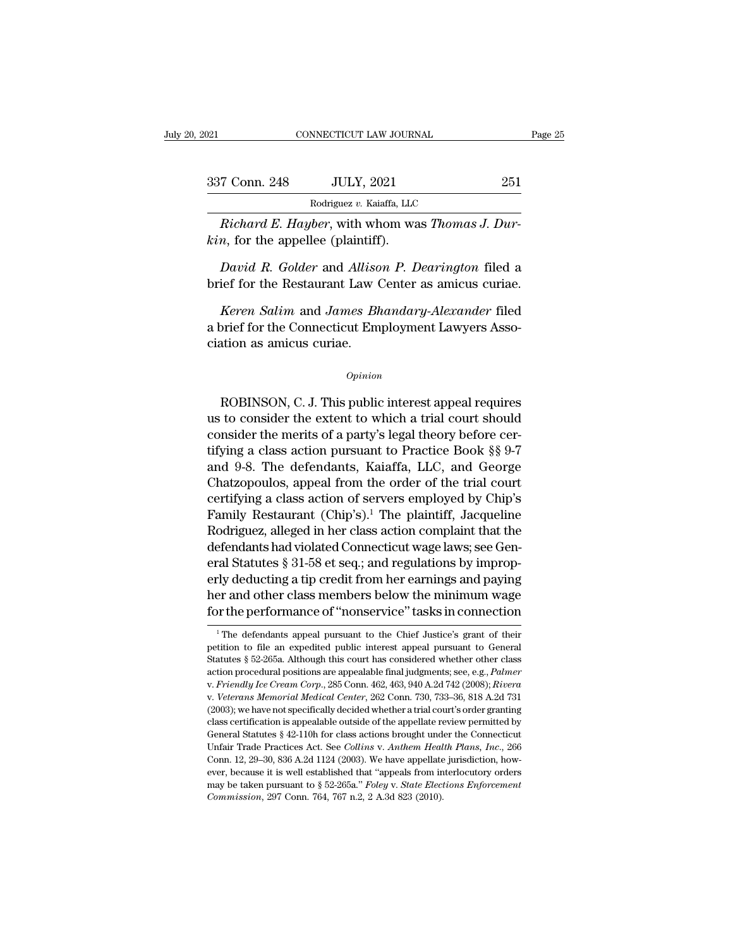| 2021          | CONNECTICUT LAW JOURNAL                                                                                           | Page 25 |
|---------------|-------------------------------------------------------------------------------------------------------------------|---------|
| 337 Conn. 248 | <b>JULY, 2021</b>                                                                                                 | 251     |
|               | Rodriguez v. Kaiaffa, LLC                                                                                         |         |
|               | <i>Richard E. Hayber, with whom was Thomas J. Dur-</i><br>$kin$ , for the appellee (plaintiff).                   |         |
|               | <i>David R. Golder and Allison P. Dearington filed a</i><br>brief for the Restaurant Law Center as amicus curiae. |         |
|               | Keren Salim and James Bhandary-Alexander filed                                                                    |         |

*Richard E. Hayber*, with whom was *Thomas J. Dur-*<br>*n*, for the appellee (plaintiff).<br>*David R. Golder* and *Allison P. Dearington* filed a<br>ief for the Restaurant Law Center as amicus curiae.<br>*Keren Salim* and *James Bhan* France Employment Mass Themas 3. But<br>
kin, for the appellee (plaintiff).<br>
David R. Golder and Allison P. Dearington filed a<br>
brief for the Restaurant Law Center as amicus curiae.<br>
Keren Salim and James Bhandary-Alexander f David R. Golder and Alliso<br>brief for the Restaurant Law (<br>Keren Salim and James Bha<br>brief for the Connecticut Em<br>ciation as amicus curiae. Keren Salim and James Bhandary-Alexander filed<br>
prief for the Connecticut Employment Lawyers Asso-<br>
ation as amicus curiae.<br>  $\frac{Opinion}{P}$ <br>
ROBINSON, C. J. This public interest appeal requires<br>
to consider the extent to whic

## *Opinion*

a brief for the Connecticut Employment Lawyers Association as amicus curiae.<br>  $\frac{Opinion}{P}$ <br>
ROBINSON, C. J. This public interest appeal requires<br>
us to consider the extent to which a trial court should<br>
consider the merits *Opinion*<br>*Opinion*<br>ROBINSON, C. J. This public interest appeal requires<br>us to consider the extent to which a trial court should<br>consider the merits of a party's legal theory before cer-<br>tifying a class action pursuant to Opinion<br>
Opinion<br>
ROBINSON, C. J. This public interest appeal requires<br>
us to consider the extent to which a trial court should<br>
consider the merits of a party's legal theory before cer-<br>
tifying a class action pursuant to opinion<br>
ROBINSON, C. J. This public interest appeal requires<br>
us to consider the extent to which a trial court should<br>
consider the merits of a party's legal theory before cer-<br>
tifying a class action pursuant to Practice ROBINSON, C. J. This public interest appeal requires<br>us to consider the extent to which a trial court should<br>consider the merits of a party's legal theory before cer-<br>tifying a class action pursuant to Practice Book §§ 9-7 ROBINSON, C. J. This public interest appeal requires<br>us to consider the extent to which a trial court should<br>consider the merits of a party's legal theory before cer-<br>tifying a class action pursuant to Practice Book §§ 9us to consider the extent to which a trial court should<br>consider the merits of a party's legal theory before cer-<br>tifying a class action pursuant to Practice Book §§ 9-7<br>and 9-8. The defendants, Kaiaffa, LLC, and George<br>Ch consider the merits of a party's legal theory before certifying a class action pursuant to Practice Book §§ 9-7<br>and 9-8. The defendants, Kaiaffa, LLC, and George<br>Chatzopoulos, appeal from the order of the trial court<br>certi tifying a class action pursuant to Practice Book §§ 9-7<br>and 9-8. The defendants, Kaiaffa, LLC, and George<br>Chatzopoulos, appeal from the order of the trial court<br>certifying a class action of servers employed by Chip's<br>Famil and 9-8. The defendants, Kaiaffa, LLC, and George<br>Chatzopoulos, appeal from the order of the trial court<br>certifying a class action of servers employed by Chip's<br>Family Restaurant (Chip's).<sup>1</sup> The plaintiff, Jacqueline<br>Rodr Chatzopoulos, appeal from the order of the trial court<br>certifying a class action of servers employed by Chip's<br>Family Restaurant (Chip's).<sup>1</sup> The plaintiff, Jacqueline<br>Rodriguez, alleged in her class action complaint that certifying a class action of servers employed by Chip's<br>Family Restaurant (Chip's).<sup>1</sup> The plaintiff, Jacqueline<br>Rodriguez, alleged in her class action complaint that the<br>defendants had violated Connecticut wage laws; see Family Restaurant (Chip's).<sup>1</sup> The plaintiff, Jacqueline<br>Rodriguez, alleged in her class action complaint that the<br>defendants had violated Connecticut wage laws; see Gen-<br>eral Statutes § 31-58 et seq.; and regulations by i 21 Statutes § 31-58 et seq.; and regulations by improp-<br>
21 deducting a tip credit from her earnings and paying<br>
21 and other class members below the minimum wage<br>
21 The performance of "nonservice" tasks in connection<br>
21 erly deducting a tip credit from her earnings and paying<br>her and other class members below the minimum wage<br>for the performance of "nonservice" tasks in connection<br><sup>1</sup>The defendants appeal pursuant to the Chief Justice's g

her and other class members below the minimum wage<br>for the performance of "nonservice" tasks in connection<br><sup>1</sup>The defendants appeal pursuant to the Chief Justice's grant of their<br>petition to file an expedited public intere for the performance of "nonservice" tasks in connection<br>
<sup>1</sup> The defendants appeal pursuant to the Chief Justice's grant of their<br>
petition to file an expedited public interest appeal pursuant to General<br>
Statutes § 52-265 <sup>1</sup> The defendants appeal pursuant to the Chief Justice's grant of their petition to file an expedited public interest appeal pursuant to General Statutes § 52-265a. Although this court has considered whether other class a petition to file an expedited public interest appeal pursuant to General<br>Statutes § 52-265a. Although this court has considered whether other class<br>action procedural positions are appealable final judgments; see, e.g., *Pa* Statutes § 52-265a. Although this court has considered whether other class<br>action procedural positions are appealable final judgments; see, e.g., *Palmer*<br>v. *Friendly Ice Cream Corp.*, 285 Conn. 462, 463, 940 A.2d 742 (2 Statutes § 52-265a. Although this court has considered whether other class action procedural positions are appealable final judgments; see, e.g., *Palmer* v. *Friendly Ice Cream Corp.*, 285 Conn. 462, 463, 940 A.2d 742 (2 v. *Friendly Ice Cream Corp.*, 285 Conn. 462, 463, 940 A.2d 742 (2008); *Rivera*<br>v. *Veterans Memorial Medical Center*, 262 Conn. 730, 733–36, 818 A.2d 731<br>(2003); we have not specifically decided whether a trial court's o v. *Veterans Memorial Medical Center*, 262 Conn. 730, 733–36, 818 A.2d 731 (2003); we have not specifically decided whether a trial court's order granting class certification is appealable outside of the appellate review (2003); we have not specifically decided whether a trial court's order granting class certification is appealable outside of the appellate review permitted by General Statutes § 42-110h for class actions brought under the class certification is appealable outside of the appellate review permitted by General Statutes § 42-110h for class actions brought under the Connecticut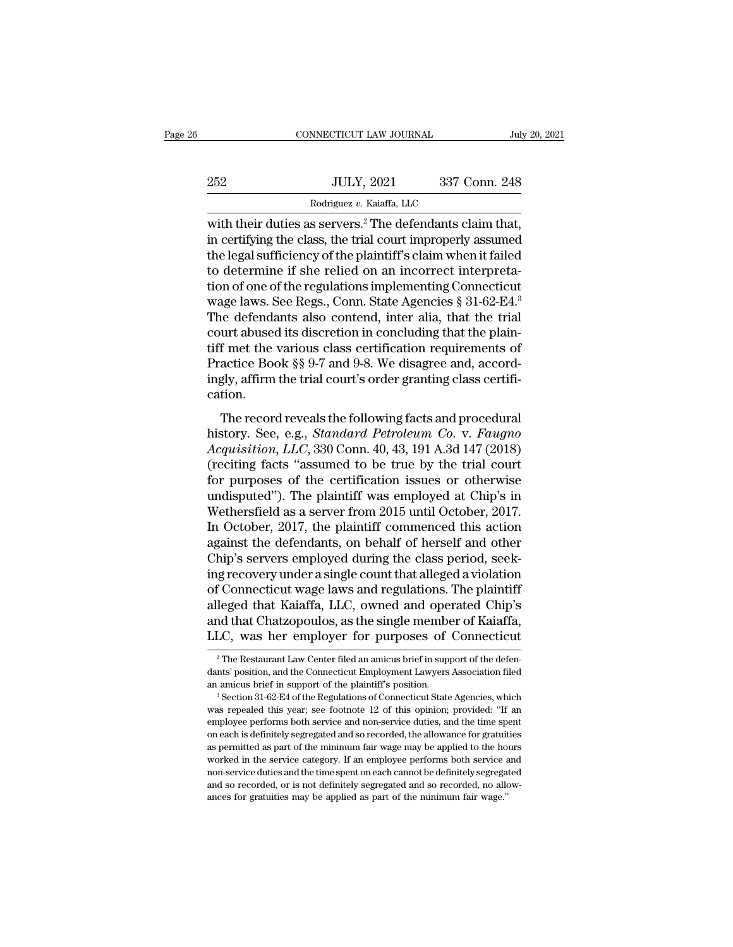|     | CONNECTICUT LAW JOURNAL                                                                                                              | July 20, 2021 |
|-----|--------------------------------------------------------------------------------------------------------------------------------------|---------------|
|     |                                                                                                                                      |               |
| 252 | <b>JULY, 2021</b>                                                                                                                    | 337 Conn. 248 |
|     | Rodriguez v. Kaiaffa, LLC                                                                                                            |               |
|     | with their duties as servers. <sup>2</sup> The defendants claim that,<br>in certifying the class, the trial court improperly assumed |               |
|     | the legal cufficionay of the plaintiff's claim when it failed                                                                        |               |

 $\begin{array}{r} \text{1.1cm} \text{1.1cm} \text{2.1cm} \text{2.2cm} \text{3.37} \text{1.248} \end{array}$ <br>  $\begin{array}{r} \text{Rodriguez } v. \text{ Kaiaffa, LLC} \ \text{2.4cm} \text{2.4cm} \end{array}$ <br>
Nodriguez v. Kaiaffa, LLC<br>
with their duties as servers.<sup>2</sup> The defendants claim that,<br>
in certifying th  $252$  JULY,  $2021$   $337$  Conn.  $248$ <br>  $\frac{Rodriguez v. Kaiaffa, LLC}{Rodriguez v. Kaiaffa, LLC}$ <br>
with their duties as servers.<sup>2</sup> The defendants claim that,<br>
in certifying the class, the trial court improperly assumed<br>
the legal sufficiency of the 252 JULY, 2021 337 Conn. 248<br>
Rodriguez v. Kaiaffa, LLC<br>
with their duties as servers.<sup>2</sup> The defendants claim that,<br>
in certifying the class, the trial court improperly assumed<br>
the legal sufficiency of the plaintiff's c Rodriguez v. Kaiaffa, LLC<br>with their duties as servers.<sup>2</sup> The defendants claim that,<br>in certifying the class, the trial court improperly assumed<br>the legal sufficiency of the plaintiff's claim when it failed<br>to determine Rodriguez v. Kaiatta, LLC<br>with their duties as servers.<sup>2</sup> The defendants claim that,<br>in certifying the class, the trial court improperly assumed<br>the legal sufficiency of the plaintiff's claim when it failed<br>to determine with their duties as servers.<sup>2</sup> The defendants claim that,<br>in certifying the class, the trial court improperly assumed<br>the legal sufficiency of the plaintiff's claim when it failed<br>to determine if she relied on an incorr in certifying the class, the trial court improperly assumed<br>the legal sufficiency of the plaintiff's claim when it failed<br>to determine if she relied on an incorrect interpreta-<br>tion of one of the regulations implementing the legal sufficiency of the plaintiff's claim when it failed<br>to determine if she relied on an incorrect interpreta-<br>tion of one of the regulations implementing Connecticut<br>wage laws. See Regs., Conn. State Agencies § 31-6 to determine if she relied on an incorrect interpretation of one of the regulations implementing Connecticut wage laws. See Regs., Conn. State Agencies § 31-62-E4.<sup>3</sup><br>The defendants also contend, inter alia, that the trial tion of one of the regulations implementing Connecticut<br>wage laws. See Regs., Conn. State Agencies § 31-62-E4.<sup>3</sup><br>The defendants also contend, inter alia, that the trial<br>court abused its discretion in concluding that the p cation. Let determine also contend, inter-analytical and the plain-<br>free the various class certification requirements of<br>actice Book §§ 9-7 and 9-8. We disagree and, accord-<br>gly, affirm the trial court's order granting class cert tiff met the various class certification requirements of<br>Practice Book §§ 9-7 and 9-8. We disagree and, accord-<br>ingly, affirm the trial court's order granting class certifi-<br>cation.<br>The record reveals the following facts a

Fractice Book §§ 9-7 and 9-8. We disagree and, accordingly, affirm the trial court's order granting class certification.<br>
The record reveals the following facts and procedural<br>
history. See, e.g., *Standard Petroleum Co. v* Fractice Book  $_{88}^{8}$  5-1 and 5-5. We disagree and, accordingly, affirm the trial court's order granting class certification.<br>The record reveals the following facts and procedural history. See, e.g., *Standard Petroleum* for purposes of the certification issues or otherwise undispersion.<br>
The record reveals the following facts and procedural<br>
history. See, e.g., *Standard Petroleum Co. v. Faugno*<br>
Acquisition, LLC, 330 Conn. 40, 43, 191 A The record reveals the following facts and procedural<br>history. See, e.g., *Standard Petroleum Co. v. Faugno*<br>Acquisition, LLC, 330 Conn. 40, 43, 191 A.3d 147 (2018)<br>(reciting facts "assumed to be true by the trial court<br>fo The record reveals the following facts and procedural<br>history. See, e.g., *Standard Petroleum Co.* v. *Faugno*<br>Acquisition, LLC, 330 Conn. 40, 43, 191 A.3d 147 (2018)<br>(reciting facts "assumed to be true by the trial court<br> history. See, e.g., *Standard Petroleum Co. v. Faugno*<br>Acquisition, LLC, 330 Conn. 40, 43, 191 A.3d 147 (2018)<br>(reciting facts "assumed to be true by the trial court<br>for purposes of the certification issues or otherwise<br>un Acquisition, LLC, 330 Conn. 40, 43, 191 A.3d 147 (2018)<br>(reciting facts "assumed to be true by the trial court<br>for purposes of the certification issues or otherwise<br>undisputed"). The plaintiff was employed at Chip's in<br>Wet (reciting facts "assumed to be true by the trial court<br>for purposes of the certification issues or otherwise<br>undisputed"). The plaintiff was employed at Chip's in<br>Wethersfield as a server from 2015 until October, 2017.<br>In for purposes of the certification issues or otherwise<br>undisputed"). The plaintiff was employed at Chip's in<br>Wethersfield as a server from 2015 until October, 2017.<br>In October, 2017, the plaintiff commenced this action<br>agai undisputed"). The plaintiff was employed at Chip's in<br>Wethersfield as a server from 2015 until October, 2017.<br>In October, 2017, the plaintiff commenced this action<br>against the defendants, on behalf of herself and other<br>Chi Wethersfield as a server from 2015 until October, 2017.<br>In October, 2017, the plaintiff commenced this action<br>against the defendants, on behalf of herself and other<br>Chip's servers employed during the class period, seek-<br>in In October, 2017, the plaintiff commenced this action<br>against the defendants, on behalf of herself and other<br>Chip's servers employed during the class period, seek-<br>ing recovery under a single count that alleged a violation against the defendants, on behalf of herself and other<br>Chip's servers employed during the class period, seek-<br>ing recovery under a single count that alleged a violation<br>of Connecticut wage laws and regulations. The plainti of Connecticut wage laws and regulations. The plaintiff<br>alleged that Kaiaffa, LLC, owned and operated Chip's<br>and that Chatzopoulos, as the single member of Kaiaffa,<br>LLC, was her employer for purposes of Connecticut<br><sup>2</sup>The

LLC, was her employer for purposes of Connecticut<br>
<sup>2</sup> The Restaurant Law Center filed an amicus brief in support of the defendants' position, and the Connecticut Employment Lawyers Association filed an amicus brief in su and that Chatzopoulos, as the single member of Kaiaffa,<br>LLC, was her employer for purposes of Connecticut<br> $\frac{1}{2}$ The Restaurant Law Center filed an amicus brief in support of the defendants' position, and the Connecticu

THE THE THE THE THE POSES OF COMPETION THE THE THE THE RESTAURANT THE RESTAURANT THE RESTAURANT THE SERVICE THE RESTAURANT THE SERVICE THE SERVICE THE SERVICE THE SERVICE THE SERVICE THE SERVICE THE SERVICE THE SERVICE THE <sup>2</sup> The Restaurant Law Center filed an amicus brief in support of the defendants' position, and the Connecticut Employment Lawyers Association filed an amicus brief in support of the plaintiff's position.<br><sup>3</sup> Section 31-6 dants' position, and the Connecticut Employment Lawyers Association filed<br>an amicus brief in support of the plaintiff's position.<br><sup>3</sup> Section 31-62-E4 of the Regulations of Connecticut State Agencies, which<br>was repealed th was repealed this year; see footnote 12 of this opinion; provided: "If an employee performs both service and non-service duties, and the time spent on each is definitely segregated and so recorded, the allowance for gratui <sup>3</sup> Section 31-62-E4 of the Regulations of Connecticut State Agencies, which was repealed this year; see footnote 12 of this opinion; provided: "If an employee performs both service and non-service duties, and the time sp was repealed this year; see footnote 12 of this opinion; provided: "If an employee performs both service and non-service duties, and the time spent on each is definitely segregated and so recorded, the allowance for gratui employee performs both service and non-service duties, and the time spent on each is definitely segregated and so recorded, the allowance for gratuities as permitted as part of the minimum fair wage may be applied to the h on each is definitely segregated and so recorded, the allowance for gratuities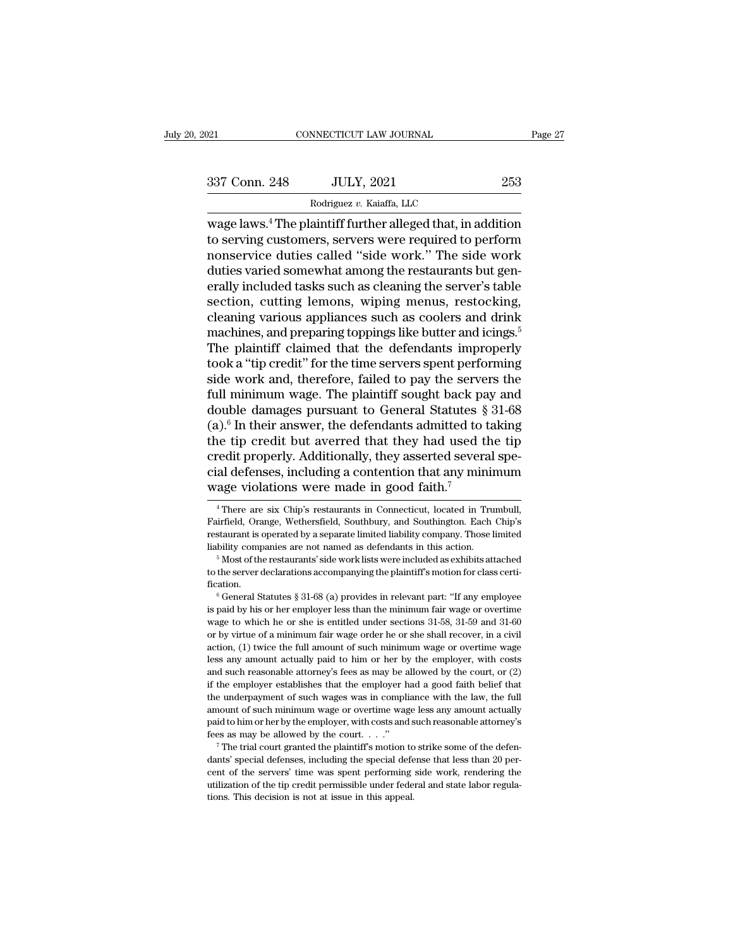| 2021          | CONNECTICUT LAW JOURNAL                                                                                                                                                                 |     | Page 27 |
|---------------|-----------------------------------------------------------------------------------------------------------------------------------------------------------------------------------------|-----|---------|
| 337 Conn. 248 | <b>JULY, 2021</b>                                                                                                                                                                       | 253 |         |
|               | Rodriguez v. Kaiaffa, LLC                                                                                                                                                               |     |         |
|               | wage laws. <sup>4</sup> The plaintiff further alleged that, in addition<br>to serving customers, servers were required to perform<br>nonsorvige duties called "side work" The side work |     |         |

337 Conn. 248 JULY, 2021 253<br>
Rodriguez v. Kaiaffa, LLC<br>
Wage laws.<sup>4</sup> The plaintiff further alleged that, in addition<br>
to serving customers, servers were required to perform<br>
nonservice duties called "side work." The side 337 Conn. 248 JULY, 2021 253<br>
Rodriguez v. Kaiaffa, LLC<br>
wage laws.<sup>4</sup> The plaintiff further alleged that, in addition<br>
to serving customers, servers were required to perform<br>
nonservice duties called "side work." The sid  $\begin{tabular}{l l l l} \multicolumn{1}{l}{{\bf 337} \; \; Conn.~248} & {\rm JULY,~2021} & {\rm 253} \\ \hline \hline \multicolumn{1}{l}{{\bf 804} \; \; \rm{wage \;{} \; laws.^4} \; \mbox{The plaintiff further alleged that, in addition to serving customers, servers were required to perform nonservice duties called ``side work." The side work duties varied somewhat among the restaurant but generally included tasks such as cleaning the server's table section.  $\hbox{cutting lemons.} \; \hbox{wining money, restoreding.} \end{tabular}$$ Rodriguez v. Kaiaffa, LLC<br>
wage laws.<sup>4</sup> The plaintiff further alleged that, in addition<br>
to serving customers, servers were required to perform<br>
nonservice duties called "side work." The side work<br>
duties varied somewhat  $\frac{1}{2}$  Rodriguez v. Kaiatta, LLC<br>wage laws.<sup>4</sup> The plaintiff further alleged that, in addition<br>to serving customers, servers were required to perform<br>nonservice duties called "side work." The side work<br>duties varied so wage laws.<sup>4</sup> The plaintiff further alleged that, in addition<br>to serving customers, servers were required to perform<br>nonservice duties called "side work." The side work<br>duties varied somewhat among the restaurants but gento serving customers, servers were required to perform<br>nonservice duties called "side work." The side work<br>duties varied somewhat among the restaurants but gen-<br>erally included tasks such as cleaning the server's table<br>sec nonservice duties called "side work." The side work<br>duties varied somewhat among the restaurants but gen-<br>erally included tasks such as cleaning the server's table<br>section, cutting lemons, wiping menus, restocking,<br>cleanin duties varied somewhat among the restaurants but generally included tasks such as cleaning the server's table<br>section, cutting lemons, wiping menus, restocking,<br>cleaning various appliances such as coolers and drink<br>machine erally included tasks such as cleaning the server's table<br>section, cutting lemons, wiping menus, restocking,<br>cleaning various appliances such as coolers and drink<br>machines, and preparing toppings like butter and icings.<sup>5</sup> section, cutting lemons, wiping menus, restocking,<br>cleaning various appliances such as coolers and drink<br>machines, and preparing toppings like butter and icings.<sup>5</sup><br>The plaintiff claimed that the defendants improperly<br>too cleaning various appliances such as coolers and drink<br>machines, and preparing toppings like butter and icings.<sup>5</sup><br>The plaintiff claimed that the defendants improperly<br>took a "tip credit" for the time servers spent performi machines, and preparing toppings like butter and icings.<sup>5</sup><br>The plaintiff claimed that the defendants improperly<br>took a "tip credit" for the time servers spent performing<br>side work and, therefore, failed to pay the servers The plaintiff claimed that the defendants improperly<br>took a "tip credit" for the time servers spent performing<br>side work and, therefore, failed to pay the servers the<br>full minimum wage. The plaintiff sought back pay and<br>d took a "tip credit" for the time servers spent performing<br>side work and, therefore, failed to pay the servers the<br>full minimum wage. The plaintiff sought back pay and<br>double damages pursuant to General Statutes § 31-68<br>(a side work and, therefore, failed to pay the servers the<br>full minimum wage. The plaintiff sought back pay and<br>double damages pursuant to General Statutes  $\S 31-68$ <br>(a).<sup>6</sup> In their answer, the defendants admitted to taking full minimum wage. The plaintiff sought back pa<br>double damages pursuant to General Statutes  $\S$ <br>(a).<sup>6</sup> In their answer, the defendants admitted to the<br>tip credit but averred that they had used t<br>credit properly. Addition ie tip credit but averred that they had used the tip redit properly. Additionally, they asserted several spe-<br>al defenses, including a contention that any minimum<br>age violations were made in good faith.<sup>7</sup><br><sup>4</sup>There are six credit properly. Additionally, they asserted several special defenses, including a contention that any minimum<br>wage violations were made in good faith.<sup>7</sup><br><sup>4</sup> There are six Chip's restaurants in Connecticut, located in Tru

cial defenses, including a contention that any minimum<br>wage violations were made in good faith.<sup>7</sup><br><sup>4</sup> There are six Chip's restaurants in Connecticut, located in Trumbull,<br>Fairfield, Orange, Wethersfield, Southbury, and S Liable is a defended. The made in good faith.<sup>7</sup><br>
<sup>4</sup> There are six Chip's restaurants in Connecticut, located in Trumbull,<br>
Fairfield, Orange, Wethersfield, Southbury, and Southington. Each Chip's<br>
restaurant is operated <sup>4</sup> There are six Chip's restaurants in Connecticut, located in Trumbull, Fairfield, Orange, Wethersfield, Southbury, and Southington. Each Chip's restaurant is operated by a separate limited liability company. Those limi

fication. Extrain is operated by a separate limited liability company. Those limited bility companies are not named as defendants in this action.<br>  $5$  Most of the restaurants' side work lists were included as exhibits attached the

is paid by companies are not named as defendants in this action.<br>
<sup>5</sup> Most of the restaurants' side work lists were included as exhibits attached to the server declarations accompanying the plaintiff's motion for class ce <sup>5</sup> Most of the restaurants' side work lists were included as exhibits attached to the server declarations accompanying the plaintiff's motion for class certification.<br><sup>6</sup> General Statutes § 31-68 (a) provides in relevant to the server declarations accompanying the plaintiff's motion for class certification.<br>
<sup>6</sup> General Statutes  $\S 31-68$  (a) provides in relevant part: "If any employee is paid by his or her employer less than the minimum fication.<br>  $\degree$  General Statutes § 31-68 (a) provides in relevant part: "If any employee<br>
is paid by his or her employer less than the minimum fair wage or overtime<br>
wage to which he or she is entitled under sections 31-5 <sup>16</sup> General Statutes § 31-68 (a) provides in relevant part: "If any employee is paid by his or her employer less than the minimum fair wage or overtime wage to which he or she is entitled under sections 31-58, 31-59 and is paid by his or her employer less than the minimum fair wage or overtime wage to which he or she is entitled under sections  $31-58$ ,  $31-59$  and  $31-60$  or by virtue of a minimum fair wage order he or she shall recover,  $\omega$  wage to which he or she is entitled under sections 31-58, 31-59 and 31-60 or by virtue of a minimum fair wage order he or she shall recover, in a civil action, (1) twice the full amount of such minimum wage or overti For by virtue of a minimum fair wage order he or she shall recover, in a civil action, (1) twice the full amount of such minimum wage or overtime wage less any amount actually paid to him or her by the employer, with cost action, (1) twice the full amount of such minimum wage or overtime wage less any amount actually paid to him or her by the employer, with costs and such reasonable attorney's fees as may be allowed by the court, or (2) if less any amount actually paid to him or her by the employer, with costs and such reasonable attorney's fees as may be allowed by the court, or (2) if the employer establishes that the employer had a good faith belief that Fees as may be allowed by the court, or (2) if the employer establishes that the employer had a good faith belief that the underpayment of such wages was in compliance with the law, the full amount of such minimum wage or defined the underpayment of such wages was in compliance with the law, the full amount of such minimum wage or overtime wage less any amount actually paid to him or her by the employer, with costs and such reasonable attor

and the servers' time wage of the servers' time wage less any amount actually paid to him or her by the employer, with costs and such reasonable attorney's fees as may be allowed by the court. . . ."<br>The trial court grante amount of such minimum wage or overtime wage less any amount actually<br>paid to him or her by the employer, with costs and such reasonable attorney's<br>fees as may be allowed by the court. . . ."<br> $\frac{7}{1}$  The trial court gra  $\hbar$  The trial court granted the plaintiff's motion to strike some of the defen-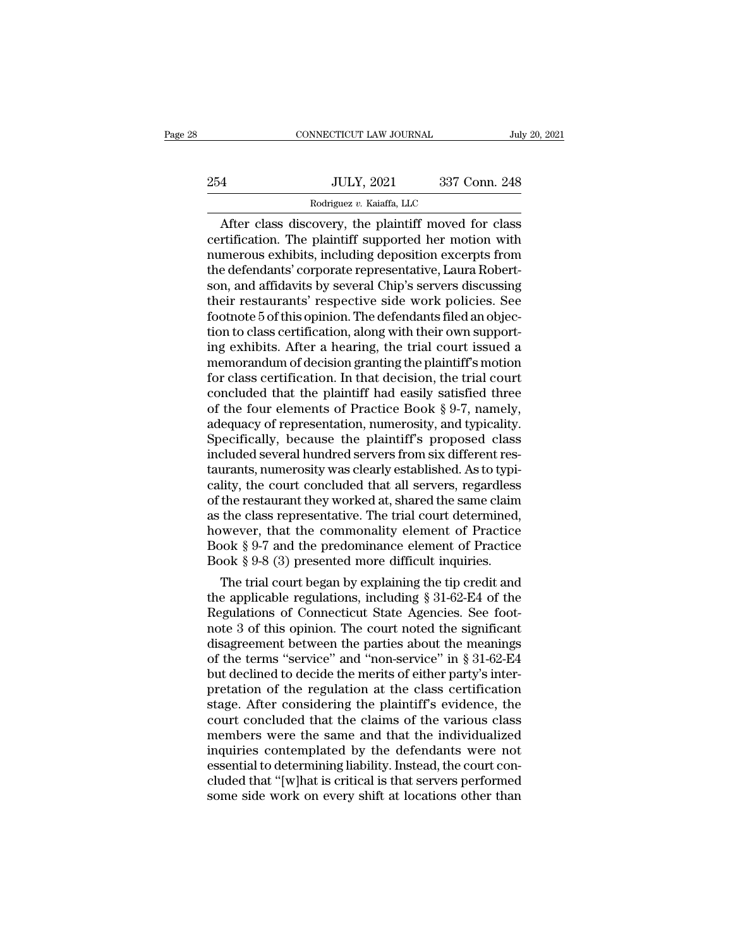|     | CONNECTICUT LAW JOURNAL                             |               | July 20, 2021 |
|-----|-----------------------------------------------------|---------------|---------------|
|     |                                                     |               |               |
| 254 | <b>JULY, 2021</b>                                   | 337 Conn. 248 |               |
|     | Rodriguez v. Kaiaffa, LLC                           |               |               |
|     | After class discovery the plaintiff moved for class |               |               |

CONNECTICUT LAW JOURNAL July 20, 2021<br>
4<br>
JULY, 2021 337 Conn. 248<br>
Rodriguez v. Kaiaffa, LLC<br>
After class discovery, the plaintiff moved for class<br>
rtification. The plaintiff supported her motion with<br>
morous oxhibits inc 254 JULY, 2021 337 Conn. 248<br>Rodriguez v. Kaiaffa, LLC<br>After class discovery, the plaintiff moved for class<br>certification. The plaintiff supported her motion with<br>numerous exhibits, including deposition excerpts from<br>the d 254 JULY, 2021 337 Conn. 248<br>
Rodriguez v. Kaiaffa, LLC<br>
After class discovery, the plaintiff moved for class<br>
certification. The plaintiff supported her motion with<br>
numerous exhibits, including deposition excerpts from<br> 254 JULY, 2021 337 Conn. 248<br>
Rodriguez v. Kaiaffa, LLC<br>
After class discovery, the plaintiff moved for class<br>
certification. The plaintiff supported her motion with<br>
numerous exhibits, including deposition excerpts from<br> Rodriguez v. Kaiaffa, LLC<br>
After class discovery, the plaintiff moved for class<br>
certification. The plaintiff supported her motion with<br>
numerous exhibits, including deposition excerpts from<br>
the defendants' corporate repr Rodriguez v. Kaiaffa, LLC<br>
After class discovery, the plaintiff moved for class<br>
certification. The plaintiff supported her motion with<br>
numerous exhibits, including deposition excerpts from<br>
the defendants' corporate rep After class discovery, the plaintiff moved for class<br>certification. The plaintiff supported her motion with<br>numerous exhibits, including deposition excerpts from<br>the defendants' corporate representative, Laura Robert-<br>son, certification. The plaintiff supported her motion with numerous exhibits, including deposition excerpts from<br>the defendants' corporate representative, Laura Robert-<br>son, and affidavits by several Chip's servers discussing<br> numerous exhibits, including deposition excerpts from<br>the defendants' corporate representative, Laura Robert-<br>son, and affidavits by several Chip's servers discussing<br>their restaurants' respective side work policies. See<br>f the defendants' corporate representative, Laura Robertson, and affidavits by several Chip's servers discussing<br>their restaurants' respective side work policies. See<br>footnote 5 of this opinion. The defendants filed an objec son, and affidavits by several Chip's servers discussing<br>their restaurants' respective side work policies. See<br>footnote 5 of this opinion. The defendants filed an objec-<br>tion to class certification, along with their own su their restaurants' respective side work policies. See<br>footnote 5 of this opinion. The defendants filed an objec-<br>tion to class certification, along with their own support-<br>ing exhibits. After a hearing, the trial court iss footnote 5 of this opinion. The defendants filed an objection to class certification, along with their own supporting exhibits. After a hearing, the trial court issued a memorandum of decision granting the plaintiff's moti tion to class certification, along with their own supporting exhibits. After a hearing, the trial court issued a memorandum of decision granting the plaintiff's motion for class certification. In that decision, the trial c ing exhibits. After a hearing, the trial court issued a<br>memorandum of decision granting the plaintiff's motion<br>for class certification. In that decision, the trial court<br>concluded that the plaintiff had easily satisfied th memorandum of decision granting the plaintiff's motion<br>for class certification. In that decision, the trial court<br>concluded that the plaintiff had easily satisfied three<br>of the four elements of Practice Book § 9-7, namely, for class certification. In that decision, the trial court<br>concluded that the plaintiff had easily satisfied three<br>of the four elements of Practice Book  $\S 9\text{-}7$ , namely,<br>adequacy of representation, numerosity, and typi concluded that the plaintiff had easily satisfied three<br>of the four elements of Practice Book § 9-7, namely,<br>adequacy of representation, numerosity, and typicality.<br>Specifically, because the plaintiff's proposed class<br>incl of the four elements of Practice Book § 9-7, namely,<br>adequacy of representation, numerosity, and typicality.<br>Specifically, because the plaintiff's proposed class<br>included several hundred servers from six different res-<br>tau adequacy of representation, numerosity, and typicality.<br>Specifically, because the plaintiff's proposed class<br>included several hundred servers from six different res-<br>taurants, numerosity was clearly established. As to typi Specifically, because the plaintiff's proposed class<br>included several hundred servers from six different res-<br>taurants, numerosity was clearly established. As to typi-<br>cality, the court concluded that all servers, regardle included several hundred servers from six different restaurants, numerosity was clearly established. As to typicality, the court concluded that all servers, regardless of the restaurant they worked at, shared the same clai taurants, numerosity was clearly established. As to typicality, the court concluded that all servers, regardless of the restaurant they worked at, shared the same claim as the class representative. The trial court determin Inty, the court concluded that all servers, regardless<br>the restaurant they worked at, shared the same claim<br>the class representative. The trial court determined,<br>wever, that the commonality element of Practice<br>ook § 9-8 (3 of the restaurant they worked at, shared the same claim<br>as the class representative. The trial court determined,<br>however, that the commonality element of Practice<br>Book § 9-8 (3) presented more difficult inquiries.<br>The tria

as the class representative. The trial court determined,<br>however, that the commonality element of Practice<br>Book § 9-7 and the predominance element of Practice<br>Book § 9-8 (3) presented more difficult inquiries.<br>The trial co nowever, that the commonality element of Practice<br>Book § 9-7 and the predominance element of Practice<br>Book § 9-8 (3) presented more difficult inquiries.<br>The trial court began by explaining the tip credit and<br>the applicabl Book § 9-7 and the predominance element of Practice<br>Book § 9-8 (3) presented more difficult inquiries.<br>The trial court began by explaining the tip credit and<br>the applicable regulations, including § 31-62-E4 of the<br>Regulat Book § 9-8 (3) presented more difficult inquiries.<br>The trial court began by explaining the tip credit and<br>the applicable regulations, including § 31-62-E4 of the<br>Regulations of Connecticut State Agencies. See foot-<br>note 3 The trial court began by explaining the tip credit and<br>the applicable regulations, including  $\S 31-62-E4$  of the<br>Regulations of Connecticut State Agencies. See foot-<br>note 3 of this opinion. The court noted the significant<br> the applicable regulations, including  $\S 31-62-E4$  of the Regulations of Connecticut State Agencies. See foot-<br>note 3 of this opinion. The court noted the significant<br>disagreement between the parties about the meanings<br>of Regulations of Connecticut State Agencies. See foot-<br>note 3 of this opinion. The court noted the significant<br>disagreement between the parties about the meanings<br>of the terms "service" and "non-service" in § 31-62-E4<br>but de note 3 of this opinion. The court noted the significant<br>disagreement between the parties about the meanings<br>of the terms "service" and "non-service" in  $\S 31-62-E4$ <br>but declined to decide the merits of either party's inter disagreement between the parties about the meanings<br>of the terms "service" and "non-service" in § 31-62-E4<br>but declined to decide the merits of either party's inter-<br>pretation of the regulation at the class certification<br>s of the terms "service" and "non-service" in § 31-62-E4<br>but declined to decide the merits of either party's inter-<br>pretation of the regulation at the class certification<br>stage. After considering the plaintiff's evidence, th but declined to decide the merits of either party's inter-<br>pretation of the regulation at the class certification<br>stage. After considering the plaintiff's evidence, the<br>court concluded that the claims of the various class<br> pretation of the regulation at the class certification<br>stage. After considering the plaintiff's evidence, the<br>court concluded that the claims of the various class<br>members were the same and that the individualized<br>inquiries stage. After considering the plaintiff's evidence, the court concluded that the claims of the various class members were the same and that the individualized inquiries contemplated by the defendants were not essential to d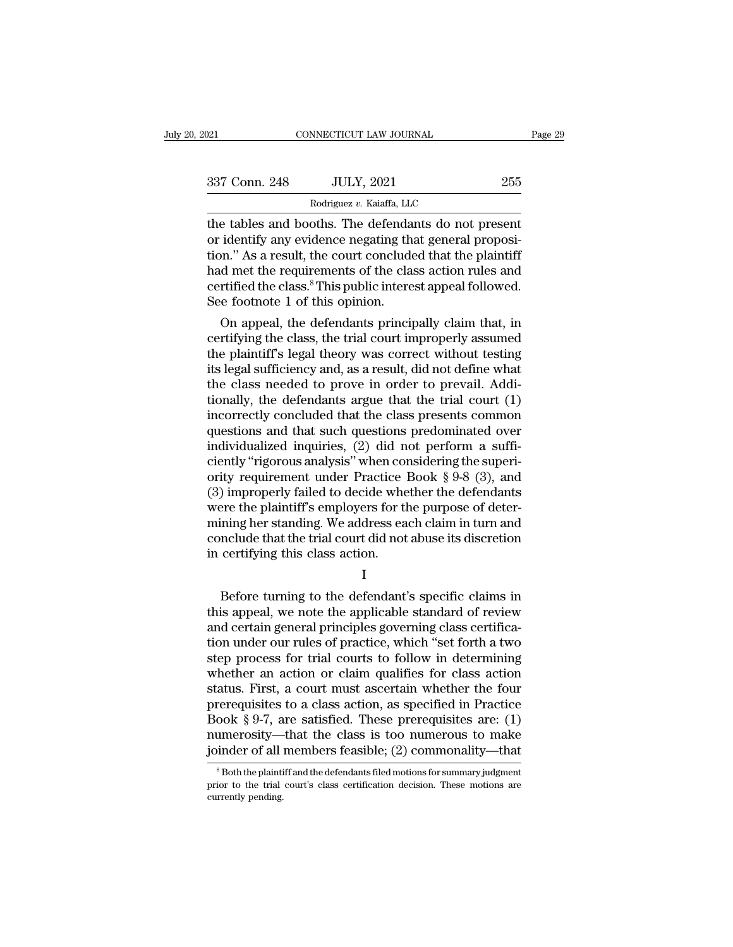| 2021          | CONNECTICUT LAW JOURNAL                                                                                                                                                      | Page 29 |
|---------------|------------------------------------------------------------------------------------------------------------------------------------------------------------------------------|---------|
| 337 Conn. 248 | <b>JULY, 2021</b>                                                                                                                                                            | 255     |
|               | Rodriguez v. Kaiaffa, LLC                                                                                                                                                    |         |
|               | the tables and booths. The defendants do not present<br>or identify any evidence negating that general proposi-<br>tion," As a rosult the court concluded that the plaintiff |         |

337 Conn. 248 JULY, 2021 255<br>
Rodriguez v. Kaiaffa, LLC<br>
the tables and booths. The defendants do not present<br>
or identify any evidence negating that general proposi-<br>
tion." As a result, the court concluded that the plain 337 Conn. 248 JULY, 2021 255<br>
Rodriguez v. Kaiaffa, LLC<br>
the tables and booths. The defendants do not present<br>
or identify any evidence negating that general proposi-<br>
tion." As a result, the court concluded that the plai  $\frac{337 \text{ Conn. } 248}{\text{Rodriguez } v. \text{ Kaiaffa, LLC}}$ <br>
The tables and booths. The defendants do not present<br>
or identify any evidence negating that general proposi-<br>
tion." As a result, the court concluded that the plaintiff<br>
had met th Rodriguez v. Kaiaffa, LLC<br>
the tables and booths. The defendants do not present<br>
or identify any evidence negating that general proposi-<br>
tion." As a result, the court concluded that the plaintiff<br>
had met the requirements Rodriguez v. Kaiatta, LLC<br>the tables and booths. The defenda<br>or identify any evidence negating th<br>tion." As a result, the court conclude<br>had met the requirements of the cla<br>certified the class.<sup>8</sup> This public intere<br>See fo e tables and booths. The defendants do not present<br>identify any evidence negating that general proposi-<br>on." As a result, the court concluded that the plaintiff<br>d met the requirements of the class action rules and<br>rtified or identity any evidence negating that general proposition." As a result, the court concluded that the plaintiff<br>had met the requirements of the class action rules and<br>certified the class.<sup>8</sup> This public interest appeal fo

tion. As a result, the court concluded that the plaintiff<br>had met the requirements of the class action rules and<br>certified the class.<sup>8</sup> This public interest appeal followed.<br>See footnote 1 of this opinion.<br>On appeal, the rad met the requirements of the class action rules and<br>certified the class.<sup>8</sup> This public interest appeal followed.<br>See footnote 1 of this opinion.<br>On appeal, the defendants principally claim that, in<br>certifying the class certified the class.<sup>5</sup> I his public interest appeal followed.<br>See footnote 1 of this opinion.<br>On appeal, the defendants principally claim that, in<br>certifying the class, the trial court improperly assumed<br>the plaintiff's l See rootnote 1 or this opinion.<br>
On appeal, the defendants principally claim that, in<br>
certifying the class, the trial court improperly assumed<br>
the plaintiff's legal theory was correct without testing<br>
its legal sufficien On appeal, the defendants principally claim that, in<br>certifying the class, the trial court improperly assumed<br>the plaintiff's legal theory was correct without testing<br>its legal sufficiency and, as a result, did not define certifying the class, the trial court improperly assumed<br>the plaintiff's legal theory was correct without testing<br>its legal sufficiency and, as a result, did not define what<br>the class needed to prove in order to prevail. A the plaintiff's legal theory was correct without testing<br>its legal sufficiency and, as a result, did not define what<br>the class needed to prove in order to prevail. Addi-<br>tionally, the defendants argue that the trial court its legal sufficiency and, as a result, did not define what<br>the class needed to prove in order to prevail. Addi-<br>tionally, the defendants argue that the trial court (1)<br>incorrectly concluded that the class presents common<br> the class needed to prove in order to prevail. Additionally, the defendants argue that the trial court (1) incorrectly concluded that the class presents common questions and that such questions predominated over individual tionally, the defendants argue that the trial court (1) incorrectly concluded that the class presents common questions and that such questions predominated over individualized inquiries, (2) did not perform a sufficiently incorrectly concluded that the class presents common<br>questions and that such questions predominated over<br>individualized inquiries, (2) did not perform a suffi-<br>ciently "rigorous analysis" when considering the superi-<br>ority questions and that such questions predominated over<br>individualized inquiries, (2) did not perform a suffi-<br>ciently "rigorous analysis" when considering the superi-<br>ority requirement under Practice Book § 9-8 (3), and<br>(3) i individualized inquiries, (2) did not perform a sufficiently "rigorous analysis" when considering the superiority requirement under Practice Book § 9-8 (3), and (3) improperly failed to decide whether the defendants were t ciently "rigorous analysis" when coverty requirement under Practice 1(3) improperly failed to decide where the plaintiff's employers for the mining her standing. We address ea conclude that the trial court did not in certi Fore the plaintiff's employers for the purpose of deter-<br>ining her standing. We address each claim in turn and<br>nclude that the trial court did not abuse its discretion<br>certifying this class action.<br>I<br>Before turning to the

I and the set of  $\mathbf{I}$ 

mining her standing. We address each claim in turn and<br>conclude that the trial court did not abuse its discretion<br>in certifying this class action.<br>I<br>Before turning to the defendant's specific claims in<br>this appeal, we note conclude that the trial court did not abuse its discretion<br>in certifying this class action.<br>I<br>Before turning to the defendant's specific claims in<br>this appeal, we note the applicable standard of review<br>and certain general I<br>
in certifying this class action.<br>
I<br>
Before turning to the defendant's specific claims in<br>
this appeal, we note the applicable standard of review<br>
and certain general principles governing class certifica-<br>
tion under ou I<br>
Before turning to the defendant's specific claims in<br>
this appeal, we note the applicable standard of review<br>
and certain general principles governing class certifica-<br>
tion under our rules of practice, which "set forth <sup>1</sup><br>Before turning to the defendant's specific claims in<br>this appeal, we note the applicable standard of review<br>and certain general principles governing class certifica-<br>tion under our rules of practice, which "set forth a Before turning to the defendant's specific claims in<br>this appeal, we note the applicable standard of review<br>and certain general principles governing class certifica-<br>tion under our rules of practice, which "set forth a tw this appeal, we note the applicable standard of review<br>and certain general principles governing class certifica-<br>tion under our rules of practice, which "set forth a two<br>step process for trial courts to follow in determini and certain general principles governing class certification under our rules of practice, which "set forth a two<br>step process for trial courts to follow in determining<br>whether an action or claim qualifies for class action<br> tion under our rules of practice, which "set forth a two<br>step process for trial courts to follow in determining<br>whether an action or claim qualifies for class action<br>status. First, a court must ascertain whether the four<br>p step process for trial courts to follow in determining<br>whether an action or claim qualifies for class action<br>status. First, a court must ascertain whether the four<br>prerequisites to a class action, as specified in Practice<br> rerequisites to a class action, as specified in Practice<br>ook § 9-7, are satisfied. These prerequisites are: (1)<br>umerosity—that the class is too numerous to make<br>inder of all members feasible; (2) commonality—that<br><sup>8</sup> Both Book § 9-7, are satisfied. These prerequisites are: (1) numerosity—that the class is too numerous to make joinder of all members feasible; (2) commonality—that  $\frac{}{\text{8} }$ Both the plaintiff and the defendants filed motion

numerosity—<br>joinder of all<br><sup>8</sup>Both the plaintiprior to the trial<br>currently pending.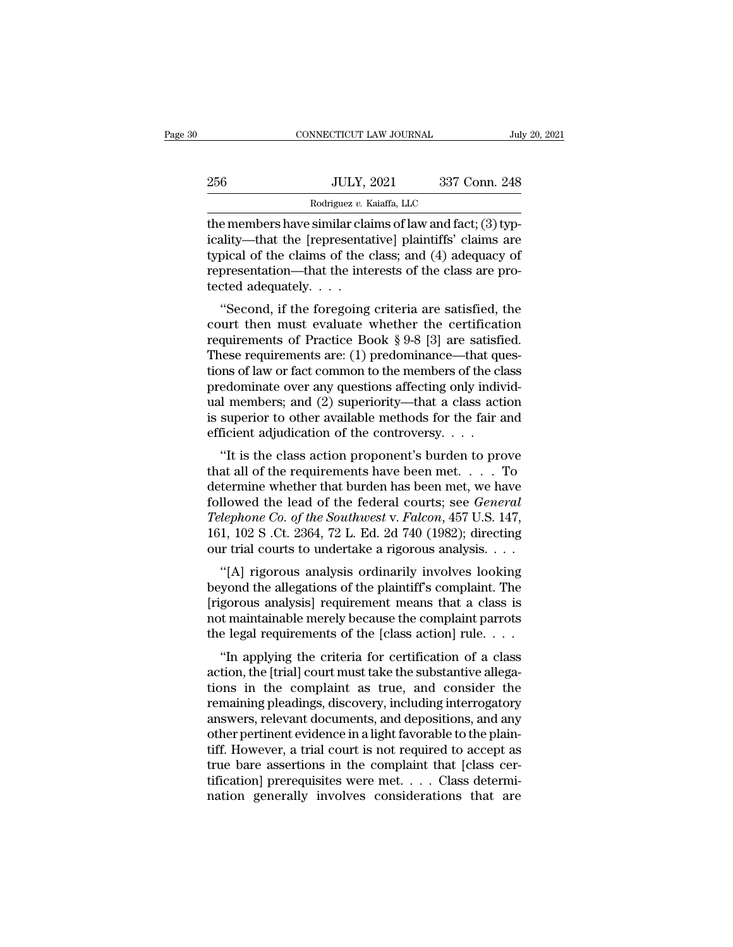|     | CONNECTICUT LAW JOURNAL                                   |               | July 20, 2021 |
|-----|-----------------------------------------------------------|---------------|---------------|
|     |                                                           |               |               |
| 256 | <b>JULY, 2021</b>                                         | 337 Conn. 248 |               |
|     | Rodriguez v. Kaiaffa, LLC                                 |               |               |
|     | the members have similar claims of law and fact: (3) typ- |               |               |

CONNECTICUT LAW JOURNAL<br>
256 JULY, 2021 337 Conn. 248<br>
256 Rodriguez v. Kaiaffa, LLC<br>
21 Here members have similar claims of law and fact; (3) typ-<br>
21 icality—that the [representative] plaintiffs' claims are<br>
21 typical o 256 JULY, 2021 337 Conn. 248<br>
Rodriguez v. Kaiaffa, LLC<br>
the members have similar claims of law and fact; (3) typicality—that the [representative] plaintiffs' claims are<br>
typical of the claims of the class; and (4) adequac 256 JULY, 2021 337 Conn. 248<br>
Rodriguez v. Kaiaffa, LLC<br>
the members have similar claims of law and fact; (3) typicality—that the [representative] plaintiffs' claims are<br>
typical of the claims of the class; and (4) adequa 256 JULY, 2021 337 Conn. 248<br>
Rodriguez v. Kaiaffa, LLC<br>
the members have similar claims of law and fact; (3) typ-<br>
icality—that the [representative] plaintiffs' claims are<br>
typical of the claims of the class; and (4) ade  $\begin{array}{c}\n\hline\n\text{Rodriguez } v. \text{K} \\
\hline\n\text{the members have similar cla} \\
\text{icality—that the [representa} \\
\text{typical of the claims of the } \text{representation—that the inte} \\
\text{tected adequately. . . .} \\
\hline\n\text{``Second, if the foregoing}\n\end{array}$ Example 1 members have similar claims of law and fact; (3) typ-<br>
ality—that the [representative] plaintiffs' claims are<br>
pical of the claims of the class; and (4) adequacy of<br>
presentation—that the interests of the class the members have similar claims of law and fact, (5) typicality—that the [representative] plaintiffs' claims are<br>typical of the claims of the class; and (4) adequacy of<br>representation—that the interests of the class are p

reamy—inat the [representative] plaintins claims are<br>typical of the claims of the class; and (4) adequacy of<br>representation—that the interests of the class are pro-<br>tected adequately. . . .<br>"Second, if the foregoing criter typical of the claims of the class, and (4) adequaty of<br>representation—that the interests of the class are pro-<br>tected adequately. . . .<br>"Second, if the foregoing criteria are satisfied, the<br>court then must evaluate wheth representation—trat the interests of the class are pro-<br>tected adequately. . . .<br>"Second, if the foregoing criteria are satisfied, the<br>court then must evaluate whether the certification<br>requirements of Practice Book § 9-8 "Second, if the foregoing criteria are satisfied, the<br>court then must evaluate whether the certification<br>requirements of Practice Book § 9-8 [3] are satisfied.<br>These requirements are: (1) predominance—that ques-<br>tions of "Second, if the foregoing criteria are satisfied, the<br>court then must evaluate whether the certification<br>requirements of Practice Book § 9-8 [3] are satisfied.<br>These requirements are: (1) predominance—that ques-<br>tions of court then must evaluate whether the certification<br>requirements of Practice Book § 9-8 [3] are satisfied.<br>These requirements are: (1) predominance—that ques-<br>tions of law or fact common to the members of the class<br>predomi requirements of Practice Book § 9-8 [3] are satisfi<br>These requirements are: (1) predominance—that qu<br>tions of law or fact common to the members of the cl<br>predominate over any questions affecting only indiv<br>ual members; an Examples are: (1) predominance—that ques-<br>
ons of law or fact common to the members of the class<br>
edominate over any questions affecting only individ-<br>
1 members; and (2) superiority—that a class action<br>
superior to other predominate over any questions affecting only individual members; and (2) superiority—that a class action<br>is superior to other available methods for the fair and<br>efficient adjudication of the controversy. . . .<br>"It is the

predominate over any questions are<br>cting only multiplementary unal members; and (2) superiority—that a class action<br>is superior to other available methods for the fair and<br>efficient adjudication of the controversy....<br>"It followed the lead of the federal courts; see *General*<br>1691 Superior to other available methods for the fair and<br>16 efficient adjudication of the controversy....<br>161 Surface that all of the requirements have been met.... *Telephone Co. of the Southwest* v. *Falcon, 457 U.S. 147,* 161, 102 S.Ct. 2364, 72 L. Ed. 2d 740 (1982); directing our trial courts to undertake a rigorous analysis our trial courts to undertake a rigorous analysis our tr "It is the class action proponent's burden to prove<br>that all of the requirements have been met. . . . To<br>determine whether that burden has been met, we have<br>followed the lead of the federal courts; see *General<br>Telephone* "It is the class action proponent's burden to prove<br>that all of the requirements have been met. . . . To<br>determine whether that burden has been met, we have<br>followed the lead of the federal courts; see *General<br>Telephone* at an of the requirements have been met.  $\ldots$  10<br>termine whether that burden has been met, we have<br>llowed the lead of the federal courts; see *General*<br>*lephone Co. of the Southwest* v. *Falcon*, 457 U.S. 147,<br>1, 102 S . determine whether that burden has been met, we have<br>followed the lead of the federal courts; see *General*<br>*Telephone Co. of the Southwest* v. *Falcon*, 457 U.S. 147,<br>161, 102 S .Ct. 2364, 72 L. Ed. 2d 740 (1982); directin

Felephone Co. of the Southwest v. Falcon, 457 U.S. 147,<br>161, 102 S .Ct. 2364, 72 L. Ed. 2d 740 (1982); directing<br>our trial courts to undertake a rigorous analysis....<br>"[A] rigorous analysis ordinarily involves looking<br>beyo Telephone Co. by the Southwest v. Futcon, 457 C.S. 147, 161, 102 S .Ct. 2364, 72 L. Ed. 2d 740 (1982); directing our trial courts to undertake a rigorous analysis. . . .<br>
"[A] rigorous analysis ordinarily involves looking Tor, 102 3 .01. 2504, 72 L. Ed. 2d 740 (1962), differentig<br>our trial courts to undertake a rigorous analysis. . . .<br>"[A] rigorous analysis ordinarily involves looking<br>beyond the allegations of the plaintiff's complaint. T "[A] rigorous analysis ordinarily involves looking<br>yond the allegations of the plaintiff's complaint. The<br>gorous analysis] requirement means that a class is<br>t maintainable merely because the complaint parrots<br>e legal requi [A] Hgorous analysis ordinarity involves looking<br>beyond the allegations of the plaintiff's complaint. The<br>[rigorous analysis] requirement means that a class is<br>not maintainable merely because the complaint parrots<br>the leg

beyond the anegations of the plantifical scomplaint. The<br>[rigorous analysis] requirement means that a class is<br>not maintainable merely because the complaint parrots<br>the legal requirements of the [class action] rule....<br>"In remaining pleadings, discovery, including interrogator and  $\alpha$  class is<br>not maintainable merely because the complaint parrots<br>the legal requirements of the [class action] rule. . . .<br>"In applying the criteria for certifi From the legal requirements of the [class action] rule. . . .<br>
"In applying the criteria for certification of a class<br>
action, the [trial] court must take the substantive allega-<br>
tions in the complaint as true, and consid of the regar requirements of the plass action of a class<br>action, the [trial] court must take the substantive allega-<br>tions in the complaint as true, and consider the<br>remaining pleadings, discovery, including interrogatory<br> "In applying the criteria for certification of a class<br>action, the [trial] court must take the substantive allega-<br>tions in the complaint as true, and consider the<br>remaining pleadings, discovery, including interrogatory<br>an action, the [trial] court must take the substantive allegations in the complaint as true, and consider the remaining pleadings, discovery, including interrogatory answers, relevant documents, and depositions, and any other tions in the complaint as true, and consider the remaining pleadings, discovery, including interrogatory answers, relevant documents, and depositions, and any other pertinent evidence in a light favorable to the plaintiff remaining pleadings, discovery, including interrogatory<br>answers, relevant documents, and depositions, and any<br>other pertinent evidence in a light favorable to the plain-<br>tiff. However, a trial court is not required to acce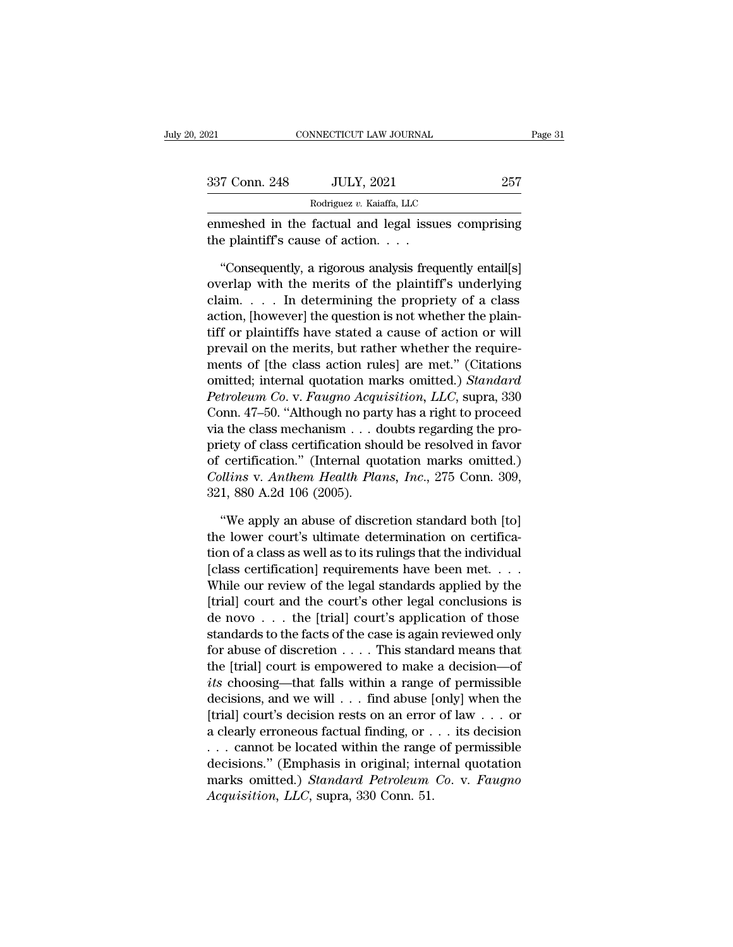| 2021          | CONNECTICUT LAW JOURNAL                                                                                                                                          | Page 31 |
|---------------|------------------------------------------------------------------------------------------------------------------------------------------------------------------|---------|
|               |                                                                                                                                                                  |         |
| 337 Conn. 248 | <b>JULY, 2021</b><br>Rodriguez v. Kaiaffa, LLC                                                                                                                   | 257     |
|               | enmeshed in the factual and legal issues comprising<br>the plaintiff's cause of action. $\ldots$                                                                 |         |
|               | "Consequently, a rigorous analysis frequently entail[s]<br>overlap with the merits of the plaintiff's underlying<br>eleim Indetermining the prepriety of a close |         |

**Example 2014**<br>
Rodriguez v. Kaiaffa, LLC<br>
enmeshed in the factual and legal issues comprising<br>
the plaintiff's cause of action....<br>
"Consequently, a rigorous analysis frequently entail[s]<br>
overlap with the merits of the Rodriguez v. Kaiaffa, LLC<br>
enmeshed in the factual and legal issues comprising<br>
the plaintiff's cause of action. . . .<br>
"Consequently, a rigorous analysis frequently entail[s]<br>
overlap with the merits of the plaintiff's u enmeshed in the factual and legal issues comprising<br>the plaintiff's cause of action. . . .<br>"Consequently, a rigorous analysis frequently entail[s]<br>overlap with the merits of the plaintiff's underlying<br>claim. . . . . In de the plaintiff's cause of action. . . .<br>
"Consequently, a rigorous analysis frequently entail[s]<br>
overlap with the merits of the plaintiff's underlying<br>
claim. . . . . In determining the propriety of a class<br>
action, [howe "Consequently, a rigorous analysis frequently entail[s]<br>overlap with the merits of the plaintiff's underlying<br>claim..... In determining the propriety of a class<br>action, [however] the question is not whether the plain-<br>tif "Consequently, a rigorous analysis frequently entail[s]<br>overlap with the merits of the plaintiff's underlying<br>claim.... In determining the propriety of a class<br>action, [however] the question is not whether the plain-<br>tiff overlap with the merits of the plaintiff's underlying<br>claim..... In determining the propriety of a class<br>action, [however] the question is not whether the plain-<br>tiff or plaintiffs have stated a cause of action or will<br>pre claim. . . . . In determining the propriety of a class<br>action, [however] the question is not whether the plain-<br>tiff or plaintiffs have stated a cause of action or will<br>prevail on the merits, but rather whether the require action, [however] the question is not whether the plaintiff or plaintiffs have stated a cause of action or will<br>prevail on the merits, but rather whether the require-<br>ments of [the class action rules] are met." (Citations<br> tiff or plaintiffs have stated a cause of action or will<br>prevail on the merits, but rather whether the require-<br>ments of [the class action rules] are met." (Citations<br>omitted; internal quotation marks omitted.) Standard<br>Pe prevail on the merits, but rather whether the require-<br>ments of [the class action rules] are met." (Citations<br>omitted; internal quotation marks omitted.) *Standard*<br>*Petroleum Co.* v. *Faugno Acquisition*, *LLC*, supra, 33 ments of [the class action rules] are met." (Citations<br>
omitted; internal quotation marks omitted.) *Standard*<br> *Petroleum Co.* v. *Faugno Acquisition*, *LLC*, supra, 330<br>
Conn. 47–50. "Although no party has a right to pro omitted; internal quotation marks omitted.) *Standard*<br>*Petroleum Co.* v. *Faugno Acquisition*, *LLC*, supra, 330<br>Conn. 47–50. "Although no party has a right to proceed<br>via the class mechanism . . . doubts regarding the pr Petroleum Co. v. Faugno Acqu<br>Conn. 47–50. "Although no par<br>via the class mechanism . . . d<br>priety of class certification sho<br>of certification." (Internal que<br>Collins v. Anthem Health Pla<br>321, 880 A.2d 106 (2005).<br>"We apply % a the class mechanism . . . doubts regarding the pro-<br>
iety of class certification should be resolved in favor<br>
certification." (Internal quotation marks omitted.)<br>
bllins v. Anthem Health Plans, Inc., 275 Conn. 309,<br>
1 priety of class certification should be resolved in favor<br>of certification." (Internal quotation marks omitted.)<br>Collins v. Anthem Health Plans, Inc., 275 Conn. 309,<br>321, 880 A.2d 106 (2005).<br>"We apply an abuse of discreti

of certification." (Internal quotation marks omitted.)<br>
Collins v. Anthem Health Plans, Inc., 275 Conn. 309,<br>
321, 880 A.2d 106 (2005).<br>
"We apply an abuse of discretion standard both [to]<br>
the lower court's ultimate dete *Collins v. Anthem Health Plans, Inc., 275 Conn. 309,*<br>321, 880 A.2d 106 (2005).<br>"We apply an abuse of discretion standard both [to]<br>the lower court's ultimate determination on certifica-<br>tion of a class as well as to its 321, 880 A.2d 106 (2005).<br>
"We apply an abuse of discretion standard both [to]<br>
the lower court's ultimate determination on certifica-<br>
tion of a class as well as to its rulings that the individual<br>
[class certification] "We apply an abuse of discretion standard both [to]<br>the lower court's ultimate determination on certifica-<br>tion of a class as well as to its rulings that the individual<br>[class certification] requirements have been met. . "We apply an abuse of discretion standard both [to]<br>the lower court's ultimate determination on certifica-<br>tion of a class as well as to its rulings that the individual<br>[class certification] requirements have been met.... the lower court's ultimate determination on certification of a class as well as to its rulings that the individual [class certification] requirements have been met. . . . While our review of the legal standards applied by for a class as well as to its rulings that the individual<br>[class certification] requirements have been met. . . .<br>While our review of the legal standards applied by the<br>[trial] court and the court's other legal conclusion [class certification] requirements have been met. . . .<br>While our review of the legal standards applied by the<br>[trial] court and the court's other legal conclusions is<br>de novo . . . the [trial] court's application of thos while our review of the legal standards applied by the<br>
[trial] court and the court's other legal conclusions is<br>
de novo . . . the [trial] court's application of those<br>
standards to the facts of the case is again reviewe [trial] court and the court's other legal conclusions is<br>de novo . . . the [trial] court's application of those<br>standards to the facts of the case is again reviewed only<br>for abuse of discretion . . . . This standard means de novo . . . the [trial] court's application of those<br>standards to the facts of the case is again reviewed only<br>for abuse of discretion . . . . This standard means that<br>the [trial] court is empowered to make a decision—o standards to the facts of the case is again reviewed only<br>for abuse of discretion . . . . This standard means that<br>the [trial] court is empowered to make a decision—of<br>*its* choosing—that falls within a range of permissib for abuse of discretion . . . . This standard means that<br>the [trial] court is empowered to make a decision—of<br>*its* choosing—that falls within a range of permissible<br>decisions, and we will . . . find abuse [only] when the the [trial] court is empowered to make a decision—of<br> *its* choosing—that falls within a range of permissible<br>
decisions, and we will . . . find abuse [only] when the<br>
[trial] court's decision rests on an error of law . . *uts* choosing—that falls within a range of permissible decisions, and we will . . . find abuse [only] when the [trial] court's decision rests on an error of law . . . or a clearly erroneous factual finding, or . . . its d decisions, and we will . . . find abuse [<br>[trial] court's decision rests on an error<br>a clearly erroneous factual finding, or .<br>. . . cannot be located within the range<br>decisions." (Emphasis in original; inte<br>marks omitted.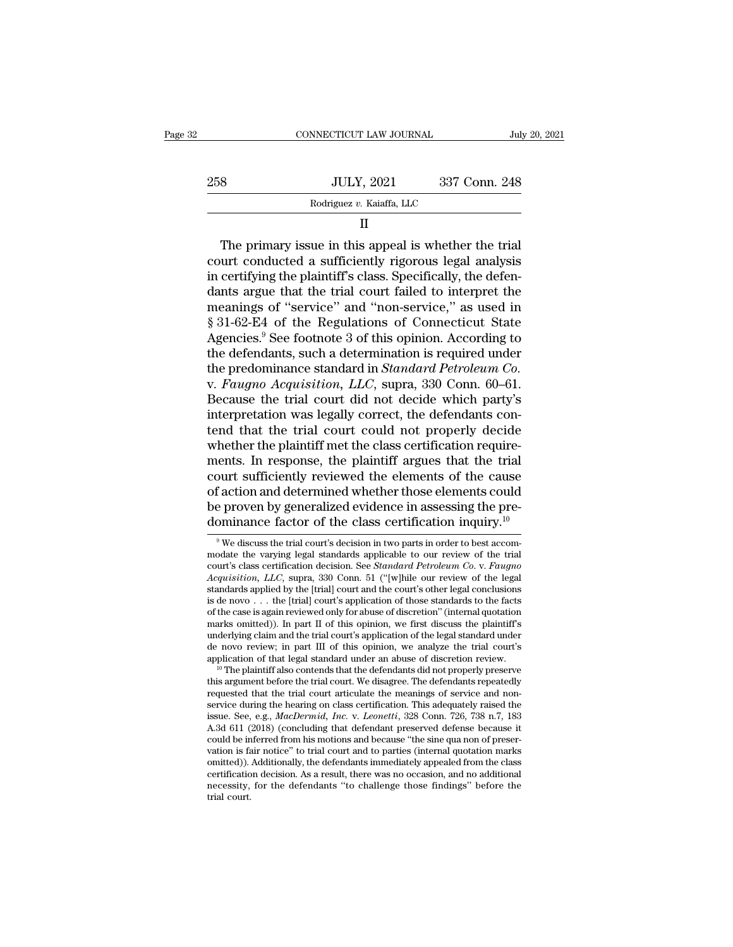|     | CONNECTICUT LAW JOURNAL   | July 20, 2021 |  |
|-----|---------------------------|---------------|--|
| 258 | <b>JULY, 2021</b>         | 337 Conn. 248 |  |
|     | Rodriguez v. Kaiaffa, LLC |               |  |
|     |                           |               |  |

258 JULY, 2021 337 Conn. 248<br>
Rodriguez v. Kaiaffa, LLC<br>
II<br>
The primary issue in this appeal is whether the trial<br>
court conducted a sufficiently rigorous legal analysis<br>
in certifying the plaintiff's class. Specifically 258 JULY, 2021 337 Conn. 248<br>
Rodriguez v. Kaiaffa, LLC<br>
II<br>
The primary issue in this appeal is whether the trial<br>
court conducted a sufficiently rigorous legal analysis<br>
in certifying the plaintiff's class. Specifically, Rodriguez v. Kaiaffa, LLC<br>  $\Pi$ <br>
The primary issue in this appeal is whether the trial<br>
court conducted a sufficiently rigorous legal analysis<br>
in certifying the plaintiff's class. Specifically, the defen-<br>
dants argue th II<br>
The primary issue in this appeal is whether the trial<br>
court conducted a sufficiently rigorous legal analysis<br>
in certifying the plaintiff's class. Specifically, the defen-<br>
dants argue that the trial court failed to i <sup>11</sup><br>
The primary issue in this appeal is whether the trial<br>
court conducted a sufficiently rigorous legal analysis<br>
in certifying the plaintiff's class. Specifically, the defen-<br>
dants argue that the trial court failed to The primary issue in this appeal is whether the trial<br>court conducted a sufficiently rigorous legal analysis<br>in certifying the plaintiff's class. Specifically, the defen-<br>dants argue that the trial court failed to interpre court conducted a sufficiently rigorous legal analysis<br>in certifying the plaintiff's class. Specifically, the defen-<br>dants argue that the trial court failed to interpret the<br>meanings of "service" and "non-service," as use in certifying the plaintiff's class. Specifically, the defendants argue that the trial court failed to interpret the meanings of "service" and "non-service," as used in § 31-62-E4 of the Regulations of Connecticut State Ag dants argue that the trial court failed to interpret the<br>meanings of "service" and "non-service," as used in<br>§ 31-62-E4 of the Regulations of Connecticut State<br>Agencies.<sup>9</sup> See footnote 3 of this opinion. According to<br>the meanings of "service" and "non-service," as used in<br>§ 31-62-E4 of the Regulations of Connecticut State<br>Agencies.<sup>9</sup> See footnote 3 of this opinion. According to<br>the defendants, such a determination is required under<br>the pr  $§$  31-62-E4 of the Regulations of Connecticut State Agencies.<sup>9</sup> See footnote 3 of this opinion. According to the defendants, such a determination is required under the predominance standard in *Standard Petroleum Co*. v Agencies.<sup>9</sup> See footnote 3 of this opinion. According to<br>the defendants, such a determination is required under<br>the predominance standard in *Standard Petroleum Co*.<br>v. *Faugno Acquisition*, *LLC*, supra, 330 Conn. 60–61. the defendants, such a determination is required under<br>the predominance standard in *Standard Petroleum Co.*<br>v. *Faugno Acquisition*, *LLC*, supra, 330 Conn. 60–61.<br>Because the trial court did not decide which party's<br>inte the predominance standard in *Standard Petroleum Co.*<br>v. *Faugno Acquisition*, *LLC*, supra, 330 Conn. 60–61.<br>Because the trial court did not decide which party's<br>interpretation was legally correct, the defendants con-<br>ten v. Faugno Acquisition, LLC, supra, 330 Conn. 60–61.<br>Because the trial court did not decide which party's<br>interpretation was legally correct, the defendants con-<br>tend that the trial court could not properly decide<br>whether t Because the trial court did not decide which party's<br>interpretation was legally correct, the defendants con-<br>tend that the trial court could not properly decide<br>whether the plaintiff met the class certification require-<br>me interpretation was legally correct, the defendants contend that the trial court could not properly decide whether the plaintiff met the class certification requirements. In response, the plaintiff argues that the trial cou tend that the trial court could not properly decide<br>whether the plaintiff met the class certification require-<br>ments. In response, the plaintiff argues that the trial<br>court sufficiently reviewed the elements of the cause<br> bourt sufficiently reviewed the elements of the cause<br>f action and determined whether those elements could<br>e proven by generalized evidence in assessing the pre-<br>ominance factor of the class certification inquiry.<sup>10</sup><br><sup>9</sup> of action and determined whether those elements could<br>be proven by generalized evidence in assessing the pre-<br>dominance factor of the class certification inquiry.<sup>10</sup><br><sup>9</sup> We discuss the trial court's decision in two parts

underlying claim and the trial court's application of the legal standard under<br>de novo review; in part III of this opinion, we analyze the trial court's<br>application of that legal standard under an abuse of discretion revi de novo review; in part III of this opinion, we analyze the trial court's application of that legal standard under an abuse of discretion review.<br><sup>10</sup> The plaintiff also contends that the defendants did not properly preser application of that legal standard under an abuse of discretion review.<br><sup>10</sup> The plaintiff also contends that the defendants did not properly preserve this argument before the trial court. We disagree. The defendants repe <sup>10</sup> The plaintiff also contends that the defendants did not properly preserve this argument before the trial court. We disagree. The defendants repeatedly requested that the trial court articulate the meanings of service this argument before the trial court. We disagree. The defendants repeatedly requested that the trial court articulate the meanings of service and non-<br>service during the hearing on class certification. This adequately ra requested that the trial court articulate the meanings of service and non-<br>service during the hearing on class certification. This adequately raised the<br>issue. See, e.g., *MacDermid, Inc.* v. *Leonetti*, 328 Conn. 726, 738 service during the hearing on class certification. This adequately raised the issue. See, e.g.,  $MacDermid$ ,  $Inc$ .  $v$ .  $Leonetti$ , 328 Conn. 726, 738 n.7, 183 A.3d 611 (2018) (concluding that defendant preserved defense because it issue. See, e.g., *MacDermid, Inc.* v. *Leonetti*, 328 Conn. 726, 738 n.7, 183<br>A.3d 611 (2018) (concluding that defendant preserved defense because it<br>could be inferred from his motions and because "the sine qua non of pre  $\Lambda$ :3d 611 (2018) (concluding that defendant preserved defense because it could be inferred from his motions and because "the sine qua non of preservation is fair notice" to trial court and to parties (internal quotation

be proven by generalized evidence in assessing the pre-<br>dominance factor of the class certification inquiry.<sup>10</sup><br><sup>9</sup> We discuss the trial court's decision in two parts in order to best accom-<br>modate the varying legal stand **dominance factor of the class certification inquiry.**<sup>10</sup><br><sup>9</sup>We discuss the trial court's decision in two parts in order to best accom-<br>modate the varying legal standards applicable to our review of the trial<br>court's clas **dominance factor of the class certification inquiry.**<sup>10</sup><br>
<sup>9</sup> We discuss the trial court's decision in two parts in order to best accommodate the varying legal standards applicable to our review of the trial court's cla <sup>9</sup> We discuss the trial court's decision in two parts in order to best accommodate the varying legal standards applicable to our review of the trial court's class certification decision. See *Standard Petroleum Co.* v. <sup>9</sup> We discuss the trial court's decision in two parts in order to best accommodate the varying legal standards applicable to our review of the trial court's class certification decision. See *Standard Petroleum Co.* v. modate the varying legal standards applicable to our review of the trial court's class certification decision. See *Standard Petroleum Co.* v. *Faugno Acquisition*, *LLC*, supra, 330 Conn. 51 ("[w]hile our review of the court's class certification decision. See *Standard Petroleum Co.* v. *Faugno* Acquisition, LLC, supra, 330 Conn. 51 ("[w]hile our review of the legal standards applied by the [trial] court and the court's other legal con *Acquisition, LLC*, supra, 330 Conn. 51 ("[w]hile our review of the legal standards applied by the [trial] court and the court's other legal conclusions is de novo . . . the [trial] court's application of those standards standards applied by the [trial] court and the court's other legal conclusions<br>is de novo . . . the [trial] court's application of those standards to the facts<br>of the case is again reviewed only for abuse of discretion" ( of the case is again reviewed only for abuse of discretion" (internal quotation marks omitted)). In part II of this opinion, we first discuss the plaintiff's underlying claim and the trial court's application of the legal marks omitted)). In part II of this opinion, we first discuss the plaintiff's underlying claim and the trial court's application of the legal standard under de novo review; in part III of this opinion, we analyze the tria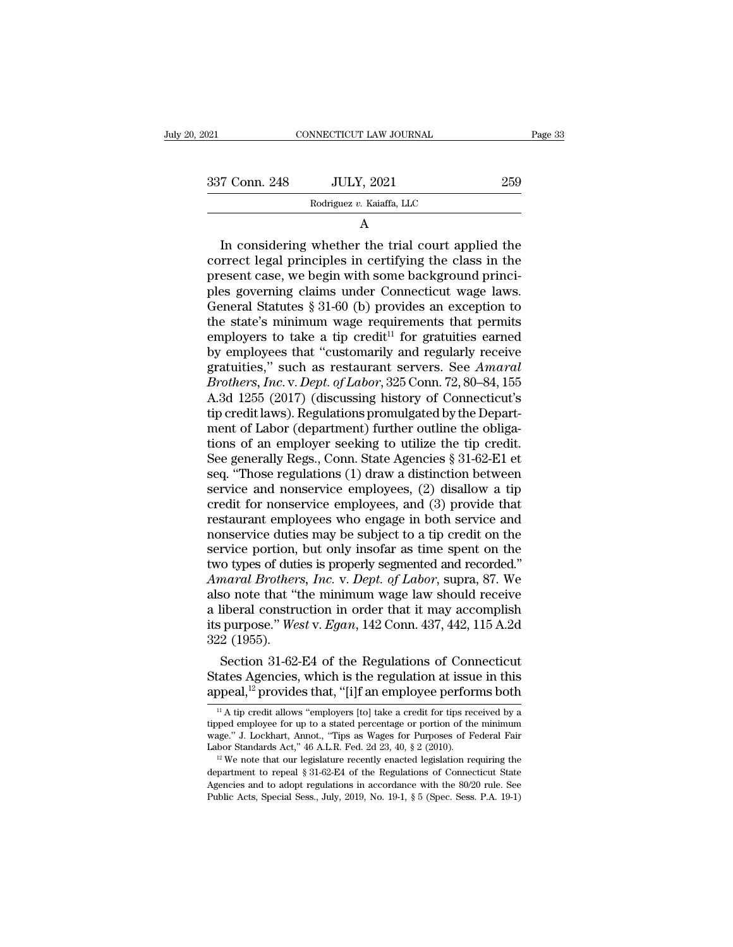| ), 2021       | CONNECTICUT LAW JOURNAL   | Page 33 |
|---------------|---------------------------|---------|
| 337 Conn. 248 | <b>JULY, 2021</b>         | 259     |
|               | Rodriguez v. Kaiaffa, LLC |         |
|               | A                         |         |

337 Conn. 248 JULY, 2021 259<br>
Rodriguez v. Kaiaffa, LLC<br>
A<br>
In considering whether the trial court applied the<br>
correct legal principles in certifying the class in the<br>
present case, we begin with some background princi-<br>  $\begin{array}{r} \text{337 Conn. 248}\qquad \text{JULY, 2021}\qquad \text{259}\ \hline \text{Rodriguez } v. \text{ Kaiaffa, LLC}\qquad \qquad \text{A}\qquad \qquad \text{In considering whether the trial court applied the correct legal principles in certifying the class in the present case, we begin with some background principles governing claims under Connecticut wage laws. \text{General Statistics 8-31-60 (h) provides an exception to the other.} \end{array}$ Rodriguez v. Kaiaffa, LLC<br>
A<br>
In considering whether the trial court applied the<br>
correct legal principles in certifying the class in the<br>
present case, we begin with some background princi-<br>
ples governing claims under Co A<br>
In considering whether the trial court applied the<br>
correct legal principles in certifying the class in the<br>
present case, we begin with some background princi-<br>
ples governing claims under Connecticut wage laws.<br>
Gene A<br>In considering whether the trial court applied the<br>correct legal principles in certifying the class in the<br>present case, we begin with some background princi-<br>ples governing claims under Connecticut wage laws.<br>General S In considering whether the trial court applied the<br>correct legal principles in certifying the class in the<br>present case, we begin with some background princi-<br>ples governing claims under Connecticut wage laws.<br>General Sta correct legal principles in certifying the class in the<br>present case, we begin with some background princi-<br>ples governing claims under Connecticut wage laws.<br>General Statutes § 31-60 (b) provides an exception to<br>the stat present case, we begin with some background princi-<br>ples governing claims under Connecticut wage laws.<br>General Statutes § 31-60 (b) provides an exception to<br>the state's minimum wage requirements that permits<br>employers to t ples governing claims under Connecticut wage laws.<br> *General Statutes* § 31-60 (b) provides an exception to<br>
the state's minimum wage requirements that permits<br>
employers to take a tip credit<sup>11</sup> for gratuities earned<br>
by General Statutes § 31-60 (b) provides an exception to<br>the state's minimum wage requirements that permits<br>employers to take a tip credit<sup>11</sup> for gratuities earned<br>by employees that "customarily and regularly receive<br>gratui the state's minimum wage requirements that permits<br>employers to take a tip credit<sup>11</sup> for gratuities earned<br>by employees that "customarily and regularly receive<br>gratuities," such as restaurant servers. See *Amaral*<br>*Brothe* employers to take a tip credit<sup>11</sup> for gratuities earned<br>by employees that "customarily and regularly receive<br>gratuities," such as restaurant servers. See *Amaral*<br>*Brothers, Inc.* v. *Dept. of Labor*, 325 Conn. 72, 80–84 by employees that "customarily and regularly receive<br>gratuities," such as restaurant servers. See Amaral<br>Brothers, Inc. v. Dept. of Labor, 325 Conn. 72, 80–84, 155<br>A.3d 1255 (2017) (discussing history of Connecticut's<br>tip gratuities," such as restaurant servers. See *Amaral*<br>Brothers, Inc. v. Dept. of Labor, 325 Conn. 72, 80–84, 155<br>A.3d 1255 (2017) (discussing history of Connecticut's<br>tip credit laws). Regulations promulgated by the Depart *Brothers, Inc.* v. *Dept. of Labor*, 325 Conn. 72, 80–84, 155<br>A.3d 1255 (2017) (discussing history of Connecticut's<br>tip credit laws). Regulations promulgated by the Depart-<br>ment of Labor (department) further outline the o A.3d 1255 (2017) (discussing history of Connecticut's<br>tip credit laws). Regulations promulgated by the Depart-<br>ment of Labor (department) further outline the obliga-<br>tions of an employer seeking to utilize the tip credit.<br> tip credit laws). Regulations promulgated by the Department of Labor (department) further outline the obligations of an employer seeking to utilize the tip credit.<br>See generally Regs., Conn. State Agencies § 31-62-E1 et<br>se ment of Labor (department) further outline the obligations of an employer seeking to utilize the tip credit.<br>See generally Regs., Conn. State Agencies § 31-62-E1 et<br>seq. "Those regulations (1) draw a distinction between<br>se tions of an employer seeking to utilize the tip credit.<br>See generally Regs., Conn. State Agencies § 31-62-E1 et<br>seq. "Those regulations (1) draw a distinction between<br>service and nonservice employees, (2) disallow a tip<br>cr See generally Regs., Conn. State Agencies § 31-62-E1 et<br>seq. "Those regulations (1) draw a distinction between<br>service and nonservice employees, (2) disallow a tip<br>credit for nonservice employees, and (3) provide that<br>res seq. "Those regulations (1) draw a distinction between<br>service and nonservice employees, (2) disallow a tip<br>credit for nonservice employees, and (3) provide that<br>restaurant employees who engage in both service and<br>nonserv service and nonservice employees, (2) disallow a tip<br>credit for nonservice employees, and (3) provide that<br>restaurant employees who engage in both service and<br>nonservice duties may be subject to a tip credit on the<br>service credit for nonservice employees, and (3) provide that<br>
restaurant employees who engage in both service and<br>
nonservice duties may be subject to a tip credit on the<br>
service portion, but only insofar as time spent on the<br> restaurant employees who engage in both service and<br>nonservice duties may be subject to a tip credit on the<br>service portion, but only insofar as time spent on the<br>two types of duties is properly segmented and recorded."<br>Am nonservice duties may be subject to a tip credit on the service portion, but only insofar as time spent on the two types of duties is properly segmented and recorded."<br>Amaral Brothers, Inc. v. Dept. of Labor, supra, 87. We service portion,<br>two types of duti<br>Amaral Brother:<br>also note that "t<br>a liberal constru<br>its purpose." We.<br>322 (1955).<br>Section 31-62-To types of duties is properly segmented and recorded."<br>
maral Brothers, Inc. v. Dept. of Labor, supra, 87. We<br>
so note that "the minimum wage law should receive<br>
liberal construction in order that it may accomplish<br>
purp Amaral Brothers, Inc. v. Dept. of Labor, supra, 87. We<br>also note that "the minimum wage law should receive<br>a liberal construction in order that it may accomplish<br>its purpose." West v. Egan, 142 Conn. 437, 442, 115 A.2d<br>322 also note that "the minimum wage law should receive<br>a liberal construction in order that it may accomplish<br>its purpose." West v. Egan, 142 Conn. 437, 442, 115 A.2d<br>322 (1955).<br>Section 31-62-E4 of the Regulations of Connec

Section 31-62-E4 of the Regulations of Connecticut<br>tates Agencies, which is the regulation at issue in this<br>ppeal,<sup>12</sup> provides that, "[i]f an employee performs both<br> $\frac{11}{11}$ A tip credit allows "employers [to] take a c Section 31-62-E4 of the Regulations of Connecticut<br>States Agencies, which is the regulation at issue in this<br>appeal,<sup>12</sup> provides that, "[i]f an employee performs both<br> $\frac{11}{11}$  A tip credit allows "employers [to] take

States Agencies, which is the regulations of Connecticute<br>States Agencies, which is the regulation at issue in this<br>appeal,<sup>12</sup> provides that, "[i]f an employee performs both<br> $\frac{1}{10}$  A tip credit allows "employers [to] States Agencies, which is the regulation at issue in this appeal,<sup>12</sup> provides that, "[i]f an employee performs both  $\frac{1}{1}$  A tip credit allows "employers [to] take a credit for tips received by a tipped employee for u <sup>11</sup> A tip credit allows "employers [to] take a credit for tips received by a tipped employee for up to a stated percentage or portion of the minimum wage." J. Lockhart, Annot., "Tips as Wages for Purposes of Federal Fair

A up credit allows entiployers [to] take a credit for this received by a tipped employee for up to a stated percentage or portion of the minimum wage." J. Lockhart, Annot., "Tips as Wages for Purposes of Federal Fair Labo tipped employee for up to a stated percentage or portion of the minimum wage." J. Lockhart, Annot., "Tips as Wages for Purposes of Federal Fair Labor Standards Act," 46 A.L.R. Fed. 2d 23, 40, § 2 (2010).<br><sup>12</sup> We note that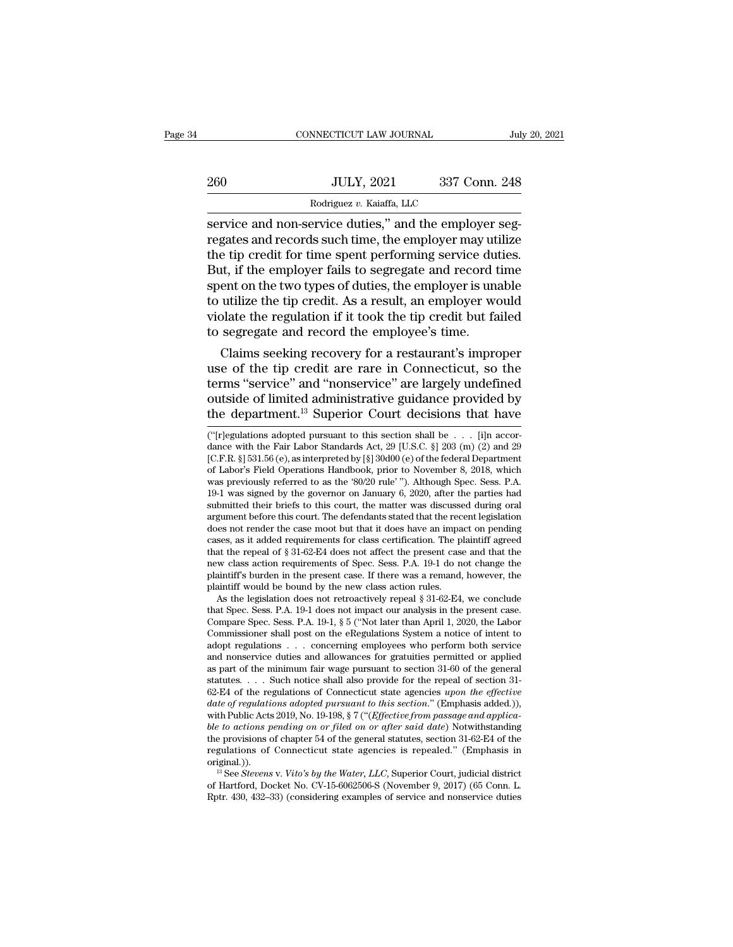|     | CONNECTICUT LAW JOURNAL                                                                                                                                                      | July 20, 2021 |
|-----|------------------------------------------------------------------------------------------------------------------------------------------------------------------------------|---------------|
| 260 | <b>JULY, 2021</b>                                                                                                                                                            | 337 Conn. 248 |
|     | Rodriguez v. Kaiaffa, LLC                                                                                                                                                    |               |
|     | service and non-service duties," and the employer seg-<br>regates and records such time, the employer may utilize<br>the tip credit for time sport performing service duties |               |

260 JULY, 2021 337 Conn. 248<br>
Rodriguez v. Kaiaffa, LLC<br>
Service and non-service duties," and the employer seg-<br>
regates and records such time, the employer may utilize<br>
the tip credit for time spent performing service dut  $\frac{1000}{\text{Bodriquez } v. \text{ Kaiaffa, LLC}}$ <br>  $\frac{1000}{\text{Bodriquez } v. \text{ Kaiaffa, LLC}}$ <br>  $\frac{1000}{\text{Sodriquez } v. \text{ Kaiaffa, LLC}}$ <br>  $\frac{1000}{\text{Sodrisez}}$ <br>  $\frac{1000}{\text{Sodrisez}}$ <br>  $\frac{1000}{\text{Sodrisez}}$ <br>  $\frac{1000}{\text{Sodrisez}}$ <br>  $\frac{1000}{\text{Sodrisez}}$ <br>  $\frac{1000}{\text{Sod$  $\frac{\text{BOLY}}{\text{Bodriguez } v. \text{ Kaiaffa, LLC}}$ <br>
Service and non-service duties," and the employer segregates and records such time, the employer may utilize<br>
the tip credit for time spent performing service duties.<br>
But, if the employe  $\begin{array}{l} \hline \text{Rodriguez } v. \text{ Kaiaffa, LLC} \\ \hline \text{service and non-service duties, " and the employer seg-} \text{regates and records such time, the employer may utilize the tip credit for time spent performing service duties.} \\ \text{But, if the employer fails to segregate and record time spent on the two types of duties, the employer is unable to utilize the tip credit. As a result, an employer would violate the regulation if it took the tin credit but failed.} \end{array}$ Rodriguez v. Kaiaffa, LLC<br>
service and non-service duties," and the employer seg-<br>
regates and records such time, the employer may utilize<br>
the tip credit for time spent performing service duties.<br>
But, if the employer fa service and non-service duties," and the employer seg-<br>regates and records such time, the employer may utilize<br>the tip credit for time spent performing service duties.<br>But, if the employer fails to segregate and record tim regates and records such time, the employer may ut<br>the tip credit for time spent performing service due<br>But, if the employer fails to segregate and record t<br>spent on the two types of duties, the employer is una<br>to utilize e up creat for time spent performing service duties.<br>
It, if the employer fails to segregate and record time<br>
ent on the two types of duties, the employer is unable<br>
utilize the tip credit. As a result, an employer would<br> But, if the employer rails to segregate and record time<br>spent on the two types of duties, the employer is unable<br>to utilize the tip credit. As a result, an employer would<br>violate the regulation if it took the tip credit bu

spent on the two types or duties, the employer is unable<br>to utilize the tip credit. As a result, an employer would<br>violate the regulation if it took the tip credit but failed<br>to segregate and record the employee's time.<br>Cl to utilize the up creatl. As a result, an employer would<br>violate the regulation if it took the tip credit but failed<br>to segregate and record the employee's time.<br>Claims seeking recovery for a restaurant's improper<br>use of t violate the regulation if it took the tip credit but failed<br>to segregate and record the employee's time.<br>Claims seeking recovery for a restaurant's improper<br>use of the tip credit are rare in Connecticut, so the<br>terms "ser use of the tip credit are rare in Connecticut, so the terms "service" and "nonservice" are largely undefined outside of limited administrative guidance provided by the department.<sup>13</sup> Superior Court decisions that have  $\$ terms "service" and "nonservice" are largely undefined<br>outside of limited administrative guidance provided by<br>the department.<sup>13</sup> Superior Court decisions that have<br> $\frac{1}{2}$ <br> $\frac{1}{2}$  ("[r]egulations adopted pursuant to

new class action requirements of Spec. Sess. P.A. 19-1 do not change the plaintiff's burden in the present case. If there was a remand, however, the plaintiff would be bound by the new class action rules. As the legislatio new class action requirements of Spec. Sess. P.A. 19-1 do not change the plaintiff's burden in the present case. If there was a remand, however, the plaintiff would be bound by the new class action rules.<br>As the legislatio plaintiff's burden in the present case. If there was a remand, however, the plaintiff would be bound by the new class action rules.<br>
As the legislation does not retroactively repeal § 31-62-E4, we conclude that Spec. Sess plaintiff would be bound by the new class action rules.<br>
As the legislation does not retroactively repeal § 31-62-E4, we conclude<br>
that Spec. Sess. P.A. 19-1 does not impact our analysis in the present case.<br>
Compare Spec As the legislation does not retroactively repeal § 31-62-E4, we conclude<br>that Spec. Sess. P.A. 19-1 does not impact our analysis in the present case.<br>Compare Spec. Sess. P.A. 19-1, § 5 ("Not later than April 1, 2020, the that Spec. Sess. P.A. 19-1 does not impact our analysis in the present case.<br>Compare Spec. Sess. P.A. 19-1, § 5 ("Not later than April 1, 2020, the Labor<br>Commissioner shall post on the eRegulations System a notice of inte Compare Spec. Sess. P.A. 19-1, § 5 ("Not later than April 1, 2020, the Labor<br>Commissioner shall post on the eRegulations System a notice of intent to<br>adopt regulations . . . concerning employees who perform both service<br>a *Commissioner shall post on the eRegulations System a notice of intent to* adopt regulations . . . concerning employees who perform both service and nonservice duties and allowances for gratuities permitted or applied as p and nonservice duties and allowances for gratuities permitted or applied as part of the minimum fair wage pursuant to section 31-60 of the general statutes. . . . Such notice shall also provide for the repeal of section 3 and nonservice duties and allowances for gratuities permitted or applied<br>as part of the minimum fair wage pursuant to section 31-60 of the general<br>statutes.... Such notice shall also provide for the repeal of section 31-<br>6 as part of the minimum fair wage pursuant to section 31-60 of the general statutes. . . . Such notice shall also provide for the repeal of section 31-62-E4 of the regulations of Connecticut state agencies *upon the effect* statutes. . . . Such notice shall also provide for the repeal of section 31-<br>62-E4 of the regulations of Connecticut state agencies *upon the effective*<br>date of regulations adopted pursuant to this section." (Emphasis add original.)). te of regulations adopted pursuant to this section." (Emphasis added.)),<br>th Public Acts 2019, No. 19-198, § 7 ("(*Effective from passage and applica-*<br>*z* to actions pending on or filed on or after said date) Notwithstandi with Public Acts 2019, No. 19-198, § 7 ("*Cffective from passage and applica-*<br>ble to actions pending on or filed on or after said date) Notwithstanding<br>the provisions of chapter 54 of the general statutes, section 31-62ble to actions pending on or filed on or after said date) Notwithstanding<br>the provisions of chapter 54 of the general statutes, section 31-62-E4 of the<br>regulations of Connecticut state agencies is repealed." (Emphasis in<br>o

ernis Service and Honservice are hargery andernied<br>outside of limited administrative guidance provided by<br>the department.<sup>13</sup> Superior Court decisions that have<br>("[r]egulations adopted pursuant to this section shall be . . of distributions Handbook, prior to November 8, 2018, which was previously referred to as the '80/20 rule' "). Although Spec. Sess. P.A. was previously referred to as the '80/20 rule' "). Although Spec. Sess. P.A. the department.<sup>13</sup> Superior Court decisions that have<br>
("[r]egulations adopted pursuant to this section shall be . . . [i]n accordance with the Fair Labor Standards Act, 29 [U.S.C. §] 203 (m) (2) and 29<br>
[C.F.R. §] 531.5 ("[r]egulations adopted pursuant to this section shall be . . . . [i]n accordance with the Fair Labor Standards Act, 29 [U.S.C. §] 203 (m) (2) and 29 [C.F.R. §] 531.56 (e), as interpreted by [§] 30d00 (e) of the federal D ("|r]egulations adopted pursuant to this section shall be . . . [i]n accordance with the Fair Labor Standards Act, 29 [U.S.C. §] 203 (m) (2) and 29 [C.F.R. §] 531.56 (e), as interpreted by [§] 30d00 (e) of the federal Dep dance with the Fair Labor Standards Act, 29 [U.S.C. §] 203 (m) (2) and 29 [C.F.R. §] 531.56 (e), as interpreted by [§] 30d00 (e) of the federal Department of Labor's Field Operations Handbook, prior to November 8, 2018, w [C.F.R. §] 531.56 (e), as interpreted by [§] 30d00 (e) of the federal Department<br>of Labor's Field Operations Handbook, prior to November 8, 2018, which<br>was previously referred to as the '80/20 rule' ''). Although Spec. Se of Labor's Field Operations Handbook, prior to November 8, 2018, which<br>was previously referred to as the '80/20 rule' "). Although Spec. Sess. P.A.<br>19-1 was signed by the governor on January 6, 2020, after the parties had was previously referred to as the '80/20 rule'''). Although Spec. Sess. P.A. 19-1 was signed by the governor on January 6, 2020, after the parties had submitted their briefs to this court, the matter was discussed during 19-1 was signed by the governor on January 6, 2020, after the parties had<br>submitted their briefs to this court, the matter was discussed during oral<br>argument before this court. The defendants stated that the recent legisl submitted their briefs to this court, the matter was discussed during oral argument before this court. The defendants stated that the recent legislation does not render the case moot but that it does have an impact on pend argument before this court. The defendants stated that the rec<br>does not render the case moot but that it does have an impa<br>cases, as it added requirements for class certification. The p<br>that the repeal of § 31-62-E4 does n ses not render the case moot but that it does have an impact on pending<br>ses, as it added requirements for class certification. The plaintiff agreed<br>at the repeal of § 31-62-E4 does not affect the present case and that the<br> cases, as it added requirements for class certification. The plaintiff agreed<br>that the repeal of § 31-62-E4 does not affect the present case and that the<br>new class action requirements of Spec. Sess. P.A. 19-1 do not change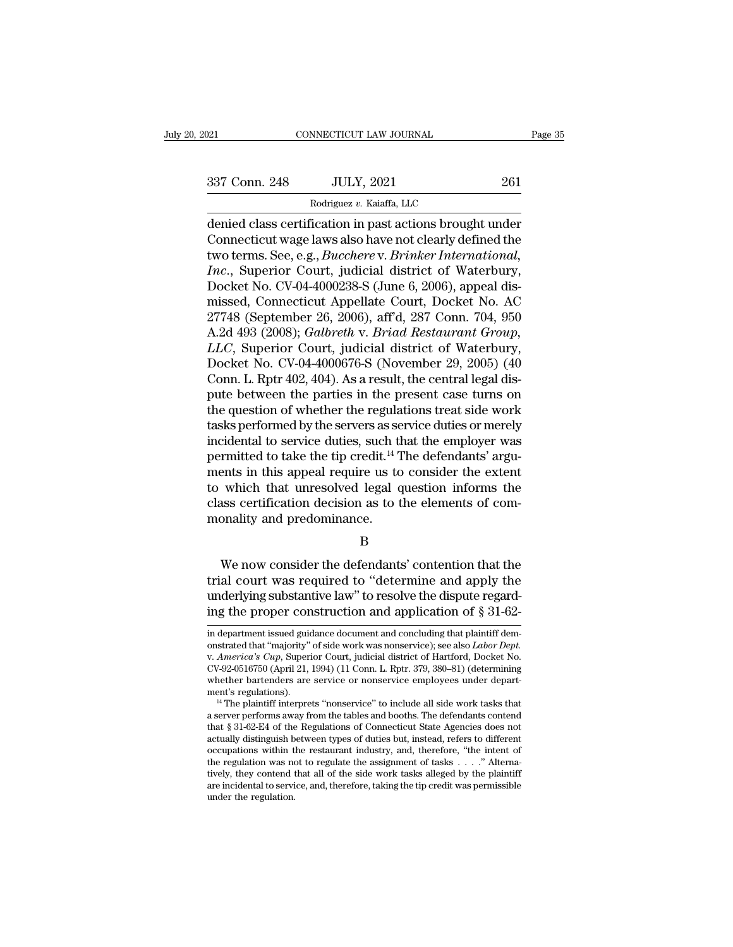NNECTICUT LAW JOURNAL<br>JULY, 2021<br>Rodriguez *v.* Kaiaffa, LLC<br>Gration in past actions brough Fage 35<br>
2021 CONNECTICUT LAW JOURNAL Page 35<br>
337 Conn. 248 JULY, 2021 261<br>
261<br>
Rodriguez v. Kaiaffa, LLC<br>
denied class certification in past actions brought under<br>
Connecticut wage laws also have not clearly defined the 337 Conn. 248 JULY, 2021 261<br>Rodriguez v. Kaiaffa, LLC<br>denied class certification in past actions brought under<br>Connecticut wage laws also have not clearly defined the<br>two terms. See, e.g., *Bucchere v. Brinker Internation* 1937 Conn. 248 JULY, 2021 261<br>
Rodriguez v. Kaiaffa, LLC<br>
denied class certification in past actions brought under<br>
Connecticut wage laws also have not clearly defined the<br>
two terms. See, e.g., *Bucchere* v. *Brinker Inte* <sup>337</sup> Conn. 248 JULY, 2021 261<br>
<sup>Rodriguez v. Kaiaffa, LLC</sup><br>
denied class certification in past actions brought under<br>
Connecticut wage laws also have not clearly defined the<br>
two terms. See, e.g., *Bucchere v. Brinker Int* Rodriguez v. Kaiaffa, LLC<br>
denied class certification in past actions brought under<br>
Connecticut wage laws also have not clearly defined the<br>
two terms. See, e.g., *Bucchere v. Brinker International*,<br> *Inc.*, Superior Cou Rodriguez v. Kaiatta, LLC<br>
denied class certification in past actions brought under<br>
Connecticut wage laws also have not clearly defined the<br>
two terms. See, e.g., *Bucchere* v. *Brinker International*,<br> *Inc.*, Superior denied class certification in past actions brought under<br>Connecticut wage laws also have not clearly defined the<br>two terms. See, e.g., *Bucchere v. Brinker International,<br>Inc.*, Superior Court, judicial district of Waterbu Connecticut wage laws also have not clearly defined the<br>two terms. See, e.g., *Bucchere* v. *Brinker International,*<br>*Inc.*, Superior Court, judicial district of Waterbury,<br>Docket No. CV-04-4000238-S (June 6, 2006), appeal two terms. See, e.g., *Bucchere* v. *Brinker International,*<br>*Inc.*, Superior Court, judicial district of Waterbury,<br>Docket No. CV-04-4000238-S (June 6, 2006), appeal dis-<br>missed, Connecticut Appellate Court, Docket No. AC Inc., Superior Court, judicial district of Waterbury,<br>Docket No. CV-04-4000238-S (June 6, 2006), appeal dis-<br>missed, Connecticut Appellate Court, Docket No. AC<br>27748 (September 26, 2006), aff'd, 287 Conn. 704, 950<br>A.2d 493 Docket No. CV-04-4000238-S (June 6, 2006), appeal dismissed, Connecticut Appellate Court, Docket No. AC<br>27748 (September 26, 2006), aff'd, 287 Conn. 704, 950<br>A.2d 493 (2008); *Galbreth v. Briad Restaurant Group,*<br>*LLC*, Su missed, Connecticut Appellate Court, Docket No. AC<br>27748 (September 26, 2006), aff'd, 287 Conn. 704, 950<br>A.2d 493 (2008); *Galbreth v. Briad Restaurant Group,*<br>LLC, Superior Court, judicial district of Waterbury,<br>Docket No 27748 (September 26, 2006), aff'd, 287 Conn. 704, 950<br>A.2d 493 (2008); *Galbreth v. Briad Restaurant Group,*<br>LLC, Superior Court, judicial district of Waterbury,<br>Docket No. CV-04-4000676-S (November 29, 2005) (40<br>Conn. L. A.2d 493 (2008); *Galbreth* v. *Briad Restaurant Group,*<br>*LLC*, Superior Court, judicial district of Waterbury,<br>Docket No. CV-04-4000676-S (November 29, 2005) (40<br>Conn. L. Rptr 402, 404). As a result, the central legal dis LLC, Superior Court, judicial district of Waterbury,<br>Docket No. CV-04-4000676-S (November 29, 2005) (40<br>Conn. L. Rptr 402, 404). As a result, the central legal dis-<br>pute between the parties in the present case turns on<br>the Docket No. CV-04-4000676-S (November 29, 2005) (40<br>Conn. L. Rptr 402, 404). As a result, the central legal dis-<br>pute between the parties in the present case turns on<br>the question of whether the regulations treat side work<br> Conn. L. Rptr 402, 404). As a result, the central legal dis-<br>pute between the parties in the present case turns on<br>the question of whether the regulations treat side work<br>tasks performed by the servers as service duties o pute between the parties in the present case turns on<br>the question of whether the regulations treat side work<br>tasks performed by the servers as service duties or merely<br>incidental to service duties, such that the employer the question of whether the regulations treat side work<br>tasks performed by the servers as service duties or merely<br>incidental to service duties, such that the employer was<br>permitted to take the tip credit.<sup>14</sup> The defendan tasks performed by the servers as see<br>incidental to service duties, such the<br>permitted to take the tip credit.<sup>14</sup><br>ments in this appeal require us to<br>to which that unresolved legal q<br>class certification decision as to t<br>mo ents in this appeal require us to consider the extent<br>which that unresolved legal question informs the<br>ass certification decision as to the elements of com-<br>onality and predominance.<br>B<br>We now consider the defendants' conte

B

to which that unresolved legal question informs the<br>class certification decision as to the elements of com-<br>monality and predominance.<br> $B$ <br>We now consider the defendants' contention that the<br>trial court was required to "d class certification decision as to the elements of commonality and predominance.<br>B<br>We now consider the defendants' contention that the<br>trial court was required to "determine and apply the<br>underlying substantive law" to res in the proper consider the defendants' contention that the<br>trial court was required to "determine and apply the<br>underlying substantive law" to resolve the dispute regard-<br>ing the proper construction and application of § 31 We now consider the defendants' contention that the<br>trial court was required to "determine and apply the<br>underlying substantive law" to resolve the dispute regard-<br>ing the proper construction and application of  $\S 31-62-$ 

trial court was required to "determine and apply the<br>underlying substantive law" to resolve the dispute regard-<br>ing the proper construction and application of § 31-62-<br>in department issued guidance document and concluding underlying substantive law to resolve the dispute regard-<br>ing the proper construction and application of § 31-62-<br>in department issued guidance document and concluding that plaintiff demonstrated that "majority" of side w ing the proper construction and application of § 31-62-<br>in department issued guidance document and concluding that plaintiff dem-<br>onstrated that "majority" of side work was nonservice); see also *Labor Dept.*<br>v. America's in department issued guidance document and concluding that plaintiff demonstrated that "majority" of side work was nonservice); see also *Labor Dept.*<br>v. America's Cup, Superior Court, judicial district of Hartford, Docket on strated that "majority" of side work was nonservice); see also *Labor Dept.*<br>v. America's Cup, Superior Court, judicial district of Hartford, Docket No.<br>CV-92-0516750 (April 21, 1994) (11 Conn. L. Rptr. 379, 380–81) (d

v. America's Cup, Superior Court, judicial district of Hartford, Docket No. CV-92-0516750 (April 21, 1994) (11 Conn. L. Rptr. 379, 380–81) (determining whether bartenders are service or nonservice employees under departme whether bartenders are service or nonservice employees under department's regulations).<br><sup>14</sup> The plaintiff interprets "nonservice" to include all side work tasks that a server performs away from the tables and booths. The whether bartenders are service or nonservice employees under department's regulations).<br>
<sup>14</sup> The plaintiff interprets "nonservice" to include all side work tasks that a server performs away from the tables and booths. Th ment's regulations).<br>
<sup>14</sup> The plaintiff interprets "nonservice" to include all side work tasks that a server performs away from the tables and booths. The defendants contend that  $§ 31-62-E4$  of the Regulations of Connect <sup>14</sup> The plaintiff interprets "nonservice" to include all side work tasks that a server performs away from the tables and booths. The defendants contend that  $§ 31-62-E4$  of the Regulations of Connecticut State Agencies do a server performs away from the tables and booths. The defendants contend<br>that § 31-62-E4 of the Regulations of Connecticut State Agencies does not<br>actually distinguish between types of duties but, instead, refers to diffe that  $\S 31-62-124$  of the actually distinguish b<br>occupations within t<br>the regulation was no<br>tively, they contend t<br>are incidental to servi<br>under the regulation.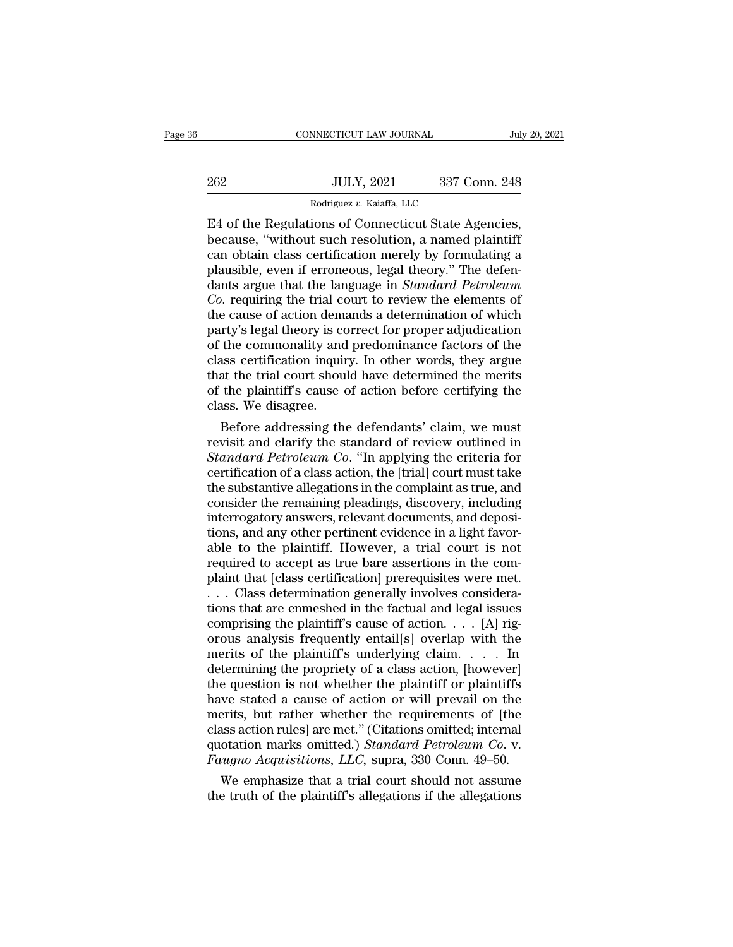|     | CONNECTICUT LAW JOURNAL                                                                                                                                                | July 20, 2021 |
|-----|------------------------------------------------------------------------------------------------------------------------------------------------------------------------|---------------|
| 262 | <b>JULY, 2021</b>                                                                                                                                                      | 337 Conn. 248 |
|     | Rodriguez v. Kaiaffa, LLC                                                                                                                                              |               |
|     | E4 of the Regulations of Connecticut State Agencies,<br>because, "without such resolution, a named plaintiff<br>can obtain class cortification moroly by formulating a |               |

262 JULY, 2021 337 Conn. 248<br>
Rodriguez v. Kaiaffa, LLC<br>
E4 of the Regulations of Connecticut State Agencies,<br>
because, "without such resolution, a named plaintiff<br>
can obtain class certification merely by formulating a<br>
p 262 JULY, 2021 337 Conn. 248<br>
Rodriguez v. Kaiaffa, LLC<br>
E4 of the Regulations of Connecticut State Agencies,<br>
because, "without such resolution, a named plaintiff<br>
can obtain class certification merely by formulating a<br> E4 of the Regulations of Connecticut State Agencies,<br>because, "without such resolution, a named plaintiff<br>can obtain class certification merely by formulating a<br>plausible, even if erroneous, legal theory." The defen-<br>dants Rodriguez v. Kaiaffa, LLC<br>
E4 of the Regulations of Connecticut State Agencies,<br>
because, "without such resolution, a named plaintiff<br>
can obtain class certification merely by formulating a<br>
plausible, even if erroneous, l <sup>Rodriguez v. Kaiaffa, LLC</sup><br> *CA* of the Regulations of Connecticut State Agencies,<br>
because, "without such resolution, a named plaintiff<br>
can obtain class certification merely by formulating a<br>
plausible, even if erroneou E4 of the Regulations of Connecticut State Agencies,<br>because, "without such resolution, a named plaintiff<br>can obtain class certification merely by formulating a<br>plausible, even if erroneous, legal theory." The defen-<br>dants because, "without such resolution, a named plaintiff<br>can obtain class certification merely by formulating a<br>plausible, even if erroneous, legal theory." The defen-<br>dants argue that the language in *Standard Petroleum*<br>*Co* can obtain class certification merely by formulating a plausible, even if erroneous, legal theory." The defendants argue that the language in *Standard Petroleum Co*. requiring the trial court to review the elements of the plausible, even if erroneous, legal theory." The defendants argue that the language in *Standard Petroleum* Co. requiring the trial court to review the elements of the cause of action demands a determination of which party dants argue that the language in *Standard Petroleum*<br>Co. requiring the trial court to review the elements of<br>the cause of action demands a determination of which<br>party's legal theory is correct for proper adjudication<br>of  $Co$  requiring the trial court to review the elements of the cause of action demands a determination of which party's legal theory is correct for proper adjudication of the commonality and predominance factors of the class the cause of action demainty's legal theory is confinity's legal theory is confinity and class certification inquinity and class certification inquinity that the trial court shouse of the plaintiff's cause of class. We dis rty's legal theory is correct for proper adjudication<br>the commonality and predominance factors of the<br>ass certification inquiry. In other words, they argue<br>at the trial court should have determined the merits<br>the plaintiff of the commonality and predominance factors of the<br>class certification inquiry. In other words, they argue<br>that the trial court should have determined the merits<br>of the plaintiff's cause of action before certifying the<br>cla

class certification inquiry. In other words, they argue<br>that the trial court should have determined the merits<br>of the plaintiff's cause of action before certifying the<br>class. We disagree.<br>Before addressing the defendants' that the trial court should have determined the merits<br>of the plaintiff's cause of action before certifying the<br>class. We disagree.<br>Before addressing the defendants' claim, we must<br>revisit and clarify the standard of revie of the plaintiff's cause of action before certifying the<br>class. We disagree.<br>Before addressing the defendants' claim, we must<br>revisit and clarify the standard of review outlined in<br>Standard Petroleum Co. "In applying the c class. We disagree.<br>
Before addressing the defendants' claim, we must<br>
revisit and clarify the standard of review outlined in<br>
Standard Petroleum Co. "In applying the criteria for<br>
certification of a class action, the [tri Before addressing the defendants' claim, we must<br>revisit and clarify the standard of review outlined in<br>*Standard Petroleum Co*. "In applying the criteria for<br>certification of a class action, the [trial] court must take<br>th revisit and clarify the standard of review outlined in<br>Standard Petroleum Co. "In applying the criteria for<br>certification of a class action, the [trial] court must take<br>the substantive allegations in the complaint as true, Standard Petroleum Co. "In applying the criteria for<br>certification of a class action, the [trial] court must take<br>the substantive allegations in the complaint as true, and<br>consider the remaining pleadings, discovery, inclu certification of a class action, the [trial] court must take<br>the substantive allegations in the complaint as true, and<br>consider the remaining pleadings, discovery, including<br>interrogatory answers, relevant documents, and d the substantive allegations in the complaint as true, and<br>consider the remaining pleadings, discovery, including<br>interrogatory answers, relevant documents, and deposi-<br>tions, and any other pertinent evidence in a light fav consider the remaining pleadings, discovery, including<br>interrogatory answers, relevant documents, and deposi-<br>tions, and any other pertinent evidence in a light favor-<br>able to the plaintiff. However, a trial court is not<br> interrogatory answers, relevant documents, and depositions, and any other pertinent evidence in a light favorable to the plaintiff. However, a trial court is not required to accept as true bare assertions in the complaint tions, and any other pertinent evidence in a light favorable to the plaintiff. However, a trial court is not required to accept as true bare assertions in the complaint that [class certification] prerequisites were met.<br> able to the plaintiff. However, a trial court is not<br>required to accept as true bare assertions in the com-<br>plaint that [class certification] prerequisites were met.<br>... Class determination generally involves considera-<br>t required to accept as true bare assertions in the complaint that [class certification] prerequisites were met.<br>
. . . Class determination generally involves considerations that are enmeshed in the factual and legal issues plaint that [class certification] prerequisites were met.<br>  $\ldots$  Class determination generally involves considera-<br>
tions that are enmeshed in the factual and legal issues<br>
comprising the plaintiff's cause of action.... [ ... Class determination generally involves considerations that are enmeshed in the factual and legal issues comprising the plaintiff's cause of action.... [A] rigorous analysis frequently entail[s] overlap with the merits tions that are enmeshed in the factual and legal issues<br>comprising the plaintiff's cause of action. . . . [A] rig-<br>orous analysis frequently entail[s] overlap with the<br>merits of the plaintiff's underlying claim. . . . In<br> comprising the plaintiff's cause of action. . . . [A] rigorous analysis frequently entail[s] overlap with the<br>merits of the plaintiff's underlying claim. . . . . In<br>determining the propriety of a class action, [however]<br>t orous analysis frequently entail[s] overlap with the<br>merits of the plaintiff's underlying claim.... In<br>determining the propriety of a class action, [however]<br>the question is not whether the plaintiff or plaintiffs<br>have st merits of the plaintiff's underlying claim. . . . In<br>determining the propriety of a class action, [however]<br>the question is not whether the plaintiff or plaintiffs<br>have stated a cause of action or will prevail on the<br>merit determining the propriety of a class action, [however]<br>the question is not whether the plaintiff or plaintiffs<br>have stated a cause of action or will prevail on the<br>merits, but rather whether the requirements of [the<br>class e question is not whether the plaintiff or plaintiffs<br>we stated a cause of action or will prevail on the<br>erits, but rather whether the requirements of [the<br>ass action rules] are met." (Citations omitted; internal<br>otation m have stated a cause of action or will prevail on the merits, but rather whether the requirements of [the class action rules] are met." (Citations omitted; internal quotation marks omitted.) *Standard Petroleum Co.* v. *Fa*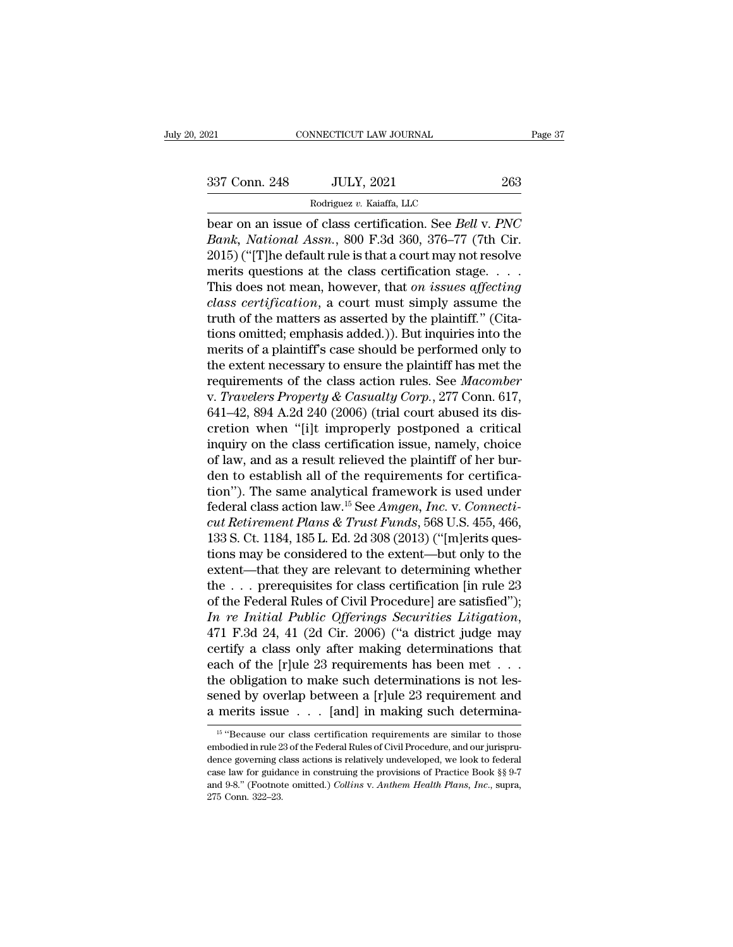NNECTICUT LAW JOURNAL<br>JULY, 2021<br>Rodriguez *v.* Kaiaffa, LLC<br>of class certification. See *Reli* bear on an issue of class certification. See *Bell* v. *PNC*<br>Bank, National Assn., 800 F.3d 360, 376–77 (7th Cir. 2015) ("The defeult rule is that a court may not resolve <sup>337</sup> Conn. 248 JULY, 2021 263<br>
<sup>Rodriguez v. Kaiaffa, LLC</sup><br>
bear on an issue of class certification. See *Bell v. PNC*<br> *Bank, National Assn.*, 800 F.3d 360, 376–77 (7th Cir.<br>
2015) ("[T]he default rule is that a court ma 337 Conn. 248 JULY, 2021 263<br>
Rodriguez v. Kaiaffa, LLC<br>
bear on an issue of class certification. See Bell v. PNC<br>
Bank, National Assn., 800 F.3d 360, 376–77 (7th Cir.<br>
2015) ("[T]he default rule is that a court may not r 337 Conn. 248 JULY, 2021 263<br>
Rodriguez v. Kaiaffa, LLC<br>
bear on an issue of class certification. See Bell v. PNC<br>
Bank, National Assn., 800 F.3d 360, 376–77 (7th Cir.<br>
2015) ("[T]he default rule is that a court may not r Rodriguez v. Kaiaffa, LLC<br>
bear on an issue of class certification. See *Bell v. PNC*<br> *Bank, National Assn.*, 800 F.3d 360, 376–77 (7th Cir.<br>
2015) ("[T]he default rule is that a court may not resolve<br>
merits questions at *coarguez v. Kaatra, LLC*<br> *class certification. See Bell v. PNC*<br> *Bank, National Assn.*, 800 F.3d 360, 376–77 (7th Cir.<br>
2015) ("[T]he default rule is that a court may not resolve<br>
merits questions at the class certifica bear on an issue of class certification. See *Bell v. PNC*<br>*Bank, National Assn.*, 800 F.3d 360, 376–77 (7th Cir.<br>2015) ("[T]he default rule is that a court may not resolve<br>merits questions at the class certification stage Bank, National Assn., 800 F.3d 360, 376–77 (7th Cir.<br>2015) ("[T]he default rule is that a court may not resolve<br>merits questions at the class certification stage....<br>This does not mean, however, that *on issues affecting*<br> 2015) ("[T]he default rule is that a court may not resolve<br>merits questions at the class certification stage....<br>This does not mean, however, that *on issues affecting<br>class certification*, a court must simply assume the<br> merits questions at the class certification stage.  $\dots$ <br>This does not mean, however, that *on issues affecting*<br>*class certification*, a court must simply assume the<br>truth of the matters as asserted by the plaintiff." (Ci This does not mean, however, that *on issues affecting*<br>class certification, a court must simply assume the<br>truth of the matters as asserted by the plaintiff." (Cita-<br>tions omitted; emphasis added.)). But inquiries into th class certification, a court must simply assume the<br>truth of the matters as asserted by the plaintiff." (Cita-<br>tions omitted; emphasis added.)). But inquiries into the<br>merits of a plaintiff's case should be performed only truth of the matters as asserted by the plaintiff." (Citations omitted; emphasis added.)). But inquiries into the merits of a plaintiff's case should be performed only to the extent necessary to ensure the plaintiff has me tions omitted; emphasis added.)). But inquiries into the<br>merits of a plaintiff's case should be performed only to<br>the extent necessary to ensure the plaintiff has met the<br>requirements of the class action rules. See *Macom* merits of a plaintiff's case should be performed only to<br>the extent necessary to ensure the plaintiff has met the<br>requirements of the class action rules. See *Macomber*<br>v. *Travelers Property & Casualty Corp.*, 277 Conn. 6 the extent necessary to ensure the plaintiff has met the requirements of the class action rules. See *Macomber* v. *Travelers Property & Casualty Corp.*, 277 Conn. 617, 641–42, 894 A.2d 240 (2006) (trial court abused its d requirements of the class action rules. See *Macomber* v. *Travelers Property & Casualty Corp.*, 277 Conn. 617, 641–42, 894 A.2d 240 (2006) (trial court abused its discretion when "[i]t improperly postponed a critical inq v. *Travelers Property & Casualty Corp.*, 277 Conn. 617, 641–42, 894 A.2d 240 (2006) (trial court abused its discretion when "[i]t improperly postponed a critical inquiry on the class certification issue, namely, choice o 641–42, 894 A.2d 240 (2006) (trial court abused its discretion when "[i]t improperly postponed a critical inquiry on the class certification issue, namely, choice of law, and as a result relieved the plaintiff of her burde cretion when "[i]t improperly postponed a critical<br>inquiry on the class certification issue, namely, choice<br>of law, and as a result relieved the plaintiff of her bur-<br>den to establish all of the requirements for certificainquiry on the class certification issue, namely, choice<br>of law, and as a result relieved the plaintiff of her bur-<br>den to establish all of the requirements for certifica-<br>tion"). The same analytical framework is used unde of law, and as a result relieved the plaintiff of her burden to establish all of the requirements for certification"). The same analytical framework is used under federal class action law.<sup>15</sup> See *Amgen, Inc.* v. *Connec* den to establish all of the requirements for certification"). The same analytical framework is used under federal class action law.<sup>15</sup> See *Amgen, Inc.* v. *Connecticut Retirement Plans & Trust Funds*, 568 U.S. 455, 466, tion"). The same analytical framework is used under<br>federal class action law.<sup>15</sup> See *Amgen*, Inc. v. Connecti-<br>cut Retirement Plans & Trust Funds, 568 U.S. 455, 466,<br>133 S. Ct. 1184, 185 L. Ed. 2d 308 (2013) ("[m]erits federal class action law.<sup>15</sup> See *Amgen, Inc.* v. *Connecticut Retirement Plans & Trust Funds*, 568 U.S. 455, 466, 133 S. Ct. 1184, 185 L. Ed. 2d 308 (2013) ("[m]erits questions may be considered to the extent—but only t *Cut Retirement Plans & Trust Funds*, 568 U.S. 455, 466, 133 S. Ct. 1184, 185 L. Ed. 2d 308 (2013) ("[m]erits questions may be considered to the extent—but only to the extent—that they are relevant to determining whether t tions may be considered to the extent—but only to the extent—that they are relevant to determining whether the . . . prerequisites for class certification [in rule 23 of the Federal Rules of Civil Procedure] are satisfied extent—that they are relevant to determining whether<br>the  $\ldots$  prerequisites for class certification [in rule 23<br>of the Federal Rules of Civil Procedure] are satisfied");<br>In re Initial Public Offerings Securities Litigati the ... prerequisites for class certification [in rule 23 of the Federal Rules of Civil Procedure] are satisfied");<br>
In re Initial Public Offerings Securities Litigation,<br>
471 F.3d 24, 41 (2d Cir. 2006) ("a district judge of the Federal Rules of Civil Procedure] are satisfied");<br>
In re Initial Public Offerings Securities Litigation,<br>
471 F.3d 24, 41 (2d Cir. 2006) ("a district judge may<br>
certify a class only after making determinations tha In re Initial Public Offerings Securities Litigation,<br>471 F.3d 24, 41 (2d Cir. 2006) ("a district judge may<br>certify a class only after making determinations that<br>each of the [r]ule 23 requirements has been met . . .<br>the o ach of the [r]ule 23 requirements has been met . . .<br>
ie obligation to make such determinations is not les-<br>
ened by overlap between a [r]ule 23 requirement and<br>
merits issue  $\ldots$  [and] in making such determina-<br>
<sup>15</sup> "B the obligation to make such determinations is not lessened by overlap between a [r]ule 23 requirement and a merits issue  $\ldots$  [and] in making such determina-<br> $\frac{15 \text{``Because our class certification requirements are similar to those embodied in rule 23 of the Federal Rules of Civil Procedure, and our juryispru-dence governing class actions is relatively undeveloped, we look to federal.}$ 

sened by overlap between a [r]ule 23 requirement and<br>a merits issue  $\ldots$  [and] in making such determina-<br><sup>15</sup> "Because our class certification requirements are similar to those<br>embodied in rule 23 of the Federal Rules of **a** merits issue  $\ldots$  [and] in making such determina-<br>
<sup>15</sup> "Because our class certification requirements are similar to those<br>
embodied in rule 23 of the Federal Rules of Civil Procedure, and our jurispru-<br>
dence govern a fiterits issue . . . [anti] iff intaking such determine-<br><sup>15</sup> "Because our class certification requirements are similar to those<br>embodied in rule 23 of the Federal Rules of Civil Procedure, and our jurispru-<br>dence govern  $\frac{15}{2}$  "Because our embodied in rule 2 dence governing c<br>case law for guida and 9-8." (Footnot<br>275 Conn. 322–23.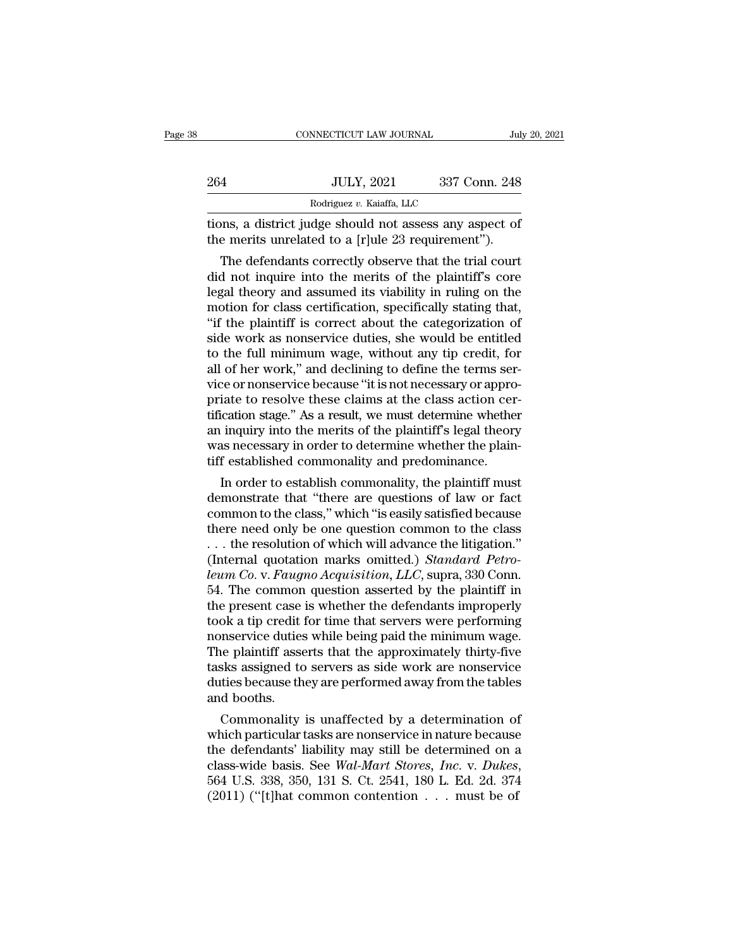|     | CONNECTICUT LAW JOURNAL                                                                                                                                                     | July 20, 2021 |
|-----|-----------------------------------------------------------------------------------------------------------------------------------------------------------------------------|---------------|
| 264 | <b>JULY, 2021</b>                                                                                                                                                           | 337 Conn. 248 |
|     | Rodriguez v. Kaiaffa, LLC                                                                                                                                                   |               |
|     | tions, a district judge should not assess any aspect of<br>the merits unrelated to a [r]ule 23 requirement").                                                               |               |
|     | The defendants correctly observe that the trial court<br>did not inquire into the merits of the plaintiff's core<br>logal thoory and assumed its viability in ruling on the |               |

264 JULY, 2021 337 Conn. 248<br>
Rodriguez v. Kaiaffa, LLC<br>
tions, a district judge should not assess any aspect of<br>
the merits unrelated to a [r]ule 23 requirement").<br>
The defendants correctly observe that the trial court<br> Rodriguez v. Kaiaffa, LLC<br>
ions, a district judge should not assess any aspect of<br>
the merits unrelated to a [r]ule 23 requirement").<br>
The defendants correctly observe that the trial court<br>
did not inquire into the merits tions, a district judge should not assess any aspect of<br>the merits unrelated to a [r]ule 23 requirement").<br>The defendants correctly observe that the trial court<br>did not inquire into the merits of the plaintiff's core<br>legal tions, a district judge should not assess any aspect of<br>the merits unrelated to a [r]ule 23 requirement").<br>The defendants correctly observe that the trial court<br>did not inquire into the merits of the plaintiff's core<br>legal the merits unrelated to a [r]ule 23 requirement ).<br>The defendants correctly observe that the trial court<br>did not inquire into the merits of the plaintiff's core<br>legal theory and assumed its viability in ruling on the<br>motio The defendants correctly observe that the trial court<br>did not inquire into the merits of the plaintiff's core<br>legal theory and assumed its viability in ruling on the<br>motion for class certification, specifically stating tha did not inquire into the merits of the plaintiff's core<br>legal theory and assumed its viability in ruling on the<br>motion for class certification, specifically stating that,<br>"if the plaintiff is correct about the categorizati legal theory and assumed its viability in ruling on the<br>motion for class certification, specifically stating that,<br>"if the plaintiff is correct about the categorization of<br>side work as nonservice duties, she would be entit motion for class certification, specifically stating that,<br>"if the plaintiff is correct about the categorization of<br>side work as nonservice duties, she would be entitled<br>to the full minimum wage, without any tip credit, fo "if the plaintiff is correct about the categorization of<br>side work as nonservice duties, she would be entitled<br>to the full minimum wage, without any tip credit, for<br>all of her work," and declining to define the terms ser-<br> side work as nonservice duties, she would be entitled<br>to the full minimum wage, without any tip credit, for<br>all of her work," and declining to define the terms ser-<br>vice or nonservice because "it is not necessary or approto the full minimum wage, without any tip credit, for<br>all of her work," and declining to define the terms ser-<br>vice or nonservice because "it is not necessary or appro-<br>priate to resolve these claims at the class action ce all of her work," and declining to define the terms service or nonservice because "it is not necessary or appropriate to resolve these claims at the class action certification stage." As a result, we must determine whethe Ce or nonservice because It is not necessary or appro-<br>iate to resolve these claims at the class action cer-<br>ication stage." As a result, we must determine whether<br>inquiry into the merits of the plaintiff's legal theory<br>as priate to resolve these claims at the class action certification stage." As a result, we must determine whether<br>an inquiry into the merits of the plaintiff's legal theory<br>was necessary in order to determine whether the pla

the cause of the plaintiff's legal theory<br>an inquiry into the merits of the plaintiff's legal theory<br>was necessary in order to determine whether the plain-<br>tiff established commonality and predominance.<br>In order to establi an mqury into the merits of the plaintiff s legal theory<br>was necessary in order to determine whether the plain-<br>tiff established commonality and predominance.<br>In order to establish commonality, the plaintiff must<br>demonstr was necessary in order to determine whether the plain-<br>tiff established commonality and predominance.<br>In order to establish commonality, the plaintiff must<br>demonstrate that "there are questions of law or fact<br>common to th IIII established commonality and predominance.<br>In order to establish commonality, the plaintiff must<br>demonstrate that "there are questions of law or fact<br>common to the class," which "is easily satisfied because<br>there need In order to establish commonality, the plaintiff must<br>demonstrate that "there are questions of law or fact<br>common to the class," which "is easily satisfied because<br>there need only be one question common to the class<br>... th demonstrate that "there are questions of law or fact<br>common to the class," which "is easily satisfied because<br>there need only be one question common to the class<br>... the resolution of which will advance the litigation."<br>(I common to the class," which "is easily satisfied because<br>there need only be one question common to the class<br>... the resolution of which will advance the litigation."<br>(Internal quotation marks omitted.) *Standard Petro-<br>l* there need only be one question common to the class<br>
... the resolution of which will advance the litigation."<br>
(Internal quotation marks omitted.) *Standard Petro-*<br> *leum Co.* v. *Faugno Acquisition*, *LLC*, supra, 330 C ... the resolution of which will advance the litigation."<br>(Internal quotation marks omitted.) *Standard Petro-*<br>*leum Co.* v. *Faugno Acquisition*, *LLC*, supra, 330 Conn.<br>54. The common question asserted by the plaintiff (Internal quotation marks omitted.) *Standard Petro-*<br>*leum Co.* v. *Faugno Acquisition*, *LLC*, supra, 330 Conn.<br>54. The common question asserted by the plaintiff in<br>the present case is whether the defendants improperly<br>t leum Co. v. Faugno Acquisition, LLC, supra, 330 Conn.<br>54. The common question asserted by the plaintiff in<br>the present case is whether the defendants improperly<br>took a tip credit for time that servers were performing<br>nonse 54. The common question asserted by the plaintiff in<br>the present case is whether the defendants improperly<br>took a tip credit for time that servers were performing<br>nonservice duties while being paid the minimum wage.<br>The pl the present case<br>took a tip credit<br>nonservice duties<br>The plaintiff asse<br>tasks assigned to<br>duties because th<br>and booths.<br>Commonality ok a up credit for time that servers were performing<br>inservice duties while being paid the minimum wage.<br>le plaintiff asserts that the approximately thirty-five<br>sks assigned to servers as side work are nonservice<br>tities be monservice duties while being paid the minimum wage.<br>The plaintiff asserts that the approximately thirty-five<br>tasks assigned to servers as side work are nonservice<br>duties because they are performed away from the tables<br>an

The plaintiff asserts that the approximately thirty-five<br>tasks assigned to servers as side work are nonservice<br>duties because they are performed away from the tables<br>and booths.<br>Commonality is unaffected by a determinatio tasks assigned to servers as side work are nonservice<br>duties because they are performed away from the tables<br>and booths.<br>Commonality is unaffected by a determination of<br>which particular tasks are nonservice in nature becau and booths.<br>
Commonality is unaffected by a determination of<br>
which particular tasks are nonservice in nature because<br>
the defendants' liability may still be determined on a<br>
class-wide basis. See *Wal-Mart Stores*, *Inc.*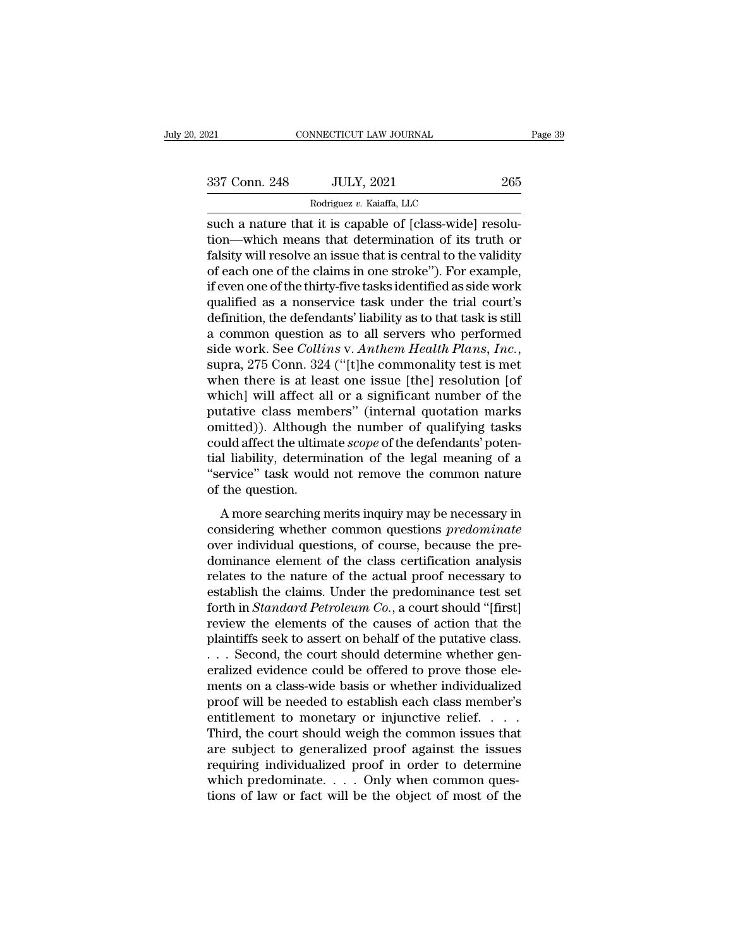NNECTICUT LAW JOURNAL<br>JULY, 2021<br>Rodriguez *v.* Kaiaffa, LLC<br>t it is canable of [class-wide] such a nature that it is capable of [class-wide] resolution—which means that determination of its truth or folgity will resolve an issue that is capable of the validity 337 Conn. 248 JULY, 2021 265<br>
Rodriguez v. Kaiaffa, LLC<br>
Such a nature that it is capable of [class-wide] resolu-<br>
tion—which means that determination of its truth or<br>
falsity will resolve an issue that is central to the v  $\frac{337 \text{ Conn. } 248 \qquad \text{JULY, } 2021 \qquad \qquad 265}$ <br>
Rodriguez v. Kaiaffa, LLC<br>
such a nature that it is capable of [class-wide] resolu-<br>
tion—which means that determination of its truth or<br>
falsity will resolve an issue that i 337 Conn. 248 JULY, 2021 265<br>
Rodriguez v. Kaiaffa, LLC<br>
such a nature that it is capable of [class-wide] resolu-<br>
tion—which means that determination of its truth or<br>
falsity will resolve an issue that is central to the Rodriguez v. Kaiaffa, LLC<br>
such a nature that it is capable of [class-wide] resolu-<br>
tion—which means that determination of its truth or<br>
falsity will resolve an issue that is central to the validity<br>
of each one of the c  $\frac{1}{100}$   $\frac{1}{100}$   $\frac{1}{100}$   $\frac{1}{100}$   $\frac{1}{100}$   $\frac{1}{100}$   $\frac{1}{100}$   $\frac{1}{100}$   $\frac{1}{100}$   $\frac{1}{100}$   $\frac{1}{100}$   $\frac{1}{100}$   $\frac{1}{100}$   $\frac{1}{100}$   $\frac{1}{100}$   $\frac{1}{100}$   $\frac{1}{100}$   $\frac{1}{100}$   $\frac{1$ such a nature that it is capable of [class-wide] resolution—which means that determination of its truth or falsity will resolve an issue that is central to the validity of each one of the claims in one stroke"). For exampl tion—which means that determination of its truth or<br>falsity will resolve an issue that is central to the validity<br>of each one of the claims in one stroke"). For example,<br>if even one of the thirty-five tasks identified as falsity will resolve an issue that is central to the validity<br>of each one of the claims in one stroke"). For example,<br>if even one of the thirty-five tasks identified as side work<br>qualified as a nonservice task under the tr if even one of the thirty-five tasks identified as side work<br>qualified as a nonservice task under the trial court's<br>definition, the defendants' liability as to that task is still<br>a common question as to all servers who per qualified as a nonservice task under the trial court's<br>definition, the defendants' liability as to that task is still<br>a common question as to all servers who performed<br>side work. See *Collins* v. Anthem Health Plans, Inc., definition, the defendants' liability as to that task is still<br>a common question as to all servers who performed<br>side work. See *Collins* v. Anthem Health Plans, Inc.,<br>supra, 275 Conn. 324 ("[t]he commonality test is met<br>w a common question as to all servers who performed<br>side work. See *Collins* v. *Anthem Health Plans*, *Inc.*,<br>supra, 275 Conn. 324 ("[t]he commonality test is met<br>when there is at least one issue [the] resolution [of<br>which] side work. See *Collins* v. *Anthem Health Plans, Inc.*, supra, 275 Conn. 324 ("[t]he commonality test is met when there is at least one issue [the] resolution [of which] will affect all or a significant number of the puta supra, 275 Conn. 324 ("[t]he commonality test is met<br>when there is at least one issue [the] resolution [of<br>which] will affect all or a significant number of the<br>putative class members" (internal quotation marks<br>omitted)). when there is at least one issue [the] resolution [of which] will affect all or a significant number of the putative class members" (internal quotation marks omitted)). Although the number of qualifying tasks could affect which] will affect al<br>putative class mem<br>omitted)). Although<br>could affect the ultim<br>tial liability, determi<br>"service" task would<br>of the question.<br>A more searching r matter class members (internal quotation matter<br>intted)). Although the number of qualifying tasks<br>wild affect the ultimate *scope* of the defendants' poten-<br>il liability, determination of the legal meaning of a<br>ervice" tas could affect the ultimate *scope* of the defendants' potential liability, determination of the legal meaning of a<br>
"service" task would not remove the common nature<br>
of the question.<br>
A more searching merits inquiry may be

could affect the ultimate *scope* of the defendants' potential liability, determination of the legal meaning of a "service" task would not remove the common nature of the question.<br>A more searching merits inquiry may be ne damination of the regal including of a<br>
"service" task would not remove the common nature<br>
of the question.<br>
A more searching merits inquiry may be necessary in<br>
considering whether common questions *predominate*<br>
over ind of the question.<br>
A more searching merits inquiry may be necessary in<br>
considering whether common questions *predominate*<br>
over individual questions, of course, because the pre-<br>
dominance element of the class certificatio A more searching merits inquiry may be necessary in<br>considering whether common questions *predominate*<br>over individual questions, of course, because the pre-<br>dominance element of the class certification analysis<br>relates t A more searching merits inquiry may be necessary in considering whether common questions *predominate* over individual questions, of course, because the predominance element of the class certification analysis relates to t considering whether common questions *predominate*<br>over individual questions, of course, because the pre-<br>dominance element of the class certification analysis<br>relates to the nature of the actual proof necessary to<br>establi over individual questions, of course, because the pre-<br>dominance element of the class certification analysis<br>relates to the nature of the actual proof necessary to<br>establish the claims. Under the predominance test set<br>fort dominance element of the class certification analysis<br>relates to the nature of the actual proof necessary to<br>establish the claims. Under the predominance test set<br>forth in *Standard Petroleum Co.*, a court should "[first]<br> relates to the nature of the actual proof necessary to<br>establish the claims. Under the predominance test set<br>forth in *Standard Petroleum Co.*, a court should "[first]<br>review the elements of the causes of action that the<br>p establish the claims. Under the predominance test set<br>forth in *Standard Petroleum Co.*, a court should "[first]<br>review the elements of the causes of action that the<br>plaintiffs seek to assert on behalf of the putative clas forth in *Standard Petroleum Co.*, a court should "[first]<br>review the elements of the causes of action that the<br>plaintiffs seek to assert on behalf of the putative class.<br> $\dots$  Second, the court should determine whether ge review the elements of the causes of action that the plaintiffs seek to assert on behalf of the putative class.<br>
. . . Second, the court should determine whether generalized evidence could be offered to prove those elemen plaintiffs seek to assert on behalf of the putative class.<br>
. . . Second, the court should determine whether generalized evidence could be offered to prove those elements on a class-wide basis or whether individualized<br>
pr ... Second, the court should determine whether generalized evidence could be offered to prove those elements on a class-wide basis or whether individualized proof will be needed to establish each class member's entitlemen eralized evidence could be offered to prove those elements on a class-wide basis or whether individualized<br>proof will be needed to establish each class member's<br>entitlement to monetary or injunctive relief. . . .<br>Third, t ments on a class-wide basis or whether individualized<br>proof will be needed to establish each class member's<br>entitlement to monetary or injunctive relief.....<br>Third, the court should weigh the common issues that<br>are subject proof will be needed to establish each class member's<br>entitlement to monetary or injunctive relief. . . . .<br>Third, the court should weigh the common issues that<br>are subject to generalized proof against the issues<br>requirin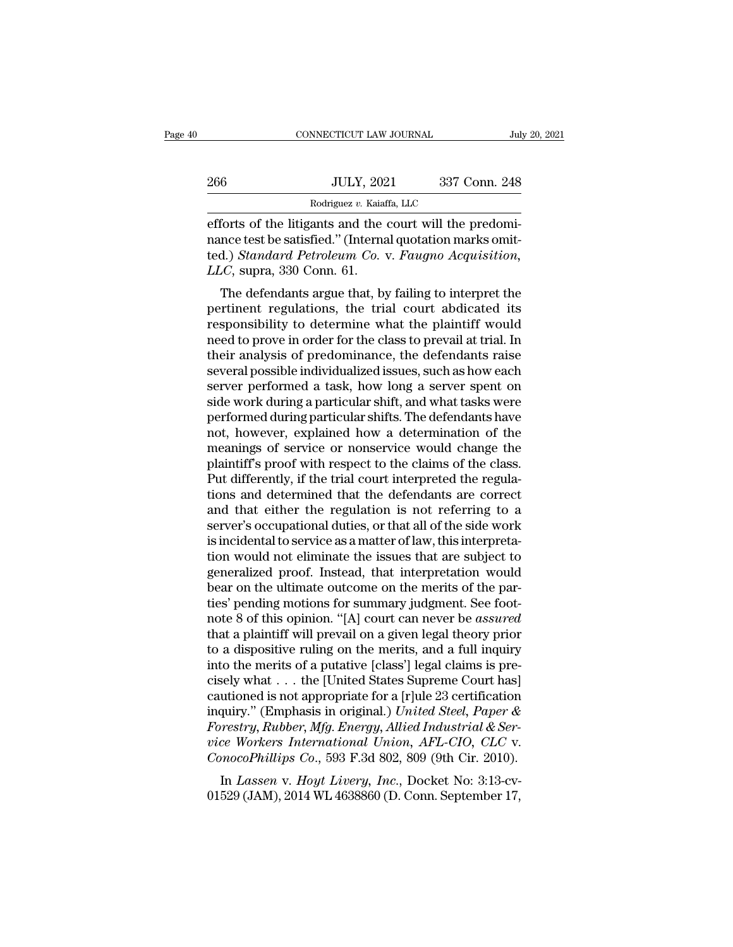|     | CONNECTICUT LAW JOURNAL                                  | July 20, 2021 |
|-----|----------------------------------------------------------|---------------|
| 266 | <b>JULY, 2021</b>                                        | 337 Conn. 248 |
|     | Rodriguez v. Kaiaffa, LLC                                |               |
|     | efforts of the litigants and the court will the predomi- |               |

efforts of the litigants and the court will the predomi-266 JULY, 2021 337 Conn. 248<br>
Rodriguez v. Kaiaffa, LLC<br>
efforts of the litigants and the court will the predomi-<br>
nance test be satisfied.'' (Internal quotation marks omit-<br>
ted.) *Standard Petroleum Co.* v. *Faugno Acqui* 1966 JULY, 2021 337 Conn. 248<br>
Rodriguez v. Kaiaffa, LLC<br>
efforts of the litigants and the court will the predominance test be satisfied." (Internal quotation marks omit-<br>
ted.) *Standard Petroleum Co.* v. *Faugno Acquisit LLCC*, supra, 330 Conn. 61.<br>The defects of the litigants and the mance test be satisfied." (Internated.) *Standard Petroleum Co.*<br>TLC, supra, 330 Conn. 61.<br>The defendants argue that, by Rodriguez v. Kaiaffa, LLC<br>
forts of the litigants and the court will the predomi-<br>
nce test be satisfied." (Internal quotation marks omit-<br>
d.) Standard Petroleum Co. v. Faugno Acquisition,<br>
LC, supra, 330 Conn. 61.<br>
The efforts of the litigants and the court will the predominance test be satisfied." (Internal quotation marks omitted.) Standard Petroleum Co. v. Faugno Acquisition, LLC, supra, 330 Conn. 61.<br>The defendants argue that, by fai

enots of the higants and the court will the predofficial-<br>nance test be satisfied." (Internal quotation marks omit-<br>ted.) *Standard Petroleum Co.* v. *Faugno Acquisition*,<br>LLC, supra, 330 Conn. 61.<br>The defendants argue tha rance test be satisfied. (Internal quotation marks onticled.) Standard Petroleum Co. v. Faugno Acquisition,<br>LLC, supra, 330 Conn. 61.<br>The defendants argue that, by failing to interpret the<br>pertinent regulations, the trial ted.) Sumatra Ferroteum Co. v. Faugno Acquistiton,<br>LLC, supra, 330 Conn. 61.<br>The defendants argue that, by failing to interpret the<br>pertinent regulations, the trial court abdicated its<br>responsibility to determine what the EEC, supra, 550 Conn. 61.<br>The defendants argue that, by failing to interpret the<br>pertinent regulations, the trial court abdicated its<br>responsibility to determine what the plaintiff would<br>need to prove in order for the clas The defendants argue that, by failing to interpret the<br>pertinent regulations, the trial court abdicated its<br>responsibility to determine what the plaintiff would<br>need to prove in order for the class to prevail at trial. In<br> pertinent regulations, the trial court abdicated its<br>responsibility to determine what the plaintiff would<br>need to prove in order for the class to prevail at trial. In<br>their analysis of predominance, the defendants raise<br>se responsibility to determine what the plaintiff would<br>need to prove in order for the class to prevail at trial. In<br>their analysis of predominance, the defendants raise<br>several possible individualized issues, such as how eac need to prove in order for the class to prevail at trial. In<br>their analysis of predominance, the defendants raise<br>several possible individualized issues, such as how each<br>server performed a task, how long a server spent on their analysis of predominance, the defendants raise<br>several possible individualized issues, such as how each<br>server performed a task, how long a server spent on<br>side work during a particular shift, and what tasks were<br>per several possible individualized issues, such as how each<br>server performed a task, how long a server spent on<br>side work during a particular shift, and what tasks were<br>performed during particular shifts. The defendants have<br> server performed a task, how long a server spent on<br>side work during a particular shift, and what tasks were<br>performed during particular shifts. The defendants have<br>not, however, explained how a determination of the<br>meanin side work during a particular shift, and what tasks were<br>performed during particular shifts. The defendants have<br>not, however, explained how a determination of the<br>meanings of service or nonservice would change the<br>plainti performed during particular shifts. The defendants have<br>not, however, explained how a determination of the<br>meanings of service or nonservice would change the<br>plaintiff's proof with respect to the claims of the class.<br>Put d not, however, explained how a determination of the<br>meanings of service or nonservice would change the<br>plaintiff's proof with respect to the claims of the class.<br>Put differently, if the trial court interpreted the regula-<br>t meanings of service or nonservice would change the plaintiff's proof with respect to the claims of the class.<br>Put differently, if the trial court interpreted the regulations and determined that the defendants are correct<br>a plaintiff's proof with respect to the claims of the class.<br>Put differently, if the trial court interpreted the regula-<br>tions and determined that the defendants are correct<br>and that either the regulation is not referring to Put differently, if the trial court interpreted the regulations and determined that the defendants are correct<br>and that either the regulation is not referring to a<br>server's occupational duties, or that all of the side work tions and determined that the defendants are correct<br>and that either the regulation is not referring to a<br>server's occupational duties, or that all of the side work<br>is incidental to service as a matter of law, this interpr and that either the regulation is not referring to a<br>server's occupational duties, or that all of the side work<br>is incidental to service as a matter of law, this interpreta-<br>tion would not eliminate the issues that are sub server's occupational duties, or that all of the side work<br>is incidental to service as a matter of law, this interpreta-<br>tion would not eliminate the issues that are subject to<br>generalized proof. Instead, that interpretati is incidental to service as a matter of law, this interpretation would not eliminate the issues that are subject to generalized proof. Instead, that interpretation would bear on the ultimate outcome on the merits of the pa tion would not eliminate the issues that are subject to<br>generalized proof. Instead, that interpretation would<br>bear on the ultimate outcome on the merits of the par-<br>ties' pending motions for summary judgment. See foot-<br>not generalized proof. Instead, that interpretation would<br>bear on the ultimate outcome on the merits of the par-<br>ties' pending motions for summary judgment. See foot-<br>note 8 of this opinion. "[A] court can never be *assured*<br>t bear on the ultimate outcome on the merits of the parties' pending motions for summary judgment. See foot-<br>note 8 of this opinion. "[A] court can never be *assured*<br>that a plaintiff will prevail on a given legal theory pr ties' pending motions for summary judgment. See foot-<br>note 8 of this opinion. "[A] court can never be *assured*<br>that a plaintiff will prevail on a given legal theory prior<br>to a dispositive ruling on the merits, and a full note 8 of this opinion. "[A] court can never be *assured*<br>that a plaintiff will prevail on a given legal theory prior<br>to a dispositive ruling on the merits, and a full inquiry<br>into the merits of a putative [class'] legal c *Forestry, Forestry, Forestry, Forestry, Forestry, Forestry, Forestry, Forestry, Forestry, Rubber, Mfg. Energy, Allied Industrial & Ser-*<br>*Forestry, Rubber, Mfg. Energy, Allied States Supreme Court has*<br>*Forestry, Rubber,* to a dispositive ruling on the merits, and a full inquiry<br>into the merits of a putative [class'] legal claims is pre-<br>cisely what . . . the [United States Supreme Court has]<br>cautioned is not appropriate for a [r]ule 23 cer into the merits of a putative [class'] legal claims is precisely what . . . the [United States Supreme Court has] cautioned is not appropriate for a [r]ule 23 certification inquiry." (Emphasis in original.) *United Steel*, Example In a Figure 1 and the United States Supreme Court has<br>
utioned is not appropriate for a [r]ule 23 certification<br>
quiry." (Emphasis in original.) United Steel, Paper &<br> *Hower More More International Union, AFL-CIO,* cautioned is not appropriate for a [Figure 25 certification]<br>inquiry." (Emphasis in original.) United Steel, Paper &<br>Forestry, Rubber, Mfg. Energy, Allied Industrial & Ser-<br>vice Workers International Union, AFL-CIO, CLC v.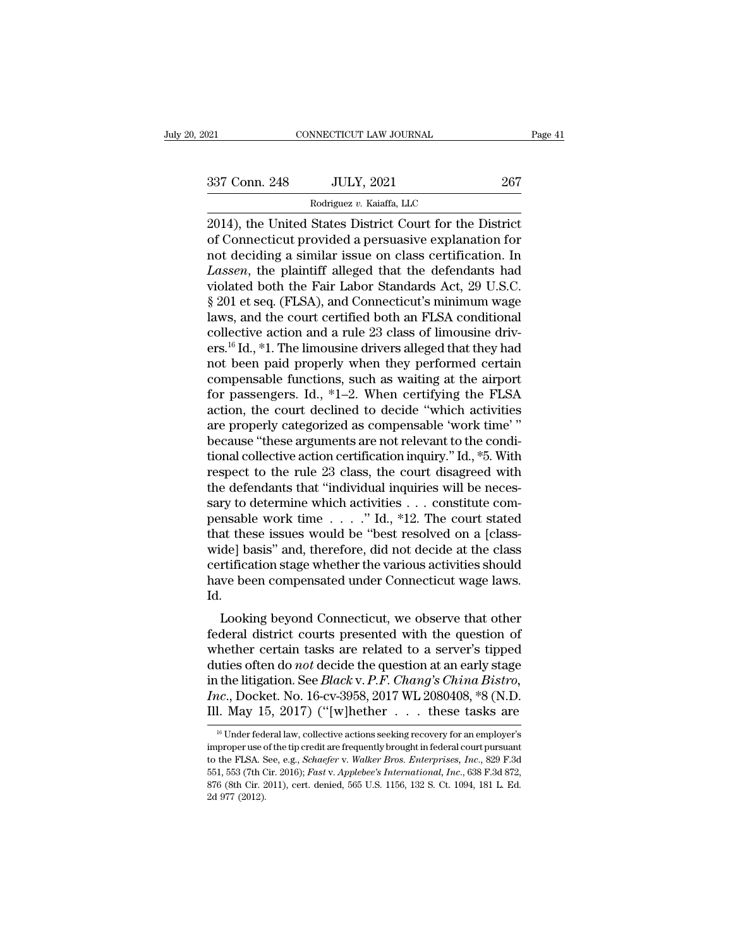$\begin{tabular}{l l l l} \hline & & & & & \mbox{\texttt{COMNECTICUT LAW JOURNAL}} & \multicolumn{2}{c|}{Page 41} \\ \hline & & & & \mbox{\texttt{Page 41}}\\ \hline & & & \mbox{\texttt{337 Conn. 248}} & & \mbox{\texttt{JULY, 2021}} & & \mbox{\texttt{267}}\\ & & & \mbox{\texttt{Rodriguez $v$}. Kaiaffa, LLC} \end{tabular}$ 

NNECTICUT LAW JOURNAL<br>JULY, 2021<br>Rodriguez *v.* Kaiaffa, LLC<br>States District Court for the CONNECTICUT LAW JOURNAL Page 4<br>
2014), the United States District Court for the District<br>
2014), the United States District Court for the District<br>
2014), the United States District Court for the District<br>
of Connecticut p 337 Conn. 248 JULY, 2021 267<br>
Rodriguez v. Kaiaffa, LLC<br>
2014), the United States District Court for the District<br>
of Connecticut provided a persuasive explanation for<br>
not deciding a similar issue on class certification. 337 Conn. 248 JULY, 2021 267<br>
Rodriguez v. Kaiaffa, LLC<br>
2014), the United States District Court for the District<br>
of Connecticut provided a persuasive explanation for<br>
not deciding a similar issue on class certification. <sup>267</sup><br>
<sup>Rodriguez v. Kaiaffa, LLC</sup><br>
<sup>2014</sup>), the United States District Court for the District<br>
of Connecticut provided a persuasive explanation for<br>
not deciding a similar issue on class certification. In<br> *Lassen*, the p Rodriguez v. Kaiaffa, LLC<br>
2014), the United States District Court for the District<br>
of Connecticut provided a persuasive explanation for<br>
not deciding a similar issue on class certification. In<br> *Lassen*, the plaintiff a Rodriguez v. Kaiatta, LLC<br>
2014), the United States District Court for the District<br>
of Connecticut provided a persuasive explanation for<br>
not deciding a similar issue on class certification. In<br> *Lassen*, the plaintiff a 2014), the United States District Court for the District<br>of Connecticut provided a persuasive explanation for<br>not deciding a similar issue on class certification. In<br>*Lassen*, the plaintiff alleged that the defendants had<br> of Connecticut provided a persuasive explanation for<br>not deciding a similar issue on class certification. In<br>*Lassen*, the plaintiff alleged that the defendants had<br>violated both the Fair Labor Standards Act, 29 U.S.C.<br>§ 2 not deciding a similar issue on class certification. In<br>*Lassen*, the plaintiff alleged that the defendants had<br>violated both the Fair Labor Standards Act, 29 U.S.C.<br>§ 201 et seq. (FLSA), and Connecticut's minimum wage<br>law Lassen, the plaintiff alleged that the defendants had<br>violated both the Fair Labor Standards Act, 29 U.S.C.<br>§ 201 et seq. (FLSA), and Connecticut's minimum wage<br>laws, and the court certified both an FLSA conditional<br>colle violated both the Fair Labor Standards Act, 29 U.S.C.<br>§ 201 et seq. (FLSA), and Connecticut's minimum wage<br>laws, and the court certified both an FLSA conditional<br>collective action and a rule 23 class of limousine driv-<br>er § 201 et seq. (FLSA), and Connecticut's minimum wage<br>laws, and the court certified both an FLSA conditional<br>collective action and a rule 23 class of limousine driv-<br>ers.<sup>16</sup> Id., \*1. The limousine drivers alleged that the laws, and the court certified both an FLSA conditional<br>collective action and a rule 23 class of limousine driv-<br>ers.<sup>16</sup> Id., \*1. The limousine drivers alleged that they had<br>not been paid properly when they performed certa collective action and a rule 23 class of limousine drivers.<sup>16</sup> Id., \*1. The limousine drivers alleged that they had<br>not been paid properly when they performed certain<br>compensable functions, such as waiting at the airport ers.<sup>16</sup> Id., \*1. The limousine drivers alleged that they had<br>not been paid properly when they performed certain<br>compensable functions, such as waiting at the airport<br>for passengers. Id., \*1–2. When certifying the FLSA<br>ac not been paid properly when they performed certain<br>compensable functions, such as waiting at the airport<br>for passengers. Id., \*1–2. When certifying the FLSA<br>action, the court declined to decide "which activities<br>are proper compensable functions, such as waiting at the airport<br>for passengers. Id., \*1–2. When certifying the FLSA<br>action, the court declined to decide "which activities<br>are properly categorized as compensable 'work time'"<br>because for passengers. Id., \*1–2. When certifying the FLSA action, the court declined to decide "which activities are properly categorized as compensable 'work time' "because "these arguments are not relevant to the conditional action, the court declined to decide "which activities<br>are properly categorized as compensable 'work time'"<br>because "these arguments are not relevant to the condi-<br>tional collective action certification inquiry." Id., \*5. are properly categorized as compensable 'work time' "<br>because "these arguments are not relevant to the condi-<br>tional collective action certification inquiry." Id., \*5. With<br>respect to the rule 23 class, the court disagreed because "these arguments are not relevant to the conditional collective action certification inquiry." Id., \*5. With respect to the rule 23 class, the court disagreed with the defendants that "individual inquiries will be tional collective action certification inquiry." Id., \*5. With<br>respect to the rule 23 class, the court disagreed with<br>the defendants that "individual inquiries will be neces-<br>sary to determine which activities . . . const respect to the rule 23 class, the court disagreed with<br>the defendants that "individual inquiries will be neces-<br>sary to determine which activities  $\dots$  constitute com-<br>pensable work time  $\dots$ ." Id., \*12. The court stated<br> the defendants that "individual inquiries will be necessary to determine which activities . . . constitute compensable work time  $\ldots$  . . . ." Id., \*12. The court stated that these issues would be "best resolved on a [cl Id. Fisable work time  $\ldots$  and,  $\lceil 12 \rceil$ . The court stated at these issues would be "best resolved on a [class-<br>de] basis" and, therefore, did not decide at the class<br>rtification stage whether the various activities shoul Federal district courts presented to a server's tipped<br>during the question stage whether the various activities should<br>have been compensated under Connecticut wage laws.<br>Id.<br>Looking beyond Connecticut, we observe that othe

whet pass and, therefore, and not decide at the class<br>certification stage whether the various activities should<br>have been compensated under Connecticut wage laws.<br>Id.<br>Looking beyond Connecticut, we observe that other<br>fede duties of the properties of the properties of the properties of the Looking beyond Connecticut, we observe that other<br>decide the federal district courts presented with the question of<br>whether certain tasks are related to a Id.<br>
Looking beyond Connecticut, we observe that other<br>
federal district courts presented with the question of<br>
whether certain tasks are related to a server's tipped<br>
duties often do *not* decide the question at an early Looking beyond Connecticut, we observe that other<br>federal district courts presented with the question of<br>whether certain tasks are related to a server's tipped<br>duties often do *not* decide the question at an early stage<br>in Looking beyond Connecticut, we observe that other<br>federal district courts presented with the question of<br>whether certain tasks are related to a server's tipped<br>duties often do *not* decide the question at an early stage<br>i uties often do *not* decide the question at an early stage<br>
1. the litigation. See *Black* v. *P.F. Chang's China Bistro*,<br>
1. May 15, 2017) ("[w]hether . . . . these tasks are<br>
<sup>16</sup> Under federal law, collective actions in the litigation. See *Black* v. *P.F. Chang's China Bistro*,<br>*Inc.*, Docket. No. 16-cv-3958, 2017 WL 2080408, \*8 (N.D.<br>Ill. May 15, 2017) ("[w]hether . . . these tasks are<br><sup>16</sup> Under federal law, collective actions seek

Inc., Docket. No. 16-cv-3958, 2017 WL 2080408, \*8 (N.D.<br>Ill. May 15, 2017) ("[w]hether . . . these tasks are<br><sup>16</sup> Under federal law, collective actions seeking recovery for an employer's<br>improper use of the tip credit are III. May 15, 2017) ("[w]hether . . . . these tasks are<br>
<sup>16</sup> Under federal law, collective actions seeking recovery for an employer's<br>
improper use of the tip credit are frequently brought in federal court pursuant<br>
to the  $\frac{16}{16}$  Under federal law, collective actions seeking recovery for an employer's improper use of the tip credit are frequently brought in federal court pursuant to the FLSA. See, e.g., *Schaefer v. Walker Bros. Enterp* <sup>16</sup> Under fed<br>improper use c<br>to the FLSA. S<br>551, 553 (7th C<br>876 (8th Cir. 2<br>2d 977 (2012).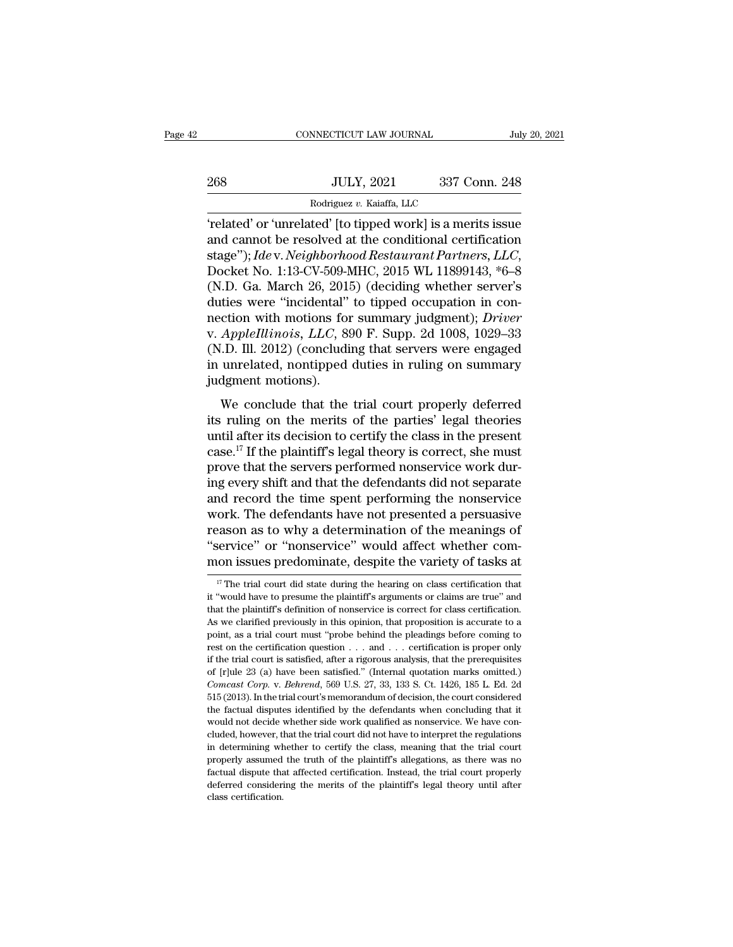|     | CONNECTICUT LAW JOURNAL                                      |               | July 20, 2021 |
|-----|--------------------------------------------------------------|---------------|---------------|
|     |                                                              |               |               |
| 268 | <b>JULY, 2021</b>                                            | 337 Conn. 248 |               |
|     | Rodriguez v. Kaiaffa, LLC                                    |               |               |
|     | related' or 'unrelated' [to tinned work] is a merits issue ' |               |               |

CONNECTICUT LAW JOURNAL July 20, 2021<br>
268 JULY, 2021 337 Conn. 248<br>
Rodriguez v. Kaiaffa, LLC<br>
Telated' or 'unrelated' [to tipped work] is a merits issue<br>
and cannot be resolved at the conditional certification<br>
ctage''): 268 JULY, 2021 337 Conn. 248<br>
Rodriguez v. Kaiaffa, LLC<br>
Telated' or 'unrelated' [to tipped work] is a merits issue<br>
and cannot be resolved at the conditional certification<br>
stage''); *Ide* v. *Neighborhood Restaurant Part* Staget'');<br>
Stading v. *Neighborhood Restaurant Partners, LLC*<br>
Stage''); *Idev. Neighborhood Restaurant Partners, LLC*,<br>
Docket No. 1:13-CV-509-MHC, 2015 WL 11899143, \*6–8<br>
(N.D. Ga. March 26, 2015) (deciding whether serv Rodriguez v. Kaiaffa, LLC<br>
(related' or 'unrelated' [to tipped work] is a merits issue<br>
and cannot be resolved at the conditional certification<br>
stage"); Ide v. Neighborhood Restaurant Partners, LLC,<br>
Docket No. 1:13-CV-5 'related' or 'unrelated' [to tipped work] is a merits issue<br>and cannot be resolved at the conditional certification<br>stage''); *Ide* v. *Neighborhood Restaurant Partners*, *LLC*,<br>Docket No. 1:13-CV-509-MHC, 2015 WL 1189914 "related" or "unrelated" [to tipped work] is a merits issue<br>and cannot be resolved at the conditional certification<br>stage"); *Idev. Neighborhood Restaurant Partners*, *LLC*,<br>Docket No. 1:13-CV-509-MHC, 2015 WL 11899143, \*6 and cannot be resolved at the conditional certification<br>stage"); *Ide* v. *Neighborhood Restaurant Partners*, *LLC*,<br>Docket No. 1:13-CV-509-MHC, 2015 WL 11899143, \*6–8<br>(N.D. Ga. March 26, 2015) (deciding whether server's<br>d stage"); *Ide* v. *Neighborhood Restaurant Partners*, *LLC*,<br>Docket No. 1:13-CV-509-MHC, 2015 WL 11899143, \*6–8<br>(N.D. Ga. March 26, 2015) (deciding whether server's<br>duties were "incidental" to tipped occupation in con-<br>nec Docket No. 1:13-CV-509-MHC, 2015 WL 11899143, \*6–8 (N.D. Ga. March 26, 2015) (deciding whether server's duties were "incidental" to tipped occupation in connection with motions for summary judgment); *Driver* v. *AppleIlli* (N.D. Ga. March 26, 201<br>duties were "incidental"<br>nection with motions for<br>v. AppleIllinois, LLC, 8<br>(N.D. Ill. 2012) (concludi<br>in unrelated, nontipped<br>judgment motions).<br>We conclude that the The trial concludered that the trial court properly deferred<br>
We conclude that the trial court properly deferred<br>
We conclude that the trial court properly deferred<br>
The ruling on the merits of the parties' legal theories<br> its *AppleIllinois, LLC*, 890 F. Supp. 2d 1008, 1029–33<br>(N.D. Ill. 2012) (concluding that servers were engaged<br>in unrelated, nontipped duties in ruling on summary<br>judgment motions).<br>We conclude that the trial court proper

(N.D. III. 2012) (concluding that servers were engaged<br>in unrelated, nontipped duties in ruling on summary<br>judgment motions).<br>We conclude that the trial court properly deferred<br>its ruling on the merits of the parties' leg (FORT). In: 2012) (concluding and servers were engaged<br>in unrelated, nontipped duties in ruling on summary<br>judgment motions).<br>We conclude that the trial court properly deferred<br>its ruling on the merits of the parties' leg m directated, hondeped datates in raining on summary<br>judgment motions).<br>We conclude that the trial court properly deferred<br>its ruling on the merits of the parties' legal theories<br>until after its decision to certify the cla We conclude that the trial court properly deferred<br>its ruling on the merits of the parties' legal theories<br>until after its decision to certify the class in the present<br>case.<sup>17</sup> If the plaintiff's legal theory is correct, We conclude that the trial court properly deferred<br>its ruling on the merits of the parties' legal theories<br>until after its decision to certify the class in the present<br>case.<sup>17</sup> If the plaintiff's legal theory is correct, its ruling on the merits of the parties' legal theories<br>until after its decision to certify the class in the present<br>case.<sup>17</sup> If the plaintiff's legal theory is correct, she must<br>prove that the servers performed nonservic until after its decision to certify the class in the present<br>case.<sup>17</sup> If the plaintiff's legal theory is correct, she must<br>prove that the servers performed nonservice work dur-<br>ing every shift and that the defendants did case.<sup>17</sup> If the plaintiff's legal theory is correct, she must<br>prove that the servers performed nonservice work dur-<br>ing every shift and that the defendants did not separate<br>and record the time spent performing the nonserv prove that the servers performed nonservice work during every shift and that the defendants did not separate and record the time spent performing the nonservice work. The defendants have not presented a persuasive reason a ork. The detendants have not presented a persuasive<br>eason as to why a determination of the meanings of<br>service" or "nonservice" would affect whether com-<br>on issues predominate, despite the variety of tasks at<br>"The trial co reason as to why a determination of the meanings of "service" or "nonservice" would affect whether common issues predominate, despite the variety of tasks at  $\frac{17}{17}$  The trial court did state during the hearing on cla

<sup>&</sup>quot;service" or "nonservice" would affect whether com-<br>mon issues predominate, despite the variety of tasks at<br> $\frac{17}{17}$  The trial court did state during the hearing on class certification that<br>it "would have to presume th Moreover the contributed when the variety of tasks at<br>  $\frac{17}{17}$  The trial court did state during the hearing on class certification that<br>
it "would have to presume the plaintiff's arguments or claims are true" and<br>
tha If The trial court did state during the hearing on class certification that it "would have to presume the plaintiff's arguments or claims are true" and that the plaintiff's definition of nonservice is correct for class ce <sup>17</sup> The trial court did state during the hearing on class certification that it "would have to presume the plaintiff's arguments or claims are true" and that the plaintiff's definition of nonservice is correct for class if "would have to presume the plaintiff's arguments or claims are true" and that the plaintiff's definition of nonservice is correct for class certification. As we clarified previously in this opinion, that proposition is of the plaintiff's definition of nonservice is correct for class certification.<br>As we clarified previously in this opinion, that proposition is accurate to a<br>point, as a trial court must "probe behind the pleadings before *Comcast Corp.* v. *Behrend*, 569 U.S. 27, 33, 133 S. Ct. 1426, 185 L. Ed. 2d 515 (2013). In the trial court's memorature of development of the computer of the certification question . . . and . . . certification is proper From example in the vertification question  $\cdot \cdot \cdot$  and  $\cdot \cdot \cdot$  certification is proper only if the trial court is satisfied, after a rigorous analysis, that the prerequisites of [r]ule 23 (a) have been satisfied." (Inte rest on the certification question  $\ldots$  and  $\ldots$  certification is proper only if the trial court is satisfied, after a rigorous analysis, that the prerequisites of [r]ule 23 (a) have been satisfied." (Internal quotation if the trial court is satisfied, after a rigorous analysis, that the prerequisites of [r]ule 23 (a) have been satisfied." (Internal quotation marks omitted.) *Comcast Corp.* v. *Behrend*, 569 U.S. 27, 33, 133 S. Ct. 1426, of [r]ule 23 (a) have been satisfied." (Internal quotation marks omitted.)<br>Comcast Corp. v. Behrend, 569 U.S. 27, 33, 133 S. Ct. 1426, 185 L. Ed. 2d<br>515 (2013). In the trial court's memorandum of decision, the court consi Comcast Corp. v. Behrend, 569 U.S. 27, 33, 133 S. Ct. 1426, 185 L. Ed. 2d 515 (2013). In the trial court's memorandum of decision, the court considered the factual disputes identified by the defendants when concluding tha  $515 (2013)$ . In the trial court's memorandum of decision, the court considered the factual disputes identified by the defendants when concluding that it would not decide whether side work qualified as nonservice. We have Factual disputes identified by the defendants when concluding that it would not decide whether side work qualified as nonservice. We have concluded, however, that the trial court did not have to interpret the regulations i would not decide whether side work qualified as nonservice. We have concluded, however, that the trial court did not have to interpret the regulations in determining whether to certify the class, meaning that the trial co in determining whether to certify the class, meaning that the trial court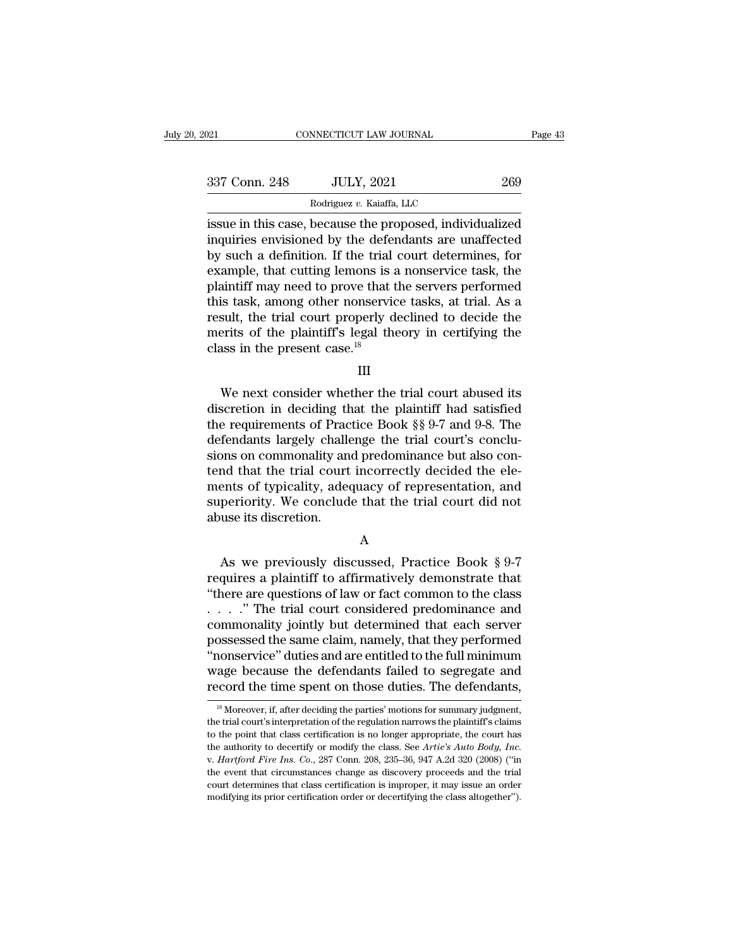| 2021          | CONNECTICUT LAW JOURNAL                                                                                                                                                     | Page 43 |
|---------------|-----------------------------------------------------------------------------------------------------------------------------------------------------------------------------|---------|
| 337 Conn. 248 | <b>JULY, 2021</b>                                                                                                                                                           | 269     |
|               | Rodriguez v. Kaiaffa, LLC                                                                                                                                                   |         |
|               | issue in this case, because the proposed, individualized<br>inquiries envisioned by the defendants are unaffected<br>by such a definition If the trial court determines for |         |

337 Conn. 248 JULY, 2021 269<br>Rodriguez v. Kaiaffa, LLC<br>Sissue in this case, because the proposed, individualized<br>inquiries envisioned by the defendants are unaffected<br>by such a definition. If the trial court determines, f  $\frac{337 \text{ Conn. } 248}{\text{Rodriguez } v. \text{ Kaiaffa, LLC}}$ <br>
issue in this case, because the proposed, individualized<br>
inquiries envisioned by the defendants are unaffected<br>
by such a definition. If the trial court determines, for<br>
example, 337 Conn. 248 JULY, 2021 269<br>
Rodriguez v. Kaiaffa, LLC<br>
issue in this case, because the proposed, individualized<br>
inquiries envisioned by the defendants are unaffected<br>
by such a definition. If the trial court determines Rodriguez v. Kaiaffa, LLC<br>
issue in this case, because the proposed, individualized<br>
inquiries envisioned by the defendants are unaffected<br>
by such a definition. If the trial court determines, for<br>
example, that cutting l Rodriguez v. Kaiatta, LLC<br>
issue in this case, because the proposed, individualized<br>
inquiries envisioned by the defendants are unaffected<br>
by such a definition. If the trial court determines, for<br>
example, that cutting l issue in this case, because the proposed, individualized<br>inquiries envisioned by the defendants are unaffected<br>by such a definition. If the trial court determines, for<br>example, that cutting lemons is a nonservice task, the inquiries envisioned by the defendants are unaffected<br>by such a definition. If the trial court determines, for<br>example, that cutting lemons is a nonservice task, the<br>plaintiff may need to prove that the servers performed<br>t by such a definition. If the trial court determines, for example, that cutting lemons is a nonservice task, the plaintiff may need to prove that the servers performed this task, among other nonservice tasks, at trial. As % is task, among other nonservice tasks, at trial. As a<br>sult, the trial court properly declined to decide the<br>erits of the plaintiff's legal theory in certifying the<br>ass in the present case.<sup>18</sup><br>III<br>We next consider wheth

## III

result, the trial court properly declined to decide the<br>merits of the plaintiff's legal theory in certifying the<br>class in the present case.<sup>18</sup><br>III<br>We next consider whether the trial court abused its<br>discretion in deciding merits of the plaintiff's legal theory in certifying the<br>class in the present case.<sup>18</sup><br>III<br>We next consider whether the trial court abused its<br>discretion in deciding that the plaintiff had satisfied<br>the requirements of Pr class in the present case.<sup>18</sup><br>
III<br>
We next consider whether the trial court abused its<br>
discretion in deciding that the plaintiff had satisfied<br>
the requirements of Practice Book  $\S$  9-7 and 9-8. The<br>
defendants largely III<br>We next consider whether the trial court abused its<br>discretion in deciding that the plaintiff had satisfied<br>the requirements of Practice Book §§ 9-7 and 9-8. The<br>defendants largely challenge the trial court's conclu-<br>s We next consider whether the trial court abused its<br>discretion in deciding that the plaintiff had satisfied<br>the requirements of Practice Book  $\S$  9-7 and 9-8. The<br>defendants largely challenge the trial court's conclu-<br>sio We next consider whether the trial court abused its<br>discretion in deciding that the plaintiff had satisfied<br>the requirements of Practice Book §§ 9-7 and 9-8. The<br>defendants largely challenge the trial court's conclu-<br>sions discretion in deciding that the plaintiff had satisfied<br>the requirements of Practice Book §§ 9-7 and 9-8. The<br>defendants largely challenge the trial court's conclu-<br>sions on commonality and predominance but also con-<br>tend the requirements of Prace<br>defendants largely challe<br>sions on commonality an<br>tend that the trial court<br>ments of typicality, adee<br>superiority. We conclud<br>abuse its discretion. nd that the trial court incorrectly decided the ele-<br>ents of typicality, adequacy of representation, and<br>periority. We conclude that the trial court did not<br>use its discretion.<br>A<br>As we previously discussed, Practice Book §

## A

ments of typicality, adequacy of representation, and<br>superiority. We conclude that the trial court did not<br>abuse its discretion.<br>A<br>As we previously discussed, Practice Book § 9-7<br>requires a plaintiff to affirmatively demon superiority. We conclude that the trial court did not<br>
abuse its discretion.<br>
A<br>
A<br>
As we previously discussed, Practice Book § 9-7<br>
requires a plaintiff to affirmatively demonstrate that<br>
"there are questions of law or f A<br>
As we previously discussed, Practice Book § 9-7<br>
requires a plaintiff to affirmatively demonstrate that<br>
"there are questions of law or fact common to the class<br>
. . . . ." The trial court considered predominance and<br>
c A<br>
As we previously discussed, Practice Book § 9-7<br>
requires a plaintiff to affirmatively demonstrate that<br>
"there are questions of law or fact common to the class<br>
. . . . ." The trial court considered predominance and<br> A<br>
As we previously discussed, Practice Book § 9-7<br>
requires a plaintiff to affirmatively demonstrate that<br>
"there are questions of law or fact common to the class<br>  $\ldots$ ." The trial court considered predominance and<br>
com As we previously discussed, Practice Book § 9-7<br>
requires a plaintiff to affirmatively demonstrate that<br>
"there are questions of law or fact common to the class<br>  $\ldots$ "." The trial court considered predominance and<br>
commo requires a plaintiff to affirmatively demonstrate that<br>"there are questions of law or fact common to the class<br> $\dots$ ." The trial court considered predominance and<br>commonality jointly but determined that each server<br>possess "there are questions of law or fact common to the class<br>  $\ldots$ "." The trial court considered predominance and<br>
commonality jointly but determined that each server<br>
possessed the same claim, namely, that they performed<br>
"n bossessed the same claim, namely, that they performed<br>nonservice" duties and are entitled to the full minimum<br>age because the defendants failed to segregate and<br>coord the time spent on those duties. The defendants,<br><sup>18</sup> Mo "nonservice" duties and are entitled to the full minimum<br>wage because the defendants failed to segregate and<br>record the time spent on those duties. The defendants,<br> $\frac{18}{18}$  Moreover, if, after deciding the parties' mot

wage because the defendants failed to segregate and record the time spent on those duties. The defendants,<br> $\frac{18}{18}$  Moreover, if, after deciding the parties' motions for summary judgment, the trial court's interpretati the authority or modify the parties' modify or summary judgment,<br>
<sup>18</sup> Moreover, if, after deciding the parties' motions for summary judgment,<br>
the trial court's interpretation of the regulation narrows the plaintiff's cla <sup>18</sup> Moreover, if, after deciding the parties' motions for summary judgment, the trial court's interpretation of the regulation narrows the plaintiff's claims to the point that class certification is no longer appropriate the trial court's interpretation of the regulation narrows the plaintiff's claims to the point that class certification is no longer appropriate, the court has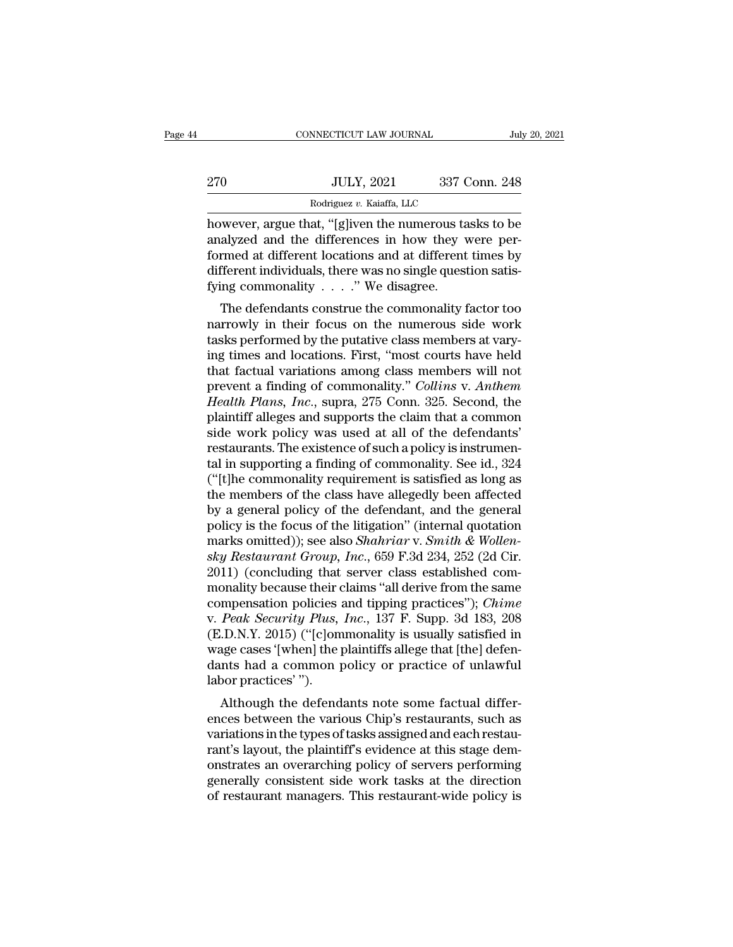|     | CONNECTICUT LAW JOURNAL                              | July 20, 2021 |
|-----|------------------------------------------------------|---------------|
| 270 | <b>JULY, 2021</b>                                    | 337 Conn. 248 |
|     | Rodriguez v. Kaiaffa, LLC                            |               |
|     | however argue that "[gliven the numerous tasks to be |               |

CONNECTICUT LAW JOURNAL July 20, 2021<br>
270 JULY, 2021 337 Conn. 248<br>
Rodriguez v. Kaiaffa, LLC<br>
however, argue that, "[g]iven the numerous tasks to be<br>
analyzed and the differences in how they were per-270 JULY, 2021 337 Conn. 248<br>
Rodriguez v. Kaiaffa, LLC<br>
however, argue that, "[g]iven the numerous tasks to be<br>
analyzed and the differences in how they were per-<br>
formed at different locations and at different times by<br>  $\frac{100 \text{ JULY, } 2021}{\text{Rodriguez } v. \text{ Kaiaffa, } \text{LLC}}$ <br>however, argue that, "[g]iven the numerous tasks to be analyzed and the differences in how they were performed at different locations and at different times by different indi 270 JULY, 2021 337 Conn. 248<br>
Rodriguez v. Kaiaffa, LLC<br>
however, argue that, "[g]iven the numerous tasks to be<br>
analyzed and the differences in how they were per-<br>
formed at different locations and at different times by<br> For the Rodriguez v. Kaiaffa, LLC<br>
however, argue that, "[g]iven the numerous ta<br>
analyzed and the differences in how they v<br>
formed at different locations and at different<br>
different individuals, there was no single ques wever, argue that, "[g]iven the numerous tasks to be<br>alyzed and the differences in how they were per-<br>rmed at different locations and at different times by<br>fferent individuals, there was no single question satis-<br>ing comm nowever, argue that, [g]iven the humerous tasks to be<br>analyzed and the differences in how they were per-<br>formed at different locations and at different times by<br>different individuals, there was no single question satis-<br>fy

analyzed and the unferences in now they were per-<br>formed at different locations and at different times by<br>different individuals, there was no single question satis-<br>fying commonality  $\ldots$ ." We disagree.<br>The defendants co formed at unferent locations and at unferent times by<br>different individuals, there was no single question satis-<br>fying commonality  $\ldots$ ." We disagree.<br>The defendants construe the commonality factor too<br>narrowly in their that factual variations and single questions and<br>fying commonality  $\ldots$ ." We disagree.<br>The defendants construe the commonality factor too<br>narrowly in their focus on the numerous side work<br>tasks performed by the putative pring commonanty  $\ldots$  we usagree.<br>The defendants construe the commonality factor too<br>narrowly in their focus on the numerous side work<br>tasks performed by the putative class members at vary-<br>ing times and locations. First, The defendants construe the commonality factor too<br>narrowly in their focus on the numerous side work<br>tasks performed by the putative class members at vary-<br>ing times and locations. First, "most courts have held<br>that factua narrowly in their focus on the numerous side work<br>tasks performed by the putative class members at vary-<br>ing times and locations. First, "most courts have held<br>that factual variations among class members will not<br>prevent a tasks performed by the putative class members at varying times and locations. First, "most courts have held<br>that factual variations among class members will not<br>prevent a finding of commonality." *Collins* v. *Anthem*<br>*Hea* ing times and locations. First, "most courts have held<br>that factual variations among class members will not<br>prevent a finding of commonality." *Collins v. Anthem*<br>*Health Plans, Inc.*, supra, 275 Conn. 325. Second, the<br>pla that factual variations among class members will not<br>prevent a finding of commonality." *Collins* v. *Anthem*<br>*Health Plans, Inc.*, supra, 275 Conn. 325. Second, the<br>plaintiff alleges and supports the claim that a common<br>s prevent a finding of commonality." *Collins* v. *Anthem*<br>Health Plans, Inc., supra, 275 Conn. 325. Second, the<br>plaintiff alleges and supports the claim that a common<br>side work policy was used at all of the defendants'<br>rest Health Plans, Inc., supra, 275 Conn. 325. Second, the plaintiff alleges and supports the claim that a common side work policy was used at all of the defendants' restaurants. The existence of such a policy is instrumental i plaintiff alleges and supports the claim that a common<br>side work policy was used at all of the defendants'<br>restaurants. The existence of such a policy is instrumen-<br>tal in supporting a finding of commonality. See id., 324<br> side work policy was used at all of the defendants'<br>restaurants. The existence of such a policy is instrumen-<br>tal in supporting a finding of commonality. See id., 324<br>("[t]he commonality requirement is satisfied as long as restaurants. The existence of such a policy is instrumental in supporting a finding of commonality. See id., 324 ("[t]he commonality requirement is satisfied as long as the members of the class have allegedly been affected tal in supporting a finding of commonality. See id., 324<br>("[t]he commonality requirement is satisfied as long as<br>the members of the class have allegedly been affected<br>by a general policy of the defendant, and the general<br>p ("[t]he commonality requirement is satisfied as long as<br>the members of the class have allegedly been affected<br>by a general policy of the defendant, and the general<br>policy is the focus of the litigation" (internal quotatio the members of the class have allegedly been affected<br>by a general policy of the defendant, and the general<br>policy is the focus of the litigation" (internal quotation<br>marks omitted)); see also *Shahriar* v. *Smith & Wolle* by a general policy of the defendant, and the general<br>policy is the focus of the litigation" (internal quotation<br>marks omitted)); see also *Shahriar* v. *Smith & Wollen-*<br>sky *Restaurant Group, Inc.*, 659 F.3d 234, 252 (2d policy is the focus of the litigation" (internal quotation<br>marks omitted)); see also *Shahriar* v. *Smith & Wollen-*<br>*sky Restaurant Group, Inc.*, 659 F.3d 234, 252 (2d Cir.<br>2011) (concluding that server class established marks omitted)); see also *Shahriar* v. *Smith & Wollensky Restaurant Group, Inc.*, 659 F.3d 234, 252 (2d Cir. 2011) (concluding that server class established commonality because their claims "all derive from the same comp sky Restaurant Group, Inc., 659 F.3d 234, 252 (2d Cir.<br>2011) (concluding that server class established com-<br>monality because their claims "all derive from the same<br>compensation policies and tipping practices"); *Chime*<br>v. 2011) (concluding that server class established commonality because their claims "all derive from the same compensation policies and tipping practices"); *Chime* v. *Peak Security Plus, Inc.*, 137 F. Supp. 3d 183, 208 (E.D monality because their compensation policies<br>v. *Peak Security Plus*,<br>(E.D.N.Y. 2015) ("[c]om<br>wage cases '[when] the j<br>dants had a common ]<br>labor practices' ").<br>Although the defend mpensation policies and upping practices *j*, *Chime*<br> *Peak Security Plus, Inc.,* 137 F. Supp. 3d 183, 208<br>
.D.N.Y. 2015) ("[c]ommonality is usually satisfied in<br>
age cases '[when] the plaintiffs allege that [the] defen-<br> v. *I* eak *security I tas, Inc.*, 157 F. Supp. 3d 163, 206 (E.D.N.Y. 2015) ("[c]ommonality is usually satisfied in wage cases '[when] the plaintiffs allege that [the] defendants had a common policy or practice of unlaw

(E.D.N.T. 2013) (Felonimonality is usually satisfied in wage cases '[when] the plaintiffs allege that [the] defendants had a common policy or practice of unlawful labor practices'").<br>Although the defendants note some factu wage cases [when] the plaintins anege that [the] defendants had a common policy or practice of unlawful<br>labor practices'").<br>Although the defendants note some factual differ-<br>ences between the various Chip's restaurants, su dants had a common policy or practice of unlawful<br>labor practices'").<br>Although the defendants note some factual differ-<br>ences between the various Chip's restaurants, such as<br>variations in the types of tasks assigned and ea abor practices ).<br>Although the defendants note some factual differences between the various Chip's restaurants, such as<br>variations in the types of tasks assigned and each restau-<br>rant's layout, the plaintiff's evidence at Although the defendants note some factual differences between the various Chip's restaurants, such as variations in the types of tasks assigned and each restaurant's layout, the plaintiff's evidence at this stage demonstra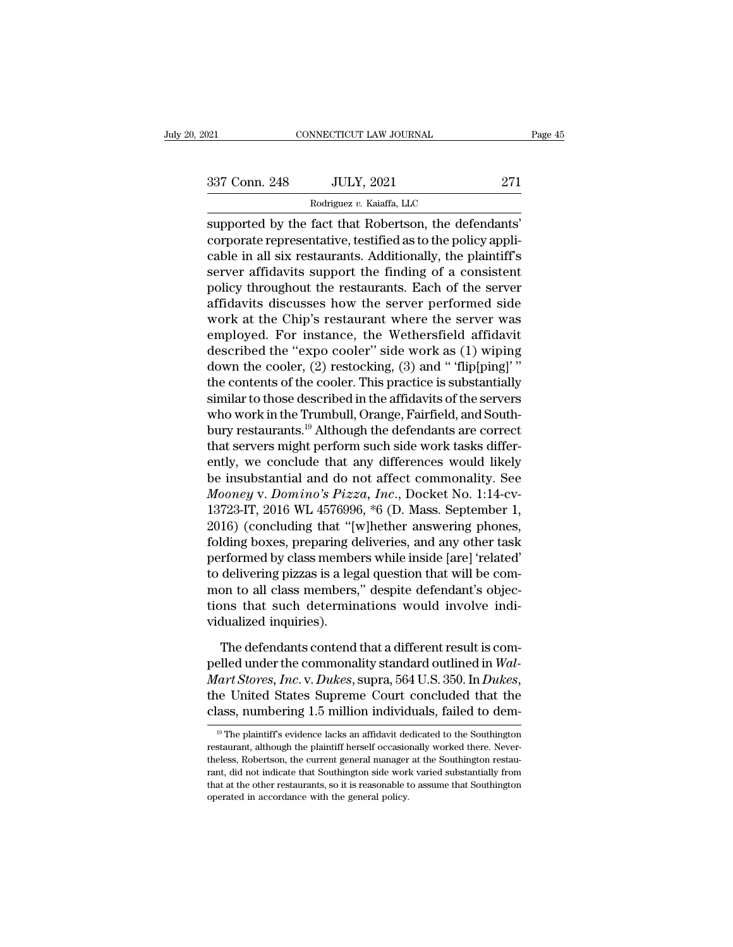| 2021          | CONNECTICUT LAW JOURNAL                                                                                                                                                             | Page 45 |
|---------------|-------------------------------------------------------------------------------------------------------------------------------------------------------------------------------------|---------|
| 337 Conn. 248 | <b>JULY, 2021</b>                                                                                                                                                                   | 271     |
|               | Rodriguez v. Kaiaffa, LLC                                                                                                                                                           |         |
|               | supported by the fact that Robertson, the defendants'<br>corporate representative, testified as to the policy appli-<br>caple in all give rectaurants. Additionally the plaintiff's |         |

337 Conn. 248 JULY, 2021 271<br>
Rodriguez v. Kaiaffa, LLC<br>
supported by the fact that Robertson, the defendants'<br>
corporate representative, testified as to the policy appli-<br>
cable in all six restaurants. Additionally, the p 337 Conn. 248 JULY, 2021 271<br>
Rodriguez v. Kaiaffa, LLC<br>
supported by the fact that Robertson, the defendants'<br>
corporate representative, testified as to the policy appli-<br>
cable in all six restaurants. Additionally, the  $\frac{337 \text{ Conn. } 248}{\text{Rodriguez } v. \text{ Kaiaffa, LLC}}$ <br>
supported by the fact that Robertson, the defendants'<br>
corporate representative, testified as to the policy appli-<br>
cable in all six restaurants. Additionally, the plaintiff's<br>
serv Rodriguez v. Kaiaffa, LLC<br>
supported by the fact that Robertson, the defendants'<br>
corporate representative, testified as to the policy appli-<br>
cable in all six restaurants. Additionally, the plaintiff's<br>
server affidavits Resuperted by the fact that Robertson, the defendants'<br>corporate representative, testified as to the policy appli-<br>cable in all six restaurants. Additionally, the plaintiff's<br>server affidavits support the finding of a cons supported by the fact that Robertson, the defendants'<br>corporate representative, testified as to the policy appli-<br>cable in all six restaurants. Additionally, the plaintiff's<br>server affidavits support the finding of a consi corporate representative, testified as to the policy applicable in all six restaurants. Additionally, the plaintiff's<br>server affidavits support the finding of a consistent<br>policy throughout the restaurants. Each of the se cable in all six restaurants. Additionally, the plaintiff's<br>server affidavits support the finding of a consistent<br>policy throughout the restaurants. Each of the server<br>affidavits discusses how the server performed side<br>wor server affidavits support the finding of a consistent<br>policy throughout the restaurants. Each of the server<br>affidavits discusses how the server performed side<br>work at the Chip's restaurant where the server was<br>employed. Fo policy throughout the restaurants. Each of the server<br>affidavits discusses how the server performed side<br>work at the Chip's restaurant where the server was<br>employed. For instance, the Wethersfield affidavit<br>described the " affidavits discusses how the server performed side<br>work at the Chip's restaurant where the server was<br>employed. For instance, the Wethersfield affidavit<br>described the "expo cooler" side work as (1) wiping<br>down the cooler, work at the Chip's restaurant where the server was<br>employed. For instance, the Wethersfield affidavit<br>described the "expo cooler" side work as (1) wiping<br>down the cooler, (2) restocking, (3) and " 'flip[ping]' "<br>the conten employed. For instance, the Wethersfield affidavit<br>described the "expo cooler" side work as (1) wiping<br>down the cooler, (2) restocking, (3) and " "flip[ping]"<br>the contents of the cooler. This practice is substantially<br>simi described the "expo cooler" side work as (1) wiping<br>down the cooler, (2) restocking, (3) and " 'flip[ping]' "<br>the contents of the cooler. This practice is substantially<br>similar to those described in the affidavits of the s down the cooler, (2) restocking, (3) and " flip[ping]'"<br>the contents of the cooler. This practice is substantially<br>similar to those described in the affidavits of the servers<br>who work in the Trumbull, Orange, Fairfield, a the contents of the cooler. This practice is substantially<br>similar to those described in the affidavits of the servers<br>who work in the Trumbull, Orange, Fairfield, and South-<br>bury restaurants.<sup>19</sup> Although the defendants similar to those described in the affidavits of the servers<br>who work in the Trumbull, Orange, Fairfield, and South-<br>bury restaurants.<sup>19</sup> Although the defendants are correct<br>that servers might perform such side work tasks who work in the Trumbull, Orange, Fairfield, and South-<br>bury restaurants.<sup>19</sup> Although the defendants are correct<br>that servers might perform such side work tasks differ-<br>ently, we conclude that any differences would likely bury restaurants.<sup>19</sup> Although the defendants are correct<br>that servers might perform such side work tasks differ-<br>ently, we conclude that any differences would likely<br>be insubstantial and do not affect commonality. See<br>*Mo* that servers might perform such side work tasks differently, we conclude that any differences would likely<br>be insubstantial and do not affect commonality. See<br>*Mooney* v. *Domino's Pizza*, *Inc.*, Docket No. 1:14-cv-<br>13723 ently, we conclude that any differences would likely<br>be insubstantial and do not affect commonality. See<br>*Mooney* v. *Domino's Pizza*, *Inc.*, Docket No. 1:14-cv-<br>13723-IT, 2016 WL 4576996, \*6 (D. Mass. September 1,<br>2016) be insubstantial and do not affect commonality. See<br>Mooney v. Domino's Pizza, Inc., Docket No. 1:14-cv-<br>13723-IT, 2016 WL 4576996, \*6 (D. Mass. September 1,<br>2016) (concluding that "[w]hether answering phones,<br>folding boxes *Mooney v. Domino's Pizza, Inc.*, Docket No. 1:14-cv-<br>13723-IT, 2016 WL 4576996, \*6 (D. Mass. September 1,<br>2016) (concluding that "[w]hether answering phones,<br>folding boxes, preparing deliveries, and any other task<br>perform 13723-IT, 2016 WL 4576996, \*6 (D. Mass. September 1, 2016) (concluding that "[w]hether answering phones, folding boxes, preparing deliveries, and any other task performed by class members while inside [are] 'related' to de 2016) (concluding that "['<br>folding boxes, preparing d<br>performed by class membe<br>to delivering pizzas is a leg<br>mon to all class members<br>tions that such determir<br>vidualized inquiries).<br>The defendants contend rformed by class members while inside [are] 'related'<br>delivering pizzas is a legal question that will be com-<br>on to all class members," despite defendant's objec-<br>ons that such determinations would involve indi-<br>dualized i to delivering pizzas is a legal question that will be common to all class members," despite defendant's objections that such determinations would involve individualized inquiries).<br>The defendants contend that a different r

mon to all class members," despite defendant's objections that such determinations would involve individualized inquiries).<br>The defendants contend that a different result is compelled under the commonality standard outline vidualized inquiries).<br>The defendants contend that a different result is compelled under the commonality standard outlined in Wal-<br>Mart Stores, Inc. v. Dukes, supra, 564 U.S. 350. In Dukes,<br>the United States Supreme Court pelled under the commonality standard outlined in Wal-<br>Mart Stores, Inc. v. Dukes, supra, 564 U.S. 350. In Dukes,<br>the United States Supreme Court concluded that the<br>class, numbering 1.5 million individuals, failed to dem-*Mart Stores, Inc.* v. *Dukes*, supra, 564 U.S. 350. In *Dukes*, the United States Supreme Court concluded that the class, numbering 1.5 million individuals, failed to dem-<br><sup>19</sup> The plaintiff's evidence lacks an affidavit

the United States Supreme Court concluded that the class, numbering 1.5 million individuals, failed to dem-<br><sup>19</sup> The plaintiff's evidence lacks an affidavit dedicated to the Southington restau-<br>restaurant, although the pla rance is a numbering 1.5 million individuals, failed to dem-<br><sup>19</sup> The plaintiff's evidence lacks an affidavit dedicated to the Southington<br>restaurant, although the plaintiff herself occasionally worked there. Never-<br>theles The plaintiff's evidence lacks an affidavit dedicated to the Southington restaurant, although the plaintiff herself occasionally worked there. Nevertheless, Robertson, the current general manager at the Southington restau operated in accordance with the general policy.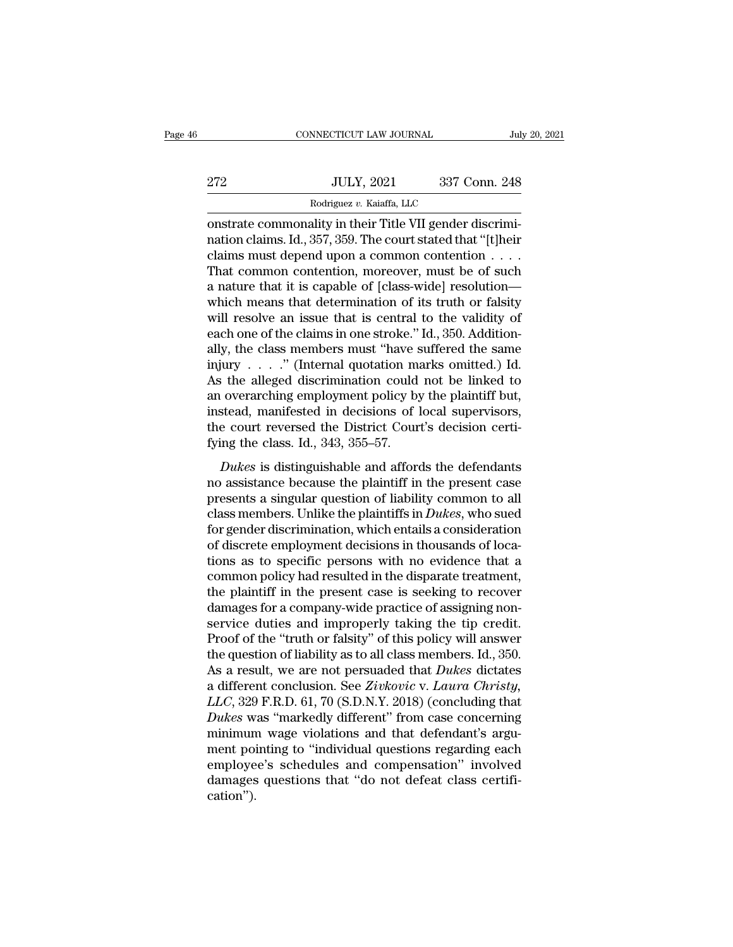|     | CONNECTICUT LAW JOURNAL                                                                                                                                                | July 20, 2021 |  |
|-----|------------------------------------------------------------------------------------------------------------------------------------------------------------------------|---------------|--|
|     |                                                                                                                                                                        |               |  |
| 272 | <b>JULY, 2021</b>                                                                                                                                                      | 337 Conn. 248 |  |
|     | Rodriguez v. Kaiaffa, LLC                                                                                                                                              |               |  |
|     | onstrate commonality in their Title VII gender discrimi-<br>nation claims. Id., 357, 359. The court stated that "[t]heir<br>deims must depend upon a common contention |               |  |

272 JULY, 2021 337 Conn. 248<br>
Rodriguez v. Kaiaffa, LLC<br>
constrate commonality in their Title VII gender discrimination claims. Id., 357, 359. The court stated that "[t]heir<br>
claims must depend upon a common contention . . 272 JULY, 2021 337 Conn. 248<br>
Rodriguez v. Kaiaffa, LLC<br>
constrate commonality in their Title VII gender discrimination claims. Id., 357, 359. The court stated that "[t]heir<br>
claims must depend upon a common contention . 272 JULY, 2021 337 Conn. 248<br>
Rodriguez v. Kaiaffa, LLC<br>
onstrate commonality in their Title VII gender discrimination claims. Id., 357, 359. The court stated that "[t]heir<br>
claims must depend upon a common contention . . Rodriguez v. Kaiaffa, LLC<br>
constrate commonality in their Title VII gender discrimi-<br>
nation claims. Id., 357, 359. The court stated that "[t]heir<br>
claims must depend upon a common contention . . . .<br>
That common contentio Examples v. Kalaria, LLC<br>
constrate commonality in their Title VII gender discrimi-<br>
nation claims. Id., 357, 359. The court stated that "[t]heir<br>
claims must depend upon a common contention  $\dots$ .<br>
That common contention, onstrate commonality in their Title VII gender discrimination claims. Id., 357, 359. The court stated that "[t]heir claims must depend upon a common contention  $\ldots$ . That common contention, moreover, must be of such a na nation claims. Id., 357, 359. The court stated that "[t]heir claims must depend upon a common contention  $\ldots$ . That common contention, moreover, must be of such a nature that it is capable of [class-wide] resolution—<br>whi claims must depend upon a common contention . . . .<br>That common contention, moreover, must be of such<br>a nature that it is capable of [class-wide] resolution—<br>which means that determination of its truth or falsity<br>will res That common contention, moreover, must be of such<br>a nature that it is capable of [class-wide] resolution—<br>which means that determination of its truth or falsity<br>will resolve an issue that is central to the validity of<br>eac a nature that it is capable of [class-wide] resolution—<br>which means that determination of its truth or falsity<br>will resolve an issue that is central to the validity of<br>each one of the claims in one stroke." Id., 350. Addi which means that determination of its truth or falsity<br>will resolve an issue that is central to the validity of<br>each one of the claims in one stroke." Id., 350. Addition-<br>ally, the class members must "have suffered the sa will resolve an issue that is central to the validity of<br>each one of the claims in one stroke." Id., 350. Addition-<br>ally, the class members must "have suffered the same<br>injury . . . . ." (Internal quotation marks omitted. each one of the claims in one stroke." Id., 350. Additionally, the class members must "have suffered the same injury  $\ldots$ ." (Internal quotation marks omitted.) Id. As the alleged discrimination could not be linked to an ally, the class members must "have s<br>injury  $\ldots$ ." (Internal quotation marks the alleged discrimination could<br>an overarching employment policy by<br>instead, manifested in decisions of l<br>the court reversed the District Cour *Dukes* is distinguishable and affords the defendants of the distinguishable and affords the defendants of solution of local supervisors, a court reversed the District Court's decision certi-<br>ing the class. Id., 343, 355– no verarching employment policy by the plaintiff but,<br>and overarching employment policy by the plaintiff but,<br>instead, manifested in decisions of local supervisors,<br>the court reversed the District Court's decision certi-<br>f

instead, manifested in decisions of local supervisors,<br>instead, manifested in decisions of local supervisors,<br>the court reversed the District Court's decision certi-<br>fying the class. Id., 343, 355–57.<br>Dukes is distinguish mateda, mannessed in decisions of focal supervisors,<br>the court reversed the District Court's decision certi-<br>fying the class. Id., 343, 355–57.<br>*Dukes* is distinguishable and affords the defendants<br>no assistance because th fying the class. Id., 343, 355–57.<br> *Dukes* is distinguishable and affords the defendants<br>
no assistance because the plaintiff in the present case<br>
presents a singular question of liability common to all<br>
class members. U Dukes is distinguishable and affords the defendants<br>no assistance because the plaintiff in the present case<br>presents a singular question of liability common to all<br>class members. Unlike the plaintiffs in *Dukes*, who sued Dukes is distinguishable and affords the defendants<br>no assistance because the plaintiff in the present case<br>presents a singular question of liability common to all<br>class members. Unlike the plaintiffs in *Dukes*, who sued no assistance because the plaintiff in the present case<br>presents a singular question of liability common to all<br>class members. Unlike the plaintiffs in *Dukes*, who sued<br>for gender discrimination, which entails a considera presents a singular question of liability common to all class members. Unlike the plaintiffs in *Dukes*, who sued<br>for gender discrimination, which entails a consideration<br>of discrete employment decisions in thousands of lo class members. Unlike the plaintiffs in *Dukes*, who sued<br>for gender discrimination, which entails a consideration<br>of discrete employment decisions in thousands of loca-<br>tions as to specific persons with no evidence that for gender discrimination, which entails a consideration<br>of discrete employment decisions in thousands of loca-<br>tions as to specific persons with no evidence that a<br>common policy had resulted in the disparate treatment,<br>th of discrete employment decisions in thousands of locations as to specific persons with no evidence that a common policy had resulted in the disparate treatment, the plaintiff in the present case is seeking to recover damag tions as to specific persons with no evidence that a common policy had resulted in the disparate treatment, the plaintiff in the present case is seeking to recover damages for a company-wide practice of assigning nonservi common policy had resulted in the disparate treatment,<br>the plaintiff in the present case is seeking to recover<br>damages for a company-wide practice of assigning non-<br>service duties and improperly taking the tip credit.<br>Proo the plaintiff in the present case is seeking to recover<br>damages for a company-wide practice of assigning non-<br>service duties and improperly taking the tip credit.<br>Proof of the "truth or falsity" of this policy will answer<br> damages for a company-wide practice of assigning non-<br>service duties and improperly taking the tip credit.<br>Proof of the "truth or falsity" of this policy will answer<br>the question of liability as to all class members. Id., service duties and improperly taking the tip credit.<br>Proof of the "truth or falsity" of this policy will answer<br>the question of liability as to all class members. Id., 350.<br>As a result, we are not persuaded that *Dukes* di Proof of the "truth or falsity" of this policy will answer<br>the question of liability as to all class members. Id., 350.<br>As a result, we are not persuaded that *Dukes* dictates<br>a different conclusion. See *Zivkovic* v. *La* the question of liability as to all class members. Id., 350.<br>As a result, we are not persuaded that *Dukes* dictates<br>a different conclusion. See *Zivkovic* v. *Laura Christy*,<br>*LLC*, 329 F.R.D. 61, 70 (S.D.N.Y. 2018) (con As a result, we are not persuaded that *Dukes* dictates<br>a different conclusion. See *Zivkovic v. Laura Christy*,<br>*LLC*, 329 F.R.D. 61, 70 (S.D.N.Y. 2018) (concluding that<br>*Dukes* was "markedly different" from case concerni a different conclusion. See Zivkovic v. Laura Christy, LLC, 329 F.R.D. 61, 70 (S.D.N.Y. 2018) (concluding that Dukes was "markedly different" from case concerning minimum wage violations and that defendant's argument point cation'').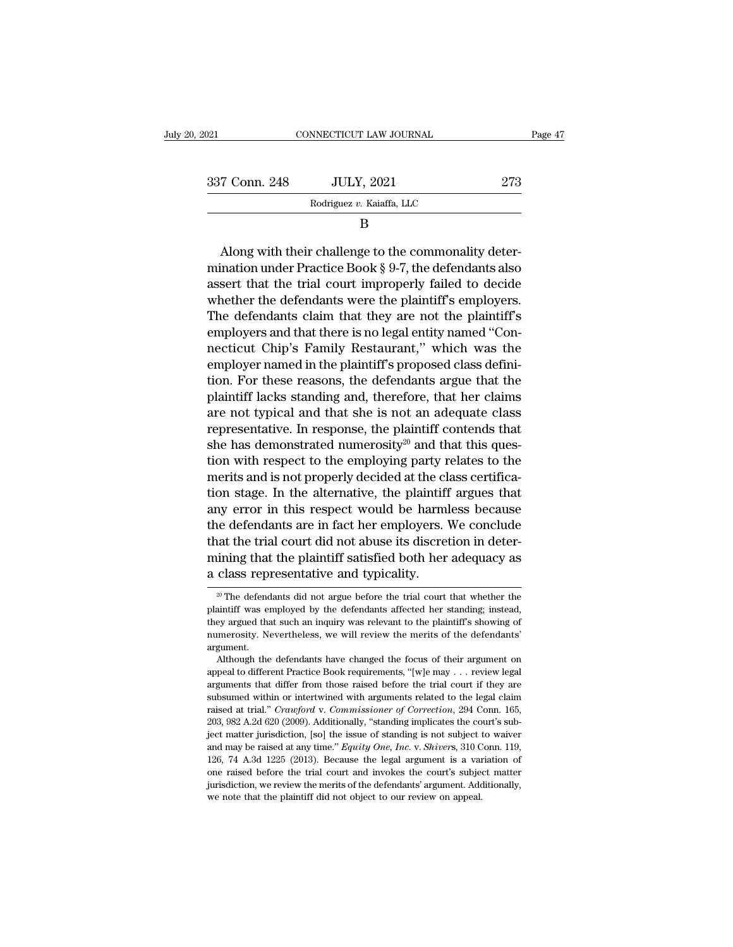| 2021          | CONNECTICUT LAW JOURNAL                                                                                                                                                        | Page 47 |
|---------------|--------------------------------------------------------------------------------------------------------------------------------------------------------------------------------|---------|
|               |                                                                                                                                                                                |         |
| 337 Conn. 248 | <b>JULY, 2021</b>                                                                                                                                                              | 273     |
|               | Rodriguez v. Kaiaffa, LLC                                                                                                                                                      |         |
|               | В                                                                                                                                                                              |         |
|               | Along with their challenge to the commonality deter-<br>mination under Practice Book $\S 9-7$ , the defendants also<br>essent that the trial court improperly foiled to decide |         |

337 Conn. 248 JULY, 2021 273<br>
Rodriguez v. Kaiaffa, LLC<br>
B<br>
Along with their challenge to the commonality deter-<br>
mination under Practice Book § 9-7, the defendants also<br>
assert that the trial court improperly failed to d Bort Colui. 248 Book of  $\frac{1}{2}$  Rodriguez v. Kaiaffa, LLC<br>
B<br>
Along with their challenge to the commonality deter-<br>
mination under Practice Book § 9-7, the defendants also<br>
assert that the trial court improperly failed Rodriguez v. Kaiaffa, LLC<br>
B<br>  $\hbox{B}$ <br>
Along with their challenge to the commonality deter-<br>
mination under Practice Book § 9-7, the defendants also<br>
assert that the trial court improperly failed to decide<br>
whether the d B<br>
Along with their challenge to the commonality deter-<br>
mination under Practice Book § 9-7, the defendants also<br>
assert that the trial court improperly failed to decide<br>
whether the defendants were the plaintiff's employe Along with their challenge to the commonality deter-<br>mination under Practice Book § 9-7, the defendants also<br>assert that the trial court improperly failed to decide<br>whether the defendants were the plaintiff's employers.<br>T Along with their challenge to the commonality deter-<br>mination under Practice Book § 9-7, the defendants also<br>assert that the trial court improperly failed to decide<br>whether the defendants were the plaintiff's employers.<br>T mination under Practice Book § 9-7, the defendants also<br>assert that the trial court improperly failed to decide<br>whether the defendants were the plaintiff's employers.<br>The defendants claim that they are not the plaintiff's<br> assert that the trial court improperly failed to decide<br>whether the defendants were the plaintiff's employers.<br>The defendants claim that they are not the plaintiff's<br>employers and that there is no legal entity named "Con-<br> whether the defendants were the plaintiff's employers.<br>The defendants claim that they are not the plaintiff's<br>employers and that there is no legal entity named "Con-<br>necticut Chip's Family Restaurant," which was the<br>employ The defendants claim that they are not the plaintiff's<br>employers and that there is no legal entity named "Con-<br>necticut Chip's Family Restaurant," which was the<br>employer named in the plaintiff's proposed class defini-<br>tion employers and that there is no legal entity named "Con-<br>necticut Chip's Family Restaurant," which was the<br>employer named in the plaintiff's proposed class defini-<br>tion. For these reasons, the defendants argue that the<br>plai necticut Chip's Family Restaurant," which was the<br>employer named in the plaintiff's proposed class defini-<br>tion. For these reasons, the defendants argue that the<br>plaintiff lacks standing and, therefore, that her claims<br>ar employer named in the plaintiff's proposed class defini-<br>tion. For these reasons, the defendants argue that the<br>plaintiff lacks standing and, therefore, that her claims<br>are not typical and that she is not an adequate class tion. For these reasons, the defendants argue that the plaintiff lacks standing and, therefore, that her claims are not typical and that she is not an adequate class representative. In response, the plaintiff contends tha plaintiff lacks standing and, therefore, that her claims<br>are not typical and that she is not an adequate class<br>representative. In response, the plaintiff contends that<br>she has demonstrated numerosity<sup>20</sup> and that this que are not typical and that she is not an adequate class<br>representative. In response, the plaintiff contends that<br>she has demonstrated numerosity<sup>20</sup> and that this ques-<br>tion with respect to the employing party relates to the representative. In response, the plaintiff contends that<br>she has demonstrated numerosity<sup>20</sup> and that this ques-<br>tion with respect to the employing party relates to the<br>merits and is not properly decided at the class cert she has demonstrated numerosity<sup>20</sup> and that this question with respect to the employing party relates to the merits and is not properly decided at the class certification stage. In the alternative, the plaintiff argues t tion with respect to the employing party relates to the<br>merits and is not properly decided at the class certifica-<br>tion stage. In the alternative, the plaintiff argues that<br>any error in this respect would be harmless becau merts and is not properly decided at the cl<br>tion stage. In the alternative, the plaintiff<br>any error in this respect would be harm<br>the defendants are in fact her employers.<br>that the trial court did not abuse its discre<br>min the defendants are in fact her employers. We conclude<br>that the trial court did not abuse its discretion in deter-<br>mining that the plaintiff satisfied both her adequacy as<br>a class representative and typicality.<br> $\frac{1}{2}$ Th that the trial court did not abuse its discretion in deter-<br>mining that the plaintiff satisfied both her adequacy as<br>a class representative and typicality.<br> $\frac{1}{20}$  The defendants did not argue before the trial court th

mining that the plaintiff satisfied both her adequacy as<br>a class representative and typicality.<br> $\frac{1}{\sqrt{2}}$  The defendants did not argue before the trial court that whether the<br>plaintiff was employed by the defendants af a class representative and typicality.<br>
<sup>20</sup> The defendants did not argue before the trial court that whether the plaintiff was employed by the defendants affected her standing; instead, they argued that such an inquiry w argument. <sup>20</sup> The defendants did not argue before the trial court that whether the aintiff was employed by the defendants affected her standing; instead, ey argued that such an inquiry was relevant to the plaintiff's showing of im plaintiff was employed by the defendants affected her standing; instead, they argued that such an inquiry was relevant to the plaintiff's showing of numerosity. Nevertheless, we will review the merits of the defendants' a

From the different and inquiry was relevant to the plaintiff's showing of numerosity. Nevertheless, we will review the merits of the defendants' argument.<br>Although the defendants have changed the focus of their argument o subsumed with a control and the method with the method of their argument.<br>
Although the defendants have changed the focus of their argument on<br>
appeal to different Practice Book requirements, "[w]e may . . . review legal<br> argument.<br>
Although the defendants have changed the focus of their argument on<br>
appeal to different Practice Book requirements, "[w]e may . . . review legal<br>
arguments that differ from those raised before the trial court i Although the defendants have changed the focus of their argument on appeal to different Practice Book requirements, "[w]e may . . . review legal arguments that differ from those raised before the trial court if they are s appeal to different Practice Book requirements, "[w]e may . . . review legal arguments that differ from those raised before the trial court if they are subsumed within or intertwined with arguments related to the legal cl arguments that differ from those raised before the trial court if they are subsumed within or intertwined with arguments related to the legal claim raised at trial." *Crawford v. Commissioner of Correction*, 294 Conn. 165, as ubsumed within or intertwined with arguments related to the legal claim<br>raised at trial." *Crawford* v. *Commissioner of Correction*, 294 Conn. 165,<br>203, 982 A.2d 620 (2009). Additionally, "standing implicates the cour raised at trial." Crawford v. Commissioner of Correction, 294 Conn. 165, 203, 982 A.2d 620 (2009). Additionally, "standing implicates the court's subject matter jurisdiction, [so] the issue of standing is not subject to w 203, 982 A.2d 620 (2009). Additionally, "standing implicates the court's subject matter jurisdiction, [so] the issue of standing is not subject to waiver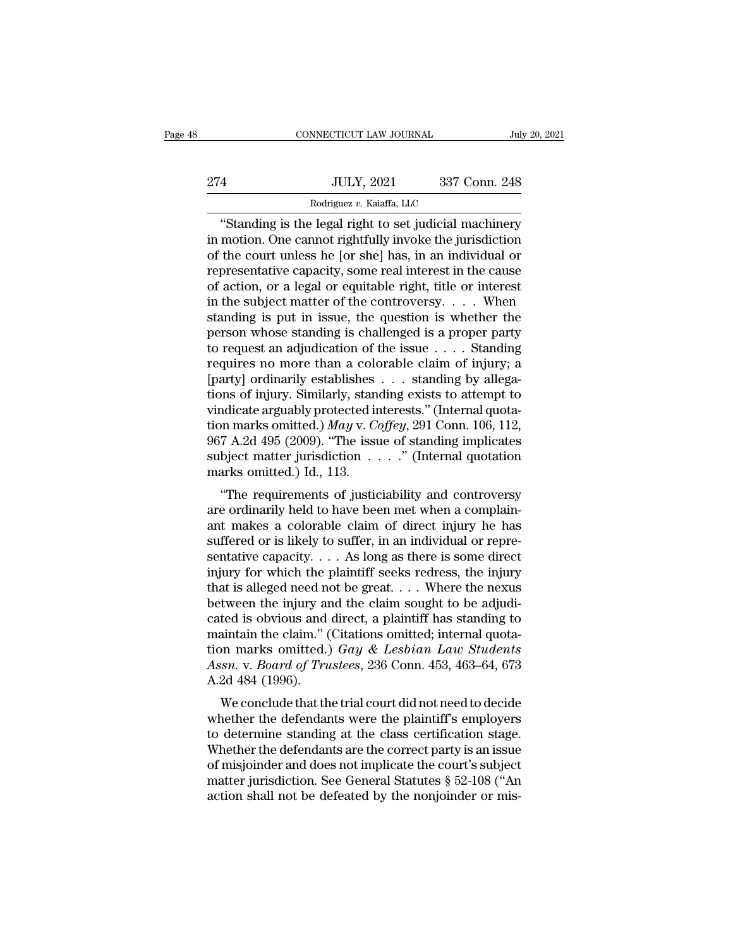CONNECTICUT LAW JOURNAL July 20, 2021<br>
4<br>
JULY, 2021 337 Conn. 248<br>
Rodriguez v. Kaiaffa, LLC<br>
"Standing is the legal right to set judicial machinery<br>
motion. One cannot rightfully invoke the jurisdiction<br>
the court unless 274 JULY, 2021 337 Conn. 248<br>
Rodriguez v. Kaiaffa, LLC<br>
"Standing is the legal right to set judicial machinery<br>
in motion. One cannot rightfully invoke the jurisdiction<br>
of the court unless he [or she] has, in an individu 274 JULY, 2021 337 Conn. 248<br>
Rodriguez v. Kaiaffa, LLC<br>
"Standing is the legal right to set judicial machinery<br>
in motion. One cannot rightfully invoke the jurisdiction<br>
of the court unless he [or she] has, in an individ 274 JULY, 2021 337 Conn. 248<br>
Rodriguez v. Kaiaffa, LLC<br>
"Standing is the legal right to set judicial machinery<br>
in motion. One cannot rightfully invoke the jurisdiction<br>
of the court unless he [or she] has, in an individ **Example 18 and the Red of action, and the set of action**<br> **Continuous**<br> **Continuous**<br> **Continuous**<br> **Continuous**<br> **Continuous**<br> **Continuous**<br> **Continuous**<br> **Continuous**<br> **Continuous**<br> **Continuous**<br> **Continuous**<br> **Continu** Rodriguez v. Kaiatta, LLC<br>
"Standing is the legal right to set judicial machinery<br>
in motion. One cannot rightfully invoke the jurisdiction<br>
of the court unless he [or she] has, in an individual or<br>
representative capacit "Standing is the legal right to set judicial machinery<br>in motion. One cannot rightfully invoke the jurisdiction<br>of the court unless he [or she] has, in an individual or<br>representative capacity, some real interest in the c in motion. One cannot rightfully invoke the jurisdiction<br>of the court unless he [or she] has, in an individual or<br>representative capacity, some real interest in the cause<br>of action, or a legal or equitable right, title or of the court unless he [or she] has, in an individual or<br>representative capacity, some real interest in the cause<br>of action, or a legal or equitable right, title or interest<br>in the subject matter of the controversy. . . . representative capacity, some real interest in the cause<br>of action, or a legal or equitable right, title or interest<br>in the subject matter of the controversy. . . . When<br>standing is put in issue, the question is whether t of action, or a legal or equitable right, title or interest<br>in the subject matter of the controversy. . . . When<br>standing is put in issue, the question is whether the<br>person whose standing is challenged is a proper party<br> in the subject matter of the controversy. . . . When<br>standing is put in issue, the question is whether the<br>person whose standing is challenged is a proper party<br>to request an adjudication of the issue . . . . Standing<br>req standing is put in issue, the question is whether the<br>person whose standing is challenged is a proper party<br>to request an adjudication of the issue  $\dots$ . Standing<br>requires no more than a colorable claim of injury; a<br>[part person whose standing is challenged is a proper party<br>to request an adjudication of the issue . . . . Standing<br>requires no more than a colorable claim of injury; a<br>[party] ordinarily establishes . . . standing by allega-<br>t to request an adjudication of the issue . . . . Standing<br>requires no more than a colorable claim of injury; a<br>[party] ordinarily establishes . . . standing by allega-<br>tions of injury. Similarly, standing exists to attempt requires no more than a colorable claim of injury; a<br>[party] ordinarily establishes . . . standing by allega-<br>tions of injury. Similarly, standing exists to attempt to<br>vindicate arguably protected interests." (Internal qu [party] ordinarily establishes<br>tions of injury. Similarly, stan<br>vindicate arguably protected in<br>tion marks omitted.)  $May$  v.  $C_967$  A.2d 495 (2009). "The issu<br>subject matter jurisdiction .<br>marks omitted.) Id., 113.<br>"The r The requirements of justiciability and controversy<br>
andicate arguably protected interests." (Internal quota-<br>
In marks omitted.) May v. Coffey, 291 Conn. 106, 112,<br>
7 A.2d 495 (2009). "The issue of standing implicates<br>
bj vindicate arguably protected interests. (internar quotation marks omitted.) *May v. Coffey*, 291 Conn. 106, 112, 967 A.2d 495 (2009). "The issue of standing implicates subject matter jurisdiction  $\ldots$ " (Internal quotatio

and makes onlined: *J may* v. Coffey, 291 Collit. 100, 112, 967 A.2d 495 (2009). "The issue of standing implicates subject matter jurisdiction . . . . " (Internal quotation marks omitted.) Id., 113. "The requirements of j suffered variables in the sum of suffered subject matter jurisdiction  $\ldots$ ." (Internal quotation marks omitted.) Id., 113.<br>
"The requirements of justiciability and controversy<br>
are ordinarily held to have been met when a subject matter jurisdiction  $\ldots$  (internal quotation marks omitted.) Id., 113.<br>
"The requirements of justiciability and controversy<br>
are ordinarily held to have been met when a complain-<br>
ant makes a colorable claim of d fractured in the requirements of justiciability and controversy<br>are ordinarily held to have been met when a complain-<br>ant makes a colorable claim of direct injury he has<br>suffered or is likely to suffer, in an individual o "The requirements of justiciability and controversy<br>are ordinarily held to have been met when a complain-<br>ant makes a colorable claim of direct injury he has<br>suffered or is likely to suffer, in an individual or repre-<br>sen are ordinarily held to have been met when a complaint makes a colorable claim of direct injury he has suffered or is likely to suffer, in an individual or representative capacity.  $\ldots$  As long as there is some direct inj ant makes a colorable claim of direct injury he has<br>suffered or is likely to suffer, in an individual or repre-<br>sentative capacity. . . . As long as there is some direct<br>injury for which the plaintiff seeks redress, the i suffered or is likely to suffer, in an individual or representative capacity. . . . As long as there is some direct<br>injury for which the plaintiff seeks redress, the injury<br>that is alleged need not be great. . . . Where t sentative capacity.  $\ldots$  As long as there is some direct<br>injury for which the plaintiff seeks redress, the injury<br>that is alleged need not be great.  $\ldots$ . Where the nexus<br>between the injury and the claim sought to be ad injury for which the plaintiff seeks redress, the injury<br>that is alleged need not be great. . . . Where the nexus<br>between the injury and the claim sought to be adjudi-<br>cated is obvious and direct, a plaintiff has standing that is alleged need not<br>between the injury are cated is obvious and<br>maintain the claim."<br>(tion marks omitted.)<br>Assn. v. Board of Tru<br>A.2d 484 (1996).<br>We conclude that th tween the hijury and the claim sought to be adjudited is obvious and direct, a plaintiff has standing to a<br>intain the claim." (Citations omitted; internal quota-<br>on marks omitted.) Gay & Lesbian Law Students<br>ssn. v. Board cated is obvious and direct, a plaintiff has standing to<br>maintain the claim." (Citations omitted; internal quota-<br>tion marks omitted.)  $Gay \& Lesbian Law Students$ <br>Assn. v. Board of Trustees, 236 Conn. 453, 463–64, 673<br>A.2d 484 (1996).<br>We

manual the claim. (Chanons omitted, internal quotation marks omitted.)  $Gay \& Lesbian Law Students$  Assn. v. Board of Trustees, 236 Conn. 453, 463–64, 673 A.2d 484 (1996).<br>We conclude that the trial court did not need to decide whether the don marks omitted.) Guy & Lesban Law Statents<br>Assn. v. Board of Trustees, 236 Conn. 453, 463–64, 673<br>A.2d 484 (1996).<br>We conclude that the trial court did not need to decide<br>whether the defendants were the plaintiff's emp Assn. v. *Board of Trustees*, 250 Conn. 455, 465–64, 675<br>A.2d 484 (1996).<br>We conclude that the trial court did not need to decide<br>whether the defendants were the plaintiff's employers<br>to determine standing at the class ce  $\alpha$ -20 464 (1990).<br>We conclude that the trial court did not need to decide<br>whether the defendants were the plaintiff's employers<br>to determine standing at the class certification stage.<br>Whether the defendants are the corr We conclude that the trial court did not need to decide<br>whether the defendants were the plaintiff's employers<br>to determine standing at the class certification stage.<br>Whether the defendants are the correct party is an issu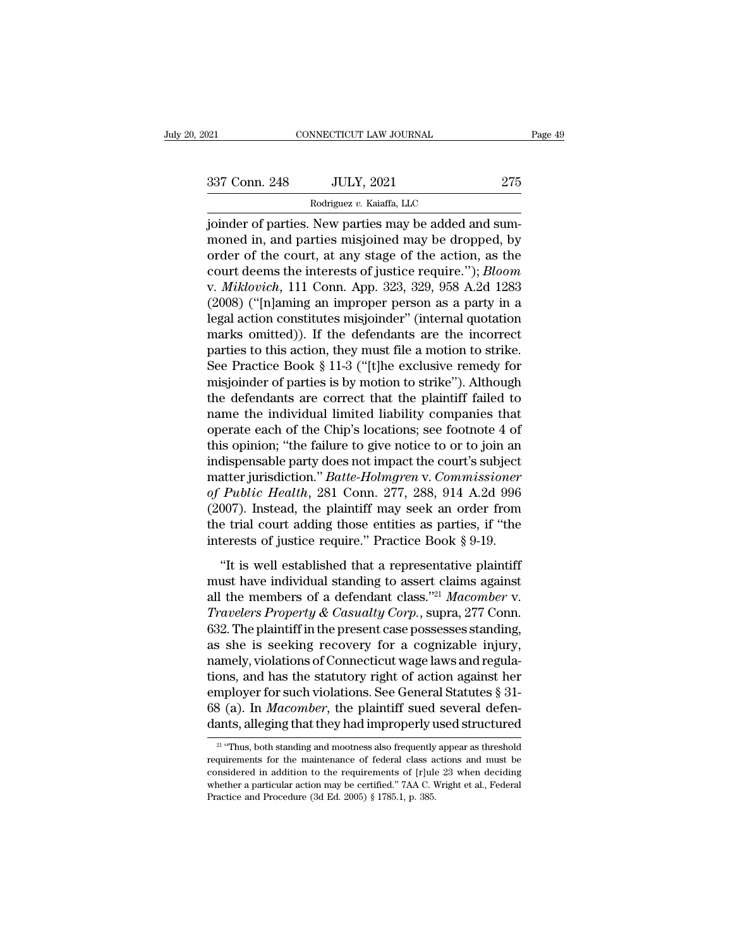NNECTICUT LAW JOURNAL<br>JULY, 2021<br>Rodriguez *v.* Kaiaffa, LLC<br>New narties may be added a FORD 21 CONNECTICUT LAW JOURNAL<br>
337 Conn. 248 JULY, 2021 275<br>
Rodriguez v. Kaiaffa, LLC<br>
joinder of parties. New parties may be added and sum-<br>
moned in, and parties misjoined may be dropped, by 337 Conn. 248 JULY, 2021 275<br>
Rodriguez v. Kaiaffa, LLC<br>
joinder of parties. New parties may be added and sum-<br>
moned in, and parties misjoined may be dropped, by<br>
order of the court, at any stage of the action, as the<br>
go 337 Conn. 248 JULY, 2021 275<br>
Rodriguez v. Kaiaffa, LLC<br>
joinder of parties. New parties may be added and sum-<br>
moned in, and parties misjoined may be dropped, by<br>
order of the court, at any stage of the action, as the<br>
c 337 Conn. 248 JULY, 2021 275<br>
Rodriguez v. Kaiaffa, LLC<br>
joinder of parties. New parties may be added and sum-<br>
moned in, and parties misjoined may be dropped, by<br>
order of the court, at any stage of the action, as the<br>
co Rodriguez v. Kaiaffa, LLC<br>
joinder of parties. New parties may be added and sum-<br>
moned in, and parties misjoined may be dropped, by<br>
order of the court, at any stage of the action, as the<br>
court deems the interests of jus Roanguez *v.* Kalana, ELC<br>
is pointer of parties. New parties may be added and sum-<br>
moned in, and parties misjoined may be dropped, by<br>
order of the court, at any stage of the action, as the<br>
court deems the interests of joinder of parties. New parties may be added and sum-<br>moned in, and parties misjoined may be dropped, by<br>order of the court, at any stage of the action, as the<br>court deems the interests of justice require."); *Bloom*<br>v. *M* moned in, and parties misjoined may be dropped, by<br>order of the court, at any stage of the action, as the<br>court deems the interests of justice require."); *Bloom*<br>v. *Miklovich*, 111 Conn. App. 323, 329, 958 A.2d 1283<br>(20 order of the court, at any stage of the action, as the court deems the interests of justice require."); *Bloom* v. *Miklovich*, 111 Conn. App. 323, 329, 958 A.2d 1283 (2008) ("[n]aming an improper person as a party in a le court deems the interests of justice require."); *Bloom*<br>v. *Miklovich*, 111 Conn. App. 323, 329, 958 A.2d 1283<br>(2008) ("[n]aming an improper person as a party in a<br>legal action constitutes misjoinder" (internal quotation<br> v. *Miklovich*, 111 Conn. App. 323, 329, 958 A.2d 1283<br>(2008) ("[n]aming an improper person as a party in a<br>legal action constitutes misjoinder" (internal quotation<br>marks omitted)). If the defendants are the incorrect<br>part (2008) ("[n]aming an improper person as a party in a<br>legal action constitutes misjoinder" (internal quotation<br>marks omitted)). If the defendants are the incorrect<br>parties to this action, they must file a motion to strike. legal action constitutes misjoinder" (internal quotation<br>marks omitted)). If the defendants are the incorrect<br>parties to this action, they must file a motion to strike.<br>See Practice Book § 11-3 ("[t]he exclusive remedy for marks omitted)). If the defendants are the incorrect<br>parties to this action, they must file a motion to strike.<br>See Practice Book § 11-3 ("[t]he exclusive remedy for<br>misjoinder of parties is by motion to strike"). Although parties to this action, they must file a motion to strike.<br>See Practice Book § 11-3 ("[t]he exclusive remedy for<br>misjoinder of parties is by motion to strike"). Although<br>the defendants are correct that the plaintiff faile See Practice Book § 11-3 ("[t]he exclusive remedy for<br>misjoinder of parties is by motion to strike"). Although<br>the defendants are correct that the plaintiff failed to<br>name the individual limited liability companies that<br>o misjoinder of parties is by motion to strike"). Although<br>the defendants are correct that the plaintiff failed to<br>name the individual limited liability companies that<br>operate each of the Chip's locations; see footnote 4 of<br> the defendants are correct that the plaintiff failed to<br>name the individual limited liability companies that<br>operate each of the Chip's locations; see footnote 4 of<br>this opinion; "the failure to give notice to or to join a name the individual limited liability companies that<br>operate each of the Chip's locations; see footnote 4 of<br>this opinion; "the failure to give notice to or to join an<br>indispensable party does not impact the court's subjec operate each of the Chip's locations; see footnote 4 of<br>this opinion; "the failure to give notice to or to join an<br>indispensable party does not impact the court's subject<br>matter jurisdiction." *Batte-Holmgren* v. Commissio this opinion; "the failure to give notice to or to join an<br>indispensable party does not impact the court's subject<br>matter jurisdiction." *Batte-Holmgren* v. Commissioner<br>of Public Health, 281 Conn. 277, 288, 914 A.2d 996<br>( atter jurisdiction." *Batte-Holmgren* v. Commissioner<br> *Public Health*, 281 Conn. 277, 288, 914 A.2d 996<br>
007). Instead, the plaintiff may seek an order from<br>
e trial court adding those entities as parties, if "the<br>
terest of Public Health, 281 Conn. 277, 288, 914 A.2d 996<br>(2007). Instead, the plaintiff may seek an order from<br>the trial court adding those entities as parties, if "the<br>interests of justice require." Practice Book § 9-19.<br>"It i

(2007). Instead, the plaintiff may seek an order from<br>the trial court adding those entities as parties, if "the<br>interests of justice require." Practice Book § 9-19.<br>"It is well established that a representative plaintiff<br> *Travelers Corp.* 2001 and the trial court adding those entities as parties, if "the interests of justice require." Practice Book § 9-19.<br>
"It is well established that a representative plaintiff must have individual standi interests of justice require." Practice Book § 9-19.<br>
"It is well established that a representative plaintiff<br>
must have individual standing to assert claims against<br>
all the members of a defendant class."<sup>21</sup> Macomber v. "It is well established that a representative plaintiff<br>must have individual standing to assert claims against<br>all the members of a defendant class."<sup>21</sup> Macomber v.<br>Travelers Property & Casualty Corp., supra, 277 Conn.<br>6 "It is well established that a representative plaintiff<br>must have individual standing to assert claims against<br>all the members of a defendant class."<sup>21</sup> Macomber v.<br>Travelers Property & Casualty Corp., supra, 277 Conn.<br>6 must have individual standing to assert claims against<br>all the members of a defendant class."<sup>21</sup> Macomber v.<br>Travelers Property & Casualty Corp., supra, 277 Conn.<br>632. The plaintiff in the present case possesses standing all the members of a defendant class."<sup>21</sup> Macomber v.<br>Travelers Property & Casualty Corp., supra, 277 Conn.<br>632. The plaintiff in the present case possesses standing,<br>as she is seeking recovery for a cognizable injury,<br>na Travelers Property & Casualty Corp., supra, 277 Conn.<br>632. The plaintiff in the present case possesses standing,<br>as she is seeking recovery for a cognizable injury,<br>namely, violations of Connecticut wage laws and regula-<br>t 632. The plaintiff in the present case possesses standing,<br>as she is seeking recovery for a cognizable injury,<br>namely, violations of Connecticut wage laws and regula-<br>tions, and has the statutory right of action against h ons, and nas the statutory right of action against ner mployer for such violations. See General Statutes  $\S$  31-3 (a). In *Macomber*, the plaintiff sued several defenants, alleging that they had improperly used structured employer for such violations. See General Statutes § 31-68 (a). In *Macomber*, the plaintiff sued several defendants, alleging that they had improperly used structured  $\frac{21}{24}$  "Thus, both standing and mootness also fr

<sup>68 (</sup>a). In *Macomber*, the plaintiff sued several defendants, alleging that they had improperly used structured  $\frac{21 \text{ °T} \text{m}}{1 \text{ °T} \text{m}}$ , both standing and mootness also frequently appear as threshold requirements dants, alleging that they had improperly used structured<br>
<sup>21</sup> "Thus, both standing and mootness also frequently appear as threshold<br>
requirements for the maintenance of federal class actions and must be<br>
considered in ad <sup>21</sup> "Thus, both standing and mootness also frequently appear as threshold requirements for the maintenance of federal class actions and must be considered in addition to the requirements of [r]ule 23 when deciding whethe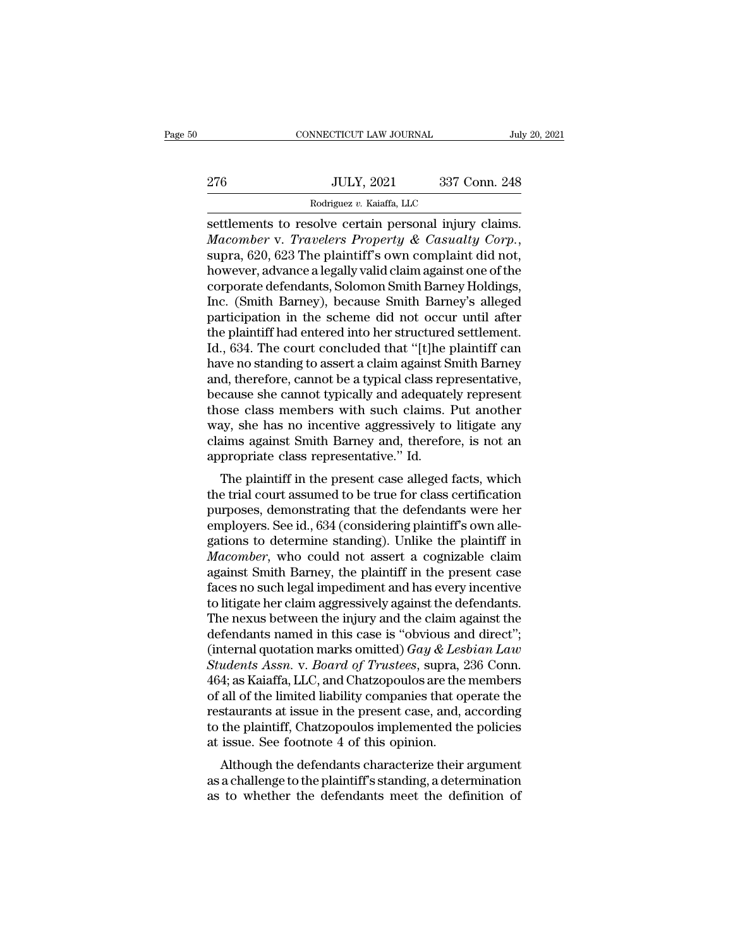|     | CONNECTICUT LAW JOURNAL                               |               | July 20, 2021 |
|-----|-------------------------------------------------------|---------------|---------------|
| 276 | <b>JULY, 2021</b>                                     | 337 Conn. 248 |               |
|     | Rodriguez v. Kaiaffa, LLC                             |               |               |
|     | settlements to resolve certain nersonal injury claims |               |               |

settlements to resolve certain personal injury claims.<br>
Settlements to resolve certain personal injury claims.<br>
Macomber v. Travelers Property & Casualty Corp.,<br>
supped 629 The plaintiff's own complaint did not *Macomber* v. *Travelers Property & Casualty Corp.*<br> *Macomber* v. *Travelers Property & Casualty Corp.*, supra, 620, 623 The plaintiff's own complaint did not, however, advance a legally valid claim against one of the cor  $\begin{array}{r} \text{JULY, 2021} \text{337 Conn. 248} \ \hline \text{Rodriguez } v. \text{ Kaiaffa, LLC} \ \text{settlements to resolve certain personal injury claims.} \ \textit{Macomber v. Travelers Property & Casuality Corp.,} \ \text{supra, 620, 623 The plaintiff's own complaint did not, however, advance a legally valid claim against one of the corporate defendants, Solomon Smith Barney Holdings, Inc. (Smith Bernov), because Smith Bernov's allocated.} \end{array}$ Rodriguez v. Kaiaffa, LLC<br>
settlements to resolve certain personal injury claims.<br> *Macomber* v. *Travelers Property & Casualty Corp.*,<br>
supra, 620, 623 The plaintiff's own complaint did not,<br>
however, advance a legally va Rodriguez v. Kaiatta, LLC<br>
Settlements to resolve certain personal injury claims.<br> *Macomber* v. *Travelers Property & Casualty Corp.*,<br>
supra, 620, 623 The plaintiff's own complaint did not,<br>
however, advance a legally v settlements to resolve certain personal injury claims.<br> *Macomber* v. *Travelers Property & Casualty Corp*.,<br>
supra, 620, 623 The plaintiff's own complaint did not,<br>
however, advance a legally valid claim against one of th Macomber v. *Travelers Property & Casualty Corp.*,<br>supra, 620, 623 The plaintiff's own complaint did not,<br>however, advance a legally valid claim against one of the<br>corporate defendants, Solomon Smith Barney's alleged<br>parti supra, 620, 623 The plaintiff's own complaint did not,<br>however, advance a legally valid claim against one of the<br>corporate defendants, Solomon Smith Barney Holdings,<br>Inc. (Smith Barney), because Smith Barney's alleged<br>part however, advance a legally valid claim against one of the corporate defendants, Solomon Smith Barney Holdings, Inc. (Smith Barney), because Smith Barney's alleged participation in the scheme did not occur until after the p corporate defendants, Solomon Smith Barney Holdings,<br>Inc. (Smith Barney), because Smith Barney's alleged<br>participation in the scheme did not occur until after<br>the plaintiff had entered into her structured settlement.<br>Id., Inc. (Smith Barney), because Smith Barney's alleged<br>participation in the scheme did not occur until after<br>the plaintiff had entered into her structured settlement.<br>Id., 634. The court concluded that "[t]he plaintiff can<br>ha participation in the scheme did not occur until after<br>the plaintiff had entered into her structured settlement.<br>Id., 634. The court concluded that "[t]he plaintiff can<br>have no standing to assert a claim against Smith Barne the plaintiff had entered into her structured settlement.<br>Id., 634. The court concluded that "[t]he plaintiff can<br>have no standing to assert a claim against Smith Barney<br>and, therefore, cannot be a typical class representa Id., 634. The court concluded that "[t]he plaintiff can<br>have no standing to assert a claim against Smith Barney<br>and, therefore, cannot be a typical class representative,<br>because she cannot typically and adequately represen have no standing to assert a claim against S<br>and, therefore, cannot be a typical class rep<br>because she cannot typically and adequate<br>those class members with such claims.<br>'way, she has no incentive aggressively to<br>claims a d, therefore, cannot be a typical class representative,<br>cause she cannot typically and adequately represent<br>ose class members with such claims. Put another<br>ay, she has no incentive aggressively to litigate any<br>aims against because she cannot typicany and adequately represent<br>those class members with such claims. Put another<br>way, she has no incentive aggressively to litigate any<br>claims against Smith Barney and, therefore, is not an<br>appropriat

mose class members whit such claims. I at another<br>way, she has no incentive aggressively to litigate any<br>claims against Smith Barney and, therefore, is not an<br>appropriate class representative." Id.<br>The plaintiff in the pre way, she has no incentive aggressively to higate any<br>claims against Smith Barney and, therefore, is not an<br>appropriate class representative." Id.<br>The plaintiff in the present case alleged facts, which<br>the trial court assum claims against simult barney and, therefore, is not an<br>appropriate class representative." Id.<br>The plaintiff in the present case alleged facts, which<br>the trial court assumed to be true for class certification<br>purposes, demo appropriate class representative. Id.<br> *The plaintiff in the present case alleged facts, which*<br>
the trial court assumed to be true for class certification<br>
purposes, demonstrating that the defendants were her<br>
employers. The plaintiff in the present case alleged facts, which<br>the trial court assumed to be true for class certification<br>purposes, demonstrating that the defendants were her<br>employers. See id., 634 (considering plaintiff's own al the trial court assumed to be true for class certification<br>purposes, demonstrating that the defendants were her<br>employers. See id., 634 (considering plaintiff's own alle-<br>gations to determine standing). Unlike the plaintif purposes, demonstrating that the defendants were her employers. See id., 634 (considering plaintiff's own allegations to determine standing). Unlike the plaintiff in *Macomber*, who could not assert a cognizable claim agai employers. See id., 634 (considering plaintiff's own allegations to determine standing). Unlike the plaintiff in *Macomber*, who could not assert a cognizable claim against Smith Barney, the plaintiff in the present case f gations to determine standing). Unlike the plaintiff in *Macomber*, who could not assert a cognizable claim against Smith Barney, the plaintiff in the present case faces no such legal impediment and has every incentive to *Macomber*, who could not assert a cognizable claim<br>against Smith Barney, the plaintiff in the present case<br>faces no such legal impediment and has every incentive<br>to litigate her claim aggressively against the defendants.<br> *Stagainst Smith Barney, the plaintiff in the present case faces no such legal impediment and has every incentive to litigate her claim aggressively against the defendants. The nexus between the injury and the claim agains* faces no such legal impediment and has every incentive<br>to litigate her claim aggressively against the defendants.<br>The nexus between the injury and the claim against the<br>defendants named in this case is "obvious and direct to litigate her claim aggressively against the defendants.<br>The nexus between the injury and the claim against the<br>defendants named in this case is "obvious and direct";<br>(internal quotation marks omitted) *Gay & Lesbian La* The nexus between the injury and the claim against the<br>defendants named in this case is "obvious and direct";<br>(internal quotation marks omitted)  $Gay & Lebbian Law$ <br>Students Assn. v. Board of Trustees, supra, 236 Conn.<br>464; as Ka defendants named in this case is "obvious and direct";<br>(internal quotation marks omitted) *Gay & Lesbian Law*<br>*Students Assn.* v. *Board of Trustees*, supra, 236 Conn.<br>464; as Kaiaffa, LLC, and Chatzopoulos are the members (internal quotation marks omitted)  $Gay \& Les$ <br>Students Assn. v. Board of Trustees, supra, 2<br>464; as Kaiaffa, LLC, and Chatzopoulos are the<br>of all of the limited liability companies that of<br>restaurants at issue in the present alterns Assn. v. Doura of Trustees, supra, 250 Collit.<br>4; as Kaiaffa, LLC, and Chatzopoulos are the members<br>all of the limited liability companies that operate the<br>staurants at issue in the present case, and, according<br>the Fo4, as Kalaria, LEC, and Chalzopolois are the inembers<br>of all of the limited liability companies that operate the<br>restaurants at issue in the present case, and, according<br>to the plaintiff, Chatzopoulos implemented the pol of an of the influent nability companies that operate the<br>restaurants at issue in the present case, and, according<br>to the plaintiff, Chatzopoulos implemented the policies<br>at issue. See footnote 4 of this opinion.<br>Although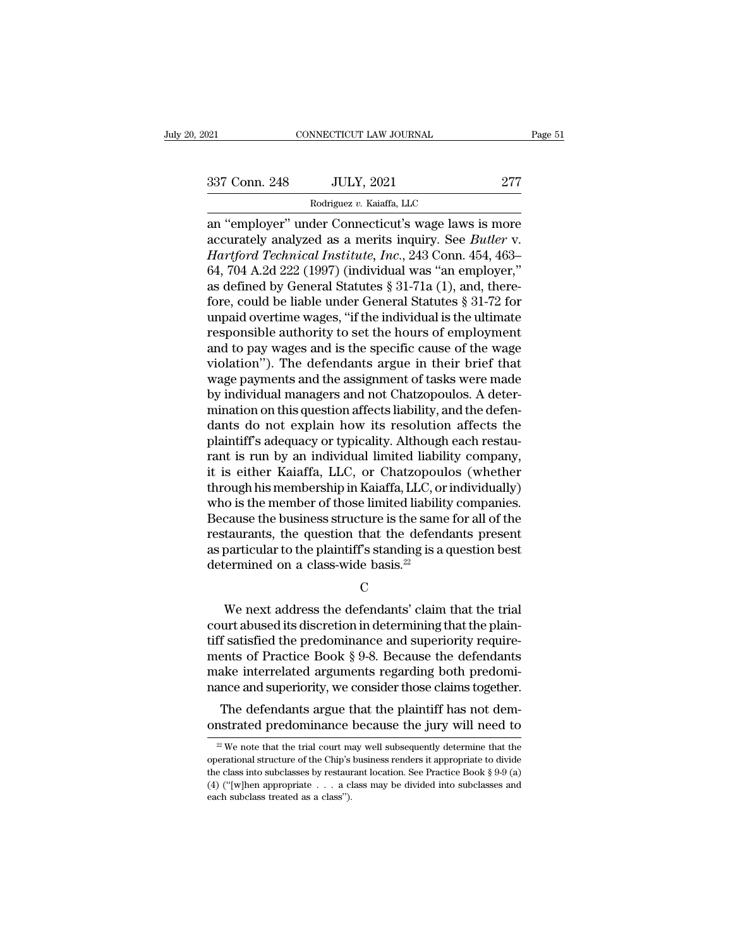NNECTICUT LAW JOURNAL<br>JULY, 2021<br>Rodriguez *v.* Kaiaffa, LLC<br>der Connecticut's wage laws Page 51<br>
an ''employer'' under Connecticut's wage laws is more<br>
an ''employer'' under Connecticut's wage laws is more<br>
accurately analyzed as a merits inquiry. See *Butler* v.<br>
Hartford Technical Institute Inc. 243 Conn. 4 337 Conn. 248 JULY, 2021 277<br>
Rodriguez v. Kaiaffa, LLC<br>
an "employer" under Connecticut's wage laws is more<br>
accurately analyzed as a merits inquiry. See *Butler* v.<br> *Hartford Technical Institute, Inc.*, 243 Conn. 454, 4 <sup>277</sup><br>
<sup>Rodriguez v. Kaiaffa, LLC<br> **An "employer" under Connecticut's wage laws is more**<br>
accurately analyzed as a merits inquiry. See *Butler* v.<br> *Hartford Technical Institute, Inc.*, 243 Conn. 454, 463–<br>
64, 704 A.2d 22</sup> 337 Conn. 248 JULY, 2021 277<br>
Rodriguez v. Kaiaffa, LLC<br>
an "employer" under Connecticut's wage laws is more<br>
accurately analyzed as a merits inquiry. See *Butler* v.<br> *Hartford Technical Institute, Inc.*, 243 Conn. 454, Rodriguez v. Kaiaffa, LLC<br>
an "employer" under Connecticut's wage laws is more<br>
accurately analyzed as a merits inquiry. See *Butler* v.<br> *Hartford Technical Institute, Inc.*, 243 Conn. 454, 463-<br>
64, 704 A.2d 222 (1997) For example and "employer" under Connecticut's wage laws is more<br>accurately analyzed as a merits inquiry. See *Butler* v.<br>*Hartford Technical Institute, Inc.*, 243 Conn. 454, 463–<br>64, 704 A.2d 222 (1997) (individual was " an "employer" under Connecticut's wage laws is more<br>accurately analyzed as a merits inquiry. See *Butler* v.<br>*Hartford Technical Institute, Inc.*, 243 Conn. 454, 463–<br>64, 704 A.2d 222 (1997) (individual was "an employer,"<br> accurately analyzed as a merits inquiry. See *Butler* v.<br>Hartford Technical Institute, Inc., 243 Conn. 454, 463–64, 704 A.2d 222 (1997) (individual was "an employer,"<br>as defined by General Statutes § 31-71a (1), and, there Hartford Technical Institute, Inc., 243 Conn. 454, 463–64, 704 A.2d 222 (1997) (individual was "an employer," as defined by General Statutes § 31-71a (1), and, therefore, could be liable under General Statutes § 31-72 for 64, 704 A.2d 222 (1997) (individual was "an employer,"<br>as defined by General Statutes § 31-71a (1), and, there-<br>fore, could be liable under General Statutes § 31-72 for<br>unpaid overtime wages, "if the individual is the ult as defined by General Statutes  $\S 31-71a$  (1), and, therefore, could be liable under General Statutes  $\S 31-72$  for unpaid overtime wages, "if the individual is the ultimate responsible authority to set the hours of emplo fore, could be liable under General Statutes § 31-72 for<br>unpaid overtime wages, "if the individual is the ultimate<br>responsible authority to set the hours of employment<br>and to pay wages and is the specific cause of the wage unpaid overtime wages, "if the individual is the ultimate<br>responsible authority to set the hours of employment<br>and to pay wages and is the specific cause of the wage<br>violation"). The defendants argue in their brief that<br>wa responsible authority to set the hours of employment<br>and to pay wages and is the specific cause of the wage<br>violation"). The defendants argue in their brief that<br>wage payments and the assignment of tasks were made<br>by indiv and to pay wages and is the specific cause of the wage<br>violation"). The defendants argue in their brief that<br>wage payments and the assignment of tasks were made<br>by individual managers and not Chatzopoulos. A deter-<br>minatio violation"). The defendants argue in their brief that<br>wage payments and the assignment of tasks were made<br>by individual managers and not Chatzopoulos. A deter-<br>mination on this question affects liability, and the defen-<br>da wage payments and the assignment of tasks were made<br>by individual managers and not Chatzopoulos. A deter-<br>mination on this question affects liability, and the defen-<br>dants do not explain how its resolution affects the<br>plai by individual managers and not Chatzopoulos. A determination on this question affects liability, and the defendants do not explain how its resolution affects the plaintiff's adequacy or typicality. Although each restaurant mination on this question affects liability, and the defendants do not explain how its resolution affects the plaintiff's adequacy or typicality. Although each restaurant is run by an individual limited liability company, dants do not explain how its resolution affects the<br>plaintiff's adequacy or typicality. Although each restau-<br>rant is run by an individual limited liability company,<br>it is either Kaiaffa, LLC, or Chatzopoulos (whether<br>thro plaintiff's adequacy or typicality. Although each restaurant is run by an individual limited liability company,<br>it is either Kaiaffa, LLC, or Chatzopoulos (whether<br>through his membership in Kaiaffa, LLC, or individually)<br>w rant is run by an individual limited liability company,<br>it is either Kaiaffa, LLC, or Chatzopoulos (whether<br>through his membership in Kaiaffa, LLC, or individually)<br>who is the member of those limited liability companies.<br>B it is either Kaiaffa, LLC, or Chatzopoul<br>through his membership in Kaiaffa, LLC, or<br>who is the member of those limited liabilit<br>Because the business structure is the same<br>restaurants, the question that the defenc<br>as partic % cause the business structure is the same for all of the<br>taurants, the question that the defendants present<br>particular to the plaintiff's standing is a question best<br>sermined on a class-wide basis.<sup>22</sup><br>C<br>We next address

C<sub>c</sub>

restaurants, the question that the defendants present<br>as particular to the plaintiff's standing is a question best<br>determined on a class-wide basis.<sup>22</sup><br>C<br>We next address the defendants' claim that the trial<br>court abused % as particular to the plaintiff's standing is a question best<br>determined on a class-wide basis.<sup>22</sup><br> $C$ <br>We next address the defendants' claim that the trial<br>court abused its discretion in determining that the plain-<br>tiff determined on a class-wide basis.<sup>22</sup><br>C<br>We next address the defendants' claim that the trial<br>court abused its discretion in determining that the plain-<br>tiff satisfied the predominance and superiority require-<br>ments of Prac C<br>We next address the defendants' claim that the trial<br>court abused its discretion in determining that the plain-<br>tiff satisfied the predominance and superiority require-<br>ments of Practice Book § 9-8. Because the defendant We next address the defendants' claim that the trial<br>court abused its discretion in determining that the plain-<br>tiff satisfied the predominance and superiority require-<br>ments of Practice Book § 9-8. Because the defendants<br> We next address the defendants claim that the than urt abused its discretion in determining that the plain-<br>If satisfied the predominance and superiority require-<br>ents of Practice Book  $\S 9-8$ . Because the defendants<br>ake court abused its discretion in determining that the plain-<br>tiff satisfied the predominance and superiority require-<br>ments of Practice Book § 9-8. Because the defendants<br>make interrelated arguments regarding both predomi-<br>

ance and superiority, we consider those claims together.<br>The defendants argue that the plaintiff has not dem-<br>nstrated predominance because the jury will need to<br><sup>22</sup> We note that the trial court may well subsequently dete The defendants argue that the plaintiff has not demonstrated predominance because the jury will need to  $\frac{w}{2}$  We note that the trial court may well subsequently determine that the operational structure of the Chip's b The defendants argue that the plaintiff has not demonstrated predominance because the jury will need to  $\frac{w}{w}$  we note that the trial court may well subsequently determine that the operational structure of the Chip's b If the determinance because the jury will need to<br>onstrated predominance because the jury will need to<br> $\frac{2}{x}$  We note that the trial court may well subsequently determine that the<br>operational structure of the Chip's bu onstrated predominance because the jury will need to<br>
<sup>22</sup> We note that the trial court may well subsequently determine that the<br>
operational structure of the Chip's business renders it appropriate to divide<br>
the class in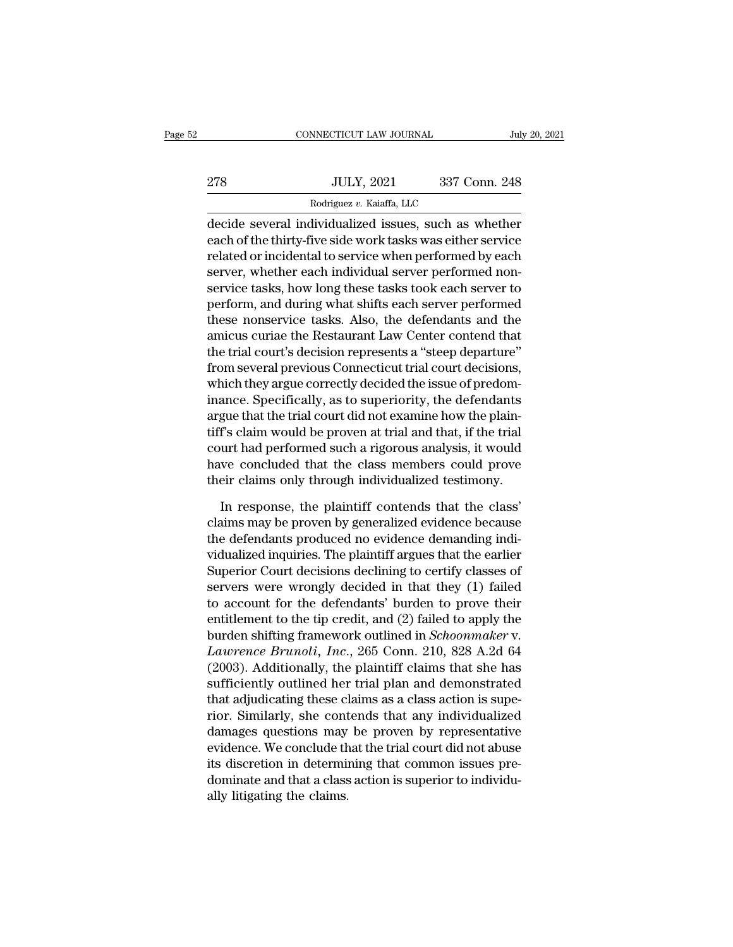|     | CONNECTICUT LAW JOURNAL                               |               | July 20, 2021 |
|-----|-------------------------------------------------------|---------------|---------------|
|     |                                                       |               |               |
| 278 | <b>JULY, 2021</b><br>Rodriguez v. Kaiaffa, LLC        | 337 Conn. 248 |               |
|     | decide several individualized issues, such as whether |               |               |

CONNECTICUT LAW JOURNAL July 20, 2021<br>
278 JULY, 2021 337 Conn. 248<br>
Rodriguez v. Kaiaffa, LLC<br>
decide several individualized issues, such as whether<br>
each of the thirty-five side work tasks was either service 278 JULY, 2021 337 Conn. 248<br>
Rodriguez v. Kaiaffa, LLC<br>
decide several individualized issues, such as whether<br>
each of the thirty-five side work tasks was either service<br>
related or incidental to service when performed by 278 JULY, 2021 337 Conn. 248<br>
Rodriguez v. Kaiaffa, LLC<br>
decide several individualized issues, such as whether<br>
each of the thirty-five side work tasks was either service<br>
related or incidental to service when performed b  $\begin{array}{ll} \text{337 Conn. 248} \\ \hline \text{Rodriguez } v. \text{ Kaiaffa, LLC} \\ \text{decide several individualized issues, such as whether each of the thirty-five side work tasks was either service related or incidental to service when performed by each server, whether each individual server performed non-service tasks, how long these tasks took each server to perform and during what shifts each server performance.} \end{array}$ Rodriguez v. Kaiaffa, LLC<br>
decide several individualized issues, such as whether<br>
each of the thirty-five side work tasks was either service<br>
related or incidental to service when performed by each<br>
server, whether each in modigate *t*. Kaana, ELC<br>decide several individualized issues, such as whether<br>each of the thirty-five side work tasks was either service<br>related or incidental to service when performed by each<br>server, whether each indivi decide several individualized issues, such as whether<br>each of the thirty-five side work tasks was either service<br>related or incidental to service when performed by each<br>server, whether each individual server performed noneach of the thirty-five side work tasks was either service<br>related or incidental to service when performed by each<br>server, whether each individual server performed non-<br>service tasks, how long these tasks took each server related or incidental to service when performed by each<br>server, whether each individual server performed non-<br>service tasks, how long these tasks took each server to<br>perform, and during what shifts each server performed<br>th server, whether each individual server performed non-<br>service tasks, how long these tasks took each server to<br>perform, and during what shifts each server performed<br>these nonservice tasks. Also, the defendants and the<br>amicu service tasks, how long these tasks took each server to<br>perform, and during what shifts each server performed<br>these nonservice tasks. Also, the defendants and the<br>amicus curiae the Restaurant Law Center contend that<br>the tr perform, and during what shifts each server performed<br>these nonservice tasks. Also, the defendants and the<br>amicus curiae the Restaurant Law Center contend that<br>the trial court's decision represents a "steep departure"<br>from these nonservice tasks. Also, the defendants and the<br>amicus curiae the Restaurant Law Center contend that<br>the trial court's decision represents a "steep departure"<br>from several previous Connecticut trial court decisions,<br>w amicus curiae the Restaurant Law Center contend that<br>the trial court's decision represents a "steep departure"<br>from several previous Connecticut trial court decisions,<br>which they argue correctly decided the issue of predom the trial court's decision represents a "steep departure"<br>from several previous Connecticut trial court decisions,<br>which they argue correctly decided the issue of predom-<br>inance. Specifically, as to superiority, the defend from several previous Connecticut trial court decisions,<br>which they argue correctly decided the issue of predom-<br>inance. Specifically, as to superiority, the defendants<br>argue that the trial court did not examine how the pl which they argue correctly decided the issue of predom-<br>inance. Specifically, as to superiority, the defendants<br>argue that the trial court did not examine how the plain-<br>tiff's claim would be proven at trial and that, if t gue that the trial court did not examine how the plain-<br>If's claim would be proven at trial and that, if the trial<br>urt had performed such a rigorous analysis, it would<br>ve concluded that the class members could prove<br>eir cl tiff's claim would be proven at trial and that, if the trial<br>court had performed such a rigorous analysis, it would<br>have concluded that the class members could prove<br>their claims only through individualized testimony.<br>In r

court had performed such a rigorous analysis, it would<br>have concluded that the class members could prove<br>their claims only through individualized testimony.<br>In response, the plaintiff contends that the class'<br>claims may be have concluded that the class members could prove<br>their claims only through individualized testimony.<br>In response, the plaintiff contends that the class'<br>claims may be proven by generalized evidence because<br>the defendants their claims only through individualized testimony.<br>In response, the plaintiff contends that the class'<br>claims may be proven by generalized evidence because<br>the defendants produced no evidence demanding indi-<br>vidualized in In response, the plaintiff contends that the class'<br>claims may be proven by generalized evidence because<br>the defendants produced no evidence demanding indi-<br>vidualized inquiries. The plaintiff argues that the earlier<br>Supe In response, the plantiff contends that the class'<br>claims may be proven by generalized evidence because<br>the defendants produced no evidence demanding indi-<br>vidualized inquiries. The plaintiff argues that the earlier<br>Superi claims may be proven by generalized evidence because<br>the defendants produced no evidence demanding indi-<br>vidualized inquiries. The plaintiff argues that the earlier<br>Superior Court decisions declining to certify classes of the defendants produced no evidence demanding individualized inquiries. The plaintiff argues that the earlier<br>Superior Court decisions declining to certify classes of<br>servers were wrongly decided in that they (1) failed<br>to vidualized inquiries. The plaintiff argues that the earlier<br>
Superior Court decisions declining to certify classes of<br>
servers were wrongly decided in that they (1) failed<br>
to account for the defendants' burden to prove th Superior Court decisions declining to certify classes of<br>servers were wrongly decided in that they (1) failed<br>to account for the defendants' burden to prove their<br>entitlement to the tip credit, and (2) failed to apply the<br> servers were wrongly decided in that they  $(1)$  failed<br>to account for the defendants' burden to prove their<br>entitlement to the tip credit, and  $(2)$  failed to apply the<br>burden shifting framework outlined in *Schoonmaker* to account for the defendants' burden to prove their<br>entitlement to the tip credit, and (2) failed to apply the<br>burden shifting framework outlined in *Schoonmaker* v.<br>*Lawrence Brunoli*, *Inc.*, 265 Conn. 210, 828 A.2d 64 entitlement to the tip credit, and (2) failed to apply the<br>burden shifting framework outlined in *Schoonmaker* v.<br>*Lawrence Brunoli*, *Inc.*, 265 Conn. 210, 828 A.2d 64<br>(2003). Additionally, the plaintiff claims that she h burden shifting framework outlined in *Schoonmaker* v.<br>Lawrence Brunoli, Inc., 265 Conn. 210, 828 A.2d 64<br>(2003). Additionally, the plaintiff claims that she has<br>sufficiently outlined her trial plan and demonstrated<br>that a Lawrence Brunoli, Inc., 265 Conn. 210, 828 A.2d 64<br>(2003). Additionally, the plaintiff claims that she has<br>sufficiently outlined her trial plan and demonstrated<br>that adjudicating these claims as a class action is supe-<br>ri (2003). Additionally, the plaintiff claims that she has<br>sufficiently outlined her trial plan and demonstrated<br>that adjudicating these claims as a class action is supe-<br>rior. Similarly, she contends that any individualized<br> sufficiently outlined her trial plan and demonstrated<br>that adjudicating these claims as a class action is supe-<br>rior. Similarly, she contends that any individualized<br>damages questions may be proven by representative<br>eviden that adjudicating these cl<br>rior. Similarly, she cont<br>damages questions may<br>evidence. We conclude th<br>its discretion in determii<br>dominate and that a class<br>ally litigating the claims.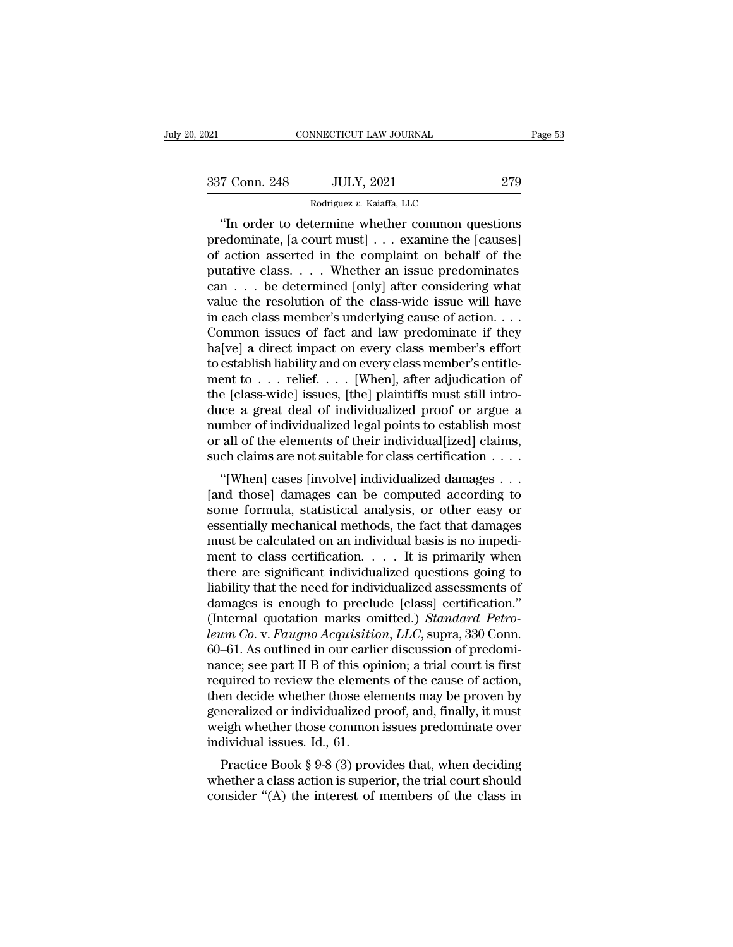337 Conn. 248 JULY, 2021 <sup>279</sup>

NNECTICUT LAW JOURNAL<br>JULY, 2021<br>Rodriguez *v.* Kaiaffa, LLC<br>termine whether common qu CONNECTICUT LAW JOURNAL Page 53<br>
T Conn. 248 JULY, 2021 279<br>
Rodriguez v. Kaiaffa, LLC<br>
"In order to determine whether common questions<br>
edominate, [a court must] . . . examine the [causes]<br>
action assorted in the complein  $\begin{array}{ccc} \text{337 Conn. 248} & \text{JULY, 2021} & \text{279} \\ \hline \text{Rodriguez } v. \text{ Kaiaffa, LLC} \end{array}$ "In order to determine whether common questions predominate, [a court must] . . . examine the [causes] of action asserted in the complaint on behalf 337 Conn. 248 JULY, 2021 279<br>
Rodriguez v. Kaiaffa, LLC<br>
"In order to determine whether common questions<br>
predominate, [a court must] . . . examine the [causes]<br>
of action asserted in the complaint on behalf of the<br>
putat 337 Conn. 248 JULY, 2021 279<br>
Rodriguez v. Kaiaffa, LLC<br>
"In order to determine whether common questions<br>
predominate, [a court must] . . . examine the [causes]<br>
of action asserted in the complaint on behalf of the<br>
putat Rodriguez v. Kaiaffa, LLC<br>
"In order to determine whether common questions<br>
predominate, [a court must] . . . examine the [causes]<br>
of action asserted in the complaint on behalf of the<br>
putative class. . . . Whether an is value the resolution of the class-wide issues of the common series of action asserted in the complaint on behalf of the putative class.  $\dots$  Whether an issue predominates can  $\dots$  be determined [only] after considering wh "In order to determine whether common questions<br>predominate, [a court must]  $\ldots$  examine the [causes]<br>of action asserted in the complaint on behalf of the<br>putative class.  $\ldots$ . Whether an issue predominates<br>can  $\ldots$  be predominate, [a court must] . . . examine the [causes]<br>of action asserted in the complaint on behalf of the<br>putative class. . . . Whether an issue predominates<br>can . . . be determined [only] after considering what<br>value t % of action asserted in the complaint on behalf of the<br>putative class. . . . Whether an issue predominates<br>can . . . be determined [only] after considering what<br>value the resolution of the class-wide issue will have<br>in ea putative class. . . . Whether an issue predominates<br>can . . . be determined [only] after considering what<br>value the resolution of the class-wide issue will have<br>in each class member's underlying cause of action. . . .<br>Comm can . . . be determined [only] after considering what<br>value the resolution of the class-wide issue will have<br>in each class member's underlying cause of action. . . .<br>Common issues of fact and law predominate if they<br>ha[ve value the resolution of the class-wide issue will have<br>in each class member's underlying cause of action. . . .<br>Common issues of fact and law predominate if they<br>ha[ve] a direct impact on every class member's entitle-<br>men in each class member's underlying cause of action. . . .<br>Common issues of fact and law predominate if they<br>ha[ve] a direct impact on every class member's effort<br>to establish liability and on every class member's entitle-<br> Common issues of fact and law predominate if they<br>ha[ve] a direct impact on every class member's effort<br>to establish liability and on every class member's entitle-<br>ment to  $\dots$  relief.  $\dots$  [When], after adjudication of<br>t ha[ve] a direct impact on every class member's effort<br>to establish liability and on every class member's entitle-<br>ment to . . . relief. . . . [When], after adjudication of<br>the [class-wide] issues, [the] plaintiffs must st to establish liability and on every class member's entitlement to . . . relief. . . . [When], after adjudication of the [class-wide] issues, [the] plaintiffs must still introduce a great deal of individualized proof or ar  $\epsilon$  [class-wide] issues, [the] plaintiffs must still intro-<br>
i.e. a great deal of individualized proof or argue a<br>
umber of individualized legal points to establish most<br>
all of the elements of their individual[ized] cla the [class-whe] issues, [the] plaintins must still introduce a great deal of individualized proof or argue a<br>number of individualized legal points to establish most<br>or all of the elements of their individual[ized] claims,<br>

some formula, statistical analysis, or other easy or essentially mechanical methods, the fact that damages  $\ldots$  (and those) damages can be computed according to some formula, statistical analysis, or other easy or essenti Finally mechanical methods, the fact that damages<br>must be claims, such claims are not suitable for class certification . . . .<br>"[When] cases [involve] individualized damages . . .<br>[and those] damages can be computed accord or an order elements of their individual particularity,<br>such claims are not suitable for class certification  $\dots$ <br>"[When] cases [involve] individualized damages  $\dots$ <br>[and those] damages can be computed according to<br>some f such claims are not sunable for class certification  $\cdot \cdot \cdot$ .<br>
"[When] cases [involve] individualized damages  $\cdot \cdot \cdot$ .<br>
[and those] damages can be computed according to<br>
some formula, statistical analysis, or other easy "[When] cases [involve] individualized damages  $\dots$  [and those] damages can be computed according to some formula, statistical analysis, or other easy or essentially mechanical methods, the fact that damages must be calcu [and those] damages can be computed according to<br>some formula, statistical analysis, or other easy or<br>essentially mechanical methods, the fact that damages<br>must be calculated on an individual basis is no impedi-<br>ment to c some formula, statistical analysis, or other easy or<br>essentially mechanical methods, the fact that damages<br>must be calculated on an individual basis is no impedi-<br>ment to class certification..... It is primarily when<br>ther essentially mechanical methods, the fact that damages<br>must be calculated on an individual basis is no impedi-<br>ment to class certification. . . . It is primarily when<br>there are significant individualized questions going to<br> must be calculated on an individual basis is no impediment to class certification. . . . . It is primarily when<br>there are significant individualized questions going to<br>liability that the need for individualized assessments ment to class certification.  $\ldots$  It is primarily when<br>there are significant individualized questions going to<br>liability that the need for individualized assessments of<br>damages is enough to preclude [class] certification there are significant individualized questions going to<br>liability that the need for individualized assessments of<br>damages is enough to preclude [class] certification."<br>(Internal quotation marks omitted.) *Standard Petro-<br>l* liability that the need for individualized assessments of damages is enough to preclude [class] certification."<br>(Internal quotation marks omitted.) *Standard Petro-leum Co.* v. *Faugno Acquisition*, *LLC*, supra, 330 Conn. damages is enough to preclude [class] certification."<br>(Internal quotation marks omitted.) *Standard Petro-*<br>*leum Co.* v. *Faugno Acquisition*, *LLC*, supra, 330 Conn.<br>60–61. As outlined in our earlier discussion of predom (Internal quotation marks omitted.) *Standard Petro-*<br>leum Co. v. Faugno Acquisition, LLC, supra, 330 Conn.<br>60–61. As outlined in our earlier discussion of predomi-<br>nance; see part II B of this opinion; a trial court is fi leum Co. v. Faugno Acquisition, LLC, supra, 330 Conn.<br>60–61. As outlined in our earlier discussion of predomi-<br>nance; see part II B of this opinion; a trial court is first<br>required to review the elements of the cause of ac 60–61. As outlined in our earlien<br>nance; see part II B of this opi<br>required to review the elemen<br>then decide whether those ele<br>generalized or individualized p<br>weigh whether those common<br>individual issues. Id., 61.<br>Practice Fractice Book § 9-8 (3) provides that, when deciding<br>practice Book § 9-8 (3) provides that, when deciding<br>practice Book § 9-8 (3) provides that, when deciding<br>nether a class action is superior, the trial court should<br>neido required to review the elements of the cause of action,<br>then decide whether those elements may be proven by<br>generalized or individualized proof, and, finally, it must<br>weigh whether those common issues predominate over<br>indi then decide whether those elements hay be proven by<br>generalized or individualized proof, and, finally, it must<br>weigh whether those common issues predominate over<br>individual issues. Id., 61.<br>Practice Book § 9-8 (3) provides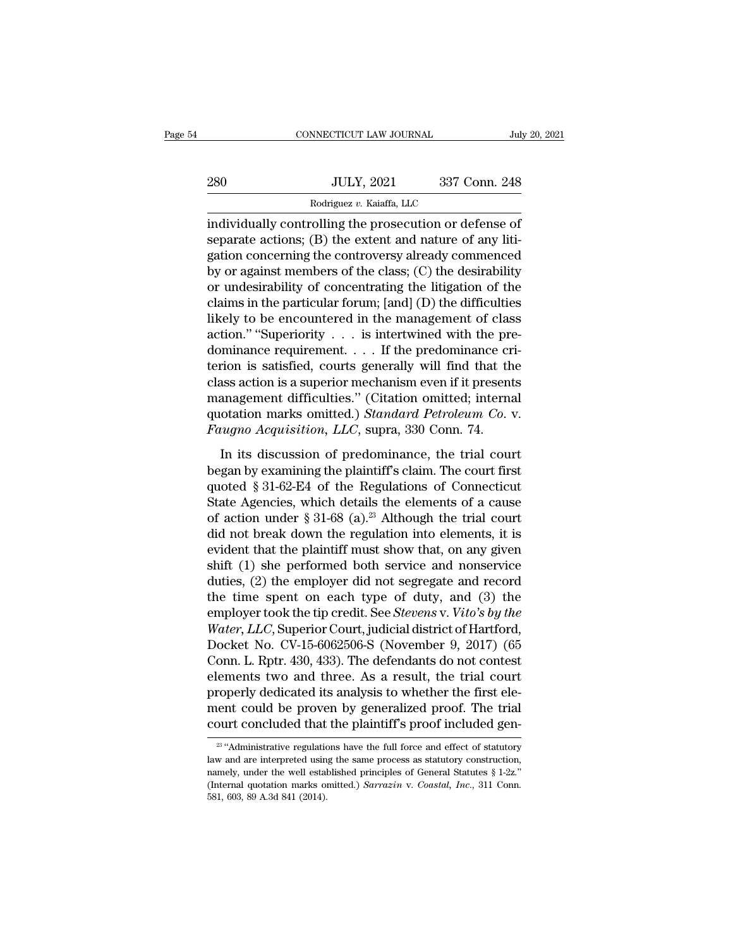|     | CONNECTICUT LAW JOURNAL                                |               | July 20, 2021 |
|-----|--------------------------------------------------------|---------------|---------------|
|     |                                                        |               |               |
| 280 | <b>JULY, 2021</b>                                      | 337 Conn. 248 |               |
|     | Rodriguez v. Kaiaffa, LLC                              |               |               |
|     | individually controlling the prosecution or defense of |               |               |

CONNECTICUT LAW JOURNAL July 20, 202<br>
280 JULY, 2021 337 Conn. 248<br>
Rodriguez v. Kaiaffa, LLC<br>
individually controlling the prosecution or defense of<br>
separate actions; (B) the extent and nature of any liti-<br>
stin concerni separate actions; (B) the extent and nature of any litigation concerning the controversy already commenced<br>the extent and nature of any litigation concerning the controversy already commenced<br>the extent and nature of any l 280 JULY, 2021 337 Conn. 248<br>
Rodriguez v. Kaiaffa, LLC<br>
individually controlling the prosecution or defense of<br>
separate actions; (B) the extent and nature of any litigation concerning the controversy already commenced<br>  $\begin{array}{r} \text{BMO} & \text{JULY, 2021} \end{array}$  a 337 Conn. 248<br>  $\begin{array}{r} \text{Rodriguez } v. \text{ Kaiaffa, LLC} \ \text{individually controlling the prosecution or defense of} \ \text{separate actions; (B) the extent and nature of any litigation concerning the controversy already commented by or against members of the class; (C) the desirability or undesirableity of concentrating the litigation of the claims in the particular form: [and (D) the difficulties$ Rodriguez v. Kaiaffa, LLC<br>
individually controlling the prosecution or defense of<br>
separate actions; (B) the extent and nature of any litigation concerning the controversy already commenced<br>
by or against members of the c From the prosecution or defense of<br>separate actions; (B) the extent and nature of any litigation concerning the controversy already commenced<br>by or against members of the class; (C) the desirability<br>or undesirability of c individually controlling the prosecution or defense of<br>separate actions; (B) the extent and nature of any liti-<br>gation concerning the controversy already commenced<br>by or against members of the class; (C) the desirability<br> separate actions; (B) the extent and nature of any litigation concerning the controversy already commenced<br>by or against members of the class; (C) the desirability<br>or undesirability of concentrating the litigation of the<br>c gation concerning the controversy already commenced<br>by or against members of the class; (C) the desirability<br>or undesirability of concentrating the litigation of the<br>claims in the particular forum; [and] (D) the difficult by or against members of the class; (C) the desirability<br>or undesirability of concentrating the litigation of the<br>claims in the particular forum; [and] (D) the difficulties<br>likely to be encountered in the management of cl or undesirability of concentrating the litigation of the<br>claims in the particular forum; [and] (D) the difficulties<br>likely to be encountered in the management of class<br>action." "Superiority  $\ldots$  is intertwined with the p claims in the particular forum; [and] (D) the difficulties<br>likely to be encountered in the management of class<br>action." "Superiority  $\ldots$  is intertwined with the pre-<br>dominance requirement.... If the predominance cri-<br>te likely to be encountered in the management of class<br>action." "Superiority . . . is intertwined with the pre-<br>dominance requirement. . . . If the predominance cri-<br>terion is satisfied, courts generally will find that the<br>cl action." "Superiority . . . is intertwined with the predominance requirement. . . . If the predominance creation is satisfied, courts generally will find that the class action is a superior mechanism even if it present man From is satisfied, courts generally will find that the ass action is a superior mechanism even if it presents an<br>agement difficulties." (Citation omitted; internal otation marks omitted.) Standard Petroleum Co. v.<br>tugno A class action is a superior mechanism even if it presents<br>management difficulties." (Citation omitted; internal<br>quotation marks omitted.) Standard Petroleum Co. v.<br>Faugno Acquisition, LLC, supra, 330 Conn. 74.<br>In its discus

management difficulties." (Citation omitted; internal<br>quotation marks omitted.) *Standard Petroleum Co.* v.<br>Faugno Acquisition, LLC, supra, 330 Conn. 74.<br>In its discussion of predominance, the trial court<br>began by examini quotation marks omitted.) *Standard Petroleum Co. v.*<br>Faugno Acquisition, LLC, supra, 330 Conn. 74.<br>In its discussion of predominance, the trial court<br>began by examining the plaintiff's claim. The court first<br>quoted § 31-Faugno Acquisition, LLC, supra, 330 Conn. 74.<br>In its discussion of predominance, the trial court<br>began by examining the plaintiff's claim. The court first<br>quoted § 31-62-E4 of the Regulations of Connecticut<br>State Agencies In its discussion of predominance, the trial court<br>began by examining the plaintiff's claim. The court first<br>quoted § 31-62-E4 of the Regulations of Connecticut<br>State Agencies, which details the elements of a cause<br>of act In its discussion of predominance, the trial court<br>began by examining the plaintiff's claim. The court first<br>quoted § 31-62-E4 of the Regulations of Connecticut<br>State Agencies, which details the elements of a cause<br>of act began by examining the plaintiff's claim. The court first<br>quoted § 31-62-E4 of the Regulations of Connecticut<br>State Agencies, which details the elements of a cause<br>of action under § 31-68 (a).<sup>23</sup> Although the trial court quoted § 31-62-E4 of the Regulations of Connecticut<br>State Agencies, which details the elements of a cause<br>of action under § 31-68 (a).<sup>23</sup> Although the trial court<br>did not break down the regulation into elements, it is<br>ev State Agencies, which details the elements of a cause<br>of action under § 31-68 (a).<sup>23</sup> Although the trial court<br>did not break down the regulation into elements, it is<br>evident that the plaintiff must show that, on any give of action under § 31-68 (a).<sup>23</sup> Although the trial court<br>did not break down the regulation into elements, it is<br>evident that the plaintiff must show that, on any given<br>shift (1) she performed both service and nonservice<br> did not break down the regulation into elements, it is<br>evident that the plaintiff must show that, on any given<br>shift (1) she performed both service and nonservice<br>duties, (2) the employer did not segregate and record<br>the t evident that the plaintiff must show that, on any given<br>shift (1) she performed both service and nonservice<br>duties, (2) the employer did not segregate and record<br>the time spent on each type of duty, and (3) the<br>employer to shift (1) she performed both service and nonservice<br>duties, (2) the employer did not segregate and record<br>the time spent on each type of duty, and (3) the<br>employer took the tip credit. See *Stevens* v. *Vito's by the*<br>Wate duties, (2) the employer did not segregate and record<br>the time spent on each type of duty, and (3) the<br>employer took the tip credit. See *Stevens* v. *Vito's by the*<br>Water, LLC, Superior Court, judicial district of Hartfor the time spent on each type of duty, and (3) the<br>employer took the tip credit. See *Stevens* v. *Vito's by the*<br>Water, LLC, Superior Court, judicial district of Hartford,<br>Docket No. CV-15-6062506-S (November 9, 2017) (65<br>C employer took the tip credit. See *Stevens* v. *Vito's by the*<br>Water, LLC, Superior Court, judicial district of Hartford,<br>Docket No. CV-15-6062506-S (November 9, 2017) (65<br>Conn. L. Rptr. 430, 433). The defendants do not co *Water, LLC,* Superior Court, judicial district of Hartford, Docket No. CV-15-6062506-S (November 9, 2017) (65 Conn. L. Rptr. 430, 433). The defendants do not contest elements two and three. As a result, the trial court pr ements two and three. As a result, the trial court<br>roperly dedicated its analysis to whether the first ele-<br>ent could be proven by generalized proof. The trial<br>burt concluded that the plaintiff's proof included gen-<br> $\frac{23$ properly dedicated its analysis to whether the first element could be proven by generalized proof. The trial court concluded that the plaintiff's proof included general  $\frac{1}{2}$  "Administrative regulations have the full

ment could be proven by generalized proof. The trial<br>court concluded that the plaintiff's proof included gen-<br> $\frac{1}{20}$ "Administrative regulations have the full force and effect of statutory<br>law and are interpreted using (COUT CONCLUDED And The plaintiff's proof included gen-<br>
<sup>23</sup> "Administrative regulations have the full force and effect of statutory<br>
law and are interpreted using the same process as statutory construction,<br>
namely, unde <sup>23</sup> "Administrative regulations have the full force and effect of statutory law and are interpreted using the same process as statutory construction, namely, under the well established principles of General Statutes § 1-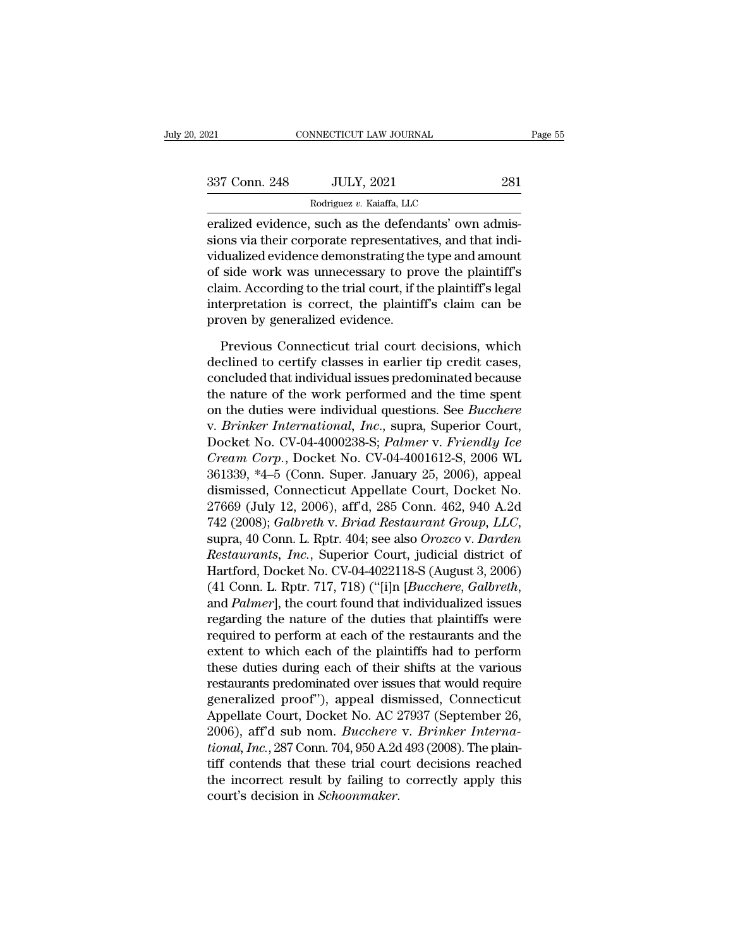| 2021          | CONNECTICUT LAW JOURNAL                                                                                                                                                      | Page 55 |
|---------------|------------------------------------------------------------------------------------------------------------------------------------------------------------------------------|---------|
|               |                                                                                                                                                                              |         |
| 337 Conn. 248 | <b>JULY, 2021</b>                                                                                                                                                            | 281     |
|               | Rodriguez v. Kaiaffa, LLC                                                                                                                                                    |         |
|               | eralized evidence, such as the defendants' own admis-<br>sions via their corporate representatives, and that indi-<br>triduplized evidence demonstrating the type and emeunt |         |

337 Conn. 248 JULY, 2021 281<br>
Rodriguez v. Kaiaffa, LLC<br>
eralized evidence, such as the defendants' own admissions via their corporate representatives, and that indi-<br>
vidualized evidence demonstrating the type and amount<br> 337 Conn. 248 JULY, 2021 281<br>
Rodriguez v. Kaiaffa, LLC<br>
eralized evidence, such as the defendants' own admissions via their corporate representatives, and that indi-<br>
vidualized evidence demonstrating the type and amount 337 Conn. 248 JULY, 2021 281<br>
Rodriguez v. Kaiaffa, LLC<br>
eralized evidence, such as the defendants' own admissions via their corporate representatives, and that indi-<br>
vidualized evidence demonstrating the type and amount Rodriguez v. Kaiaffa, LLC<br>
eralized evidence, such as the defendants' own admis-<br>
sions via their corporate representatives, and that indi-<br>
vidualized evidence demonstrating the type and amount<br>
of side work was unnecessa interalized evidence, such as the defendants' own admissions via their corporate representatives, and that individualized evidence demonstrating the type and amount of side work was unnecessary to prove the plaintiff's cla eralized evidence, such as the defend<br>sions via their corporate representativ<br>vidualized evidence demonstrating the<br>of side work was unnecessary to pro<br>claim. According to the trial court, if the<br>interpretation is correct, dualized evidence demonstrating the type and amount<br>side work was unnecessary to prove the plaintiff's<br>aim. According to the trial court, if the plaintiff's legal<br>terpretation is correct, the plaintiff's claim can be<br>oven of side work was unnecessary to prove the plaintiff's<br>claim. According to the trial court, if the plaintiff's legal<br>interpretation is correct, the plaintiff's claim can be<br>proven by generalized evidence.<br>Previous Connectic

claim. According to the trial court, if the plaintiff's legal<br>interpretation is correct, the plaintiff's claim can be<br>proven by generalized evidence.<br>Previous Connecticut trial court decisions, which<br>declined to certify cl interpretation is correct, the plaintiff's claim can be<br>proven by generalized evidence.<br>Previous Connecticut trial court decisions, which<br>declined to certify classes in earlier tip credit cases,<br>concluded that individual i proven by generalized evidence.<br>
Previous Connecticut trial court decisions, which<br>
declined to certify classes in earlier tip credit cases,<br>
concluded that individual issues predominated because<br>
the nature of the work pe Previous Connecticut trial court decisions, which<br>declined to certify classes in earlier tip credit cases,<br>concluded that individual issues predominated because<br>the nature of the work performed and the time spent<br>on the du Previous Connecticut trial court decisions, which<br>declined to certify classes in earlier tip credit cases,<br>concluded that individual issues predominated because<br>the nature of the work performed and the time spent<br>on the du declined to certify classes in earlier tip credit cases,<br>concluded that individual issues predominated because<br>the nature of the work performed and the time spent<br>on the duties were individual questions. See *Bucchere*<br>v. concluded that individual issues predominated because<br>the nature of the work performed and the time spent<br>on the duties were individual questions. See *Bucchere*<br>v. *Brinker International, Inc.*, supra, Superior Court,<br>Doc the nature of the work performed and the time spent<br>on the duties were individual questions. See *Bucchere*<br>v. *Brinker International, Inc.*, supra, Superior Court,<br>Docket No. CV-04-4000238-S; *Palmer* v. *Friendly Ice*<br>*C* on the duties were individual questions. See *Bucchere*<br>v. *Brinker International, Inc.*, supra, Superior Court,<br>Docket No. CV-04-4000238-S; *Palmer* v. *Friendly Ice*<br>*Cream Corp.*, Docket No. CV-04-4001612-S, 2006 WL<br>361 v. *Brinker International, Inc.*, supra, Superior Court,<br>Docket No. CV-04-4000238-S; *Palmer v. Friendly Ice*<br>Cream Corp., Docket No. CV-04-4001612-S, 2006 WL<br>361339, \*4–5 (Conn. Super. January 25, 2006), appeal<br>dismissed, *Cream Corp.*, Docket No. CV-04-4001612-S, 2006 WL<br>361339, \*4–5 (Conn. Super. January 25, 2006), appeal<br>dismissed, Connecticut Appellate Court, Docket No.<br>27669 (July 12, 2006), aff'd, 285 Conn. 462, 940 A.2d<br>742 (2008); 361339, \*4–5 (Conn. Super. January 25, 2006), appeal<br>dismissed, Connecticut Appellate Court, Docket No.<br>27669 (July 12, 2006), aff'd, 285 Conn. 462, 940 A.2d<br>742 (2008); *Galbreth v. Briad Restaurant Group, LLC*,<br>supra, 40 dismissed, Connecticut Appellate Court, Docket No.<br>27669 (July 12, 2006), aff'd, 285 Conn. 462, 940 A.2d<br>742 (2008); *Galbreth* v. *Briad Restaurant Group, LLC*,<br>supra, 40 Conn. L. Rptr. 404; see also *Orozco* v. *Darden*<br> 742 (2008); *Galbreth v. Briad Restaurant Group, LLC*,<br>supra, 40 Conn. L. Rptr. 404; see also *Orozco v. Darden*<br>*Restaurants, Inc.*, Superior Court, judicial district of<br>Hartford, Docket No. CV-04-4022118-S (August 3, 20 supra, 40 Conn. L. Rptr. 404; see also *Orozco* v. *Darden*<br>*Restaurants, Inc.*, Superior Court, judicial district of<br>Hartford, Docket No. CV-04-4022118-S (August 3, 2006)<br>(41 Conn. L. Rptr. 717, 718) ("[i]n [*Bucchere, Ga* Restaurants, Inc., Superior Court, judicial district of<br>Hartford, Docket No. CV-04-4022118-S (August 3, 2006)<br>(41 Conn. L. Rptr. 717, 718) ("[i]n [*Bucchere, Galbreth*,<br>and *Palmer*], the court found that individualized is Hartford, Docket No. CV-04-4022118-S (August 3, 2006)<br>(41 Conn. L. Rptr. 717, 718) ("[i]n [*Bucchere*, *Galbreth*,<br>and *Palmer*], the court found that individualized issues<br>regarding the nature of the duties that plaintiff (41 Conn. L. Rptr. 717, 718) ("[1]n [*Bucchere, Galbreth*,<br>and *Palmer*], the court found that individualized issues<br>regarding the nature of the duties that plaintiffs were<br>required to perform at each of the restaurants a and *Palmer*], the court found that individualized issues<br>regarding the nature of the duties that plaintiffs were<br>required to perform at each of the restaurants and the<br>extent to which each of the plaintiffs had to perfor regarding the nature of the duties that plaintiffs were<br>required to perform at each of the restaurants and the<br>extent to which each of the plaintiffs had to perform<br>these duties during each of their shifts at the various<br>r required to perform at each of the restaurants and the<br>extent to which each of the plaintiffs had to perform<br>these duties during each of their shifts at the various<br>restaurants predominated over issues that would require<br>g extent to which each of the plaintiffs had to perform<br>these duties during each of their shifts at the various<br>restaurants predominated over issues that would require<br>generalized proof"), appeal dismissed, Connecticut<br>Appel these duties during each of their shifts at the various<br>restaurants predominated over issues that would require<br>generalized proof"), appeal dismissed, Connecticut<br>Appellate Court, Docket No. AC 27937 (September 26,<br>2006), restaurants predominated over issues that would require<br>generalized proof"), appeal dismissed, Connecticut<br>Appellate Court, Docket No. AC 27937 (September 26,<br>2006), aff'd sub nom. *Bucchere* v. *Brinker Interna-<br>tional, I* generalized proof"), appeal disi<br>Appellate Court, Docket No. AC 2<br>2006), aff'd sub nom. *Bucchere*<br>tional, Inc., 287 Conn. 704, 950 A.2d<br>tiff contends that these trial cou<br>the incorrect result by failing to<br>court's decisio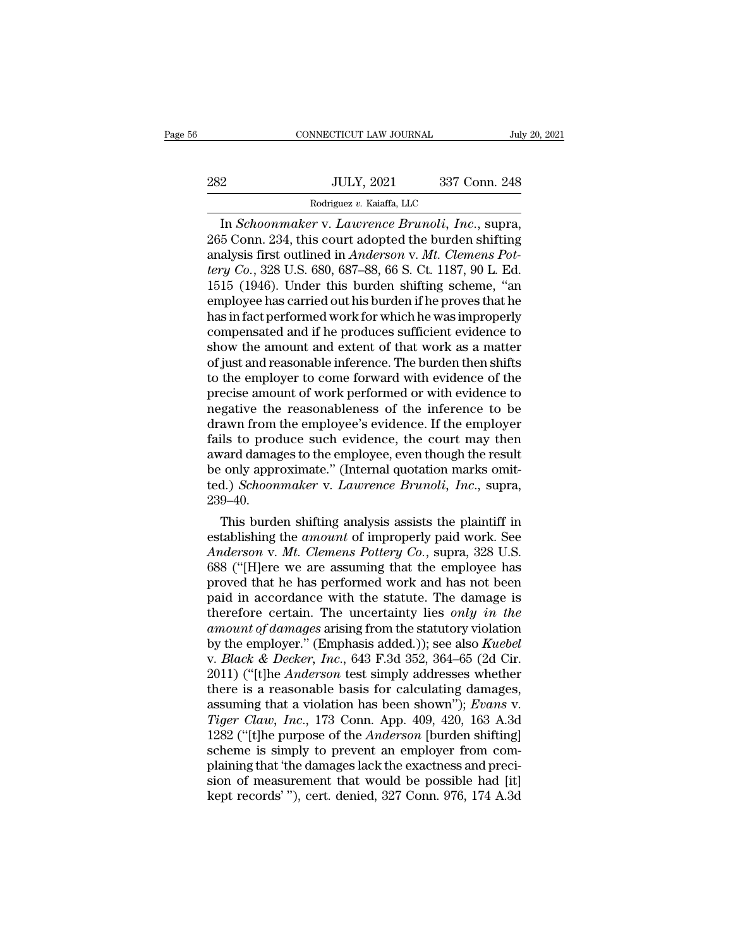|     | CONNECTICUT LAW JOURNAL                      | July 20, 2021 |
|-----|----------------------------------------------|---------------|
|     |                                              |               |
| 282 | <b>JULY, 2021</b>                            | 337 Conn. 248 |
|     | Rodriguez v. Kaiaffa, LLC                    |               |
|     | In Schoonmaker v Lawrence Brunoli Inc. supra |               |

FREE CONNECTICUT LAW JOURNAL July 20, 2<br>
2<br> **IULY**, 2021 337 Conn. 248<br>
Rodriguez v. Kaiaffa, LLC<br>
In *Schoonmaker* v. *Lawrence Brunoli, Inc.*, supra,<br>
5 Conn. 234, this court adopted the burden shifting<br>
alysis first out 282 JULY, 2021 337 Conn. 248<br>
Rodriguez v. Kaiaffa, LLC<br>
In *Schoonmaker* v. *Lawrence Brunoli, Inc.*, supra,<br>265 Conn. 234, this court adopted the burden shifting<br>
analysis first outlined in *Anderson* v. *Mt. Clemens Pot* analysis first outlined in *Anderson* v. *Mt.* Clemens Pot-<br>
The *Schoonmaker* v. *Lawrence Brunoli*, *Inc.*, supra,<br>
265 Conn. 234, this court adopted the burden shifting<br>
analysis first outlined in *Anderson* v. *Mt. Cle HULY, 2021* 337 Conn. 248<br> *Rodriguez v. Kaiaffa, LLC*<br> *In Schoonmaker v. Lawrence Brunoli, Inc., supra,*<br>
265 Conn. 234, this court adopted the burden shifting<br>
analysis first outlined in *Anderson v. Mt. Clemens Pot-*<br>  $\frac{1521}{1000}$   $\frac{1521}{10000}$   $\frac{1521}{10000}$   $\frac{1521}{10000}$   $\frac{1521}{10000}$   $\frac{1521}{10000}$   $\frac{1521}{10000}$   $\frac{1521}{10000}$   $\frac{1521}{10000}$   $\frac{1521}{10000}$   $\frac{1521}{10000}$   $\frac{1521}{10000}$   $\frac{1521}{10000}$  Rodriguez v. Kaiaffa, LLC<br>
In *Schoonmaker* v. *Lawrence Brunoli*, *Inc.*, supra,<br>
265 Conn. 234, this court adopted the burden shifting<br>
analysis first outlined in *Anderson* v. *Mt. Clemens Pot-*<br> *tery Co.*, 328 U.S. 6 In *Schoonmaker* v. *Lawrence Brunoli*, *Inc.*, supra,<br>265 Conn. 234, this court adopted the burden shifting<br>analysis first outlined in *Anderson* v. *Mt. Clemens Pot-<br>tery Co.*, 328 U.S. 680, 687–88, 66 S. Ct. 1187, 90 L. 265 Conn. 234, this court adopted the burden shifting<br>analysis first outlined in *Anderson v. Mt. Clemens Pot-*<br>*tery Co.*, 328 U.S. 680, 687–88, 66 S. Ct. 1187, 90 L. Ed.<br>1515 (1946). Under this burden shifting scheme, "a analysis first outlined in *Anderson v. Mt. Clemens Pottery Co.*, 328 U.S. 680, 687–88, 66 S. Ct. 1187, 90 L. Ed.<br>1515 (1946). Under this burden shifting scheme, "an<br>employee has carried out his burden if he proves that he tery Co., 328 U.S. 680, 687–88, 66 S. Ct. 1187, 90 L. Ed.<br>1515 (1946). Under this burden shifting scheme, "an<br>employee has carried out his burden if he proves that he<br>has in fact performed work for which he was improperly<br> 1515 (1946). Under this burden shifting scheme, "an<br>employee has carried out his burden if he proves that he<br>has in fact performed work for which he was improperly<br>compensated and if he produces sufficient evidence to<br>show employee has carried out his burden if he proves that he<br>has in fact performed work for which he was improperly<br>compensated and if he produces sufficient evidence to<br>show the amount and extent of that work as a matter<br>of j has in fact performed work for which he was improperly<br>compensated and if he produces sufficient evidence to<br>show the amount and extent of that work as a matter<br>of just and reasonable inference. The burden then shifts<br>to t compensated and if he produces sufficient evidence to<br>show the amount and extent of that work as a matter<br>of just and reasonable inference. The burden then shifts<br>to the employer to come forward with evidence of the<br>precis show the amount and extent of that work as a matter<br>of just and reasonable inference. The burden then shifts<br>to the employer to come forward with evidence of the<br>precise amount of work performed or with evidence to<br>negativ of just and reasonable inference. The burden then shifts<br>to the employer to come forward with evidence of the<br>precise amount of work performed or with evidence to<br>negative the reasonableness of the inference to be<br>drawn fr to the employer to come forward with evidence of the<br>precise amount of work performed or with evidence to<br>negative the reasonableness of the inference to be<br>drawn from the employee's evidence. If the employer<br>fails to prod precise amount of work performed or with evidence to<br>negative the reasonableness of the inference to be<br>drawn from the employee's evidence. If the employer<br>fails to produce such evidence, the court may then<br>award damages t 239–40. awn from the employee's evidence. If the employer<br>ils to produce such evidence, the court may then<br>vard damages to the employee, even though the result<br>conly approximate." (Internal quotation marks omit-<br>d.) Schoonmaker v rails to produce such evidence, the court may then<br>award damages to the employee, even though the result<br>be only approximate." (Internal quotation marks omit-<br>ted.) Schoonmaker v. Lawrence Brunoli, Inc., supra,<br>239–40.<br>Thi

award damages to the employee, even though the result<br>be only approximate." (Internal quotation marks omit-<br>ted.) *Schoonmaker* v. *Lawrence Brunoli*, *Inc.*, supra,<br>239–40.<br>This burden shifting analysis assists the plaint be only approximate." (Internal quotation marks omit-<br>ted.) *Schoonmaker* v. *Lawrence Brunoli*, *Inc.*, supra,<br>239–40.<br>This burden shifting analysis assists the plaintiff in<br>establishing the *amount* of improperly paid wo ted.) *Schoonmaker* v. *Lawrence Brunoti*, *Inc.*, supra,<br>239–40.<br>This burden shifting analysis assists the plaintiff in<br>establishing the *amount* of improperly paid work. See<br>*Anderson* v. *Mt. Clemens Pottery Co.*, supra 239–40.<br>
This burden shifting analysis assists the plaintiff in<br>
establishing the *amount* of improperly paid work. See<br> *Anderson v. Mt. Clemens Pottery Co.*, supra, 328 U.S.<br>
688 ("[H]ere we are assuming that the employ This burden shifting analysis assists the plaintiff in<br>establishing the *amount* of improperly paid work. See<br>*Anderson v. Mt. Clemens Pottery Co.*, supra, 328 U.S.<br>688 ("[H]ere we are assuming that the employee has<br>proved establishing the *amount* of improperly paid work. See<br>*Anderson v. Mt. Clemens Pottery Co.*, supra, 328 U.S.<br>688 ("[H]ere we are assuming that the employee has<br>proved that he has performed work and has not been<br>paid in ac Anderson v. Mt. Clemens Pottery Co., supra, 328 U.S.<br>688 ("[H]ere we are assuming that the employee has<br>proved that he has performed work and has not been<br>paid in accordance with the statute. The damage is<br>therefore certai 688 ("[H]ere we are assuming that the employee has<br>proved that he has performed work and has not been<br>paid in accordance with the statute. The damage is<br>therefore certain. The uncertainty lies *only in the*<br>*amount of dama* proved that he has performed work and has not been<br>paid in accordance with the statute. The damage is<br>therefore certain. The uncertainty lies *only in the*<br>amount of damages arising from the statutory violation<br>by the empl paid in accordance with the statute. The damage is<br>therefore certain. The uncertainty lies *only in the*<br>amount of damages arising from the statutory violation<br>by the employer." (Emphasis added.)); see also *Kuebel*<br>v. *B* therefore certain. The uncertainty lies *only in the*<br>amount of damages arising from the statutory violation<br>by the employer." (Emphasis added.)); see also Kuebel<br>v. Black & Decker, Inc., 643 F.3d 352, 364–65 (2d Cir.<br>2011 *The amount of damages arising from the statutory violation*<br>by the employer." (Emphasis added.)); see also *Kuebel*<br>v. *Black & Decker, Inc.*, 643 F.3d 352, 364–65 (2d Cir.<br>2011) ("[t]he *Anderson* test simply addresses w by the employer." (Emphasis added.)); see also *Kuebel*<br>v. *Black & Decker*, *Inc.*, 643 F.3d 352, 364–65 (2d Cir.<br>2011) ("[t]he *Anderson* test simply addresses whether<br>there is a reasonable basis for calculating damages, v. *Black & Decker*, *Inc.*, 643 F.3d 352, 364–65 (2d Cir. 2011) ("[t]he *Anderson* test simply addresses whether there is a reasonable basis for calculating damages, assuming that a violation has been shown"); *Evans v. T* 2011) ("[t]he *Anderson* test simply addresses whether<br>there is a reasonable basis for calculating damages,<br>assuming that a violation has been shown"); *Evans v.*<br>Tiger Claw, Inc., 173 Conn. App. 409, 420, 163 A.3d<br>1282 ( there is a reasonable basis for calculating damages,<br>assuming that a violation has been shown"); Evans v.<br>Tiger Claw, Inc., 173 Conn. App. 409, 420, 163 A.3d<br>1282 ("[t]he purpose of the Anderson [burden shifting]<br>scheme is assuming that a violation has been shown"); *Evans* v.<br>Tiger Claw, Inc., 173 Conn. App. 409, 420, 163 A.3d<br>1282 ("[t]he purpose of the *Anderson* [burden shifting]<br>scheme is simply to prevent an employer from com-<br>plaining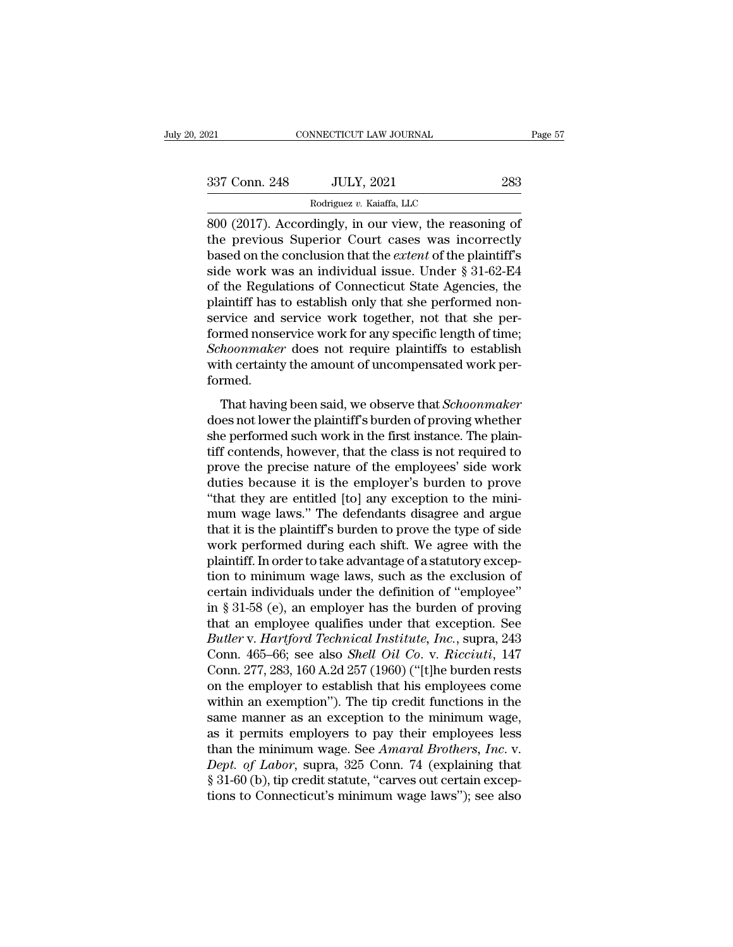| 2021          | CONNECTICUT LAW JOURNAL                                                                                                                                                   | Page 57 |
|---------------|---------------------------------------------------------------------------------------------------------------------------------------------------------------------------|---------|
|               |                                                                                                                                                                           |         |
| 337 Conn. 248 | <b>JULY, 2021</b>                                                                                                                                                         | 283     |
|               | Rodriguez v. Kaiaffa, LLC                                                                                                                                                 |         |
|               | 800 (2017). Accordingly, in our view, the reasoning of<br>the previous Superior Court cases was incorrectly<br>based on the conclusion that the extent of the plaintiff's |         |

337 Conn. 248 JULY, 2021 283<br>
Rodriguez v. Kaiaffa, LLC<br>
800 (2017). Accordingly, in our view, the reasoning of<br>
the previous Superior Court cases was incorrectly<br>
based on the conclusion that the *extent* of the plaintiff Based on the Conclusion of Conclusion that the *extent* of the *Position Capacit*on that the *extent* of the plaintiff's side work was an individual issue. Under § 31-62-E4 of the *Positions* of Conclusion that the *Asonia* 337 Conn. 248 JULY, 2021 283<br>
Rodriguez v. Kaiaffa, LLC<br>
800 (2017). Accordingly, in our view, the reasoning of<br>
the previous Superior Court cases was incorrectly<br>
based on the conclusion that the *extent* of the plaintif Rodriguez v. Kaiaffa, LLC<br>
800 (2017). Accordingly, in our view, the reasoning of<br>
the previous Superior Court cases was incorrectly<br>
based on the conclusion that the *extent* of the plaintiff's<br>
side work was an individu Rodriguez v. Kalafra, LLC<br>
800 (2017). Accordingly, in our view, the reasoning of<br>
the previous Superior Court cases was incorrectly<br>
based on the conclusion that the *extent* of the plaintiff's<br>
side work was an individua 800 (2017). Accordingly, in our view, the reasoning of<br>the previous Superior Court cases was incorrectly<br>based on the conclusion that the *extent* of the plaintiff's<br>side work was an individual issue. Under  $\S 31-62-E4$ <br>of the previous Superior Court cases was incorrectly<br>based on the conclusion that the *extent* of the plaintiff's<br>side work was an individual issue. Under § 31-62-E4<br>of the Regulations of Connecticut State Agencies, the<br>plain based on the conclusion that the *extent* of the plaintiff's<br>side work was an individual issue. Under § 31-62-E4<br>of the Regulations of Connecticut State Agencies, the<br>plaintiff has to establish only that she performed nonside work was an individual issue. Under § 31-62-E4 of the Regulations of Connecticut State Agencies, the plaintiff has to establish only that she performed nonservice and service work together, not that she performed nons formed. Fruite and service work together, not that she per-<br>The permed nonservice work for any specific length of time;<br>*hoonmaker* does not require plaintiffs to establish<br>th certainty the amount of uncompensated work per-<br>rmed.<br> Bettice and Bettice work together, how that the performed nonservice work for any specific length of time;<br>Schoonmaker does not require plaintiffs to establish<br>with certainty the amount of uncompensated work per-<br>formed.<br>T

schoonmaker does not require plaintiffs to establish<br>with certainty the amount of uncompensated work per-<br>formed.<br>That having been said, we observe that *Schoonmaker*<br>does not lower the plaintiff's burden of proving whethe with certainty the amount of uncompensated work per-<br>formed.<br>That having been said, we observe that *Schoonmaker*<br>does not lower the plaintiff's burden of proving whether<br>she performed such work in the first instance. The mar ecrearity are antount of ancompensated work per<br>formed.<br>That having been said, we observe that *Schoonmaker*<br>does not lower the plaintiff's burden of proving whether<br>she performed such work in the first instance. The p That having been said, we observe that *Schoonmaker*<br>does not lower the plaintiff's burden of proving whether<br>she performed such work in the first instance. The plain-<br>tiff contends, however, that the class is not required That having been said, we observe that *Schoonmaker*<br>does not lower the plaintiff's burden of proving whether<br>she performed such work in the first instance. The plain-<br>tiff contends, however, that the class is not required does not lower the plaintiff's burden of proving whether<br>she performed such work in the first instance. The plain-<br>tiff contends, however, that the class is not required to<br>prove the precise nature of the employees' side w she performed such work in the first instance. The plaintiff contends, however, that the class is not required to prove the precise nature of the employees' side work duties because it is the employer's burden to prove "th tiff contends, however, that the class is not required to<br>prove the precise nature of the employees' side work<br>duties because it is the employer's burden to prove<br>"that they are entitled [to] any exception to the mini-<br>mum prove the precise nature of the employees' side work<br>duties because it is the employer's burden to prove<br>"that they are entitled [to] any exception to the mini-<br>mum wage laws." The defendants disagree and argue<br>that it is duties because it is the employer's burden to prove<br>
"that they are entitled [to] any exception to the mini-<br>
mum wage laws." The defendants disagree and argue<br>
that it is the plaintiff's burden to prove the type of side<br> "that they are entitled [to] any exception to the mini-<br>mum wage laws." The defendants disagree and argue<br>that it is the plaintiff's burden to prove the type of side<br>work performed during each shift. We agree with the<br>plai mum wage laws." The defendants disagree and argue<br>that it is the plaintiff's burden to prove the type of side<br>work performed during each shift. We agree with the<br>plaintiff. In order to take advantage of a statutory excep-<br> that it is the plaintiff's burden to prove the type of side<br>work performed during each shift. We agree with the<br>plaintiff. In order to take advantage of a statutory excep-<br>tion to minimum wage laws, such as the exclusion work performed during each shift. We agree with the plaintiff. In order to take advantage of a statutory exception to minimum wage laws, such as the exclusion of certain individuals under the definition of "employee" in § plaintiff. In order to take advantage of a statutory exception to minimum wage laws, such as the exclusion of certain individuals under the definition of "employee" in § 31-58 (e), an employer has the burden of proving tha tion to minimum wage laws, such as the exclusion of<br>certain individuals under the definition of "employee"<br>in § 31-58 (e), an employer has the burden of proving<br>that an employee qualifies under that exception. See<br>*Butler* certain individuals under the definition of "employee"<br>in § 31-58 (e), an employer has the burden of proving<br>that an employee qualifies under that exception. See<br>*Butler* v. *Hartford Technical Institute, Inc.*, supra, 24 in § 31-58 (e), an employer has the burden of proving<br>that an employee qualifies under that exception. See<br>Butler v. Hartford Technical Institute, Inc., supra, 243<br>Conn. 465–66; see also *Shell Oil Co.* v. Ricciuti, 147<br>C that an employee qualifies under that exception. See<br>Butler v. Hartford Technical Institute, Inc., supra, 243<br>Conn. 465–66; see also *Shell Oil Co.* v. Ricciuti, 147<br>Conn. 277, 283, 160 A.2d 257 (1960) ("[t]he burden rests Butler v. Hartford Technical Institute, Inc., supra, 243<br>Conn. 465–66; see also *Shell Oil Co. v. Ricciuti*, 147<br>Conn. 277, 283, 160 A.2d 257 (1960) ("[t]he burden rests<br>on the employer to establish that his employees come Conn. 465–66; see also *Shell Oil Co.* v. *Ricciuti*, 147<br>Conn. 277, 283, 160 A.2d 257 (1960) ("[t]he burden rests<br>on the employer to establish that his employees come<br>within an exemption"). The tip credit functions in the Conn. 277, 283, 160 A.2d 257 (1960) ("[t]he burden rests<br>on the employer to establish that his employees come<br>within an exemption"). The tip credit functions in the<br>same manner as an exception to the minimum wage,<br>as it pe on the employer to establish that his employees come<br>within an exemption"). The tip credit functions in the<br>same manner as an exception to the minimum wage,<br>as it permits employers to pay their employees less<br>than the min within an exemption"). The tip credit functions in the same manner as an exception to the minimum wage, as it permits employers to pay their employees less than the minimum wage. See *Amaral Brothers*, *Inc.* v. *Dept. of*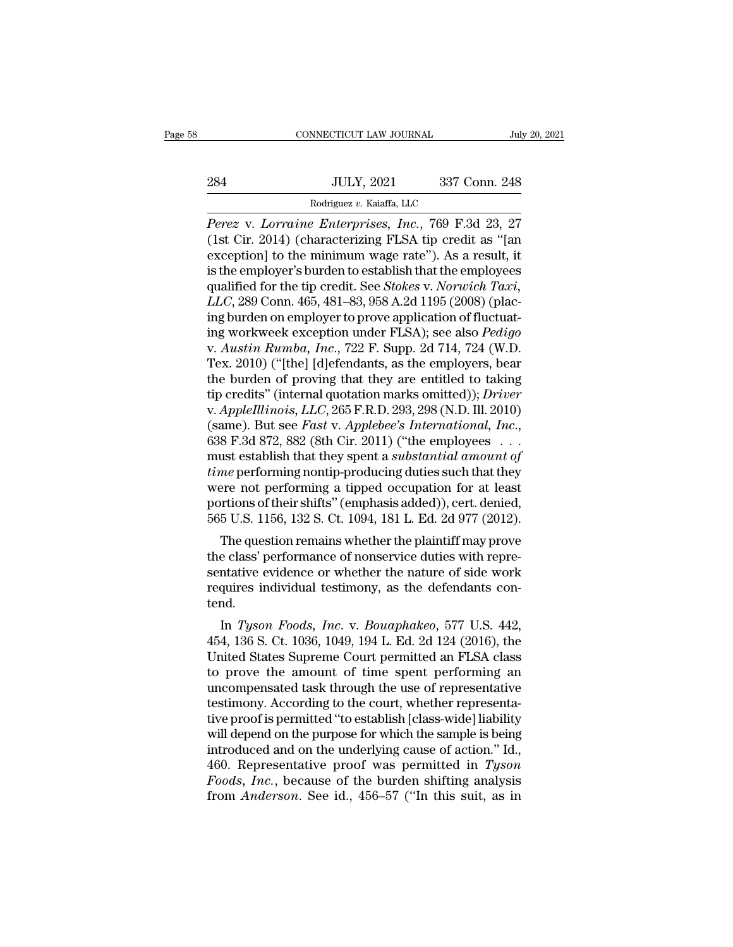|     | CONNECTICUT LAW JOURNAL                             |               | July 20, 2021 |
|-----|-----------------------------------------------------|---------------|---------------|
|     |                                                     |               |               |
| 284 | <b>JULY, 2021</b>                                   | 337 Conn. 248 |               |
|     | Rodriguez v. Kaiaffa, LLC                           |               |               |
|     | Perez y Lorraine Enterprises, Inc., 769 F.3d 23, 27 |               |               |

*Perez* v. *Lorraine Enterprises, Inc.*, 769 F.3d 23, 27<br> *Perez* v. *Lorraine Enterprises, Inc.*, 769 F.3d 23, 27<br>
(1st Cir. 2014) (characterizing FLSA tip credit as "[an exception] to the minimum wage rate"). As a result (1st Cir. 2021)<br>
(1st Cir. 2014) (characterizing FLSA tip credit as "[and exception] to the minimum wage rate"). As a result, it<br>
(1st Cir. 2014) (characterizing FLSA tip credit as "[and exception] to the minimum wage rate 284 JULY, 2021 337 Conn. 248<br>
Rodriguez v. Kaiaffa, LLC<br>
Perez v. Lorraine Enterprises, Inc., 769 F.3d 23, 27<br>
(1st Cir. 2014) (characterizing FLSA tip credit as "[an<br>
exception] to the minimum wage rate"). As a result, i 284 JULY, 2021 337 Conn. 248<br>
Rodriguez v. Kaiaffa, LLC<br>
Perez v. Lorraine Enterprises, Inc., 769 F.3d 23, 27<br>
(1st Cir. 2014) (characterizing FLSA tip credit as "[an<br>
exception] to the minimum wage rate"). As a result, i Rodriguez v. Kaiaffa, LLC<br>
Perez v. *Lorraine Enterprises*, *Inc.*, 769 F.3d 23, 27<br>
(1st Cir. 2014) (characterizing FLSA tip credit as "[an<br>
exception] to the minimum wage rate"). As a result, it<br>
is the employer's burden *Rodriguez v. Kalafta, LLC*<br>*Perez v. Lorraine Enterprises, Inc.*, 769 F.3d 23, 27<br>(1st Cir. 2014) (characterizing FLSA tip credit as "[an<br>exception] to the minimum wage rate"). As a result, it<br>is the employer's burden to *Perez* v. *Lorraine Enterprises, Inc.*, 769 F.3d 23, 27 (1st Cir. 2014) (characterizing FLSA tip credit as "[an exception] to the minimum wage rate"). As a result, it is the employer's burden to establish that the employ (1st Cir. 2014) (characterizing FLSA tip credit as "[an exception] to the minimum wage rate"). As a result, it<br>is the employer's burden to establish that the employees<br>qualified for the tip credit. See *Stokes v. Norwich T* exception] to the minimum wage rate"). As a result, it<br>is the employer's burden to establish that the employees<br>qualified for the tip credit. See *Stokes v. Norwich Taxi*,<br>*LLC*, 289 Conn. 465, 481–83, 958 A.2d 1195 (2008) is the employer's burden to establish that the employees<br>qualified for the tip credit. See *Stokes* v. Norwich Taxi,<br>LLC, 289 Conn. 465, 481–83, 958 A.2d 1195 (2008) (plac-<br>ing burden on employer to prove application of fl qualified for the tip credit. See *Stokes v. Norwich Taxi*,<br>*LLC*, 289 Conn. 465, 481–83, 958 A.2d 1195 (2008) (plac-<br>ing burden on employer to prove application of fluctuat-<br>ing workweek exception under FLSA); see also LLC, 289 Conn. 465, 481–83, 958 A.2d 1195 (2008) (placing burden on employer to prove application of fluctuating workweek exception under FLSA); see also *Pedigo*<br>v. *Austin Rumba, Inc.*, 722 F. Supp. 2d 714, 724 (W.D.<br>Tex ing burden on employer to prove application of fluctuat-<br>ing workweek exception under FLSA); see also *Pedigo*<br>v. *Austin Rumba, Inc.*, 722 F. Supp. 2d 714, 724 (W.D.<br>Tex. 2010) ("[the] [d]efendants, as the employers, bear ing workweek exception under FLSA); see also *Pedigo*<br>v. *Austin Rumba*, *Inc.*, 722 F. Supp. 2d 714, 724 (W.D.<br>Tex. 2010) ("[the] [d]efendants, as the employers, bear<br>the burden of proving that they are entitled to taking Tex. 2010) ("[the] [d]efendants, as the employers, bear<br>the burden of proving that they are entitled to taking<br>tip credits" (internal quotation marks omitted)); *Driver*<br>v. AppleIllinois, LLC, 265 F.R.D. 293, 298 (N.D. Ill the burden of proving that they are entitled to taking<br>tip credits" (internal quotation marks omitted)); *Driver*<br>v. *AppleIllinois*, *LLC*, 265 F.R.D. 293, 298 (N.D. Ill. 2010)<br>(same). But see *Fast* v. *Applebee's Intern* tip credits" (internal quotation marks omitted)); *Driver*<br>v. *AppleIllinois, LLC*, 265 F.R.D. 293, 298 (N.D. Ill. 2010)<br>(same). But see *Fast* v. *Applebee's International, Inc.*,<br>638 F.3d 872, 882 (8th Cir. 2011) ("the e v. AppleIllinois, LLC, 265 F.R.D. 293, 298 (N.D. Ill. 2010)<br>(same). But see *Fast* v. Applebee's International, Inc.,<br>638 F.3d 872, 882 (8th Cir. 2011) ("the employees ...<br>must establish that they spent a *substantial amou* (same). But see *Fast* v. *Applebee's International, Inc.*, 638 F.3d 872, 882 (8th Cir. 2011) ("the employees  $\ldots$  must establish that they spent a *substantial amount of time* performing nontip-producing duties such tha o F.5d 872, 882 (8df Cff. 2011) (The employees  $\ldots$  and stablish that they spent a *substantial amount of ne* performing nontip-producing duties such that they ere not performing a tipped occupation for at least rition time performing nontip-producing duties such that they<br>were not performing a tipped occupation for at least<br>portions of their shifts" (emphasis added)), cert. denied,<br>565 U.S. 1156, 132 S. Ct. 1094, 181 L. Ed. 2d 977 (2012

Find performing nontp-producing duties such that they<br>were not performing a tipped occupation for at least<br>portions of their shifts" (emphasis added)), cert. denied,<br>565 U.S. 1156, 132 S. Ct. 1094, 181 L. Ed. 2d 977 (2012) were not perioriting a upped occupation for at least<br>portions of their shifts" (emphasis added)), cert. denied,<br>565 U.S. 1156, 132 S. Ct. 1094, 181 L. Ed. 2d 977 (2012).<br>The question remains whether the plaintiff may prove tend. The question remains whether the plaintiff may prove<br>e class' performance of nonservice duties with repre-<br>ntative evidence or whether the nature of side work<br>quires individual testimony, as the defendants con-<br>nd.<br>In *Tys* The question remains whether the plantifical may prove<br>the class' performance of nonservice duties with repre-<br>sentative evidence or whether the nature of side work<br>requires individual testimony, as the defendants con-<br>ten

the class performance of nonservice duties while representative evidence or whether the nature of side work<br>requires individual testimony, as the defendants con-<br>tend.<br>In Tyson Foods, Inc. v. Bouaphakeo, 577 U.S. 442,<br>454, sentative evidence of whether the nature of side work<br>requires individual testimony, as the defendants con-<br>tend.<br>In Tyson Foods, Inc. v. Bouaphakeo, 577 U.S. 442,<br>454, 136 S. Ct. 1036, 1049, 194 L. Ed. 2d 124 (2016), the<br> requires murvidual testimony, as the defendants con-<br>tend.<br>In Tyson Foods, Inc. v. Bouaphakeo, 577 U.S. 442,<br>454, 136 S. Ct. 1036, 1049, 194 L. Ed. 2d 124 (2016), the<br>United States Supreme Court permitted an FLSA class<br>to In Tyson Foods, Inc. v. Bouaphakeo, 577 U.S. 442, 454, 136 S. Ct. 1036, 1049, 194 L. Ed. 2d 124 (2016), the United States Supreme Court permitted an FLSA class to prove the amount of time spent performing an uncompensated In *Tyson Foods, Inc.* v. *Bouaphakeo*, 577 U.S. 442, 454, 136 S. Ct. 1036, 1049, 194 L. Ed. 2d 124 (2016), the United States Supreme Court permitted an FLSA class to prove the amount of time spent performing an uncompensa 454, 136 S. Ct. 1036, 1049, 194 L. Ed. 2d 124 (2016), the<br>United States Supreme Court permitted an FLSA class<br>to prove the amount of time spent performing an<br>uncompensated task through the use of representative<br>testimony. United States Supreme Court permitted an FLSA class<br>to prove the amount of time spent performing an<br>uncompensated task through the use of representative<br>testimony. According to the court, whether representa-<br>tive proof is to prove the amount of time spent performing an<br>uncompensated task through the use of representative<br>testimony. According to the court, whether representa-<br>tive proof is permitted "to establish [class-wide] liability<br>will uncompensated task through the use of representative<br>testimony. According to the court, whether representa-<br>tive proof is permitted "to establish [class-wide] liability<br>will depend on the purpose for which the sample is be testimony. According to the court, whether representative proof is permitted "to establish [class-wide] liability will depend on the purpose for which the sample is being introduced and on the underlying cause of action."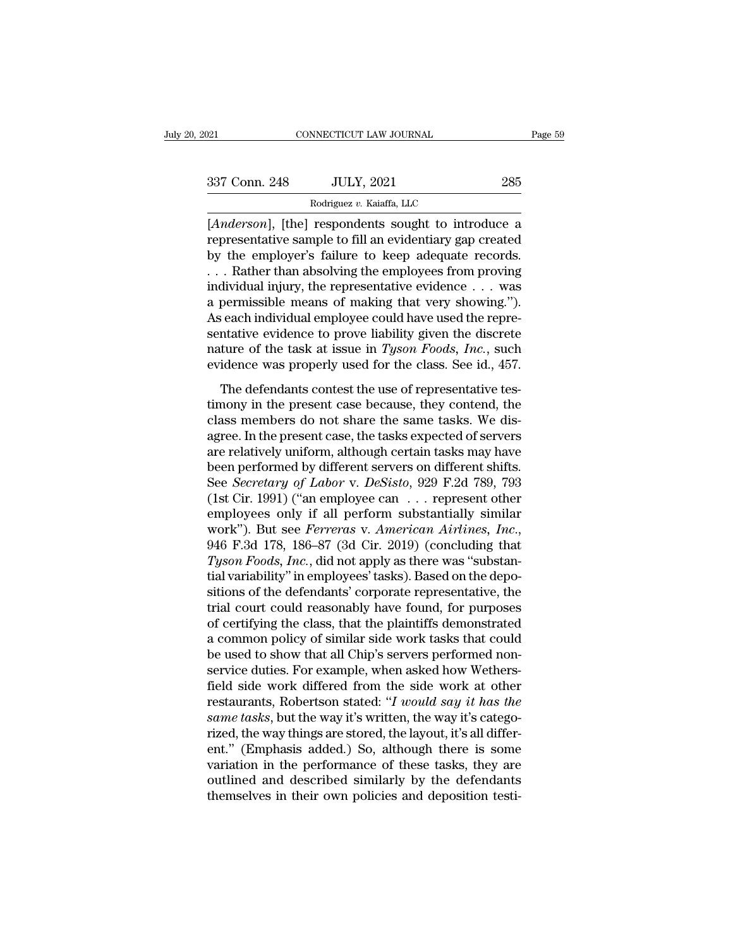| 2021          | CONNECTICUT LAW JOURNAL                                                                                                                                                        | Page 59 |
|---------------|--------------------------------------------------------------------------------------------------------------------------------------------------------------------------------|---------|
|               |                                                                                                                                                                                |         |
| 337 Conn. 248 | <b>JULY, 2021</b>                                                                                                                                                              | 285     |
|               | Rodriguez v. Kaiaffa, LLC                                                                                                                                                      |         |
|               | [ <i>Anderson</i> ], [the] respondents sought to introduce a<br>representative sample to fill an evidentiary gap created<br>by the employer's foilure to keep adocuate records |         |

France 285<br>
Rodriguez v. Kaiaffa, LLC<br>
Rodriguez v. Kaiaffa, LLC<br>
Anderson], [the] respondents sought to introduce a<br>
representative sample to fill an evidentiary gap created<br>
by the employer's failure to keep adequate rec  $\begin{array}{ccc} \text{337 Conn. 248} & \text{JULY, 2021} & \text{285} \ \hline \text{Rodriguez } v. \text{ Kaiaffa, LLC} \ [Anderson], \text{ [the] respondents sought to introduce a representative sample to fill an evidently gap created by the employer's failure to keep adequate records.} \dots \text{ Rather than absorbing the employees from proving individual injury, the representative evidence, we can use.} \end{array}$ 337 Conn. 248 JULY, 2021 285<br>
Rodriguez v. Kaiaffa, LLC<br>
[*Anderson*], [the] respondents sought to introduce a<br>
representative sample to fill an evidentiary gap created<br>
by the employer's failure to keep adequate records. Rodriguez v. Kaiaffa, LLC<br>
[*Anderson*], [the] respondents sought to introduce a<br>
representative sample to fill an evidentiary gap created<br>
by the employer's failure to keep adequate records.<br>
. . . Rather than absolving From the means of making the discrete<br> *Anderson*], [the] respondents sought to introduce a<br>
representative sample to fill an evidentiary gap created<br>
by the employer's failure to keep adequate records.<br>  $\dots$  Rather than [*Anderson*], [the] respondents sought to introduce a<br>representative sample to fill an evidentiary gap created<br>by the employer's failure to keep adequate records.<br> $\dots$  Rather than absolving the employees from proving<br>indi representative sample to fill an evidentiary gap created<br>by the employer's failure to keep adequate records.<br>...Rather than absolving the employees from proving<br>individual injury, the representative evidence ... was<br>a per by the employer's failure to keep adequate records.<br>
... Rather than absolving the employees from proving<br>
individual injury, the representative evidence ... was<br>
a permissible means of making that very showing.").<br>
As eac ... Rather than absolving the employees from proving individual injury, the representative evidence ... was a permissible means of making that very showing.").<br>As each individual employee could have used the representativ definition in the defendant of making that very showing.").<br>
Seach individual employee could have used the repre-<br>
ntative evidence to prove liability given the discrete<br>
ture of the task at issue in *Tyson Foods*, *Inc.* As each individual employee could have used the representative evidence to prove liability given the discrete nature of the task at issue in  $Tyson$  Foods,  $Inc$ , such evidence was properly used for the class. See id., 457.<br>Th

Example in the same tasks and the search the search sentative evidence to prove liability given the discrete nature of the task at issue in  $Tyson$  Foods, Inc., such evidence was properly used for the class. See id., 457. T and the task at issue in *Tyson Foods*, *Inc.*, such evidence was properly used for the class. See id., 457.<br>The defendants contest the use of representative testimony in the present case because, they contend, the class Finally of the disk and issue in 1 year. Tools, The., Such<br>evidence was properly used for the class. See id., 457.<br>The defendants contest the use of representative tes-<br>timony in the present case because, they contend, th The defendants contest the use of representative tes-<br>timony in the present case because, they contend, the<br>class members do not share the same tasks. We dis-<br>agree. In the present case, the tasks expected of servers<br>are The defendants contest the use of representative testimony in the present case because, they contend, the class members do not share the same tasks. We disagree. In the present case, the tasks expected of servers are relat timony in the present case because, they contend, the class members do not share the same tasks. We disagree. In the present case, the tasks expected of servers are relatively uniform, although certain tasks may have been class members do not share the same tasks. We disagree. In the present case, the tasks expected of servers<br>are relatively uniform, although certain tasks may have<br>been performed by different servers on different shifts.<br>S agree. In the present case, the tasks expected of servers<br>are relatively uniform, although certain tasks may have<br>been performed by different servers on different shifts.<br>See *Secretary of Labor* v. *DeSisto*, 929 F.2d 789 been performed by different servers on different shifts.<br>
See *Secretary of Labor* v. *DeSisto*, 929 F.2d 789, 793<br>
(1st Cir. 1991) ("an employee can ... represent other<br>
employees only if all perform substantially similar See *Secretary of Labor* v. *DeSisto*, 929 F.2d 789, 793<br>(1st Cir. 1991) ("an employee can  $\ldots$  represent other<br>employees only if all perform substantially similar<br>work"). But see *Ferreras* v. *American Airlines*, *Inc.* (1st Cir. 1991) ("an employee can  $\dots$  represent other<br>employees only if all perform substantially similar<br>work"). But see *Ferreras* v. American Airlines, Inc.,<br>946 F.3d 178, 186–87 (3d Cir. 2019) (concluding that<br>Tyson employees only if all perform substantially similar<br>work"). But see *Ferreras* v. American Airlines, Inc.,<br>946 F.3d 178, 186–87 (3d Cir. 2019) (concluding that<br>Tyson Foods, Inc., did not apply as there was "substan-<br>tial v work"). But see *Ferreras* v. *American Airlines, Inc.*, 946 F.3d 178, 186–87 (3d Cir. 2019) (concluding that *Tyson Foods, Inc.*, did not apply as there was "substantial variability" in employees' tasks). Based on the dep 946 F.3d 178, 186–87 (3d Cir. 2019) (concluding that  $Tyson \textit{Foods}, \textit{Inc.}, \text{did not apply as there was "substan-  
tial variability" in employees' tasks). Based on the depo-  
sitions of the defendants' corporate representative, the  
trial court could reasonably have found, for purposes  
of certifying the class, that the plaintiffs demonstrated  
a common policy of similar side work tasks that could  
be used to show that all Chip's servers performed non-  
corries duties. For example, when solved how Wother.$ Tyson Foods, Inc., did not apply as there was "substantial variability" in employees' tasks). Based on the depositions of the defendants' corporate representative, the trial court could reasonably have found, for purposes tial variability" in employees' tasks). Based on the depositions of the defendants' corporate representative, the trial court could reasonably have found, for purposes of certifying the class, that the plaintiffs demonstra sitions of the defendants' corporate representative, the<br>trial court could reasonably have found, for purposes<br>of certifying the class, that the plaintiffs demonstrated<br>a common policy of similar side work tasks that could trial court could reasonably have found, for purposes<br>of certifying the class, that the plaintiffs demonstrated<br>a common policy of similar side work tasks that could<br>be used to show that all Chip's servers performed non-<br>s of certifying the class, that the plaintiffs demonstrated<br>a common policy of similar side work tasks that could<br>be used to show that all Chip's servers performed non-<br>service duties. For example, when asked how Wethers-<br>fi a common policy of similar side work tasks that could<br>be used to show that all Chip's servers performed non-<br>service duties. For example, when asked how Wethers-<br>field side work differed from the side work at other<br>restaur be used to show that all Chip's servers performed non-<br>service duties. For example, when asked how Wethers-<br>field side work differed from the side work at other<br>restaurants, Robertson stated: "*I would say it has the*<br>same service duties. For example, when asked how Wethers-<br>field side work differed from the side work at other<br>restaurants, Robertson stated: "I would say it has the<br>same tasks, but the way it's written, the way it's catego-<br>ri field side work differed from the side work at other<br>restaurants, Robertson stated: "*I would say it has the*<br>same tasks, but the way it's written, the way it's catego-<br>rized, the way things are stored, the layout, it's a restaurants, Robertson stated: "*I would say it has the* same tasks, but the way it's written, the way it's categorized, the way things are stored, the layout, it's all different." (Emphasis added.) So, although there is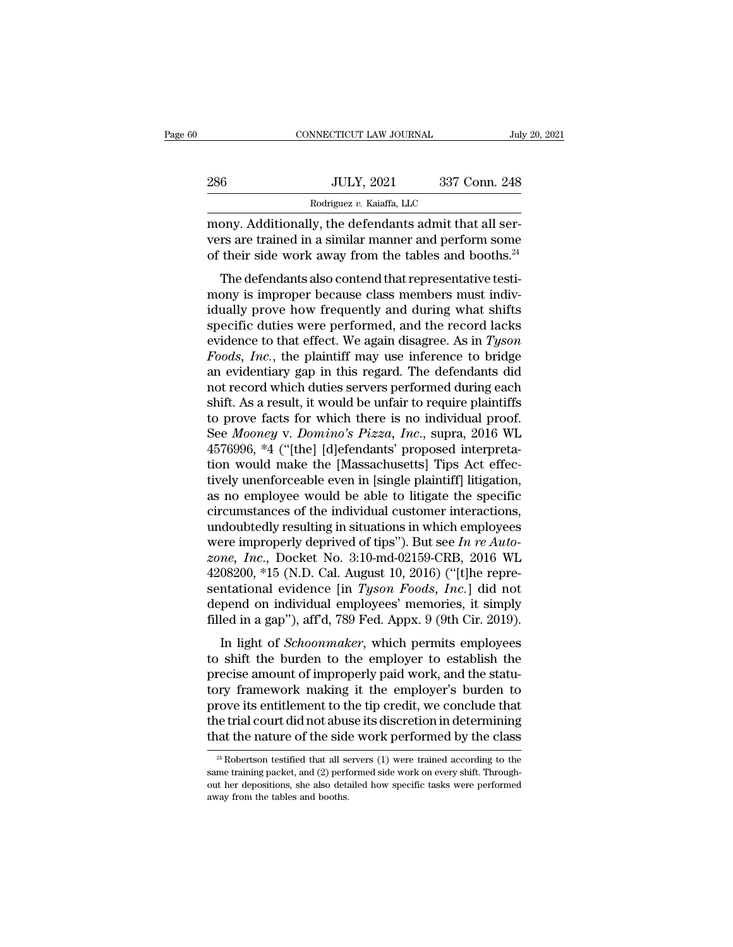|     | CONNECTICUT LAW JOURNAL                                                                                                                                                       | July 20, 2021 |
|-----|-------------------------------------------------------------------------------------------------------------------------------------------------------------------------------|---------------|
| 286 | <b>JULY, 2021</b>                                                                                                                                                             | 337 Conn. 248 |
|     | Rodriguez v. Kaiaffa, LLC                                                                                                                                                     |               |
|     | mony. Additionally, the defendants admit that all ser-<br>vers are trained in a similar manner and perform some<br>of their side work away from the tables and booths $^{24}$ |               |

vers are trained in a similar manner and perform some of their side work away from the tables and booths.<sup>24</sup>  $\frac{1000 \text{ JULY, } 2021}{\text{Rodriguez } v. \text{ Kaiaffa, } \text{LLC}}$ <br>mony. Additionally, the defendants admit that all servers are trained in a similar manner and perform some<br>of their side work away from the tables and booths.<sup>24</sup><br>The defend  $500$  JULY, 2021 337 Conn. 248<br>
Rodriguez v. Kaiaffa, LLC<br>
ony. Additionally, the defendants admit that all ser-<br>
rs are trained in a similar manner and perform some<br>
their side work away from the tables and booths.<sup>24</sup><br>

 $\frac{1}{2}$  Rodriguez v. Kaiaffa, LLC<br>
mony. Additionally, the defendants admit that all servers are trained in a similar manner and perform some<br>
of their side work away from the tables and booths.<sup>24</sup><br>
The defendants also mony. Additionally, the defendants admit that all servers are trained in a similar manner and perform some<br>of their side work away from the tables and booths.<sup>24</sup><br>The defendants also contend that representative testi-<br>mon specific duties were performed, and the record lacks<br>were are trained in a similar manner and perform some<br>of their side work away from the tables and booths.<sup>24</sup><br>The defendants also contend that representative testi-<br>mon evers are trained in a similar matter and perform some<br>of their side work away from the tables and booths.<sup>24</sup><br>The defendants also contend that representative testi-<br>mony is improper because class members must indiv-<br>idual The defendants also contend that representative testimony is improper because class members must individually prove how frequently and during what shifts specific duties were performed, and the record lacks evidence to tha The defendants also contend that representative testi-<br>mony is improper because class members must indiv-<br>idually prove how frequently and during what shifts<br>specific duties were performed, and the record lacks<br>evidence t mony is improper because class members must individually prove how frequently and during what shifts<br>specific duties were performed, and the record lacks<br>evidence to that effect. We again disagree. As in  $Tyson$ <br> $Foods$ ,  $Inc$ , idually prove how frequently and during what shifts<br>specific duties were performed, and the record lacks<br>evidence to that effect. We again disagree. As in  $Tyson$ <br> $Foods$ ,  $Inc$ , the plaintiff may use inference to bridge<br>an evid specific duties were performed, and the record lacks<br>evidence to that effect. We again disagree. As in *Tyson<br>Foods, Inc.*, the plaintiff may use inference to bridge<br>an evidentiary gap in this regard. The defendants did<br>no evidence to that effect. We again disagree. As in *Tyson Foods, Inc.*, the plaintiff may use inference to bridge<br>an evidentiary gap in this regard. The defendants did<br>not record which duties servers performed during each<br>s Foods, *Inc.*, the plaintiff may use inference to bridge<br>an evidentiary gap in this regard. The defendants did<br>not record which duties servers performed during each<br>shift. As a result, it would be unfair to require plainti an evidentiary gap in this regard. The defendants did<br>not record which duties servers performed during each<br>shift. As a result, it would be unfair to require plaintiffs<br>to prove facts for which there is no individual proof not record which duties servers performed during each shift. As a result, it would be unfair to require plaintiffs to prove facts for which there is no individual proof.<br>See *Mooney* v. *Domino's Pizza*, *Inc.*, supra, 201 shift. As a result, it would be unfair to require plaintiffs<br>to prove facts for which there is no individual proof.<br>See *Mooney* v. *Domino's Pizza*, *Inc.*, supra, 2016 WL<br>4576996, \*4 ("[the] [d]efendants' proposed interp to prove facts for which there is no individual proof.<br>See *Mooney* v. *Domino's Pizza*, *Inc.*, supra, 2016 WL<br>4576996, \*4 ("[the] [d]efendants' proposed interpreta-<br>tion would make the [Massachusetts] Tips Act effec-<br>ti See *Mooney* v. *Domino's Pizza*, *Inc.*, supra, 2016 WL<br>4576996, \*4 ("[the] [d]efendants' proposed interpreta-<br>tion would make the [Massachusetts] Tips Act effec-<br>tively unenforceable even in [single plaintiff] litigatio 4576996, \*4 ("[the] [d]efendants' proposed interpretation would make the [Massachusetts] Tips Act effectively unenforceable even in [single plaintiff] litigation, as no employee would be able to litigate the specific circu tion would make the [Massachusetts] Tips Act effectively unenforceable even in [single plaintiff] litigation,<br>as no employee would be able to litigate the specific<br>circumstances of the individual customer interactions,<br>und tively unenforceable even in [single plaintiff] litigation,<br>as no employee would be able to litigate the specific<br>circumstances of the individual customer interactions,<br>undoubtedly resulting in situations in which employe as no employee would be able to litigate the specific<br>circumstances of the individual customer interactions,<br>undoubtedly resulting in situations in which employees<br>were improperly deprived of tips"). But see *In re Auto-<br>z* circumstances of the individual customer interactions,<br>undoubtedly resulting in situations in which employees<br>were improperly deprived of tips"). But see  $In re Auto-  
zone, Inc., Docket No. 3:10-md-02159-CRB, 2016 WL  
4208200, *15 (N.D. Cal. August 10, 2016$ undoubtedly resulting in situations in which employees<br>were improperly deprived of tips"). But see  $In re Auto-  
zone, Inc., Docket No. 3:10-md-02159-CRB, 2016 WL  
4208200, *15 (N.D. Cal. August 10, 2016) ("[t]he repre-  
sentational evidence [in *Tyson Foods, Inc.*] did not  
depend on individual employees' memories, it simply  
filled in a gap"), aff d, 7$ In *Inc.*, Docket No. 3:10-md-02159-CRB, 2016 WL<br>08200, \*15 (N.D. Cal. August 10, 2016) ("[t]he repre-<br>ntational evidence [in *Tyson Foods, Inc.*] did not<br>pend on individual employees' memories, it simply<br>led in a gap"), a  $t_1$ ,  $t_2$ ,  $t_3$ ,  $t_4$ ,  $t_5$ ,  $t_6$ ,  $t_7$ ,  $t_7$ ,  $t_8$ ,  $t_9$ ,  $t_9$ ,  $t_9$ ,  $t_9$ ,  $t_9$ ,  $t_9$ ,  $t_9$ ,  $t_9$ ,  $t_9$ ,  $t_9$ ,  $t_9$ ,  $t_9$ ,  $t_9$ ,  $t_9$ ,  $t_9$ ,  $t_9$  and  $t_9$  and  $t_9$  are employed in a gap"), af

4208200, \*15 (N.D. Cal. August 10, 2016) ("[t]he representational evidence [in *Tyson Foods, Inc.*] did not depend on individual employees' memories, it simply filled in a gap"), aff'd, 789 Fed. Appx. 9 (9th Cir. 2019). I sentational evidence [in 1 gson 1 bods, 1 me.] did not<br>depend on individual employees' memories, it simply<br>filled in a gap"), aff'd, 789 Fed. Appx. 9 (9th Cir. 2019).<br>In light of *Schoonmaker*, which permits employees<br>to s depend on marvidal employees memories, it simply<br>filled in a gap"), aff'd, 789 Fed. Appx. 9 (9th Cir. 2019).<br>In light of *Schoonmaker*, which permits employees<br>to shift the burden to the employer to establish the<br>precise a In light of *Schoonmaker*, which permits employees<br>to shift the burden to the employer to establish the<br>precise amount of improperly paid work, and the statu-<br>tory framework making it the employer's burden to<br>prove its ent In light of *Schoonmaker*, which permits employees<br>to shift the burden to the employer to establish the<br>precise amount of improperly paid work, and the statu-<br>tory framework making it the employer's burden to<br>prove its en prove its entitlement to the tip credit, we conclude that<br>ne trial court did not abuse its discretion in determining<br>at the nature of the side work performed by the class<br><sup>24</sup> Robertson testified that all servers (1) were prove its entitlement to the tip credit, we conclude that<br>the trial court did not abuse its discretion in determining<br>that the nature of the side work performed by the class<br> $\frac{24}{100}$  Robertson testified that all server

the trial court did not abuse its discretion in determining<br>that the nature of the side work performed by the class<br><sup>24</sup> Robertson testified that all servers (1) were trained according to the<br>same training packet, and (2) That the nature of the side<br>
<sup>24</sup> Robertson testified that all se<br>
same training packet, and (2) perfect out her depositions, she also deta<br>
away from the tables and booths.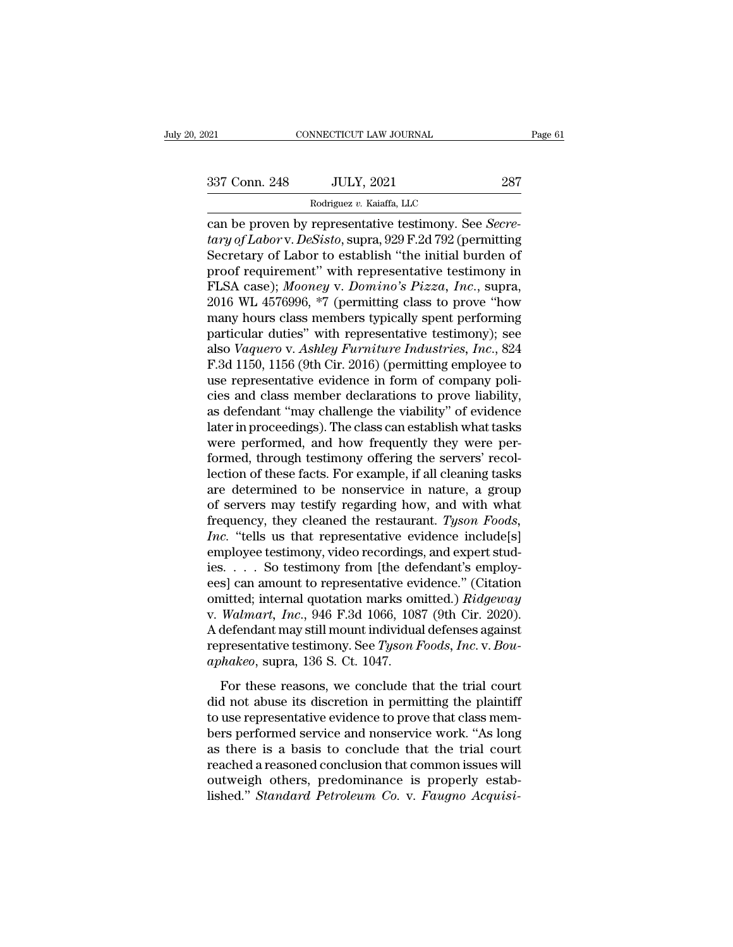NNECTICUT LAW JOURNAL<br>JULY, 2021<br>Rodriguez *v.* Kaiaffa, LLC<br>representative testimony. Se connectricut LAW JOURNAL Pa<br>
287<br>
287 Conn. 248 JULY, 2021 287<br>
287<br>
287 Rodriguez v. Kaiaffa, LLC<br>
can be proven by representative testimony. See *Secre-*<br> *tary of Labor* v. *DeSisto*, supra, 929 F.2d 792 (permitting<br>
Se <sup>237</sup> Conn. 248 JULY, 2021 287<br>
<sup>Rodriguez v. Kaiaffa, LLC</sup><br>
can be proven by representative testimony. See *Secretary of Labor* v. *DeSisto*, supra, 929 F.2d 792 (permitting<br>
Secretary of Labor to establish "the initial b  $\frac{337 \text{ Conn. } 248 \qquad \text{JULY, } 2021 \qquad \qquad 287}$ <br>  $\frac{80 \text{ driguez } v. \text{ Kaiaffa, } \text{LLC}}{\text{can be proven by representative testimony. } \text{See } \text{Secretary of } \text{Labor v. } \text{DeSisto, supra, } 929 \text{ F.2d } 792 \text{ (permitting } \text{Secretary of } \text{Labor to establish "the initial burden of proof requirement" with representative testimony in } \text{FI } \text{SA, } \text{qqgob}. \text{ *Moongu v. Domino's, Pizga, Ina, sumr.*$ 337 Conn. 248 JULY, 2021 287<br>
Rodriguez v. Kaiaffa, LLC<br>
can be proven by representative testimony. See *Secretary of Labor* v. *DeSisto*, supra, 929 F.2d 792 (permitting<br>
Secretary of Labor to establish "the initial burd Rodriguez v. Kaiaffa, LLC<br>
can be proven by representative testimony. See *Secretary of Labor* v. *DeSisto*, supra, 929 F.2d 792 (permitting<br>
Secretary of Labor to establish "the initial burden of<br>
proof requirement" with Roanguez v. Kaiatta, LLC<br>
can be proven by representative testimony. See *Secre-<br>
tary of Labor* v. *DeSisto*, supra, 929 F.2d 792 (permitting<br>
Secretary of Labor to establish "the initial burden of<br>
proof requirement" wi can be proven by representative testimony. See *Secretary of Labor* v. *DeSisto*, supra, 929 F.2d 792 (permitting<br>Secretary of Labor to establish "the initial burden of<br>proof requirement" with representative testimony in<br> tary of Labor v. DeSisto, supra, 929 F.2d 792 (permitting<br>Secretary of Labor to establish "the initial burden of<br>proof requirement" with representative testimony in<br>FLSA case); Mooney v. Domino's Pizza, Inc., supra,<br>2016 W Secretary of Labor to establish "the initial burden of<br>proof requirement" with representative testimony in<br>FLSA case); *Mooney* v. *Domino's Pizza*, *Inc.*, supra,<br>2016 WL 4576996, \*7 (permitting class to prove "how<br>many h proof requirement" with representative testimony in<br>FLSA case); *Mooney v. Domino's Pizza, Inc.*, supra,<br>2016 WL 4576996, \*7 (permitting class to prove "how<br>many hours class members typically spent performing<br>particular du FLSA case); *Mooney v. Domino's Pizza, Inc.*, supra, 2016 WL 4576996, \*7 (permitting class to prove "how many hours class members typically spent performing particular duties" with representative testimony); see also *Vaqu* 2016 WL 4576996,  $*7$  (permitting class to prove "how<br>many hours class members typically spent performing<br>particular duties" with representative testimony); see<br>also *Vaquero* v. Ashley Furniture Industries, Inc., 824<br>F.3 many hours class members typically spent performing<br>particular duties" with representative testimony); see<br>also *Vaquero* v. Ashley Furniture Industries, Inc., 824<br>F.3d 1150, 1156 (9th Cir. 2016) (permitting employee to<br>us particular duties" with representative testimony); see<br>also *Vaquero* v. *Ashley Furniture Industries*, *Inc.*, 824<br>F.3d 1150, 1156 (9th Cir. 2016) (permitting employee to<br>use representative evidence in form of company pol also *Vaquero* v. *Ashley Furniture Industries, Inc.*, 824<br>F.3d 1150, 1156 (9th Cir. 2016) (permitting employee to<br>use representative evidence in form of company poli-<br>cies and class member declarations to prove liability, F.3d 1150, 1156 (9th Cir. 2016) (permitting employee to<br>use representative evidence in form of company poli-<br>cies and class member declarations to prove liability,<br>as defendant "may challenge the viability" of evidence<br>lat use representative evidence in form of company policies and class member declarations to prove liability, as defendant "may challenge the viability" of evidence later in proceedings). The class can establish what tasks wer cies and class member declarations to prove liability,<br>as defendant "may challenge the viability" of evidence<br>later in proceedings). The class can establish what tasks<br>were performed, and how frequently they were per-<br>form as defendant "may challenge the viability" of evidence<br>later in proceedings). The class can establish what tasks<br>were performed, and how frequently they were per-<br>formed, through testimony offering the servers' recol-<br>lec later in proceedings). The class can establish what tasks<br>were performed, and how frequently they were per-<br>formed, through testimony offering the servers' recol-<br>lection of these facts. For example, if all cleaning tasks<br> were performed, and how frequently they were performed, through testimony offering the servers' recollection of these facts. For example, if all cleaning tasks are determined to be nonservice in nature, a group of servers formed, through testimony offering the servers' recollection of these facts. For example, if all cleaning tasks are determined to be nonservice in nature, a group of servers may testify regarding how, and with what freque lection of these facts. For example, if all cleaning tasks<br>are determined to be nonservice in nature, a group<br>of servers may testify regarding how, and with what<br>frequency, they cleaned the restaurant. *Tyson Foods,<br>Inc.* are determined to be nonservice in nature, a group<br>of servers may testify regarding how, and with what<br>frequency, they cleaned the restaurant. Tyson Foods,<br> $Inc$ . "tells us that representative evidence include[s]<br>employee t of servers may testify regarding how, and with what<br>frequency, they cleaned the restaurant. *Tyson Foods,<br>Inc.* "tells us that representative evidence include[s]<br>employee testimony, video recordings, and expert stud-<br>ies. frequency, they cleaned the restaurant. *Tyson Foods,*<br> *Inc.* "tells us that representative evidence include[s]<br>
employee testimony, video recordings, and expert stud-<br>
ies. . . . So testimony from [the defendant's employ *Inc.* "tells us that representative evidence include[s]<br>employee testimony, video recordings, and expert stud-<br>ies. . . . So testimony from [the defendant's employ-<br>ees] can amount to representative evidence." (Citation<br> employee testimony, video recordings, and expert studies. . . . . So testimony from [the defendant's employees] can amount to representative evidence." (Citation omitted; internal quotation marks omitted.) *Ridgeway* v. *W* ies. . . . So testimony from [the deffeces] can amount to representative eviomitted; internal quotation marks on v. *Walmart, Inc.*, 946 F.3d 1066, 108 A defendant may still mount individua representative testimony. See *T* inted; internal quotation marks omitted.) Ridgeway<br>Walmart, Inc., 946 F.3d 1066, 1087 (9th Cir. 2020).<br>defendant may still mount individual defenses against<br>presentative testimony. See Tyson Foods, Inc. v. Bou-<br>hakeo, sup onated, metrical quotation manus since the planetary reaspons<br>v. Walmart, Inc., 946 F.3d 1066, 1087 (9th Cir. 2020).<br>A defendant may still mount individual defenses against<br>representative testimony. See *Tyson Foods*, Inc

A defendant may still mount individual defenses against<br>representative testimony. See *Tyson Foods, Inc.* v. *Bou-<br>aphakeo*, supra, 136 S. Ct. 1047.<br>For these reasons, we conclude that the trial court<br>did not abuse its di representative testimony. See  $Tyson$  Foods, Inc. v. Bou-<br>aphakeo, supra, 136 S. Ct. 1047.<br>For these reasons, we conclude that the trial court<br>did not abuse its discretion in permitting the plaintiff<br>to use representative e aphakeo, supra, 136 S. Ct. 1047.<br>
For these reasons, we conclude that the trial court<br>
did not abuse its discretion in permitting the plaintiff<br>
to use representative evidence to prove that class mem-<br>
bers performed serv For these reasons, we conclude that the trial court<br>did not abuse its discretion in permitting the plaintiff<br>to use representative evidence to prove that class mem-<br>bers performed service and nonservice work. "As long<br>as For these reasons, we conclude that the trial court<br>did not abuse its discretion in permitting the plaintiff<br>to use representative evidence to prove that class mem-<br>bers performed service and nonservice work. "As long<br>as t did not abuse its discretion in permitting the plaintiff<br>to use representative evidence to prove that class mem-<br>bers performed service and nonservice work. "As long<br>as there is a basis to conclude that the trial court<br>rea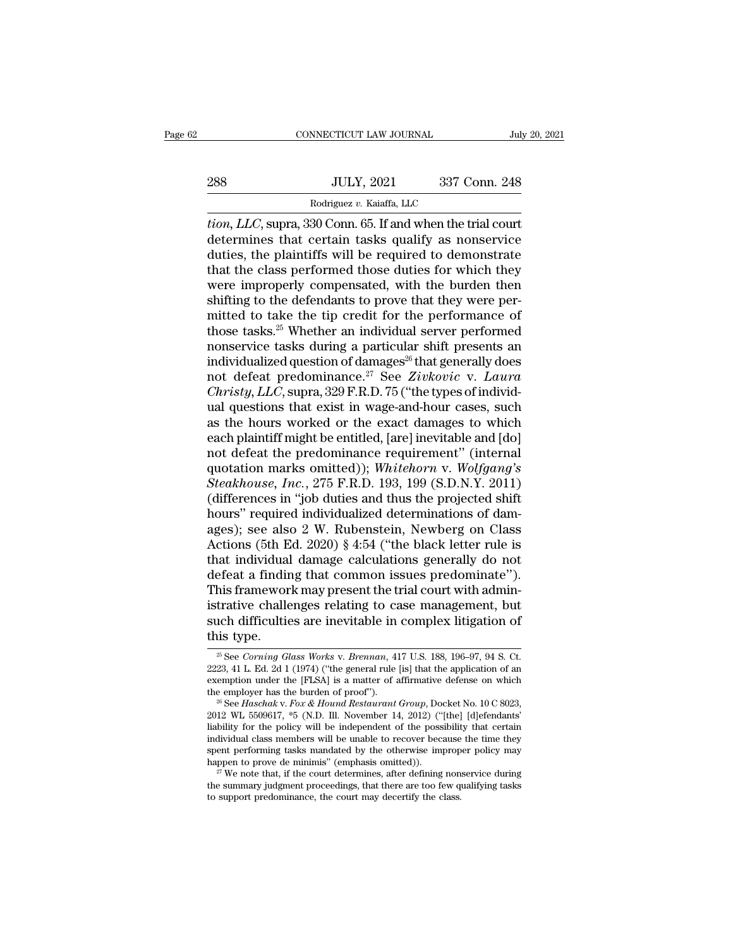|     | CONNECTICUT LAW JOURNAL                                       |               | July 20, 2021 |
|-----|---------------------------------------------------------------|---------------|---------------|
|     |                                                               |               |               |
| 288 | <b>JULY, 2021</b>                                             | 337 Conn. 248 |               |
|     | Rodriguez v. Kaiaffa, LLC                                     |               |               |
|     | <i>tion LLC</i> supra 330 Conn 65 If and when the trial court |               |               |

**the CONNECTICUT LAW JOURNAL** July 20, 2021<br> **tion, LLC**, supra, 330 Conn. 65. If and when the trial court<br>
determines that certain tasks qualify as nonservice<br>
duties the plaintiffs will be required to demonstrate 288 JULY, 2021 337 Conn. 248<br>
Rodriguez v. Kaiaffa, LLC<br>
tion, LLC, supra, 330 Conn. 65. If and when the trial court<br>
determines that certain tasks qualify as nonservice<br>
duties, the plaintiffs will be required to demonstr  $\begin{array}{lll}\n & \text{JULY, 2021} & \text{337 Conn. 248} \\
 \hline\n & \text{Rodriguez } v. \text{ Kaiaffa, LLC} \\
 \hline\n \text{tion, LLC, supra, 330 Conn. 65. If and when the trial court determines that certain tasks qualify as nonservative duties, the plaintiffs will be required to demonstrate that the class performed those duties for which they were innronerly compensated with the burden than.} \n\end{array}$ 288 JULY, 2021 337 Conn. 248<br>
Rodriguez v. Kaiaffa, LLC<br> *tion, LLC*, supra, 330 Conn. 65. If and when the trial court<br>
determines that certain tasks qualify as nonservice<br>
duties, the plaintiffs will be required to demon Rodriguez v. Kaiaffa, LLC<br>
tion, LLC, supra, 330 Conn. 65. If and when the trial court<br>
determines that certain tasks qualify as nonservice<br>
duties, the plaintiffs will be required to demonstrate<br>
that the class performed Rodriguez v. Kaiaffa, LLC<br>
tion, LLC, supra, 330 Conn. 65. If and when the trial court<br>
determines that certain tasks qualify as nonservice<br>
duties, the plaintiffs will be required to demonstrate<br>
that the class performed tion, LLC, supra, 330 Conn. 65. If and when the trial court<br>determines that certain tasks qualify as nonservice<br>duties, the plaintiffs will be required to demonstrate<br>that the class performed those duties for which they<br>we determines that certain tasks qualify as nonservice<br>duties, the plaintiffs will be required to demonstrate<br>that the class performed those duties for which they<br>were improperly compensated, with the burden then<br>shifting to duties, the plaintiffs will be required to demonstrate<br>that the class performed those duties for which they<br>were improperly compensated, with the burden then<br>shifting to the defendants to prove that they were per-<br>mitted that the class performed those duties for which they<br>were improperly compensated, with the burden then<br>shifting to the defendants to prove that they were per-<br>mitted to take the tip credit for the performance of<br>those tas were improperly compensated, with the burden then<br>shifting to the defendants to prove that they were per-<br>mitted to take the tip credit for the performance of<br>those tasks.<sup>25</sup> Whether an individual server performed<br>nonserv shifting to the defendants to prove that they were per-<br>mitted to take the tip credit for the performance of<br>those tasks.<sup>25</sup> Whether an individual server performed<br>nonservice tasks during a particular shift presents an<br>i mitted to take the tip credit for the performance of<br>those tasks.<sup>25</sup> Whether an individual server performed<br>nonservice tasks during a particular shift presents an<br>individualized question of damages<sup>26</sup> that generally doe those tasks.<sup>25</sup> Whether an individual server performed<br>nonservice tasks during a particular shift presents an<br>individualized question of damages<sup>26</sup> that generally does<br>not defeat predominance.<sup>27</sup> See Zivkovic v. Laura<br> nonservice tasks during a particular shift presents an individualized question of damages<sup>26</sup> that generally does<br>not defeat predominance.<sup>27</sup> See Zivkovic v. Laura<br>*Christy*, LLC, supra, 329 F.R.D. 75 ("the types of indi individualized question of damages<sup>26</sup> that generally does<br>not defeat predominance.<sup>27</sup> See Zivkovic v. Laura<br>Christy, LLC, supra, 329 F.R.D. 75 ("the types of individ-<br>ual questions that exist in wage-and-hour cases, suc not defeat predominance.<sup>27</sup> See Zivkovic v. *Laura*<br>Christy, LLC, supra, 329 F.R.D. 75 ("the types of individ-<br>ual questions that exist in wage-and-hour cases, such<br>as the hours worked or the exact damages to which<br>each p *Christy, LLC,* supra, 329 F.R.D. 75 ("the types of individual questions that exist in wage-and-hour cases, such as the hours worked or the exact damages to which each plaintiff might be entitled, [are] inevitable and [do] ual questions that exist in wage-and-hour cases, such<br>as the hours worked or the exact damages to which<br>each plaintiff might be entitled, [are] inevitable and [do]<br>not defeat the predominance requirement" (internal<br>quotati as the hours worked or the exact damages to which<br>each plaintiff might be entitled, [are] inevitable and [do]<br>not defeat the predominance requirement" (internal<br>quotation marks omitted)); *Whitehorn v. Wolfgang's*<br>*Steakh* each plaintiff might be entitled, [are] inevitable and [do]<br>not defeat the predominance requirement" (internal<br>quotation marks omitted)); *Whitehorn v. Wolfgang's*<br>Steakhouse, Inc., 275 F.R.D. 193, 199 (S.D.N.Y. 2011)<br>(dif not defeat the predominance requirement" (internal<br>quotation marks omitted)); *Whitehorn v. Wolfgang's*<br>*Steakhouse, Inc.*, 275 F.R.D. 193, 199 (S.D.N.Y. 2011)<br>(differences in "job duties and thus the projected shift<br>hours quotation marks omitted)); *Whitehorn v. Wolfgang's*<br>Steakhouse, Inc., 275 F.R.D. 193, 199 (S.D.N.Y. 2011)<br>(differences in "job duties and thus the projected shift<br>hours" required individualized determinations of dam-<br>ages Steakhouse, Inc., 275 F.R.D. 193, 199 (S.D.N.Y. 2011)<br>(differences in "job duties and thus the projected shift<br>hours" required individualized determinations of dam-<br>ages); see also 2 W. Rubenstein, Newberg on Class<br>Action (differences in "job duties and thus the projected shift<br>hours" required individualized determinations of dam-<br>ages); see also 2 W. Rubenstein, Newberg on Class<br>Actions (5th Ed. 2020) § 4:54 ("the black letter rule is<br>that hours" required individualized determinations of dam-<br>ages); see also 2 W. Rubenstein, Newberg on Class<br>Actions (5th Ed. 2020) § 4:54 ("the black letter rule is<br>that individual damage calculations generally do not<br>defeat a ages); see also 2 W. Rubenstein, Newberg on Class<br>Actions (5th Ed. 2020) § 4:54 ("the black letter rule is<br>that individual damage calculations generally do not<br>defeat a finding that common issues predominate").<br>This framew Actions (5th E<br>that individual<br>defeat a findir<br>This framewor<br>istrative challe<br>such difficultie<br>this type.<br> $\frac{1}{\frac{36}{2}}$ See Corning Gl This framework may present the trial court with administrative challenges relating to case management, but<br>such difficulties are inevitable in complex litigation of<br>this type.<br><sup>25</sup> See *Corning Glass Works* v. *Brennan*, 4

istrative challenges relating to case management, but<br>such difficulties are inevitable in complex litigation of<br>this type.<br> $\frac{2223}{}$  See *Corning Glass Works v. Brennan*, 417 U.S. 188, 196–97, 94 S. Ct.<br> $2223$ , 41 L. Ed such difficulties are inevitable in complex litigation of<br>this type.<br> $\frac{1}{2}$  see Corning Glass Works v. Brennan, 417 U.S. 188, 196-97, 94 S. Ct.<br>2223, 41 L. Ed. 2d 1 (1974) ("the general rule [is] that the application o such difficulties are inevitable in complex hugation of<br>this type.<br><sup>25</sup> See *Corning Glass Works v. Brennan*, 417 U.S. 188, 196-97, 94 S. Ct.<br>2223, 41 L. Ed. 2d 1 (1974) ("the general rule [is] that the application of an<br>e

<sup>2223, 41</sup> L. Ed. 2d 1 (1974) ("the general rule [is] that the application of an exemption under the [FLSA] is a matter of affirmative defense on which the employer has the burden of proof").<br><sup>26</sup> See *Haschak v. Fox & Houn* <sup>26</sup> See *Corning Glass Works v. Brennan*, 417 U.S. 188, 196–97, 94 S. Ct. 2223, 41 L. Ed. 2d 1 (1974) ("the general rule [is] that the application of an exemption under the [FLSA] is a matter of affirmative defense on wh 2223, 41 L. Ed. 2d 1 (1974) ("the general rule [is] that the application of an exemption under the [FLSA] is a matter of affirmative defense on which the employer has the burden of proof").<br>
<sup>26</sup> See *Haschak v. Fox & Hou* exemption under the [FLSA] is a matter of affirmative defense on which<br>the employer has the burden of proof").<br><sup>26</sup> See *Haschak v. Fox & Hound Restaurant Group*, Docket No. 10 C 8023,<br>2012 WL 5509617, \*5 (N.D. Ill. Novem the employer has the burden of proof").<br>
<sup>26</sup> See *Haschak v. Fox & Hound Restaurant Group*, Docket No. 10 C 8023,<br>
2012 WL 5509617, <sup>\*5</sup> (N.D. Ill. November 14, 2012) ("[the] [d]efendants'<br>
liability for the policy will 2012 WL 5509617, \*5 (N.D. Ill. November 14, 2012) ("[the] [d]efendants'<br>liability for the policy will be independent of the possibility that certain<br>individual class members will be unable to recover because the time they

spent performing tasks mandated by the otherwise improper policy may happen to prove de minimis" (emphasis omitted)).<br><sup>27</sup> We note that, if the court determines, after defining nonservice during the summary judgment proce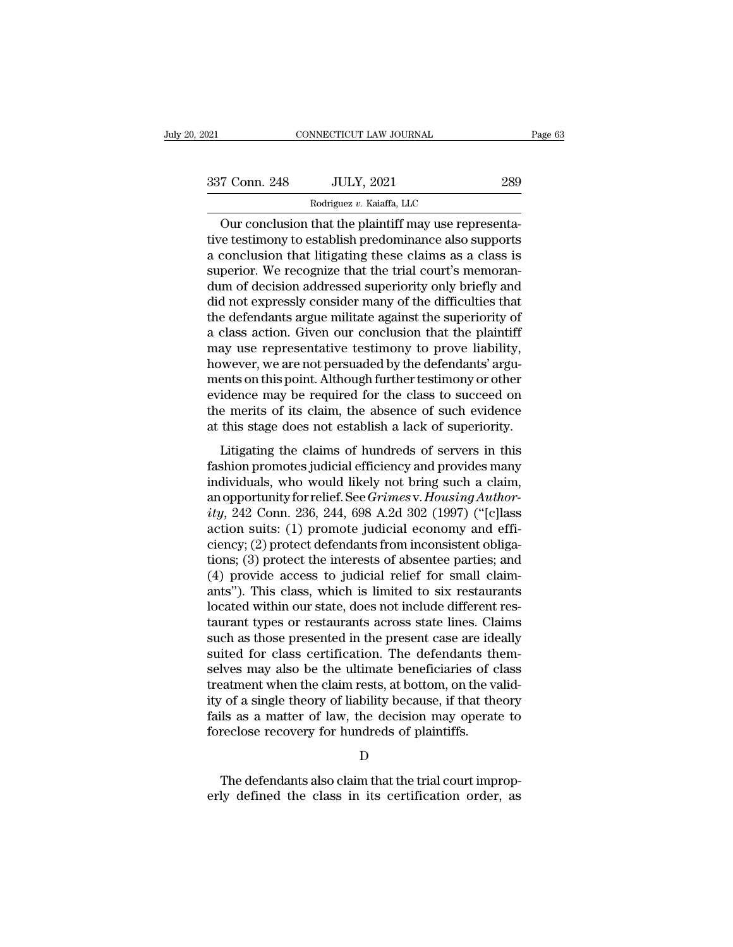| 2021          | CONNECTICUT LAW JOURNAL                                                                                                                                                    | Page 63 |
|---------------|----------------------------------------------------------------------------------------------------------------------------------------------------------------------------|---------|
| 337 Conn. 248 | <b>JULY, 2021</b>                                                                                                                                                          | 289     |
|               | Rodriguez v. Kaiaffa, LLC                                                                                                                                                  |         |
|               | Our conclusion that the plaintiff may use representa-<br>tive testimony to establish predominance also supports<br>a conclusion that litigating those claims as a class is |         |

337 Conn. 248 JULY, 2021 289<br>Rodriguez v. Kaiaffa, LLC<br>Our conclusion that the plaintiff may use representa-<br>tive testimony to establish predominance also supports<br>a conclusion that litigating these claims as a class is<br>su  $\frac{337 \text{ Conn. } 248 \qquad \text{JULY, } 2021 \qquad \qquad 289}$ <br>  $\frac{\text{Rodriguez } v. \text{ Kaiaffa, LLC}}{\text{Our conclusion that the plaintiff may use representative testimony to establish predominance also supports a conclusion that litigating these claims as a class is superior. We recognize that the trial court's memorandum of decision addressed suprovivity only briefly and$  $\begin{tabular}{c c c} \multicolumn{1}{c}{337}\>\n Com. 248 & \multicolumn{1}{c}{JULY, 2021} & \multicolumn{1}{c}{289} \\\hline \hline \end{tabular} \vspace{0.2cm} \begin{tabular}{c} \multicolumn{1}{c}{\text{Rodriguez $v$. Kaiaffa, LLC}} \\\hline \end{tabular} \vspace{0.2cm} \begin{tabular}{c} \multicolumn{1}{c}{\text{Nodriguez $v. Kaiaffa, LLC}} \\\hline \end{tabular} \vspace{0.2cm} \begin{tabular}{c} \multicolumn{1}{c}{\text{Nodriguez $$ Rodriguez v. Kaiaffa, LLC<br>
Our conclusion that the plaintiff may use representa-<br>
tive testimony to establish predominance also supports<br>
a conclusion that litigating these claims as a class is<br>
superior. We recognize tha Rodriguez v. Kaiatta, LLC<br>
Our conclusion that the plaintiff may use representa-<br>
tive testimony to establish predominance also supports<br>
a conclusion that litigating these claims as a class is<br>
superior. We recognize tha Our conclusion that the plaintiff may use representative testimony to establish predominance also supports<br>a conclusion that litigating these claims as a class is<br>superior. We recognize that the trial court's memoran-<br>dum tive testimony to establish predominance also supports<br>a conclusion that litigating these claims as a class is<br>superior. We recognize that the trial court's memoran-<br>dum of decision addressed superiority only briefly and<br>d a conclusion that litigating these claims as a class is<br>superior. We recognize that the trial court's memoran-<br>dum of decision addressed superiority only briefly and<br>did not expressly consider many of the difficulties that superior. We recognize that the trial court's memorandum of decision addressed superiority only briefly and did not expressly consider many of the difficulties that the defendants argue militate against the superiority of dum of decision addressed superiority only briefly and<br>did not expressly consider many of the difficulties that<br>the defendants argue militate against the superiority of<br>a class action. Given our conclusion that the plainti did not expressly consider many of the difficulties that<br>the defendants argue militate against the superiority of<br>a class action. Given our conclusion that the plaintiff<br>may use representative testimony to prove liability, the defendants argue militate against the superiority of<br>a class action. Given our conclusion that the plaintiff<br>may use representative testimony to prove liability,<br>however, we are not persuaded by the defendants' argu-<br>m a class action. Given our conclusion that the plaintiff<br>may use representative testimony to prove liability,<br>however, we are not persuaded by the defendants' argu-<br>ments on this point. Although further testimony or other<br>e Litigating the claims of hundreds of servers in this shind promotes judicial effections of the class to succeed on<br>the computer of the class to succeed on<br>the merits of its claim, the absence of such evidence<br>this stage do fraction, we also be personated by the determining target<br>ments on this point. Although further testimony or other<br>evidence may be required for the class to succeed on<br>the merits of its claim, the absence of such evidence<br>

inclus on any be required for the class to succeed on<br>the merits of its claim, the absence of such evidence<br>at this stage does not establish a lack of superiority.<br>Litigating the claims of hundreds of servers in this<br>fash an opportunity for eigens and the merits of its claim, the absence of such evidence at this stage does not establish a lack of superiority.<br>Litigating the claims of hundreds of servers in this fashion promotes judicial eff at this stage does not establish a lack of superiority.<br> *i* Litigating the claims of hundreds of servers in this<br>
fashion promotes judicial efficiency and provides many<br>
individuals, who would likely not bring such a clai Litigating the claims of hundreds of servers in this<br>fashion promotes judicial efficiency and provides many<br>individuals, who would likely not bring such a claim,<br>an opportunity for relief. See *Grimes v. Housing Author-*<br> Litigating the claims of hundreds of servers in this<br>fashion promotes judicial efficiency and provides many<br>individuals, who would likely not bring such a claim,<br>an opportunity for relief. See *Grimes v. Housing Author-*<br> fashion promotes judicial efficiency and provides many<br>individuals, who would likely not bring such a claim,<br>an opportunity for relief. See *Grimes* v. Housing Author-<br>ity, 242 Conn. 236, 244, 698 A.2d 302 (1997) ("[c]lass individuals, who would likely not bring such a claim,<br>an opportunity for relief. See *Grimes* v. *Housing Author-*<br>ity, 242 Conn. 236, 244, 698 A.2d 302 (1997) ("[c]lass<br>action suits: (1) promote judicial economy and effian opportunity for relief. See *Grimes* v. *Housing Authority*, 242 Conn. 236, 244, 698 A.2d 302 (1997) ("[c]lass action suits: (1) promote judicial economy and efficiency; (2) protect defendants from inconsistent obligat ity, 242 Conn. 236, 244, 698 A.2d 302 (1997) ("[c]lass<br>action suits: (1) promote judicial economy and effi-<br>ciency; (2) protect defendants from inconsistent obliga-<br>tions; (3) protect the interests of absentee parties; and action suits: (1) promote judicial economy and efficiency; (2) protect defendants from inconsistent obligations; (3) protect the interests of absentee parties; and (4) provide access to judicial relief for small claimants" ciency; (2) protect defendants from inconsistent obligations; (3) protect the interests of absentee parties; and (4) provide access to judicial relief for small claimants"). This class, which is limited to six restaurants tions; (3) protect the interests of absentee parties; and (4) provide access to judicial relief for small claim-<br>ants"). This class, which is limited to six restaurants<br>located within our state, does not include different (4) provide access to judicial relief for small claim-<br>ants"). This class, which is limited to six restaurants<br>located within our state, does not include different res-<br>taurant types or restaurants across state lines. Cla ants"). This class, which is limited to six restaurants<br>located within our state, does not include different res-<br>taurant types or restaurants across state lines. Claims<br>such as those presented in the present case are idea located within our state, does not include different restaurant types or restaurants across state lines. Claims<br>such as those presented in the present case are ideally<br>suited for class certification. The defendants them-<br>s taurant types or restaurants across state lines. Claims<br>such as those presented in the present case are ideally<br>suited for class certification. The defendants them-<br>selves may also be the ultimate beneficiaries of class<br>tr such as those presented in the present case are ide<br>suited for class certification. The defendants th<br>selves may also be the ultimate beneficiaries of c<br>treatment when the claim rests, at bottom, on the vi<br>ity of a single eatment when the claim rests, at bottom, on the valid-<br>
The defendants also claim that the decision are operate to reclose recovery for hundreds of plaintiffs.<br>
D<br>
The defendants also claim that the trial court improp-<br>
ly ity of a single theory of liability because, if that theory<br>fails as a matter of law, the decision may operate to<br>foreclose recovery for hundreds of plaintiffs.<br>D<br>The defendants also claim that the trial court improp-<br>erly

D<sub>D</sub>